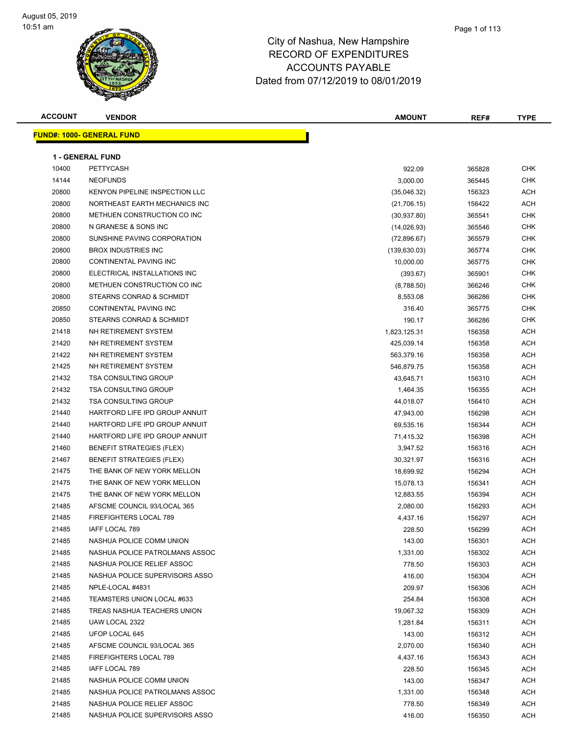### Page 1 of 113

## City of Nashua, New Hampshire RECORD OF EXPENDITURES ACCOUNTS PAYABLE Dated from 07/12/2019 to 08/01/2019

| דאו ונ | <b>VENDOR</b> | <b>IMOUNT</b><br>ΑM | REF# | TVDE |
|--------|---------------|---------------------|------|------|
|        |               |                     |      |      |

|       | <u> FUND#: 1000- GENERAL FUND</u> |               |        |            |
|-------|-----------------------------------|---------------|--------|------------|
|       |                                   |               |        |            |
|       | <b>1 - GENERAL FUND</b>           |               |        |            |
| 10400 | <b>PETTYCASH</b>                  | 922.09        | 365828 | CHK        |
| 14144 | <b>NEOFUNDS</b>                   | 3,000.00      | 365445 | CHK        |
| 20800 | KENYON PIPELINE INSPECTION LLC    | (35,046.32)   | 156323 | ACH        |
| 20800 | NORTHEAST EARTH MECHANICS INC     | (21,706.15)   | 156422 | ACH        |
| 20800 | METHUEN CONSTRUCTION CO INC       | (30, 937.80)  | 365541 | <b>CHK</b> |
| 20800 | N GRANESE & SONS INC              | (14,026.93)   | 365546 | <b>CHK</b> |
| 20800 | SUNSHINE PAVING CORPORATION       | (72,896.67)   | 365579 | <b>CHK</b> |
| 20800 | <b>BROX INDUSTRIES INC</b>        | (139, 630.03) | 365774 | <b>CHK</b> |
| 20800 | CONTINENTAL PAVING INC            | 10,000.00     | 365775 | <b>CHK</b> |
| 20800 | ELECTRICAL INSTALLATIONS INC      | (393.67)      | 365901 | <b>CHK</b> |
| 20800 | METHUEN CONSTRUCTION CO INC       | (8,788.50)    | 366246 | <b>CHK</b> |
| 20800 | STEARNS CONRAD & SCHMIDT          | 8,553.08      | 366286 | <b>CHK</b> |
| 20850 | <b>CONTINENTAL PAVING INC</b>     | 316.40        | 365775 | <b>CHK</b> |
| 20850 | STEARNS CONRAD & SCHMIDT          | 190.17        | 366286 | <b>CHK</b> |
| 21418 | NH RETIREMENT SYSTEM              | 1,823,125.31  | 156358 | ACH        |
| 21420 | NH RETIREMENT SYSTEM              | 425,039.14    | 156358 | ACH        |
| 21422 | NH RETIREMENT SYSTEM              | 563,379.16    | 156358 | ACH        |
| 21425 | NH RETIREMENT SYSTEM              | 546,879.75    | 156358 | <b>ACH</b> |
| 21432 | <b>TSA CONSULTING GROUP</b>       | 43,645.71     | 156310 | ACH        |
| 21432 | <b>TSA CONSULTING GROUP</b>       | 1,464.35      | 156355 | ACH        |
| 21432 | <b>TSA CONSULTING GROUP</b>       | 44,018.07     | 156410 | ACH        |
| 21440 | HARTFORD LIFE IPD GROUP ANNUIT    | 47,943.00     | 156298 | ACH        |
| 21440 | HARTFORD LIFE IPD GROUP ANNUIT    | 69,535.16     | 156344 | ACH        |
| 21440 | HARTFORD LIFE IPD GROUP ANNUIT    | 71,415.32     | 156398 | ACH        |
| 21460 | <b>BENEFIT STRATEGIES (FLEX)</b>  | 3,947.52      | 156316 | ACH        |
| 21467 | <b>BENEFIT STRATEGIES (FLEX)</b>  | 30,321.97     | 156316 | ACH        |
| 21475 | THE BANK OF NEW YORK MELLON       | 18,699.92     | 156294 | ACH        |
| 21475 | THE BANK OF NEW YORK MELLON       | 15,078.13     | 156341 | ACH        |
| 21475 | THE BANK OF NEW YORK MELLON       | 12,883.55     | 156394 | <b>ACH</b> |
| 21485 | AFSCME COUNCIL 93/LOCAL 365       | 2,080.00      | 156293 | ACH        |
| 21485 | FIREFIGHTERS LOCAL 789            | 4,437.16      | 156297 | ACH        |
| 21485 | IAFF LOCAL 789                    | 228.50        | 156299 | ACH        |
| 21485 | NASHUA POLICE COMM UNION          | 143.00        | 156301 | ACH        |
| 21485 | NASHUA POLICE PATROLMANS ASSOC    | 1,331.00      | 156302 | ACH        |
| 21485 | NASHUA POLICE RELIEF ASSOC        | 778.50        | 156303 | ACH        |
| 21485 | NASHUA POLICE SUPERVISORS ASSO    | 416.00        | 156304 | ACH        |
| 21485 | NPLE-LOCAL #4831                  | 209.97        | 156306 | ACH        |
| 21485 | TEAMSTERS UNION LOCAL #633        | 254.84        | 156308 | ACH        |
| 21485 | TREAS NASHUA TEACHERS UNION       | 19,067.32     | 156309 | ACH        |
| 21485 | UAW LOCAL 2322                    | 1,281.84      | 156311 | ACH        |
| 21485 | UFOP LOCAL 645                    | 143.00        | 156312 | ACH        |
| 21485 | AFSCME COUNCIL 93/LOCAL 365       | 2,070.00      | 156340 | ACH        |
| 21485 | FIREFIGHTERS LOCAL 789            | 4,437.16      | 156343 | ACH        |
| 21485 | IAFF LOCAL 789                    | 228.50        | 156345 | ACH        |
| 21485 | NASHUA POLICE COMM UNION          | 143.00        | 156347 | ACH        |
| 21485 | NASHUA POLICE PATROLMANS ASSOC    | 1,331.00      | 156348 | ACH        |
| 21485 | NASHUA POLICE RELIEF ASSOC        | 778.50        | 156349 | ACH        |

NASHUA POLICE SUPERVISORS ASSO 416.00 156350 ACH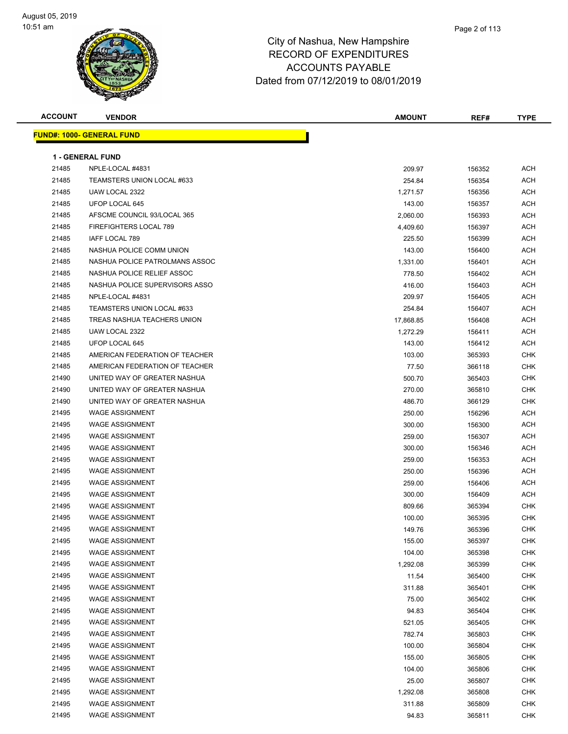

| <b>ACCOUNT</b> | <b>VENDOR</b>                    | <b>AMOUNT</b> | REF#   | <b>TYPE</b> |
|----------------|----------------------------------|---------------|--------|-------------|
|                | <b>FUND#: 1000- GENERAL FUND</b> |               |        |             |
|                |                                  |               |        |             |
|                | <b>1 - GENERAL FUND</b>          |               |        |             |
| 21485          | NPLE-LOCAL #4831                 | 209.97        | 156352 | ACH         |
| 21485          | TEAMSTERS UNION LOCAL #633       | 254.84        | 156354 | ACH         |
| 21485          | UAW LOCAL 2322                   | 1,271.57      | 156356 | ACH         |
| 21485          | UFOP LOCAL 645                   | 143.00        | 156357 | ACH         |
| 21485          | AFSCME COUNCIL 93/LOCAL 365      | 2,060.00      | 156393 | ACH         |
| 21485          | <b>FIREFIGHTERS LOCAL 789</b>    | 4,409.60      | 156397 | ACH         |
| 21485          | IAFF LOCAL 789                   | 225.50        | 156399 | ACH         |
| 21485          | NASHUA POLICE COMM UNION         | 143.00        | 156400 | ACH         |
| 21485          | NASHUA POLICE PATROLMANS ASSOC   | 1,331.00      | 156401 | ACH         |
| 21485          | NASHUA POLICE RELIEF ASSOC       | 778.50        | 156402 | ACH         |
| 21485          | NASHUA POLICE SUPERVISORS ASSO   | 416.00        | 156403 | ACH         |
| 21485          | NPLE-LOCAL #4831                 | 209.97        | 156405 | ACH         |
| 21485          | TEAMSTERS UNION LOCAL #633       | 254.84        | 156407 | ACH         |
| 21485          | TREAS NASHUA TEACHERS UNION      | 17,868.85     | 156408 | ACH         |
| 21485          | UAW LOCAL 2322                   | 1,272.29      | 156411 | ACH         |
| 21485          | UFOP LOCAL 645                   | 143.00        | 156412 | ACH         |
| 21485          | AMERICAN FEDERATION OF TEACHER   | 103.00        | 365393 | CHK         |
| 21485          | AMERICAN FEDERATION OF TEACHER   | 77.50         | 366118 | <b>CHK</b>  |
| 21490          | UNITED WAY OF GREATER NASHUA     | 500.70        | 365403 | CHK         |
| 21490          | UNITED WAY OF GREATER NASHUA     | 270.00        | 365810 | <b>CHK</b>  |
| 21490          | UNITED WAY OF GREATER NASHUA     | 486.70        | 366129 | <b>CHK</b>  |
| 21495          | <b>WAGE ASSIGNMENT</b>           | 250.00        | 156296 | ACH         |
| 21495          | <b>WAGE ASSIGNMENT</b>           | 300.00        | 156300 | ACH         |
| 21495          | <b>WAGE ASSIGNMENT</b>           | 259.00        | 156307 | ACH         |
| 21495          | <b>WAGE ASSIGNMENT</b>           | 300.00        | 156346 | ACH         |
| 21495          | <b>WAGE ASSIGNMENT</b>           | 259.00        | 156353 | ACH         |
| 21495          | <b>WAGE ASSIGNMENT</b>           | 250.00        | 156396 | ACH         |
| 21495          | <b>WAGE ASSIGNMENT</b>           | 259.00        | 156406 | ACH         |
| 21495          | <b>WAGE ASSIGNMENT</b>           | 300.00        | 156409 | ACH         |
| 21495          | <b>WAGE ASSIGNMENT</b>           | 809.66        | 365394 | CHK         |
| 21495          | <b>WAGE ASSIGNMENT</b>           | 100.00        | 365395 | CHK         |
| 21495          | WAGE ASSIGNMENT                  | 149.76        | 365396 | CHK         |
| 21495          | <b>WAGE ASSIGNMENT</b>           | 155.00        | 365397 | <b>CHK</b>  |
| 21495          | <b>WAGE ASSIGNMENT</b>           | 104.00        | 365398 | CHK         |
| 21495          | <b>WAGE ASSIGNMENT</b>           | 1,292.08      | 365399 | <b>CHK</b>  |
| 21495          | <b>WAGE ASSIGNMENT</b>           | 11.54         | 365400 | <b>CHK</b>  |
| 21495          | <b>WAGE ASSIGNMENT</b>           | 311.88        | 365401 | <b>CHK</b>  |
| 21495          | <b>WAGE ASSIGNMENT</b>           | 75.00         | 365402 | <b>CHK</b>  |
| 21495          | <b>WAGE ASSIGNMENT</b>           | 94.83         | 365404 | CHK         |
| 21495          | <b>WAGE ASSIGNMENT</b>           | 521.05        | 365405 | CHK         |
| 21495          | <b>WAGE ASSIGNMENT</b>           | 782.74        | 365803 | <b>CHK</b>  |
| 21495          | <b>WAGE ASSIGNMENT</b>           | 100.00        | 365804 | CHK         |
| 21495          | <b>WAGE ASSIGNMENT</b>           | 155.00        | 365805 | CHK         |
| 21495          | <b>WAGE ASSIGNMENT</b>           | 104.00        | 365806 | CHK         |
| 21495          | <b>WAGE ASSIGNMENT</b>           | 25.00         | 365807 | CHK         |
| 21495          | <b>WAGE ASSIGNMENT</b>           | 1,292.08      | 365808 | <b>CHK</b>  |
| 21495          | <b>WAGE ASSIGNMENT</b>           | 311.88        | 365809 | CHK         |
| 21495          | <b>WAGE ASSIGNMENT</b>           | 94.83         | 365811 | <b>CHK</b>  |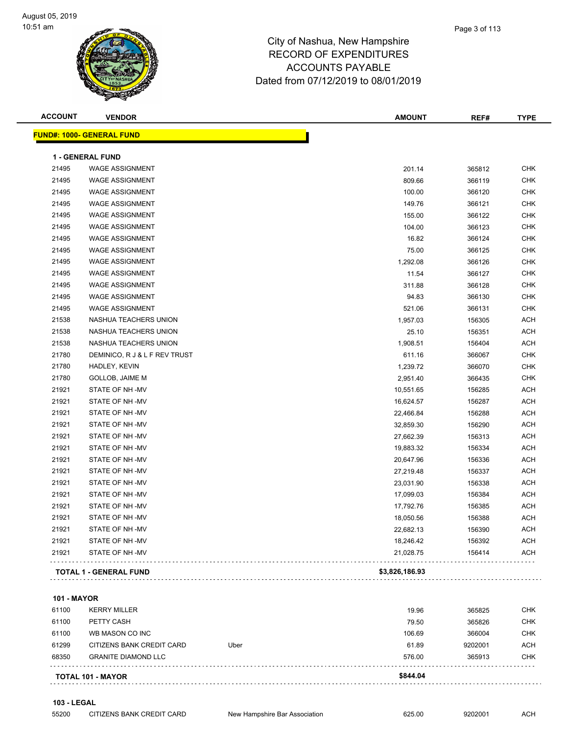| <b>ACCOUNT</b> | <b>VENDOR</b>                    | <b>AMOUNT</b>  | REF#   | <b>TYPE</b> |
|----------------|----------------------------------|----------------|--------|-------------|
|                | <b>FUND#: 1000- GENERAL FUND</b> |                |        |             |
|                | <b>1 - GENERAL FUND</b>          |                |        |             |
| 21495          | <b>WAGE ASSIGNMENT</b>           | 201.14         | 365812 | <b>CHK</b>  |
| 21495          | <b>WAGE ASSIGNMENT</b>           | 809.66         | 366119 | <b>CHK</b>  |
| 21495          | <b>WAGE ASSIGNMENT</b>           | 100.00         | 366120 | <b>CHK</b>  |
| 21495          | <b>WAGE ASSIGNMENT</b>           | 149.76         | 366121 | <b>CHK</b>  |
| 21495          | <b>WAGE ASSIGNMENT</b>           | 155.00         | 366122 | <b>CHK</b>  |
| 21495          | <b>WAGE ASSIGNMENT</b>           | 104.00         | 366123 | <b>CHK</b>  |
| 21495          | <b>WAGE ASSIGNMENT</b>           | 16.82          | 366124 | <b>CHK</b>  |
| 21495          | <b>WAGE ASSIGNMENT</b>           | 75.00          | 366125 | <b>CHK</b>  |
| 21495          | <b>WAGE ASSIGNMENT</b>           | 1,292.08       | 366126 | <b>CHK</b>  |
| 21495          | <b>WAGE ASSIGNMENT</b>           | 11.54          | 366127 | <b>CHK</b>  |
| 21495          | <b>WAGE ASSIGNMENT</b>           | 311.88         | 366128 | <b>CHK</b>  |
| 21495          | <b>WAGE ASSIGNMENT</b>           | 94.83          | 366130 | <b>CHK</b>  |
| 21495          | <b>WAGE ASSIGNMENT</b>           | 521.06         | 366131 | <b>CHK</b>  |
| 21538          | NASHUA TEACHERS UNION            | 1,957.03       | 156305 | <b>ACH</b>  |
| 21538          | NASHUA TEACHERS UNION            | 25.10          | 156351 | <b>ACH</b>  |
| 21538          | NASHUA TEACHERS UNION            | 1,908.51       | 156404 | <b>ACH</b>  |
| 21780          | DEMINICO, R J & L F REV TRUST    | 611.16         | 366067 | <b>CHK</b>  |
| 21780          | HADLEY, KEVIN                    | 1,239.72       | 366070 | <b>CHK</b>  |
| 21780          | <b>GOLLOB, JAIME M</b>           | 2,951.40       | 366435 | <b>CHK</b>  |
| 21921          | STATE OF NH-MV                   | 10,551.65      | 156285 | <b>ACH</b>  |
| 21921          | STATE OF NH-MV                   | 16,624.57      | 156287 | <b>ACH</b>  |
| 21921          | STATE OF NH-MV                   | 22,466.84      | 156288 | <b>ACH</b>  |
| 21921          | STATE OF NH-MV                   | 32,859.30      | 156290 | <b>ACH</b>  |
| 21921          | STATE OF NH-MV                   | 27,662.39      | 156313 | <b>ACH</b>  |
| 21921          | STATE OF NH-MV                   | 19,883.32      | 156334 | <b>ACH</b>  |
| 21921          | STATE OF NH-MV                   | 20,647.96      | 156336 | <b>ACH</b>  |
| 21921          | STATE OF NH-MV                   | 27,219.48      | 156337 | <b>ACH</b>  |
| 21921          | STATE OF NH-MV                   | 23,031.90      | 156338 | ACH         |
| 21921          | STATE OF NH-MV                   | 17,099.03      | 156384 | <b>ACH</b>  |
| 21921          | STATE OF NH-MV                   | 17,792.76      | 156385 | <b>ACH</b>  |
| 21921          | STATE OF NH-MV                   | 18,050.56      | 156388 | <b>ACH</b>  |
| 21921          | STATE OF NH-MV                   | 22,682.13      | 156390 | <b>ACH</b>  |
| 21921          | STATE OF NH-MV                   | 18,246.42      | 156392 | <b>ACH</b>  |
| 21921          | STATE OF NH -MV                  | 21,028.75      | 156414 | ACH         |
|                | <b>TOTAL 1 - GENERAL FUND</b>    | \$3,826,186.93 |        |             |
|                |                                  |                |        |             |

### **101 - MAYOR**

| <b>TOTAL 101 - MAYOR</b> |                            | \$844.04 |        |         |            |
|--------------------------|----------------------------|----------|--------|---------|------------|
| 68350                    | <b>GRANITE DIAMOND LLC</b> |          | 576.00 | 365913  | <b>CHK</b> |
| 61299                    | CITIZENS BANK CREDIT CARD  | Uber     | 61.89  | 9202001 | <b>ACH</b> |
| 61100                    | WB MASON CO INC            |          | 106.69 | 366004  | <b>CHK</b> |
| 61100                    | PETTY CASH                 |          | 79.50  | 365826  | <b>CHK</b> |
| 61100                    | <b>KERRY MILLER</b>        |          | 19.96  | 365825  | <b>CHK</b> |
|                          |                            |          |        |         |            |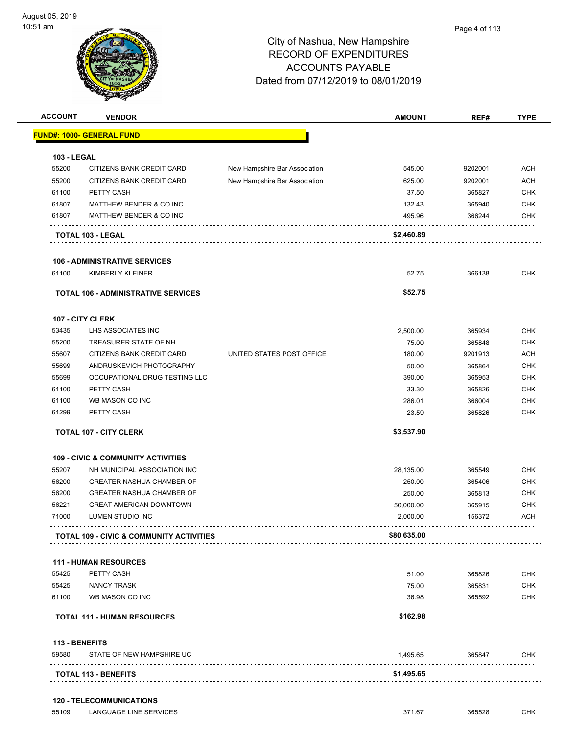

| <b>ACCOUNT</b>     | <b>VENDOR</b>                                       |                               | <b>AMOUNT</b> | REF#    | <b>TYPE</b> |
|--------------------|-----------------------------------------------------|-------------------------------|---------------|---------|-------------|
|                    | <b>FUND#: 1000- GENERAL FUND</b>                    |                               |               |         |             |
| <b>103 - LEGAL</b> |                                                     |                               |               |         |             |
| 55200              | CITIZENS BANK CREDIT CARD                           | New Hampshire Bar Association | 545.00        | 9202001 | ACH         |
| 55200              | CITIZENS BANK CREDIT CARD                           | New Hampshire Bar Association | 625.00        | 9202001 | <b>ACH</b>  |
| 61100              | PETTY CASH                                          |                               | 37.50         | 365827  | <b>CHK</b>  |
| 61807              | MATTHEW BENDER & CO INC                             |                               | 132.43        | 365940  | <b>CHK</b>  |
| 61807              | MATTHEW BENDER & CO INC                             |                               | 495.96        | 366244  | <b>CHK</b>  |
|                    | TOTAL 103 - LEGAL                                   |                               | \$2,460.89    |         |             |
|                    | <b>106 - ADMINISTRATIVE SERVICES</b>                |                               |               |         |             |
| 61100              | KIMBERLY KLEINER                                    |                               | 52.75         | 366138  | <b>CHK</b>  |
|                    | <b>TOTAL 106 - ADMINISTRATIVE SERVICES</b>          |                               | \$52.75       |         |             |
|                    | 107 - CITY CLERK                                    |                               |               |         |             |
| 53435              | LHS ASSOCIATES INC                                  |                               | 2,500.00      | 365934  | <b>CHK</b>  |
| 55200              | TREASURER STATE OF NH                               |                               | 75.00         | 365848  | <b>CHK</b>  |
| 55607              | CITIZENS BANK CREDIT CARD                           | UNITED STATES POST OFFICE     | 180.00        | 9201913 | <b>ACH</b>  |
| 55699              | ANDRUSKEVICH PHOTOGRAPHY                            |                               | 50.00         | 365864  | <b>CHK</b>  |
| 55699              | OCCUPATIONAL DRUG TESTING LLC                       |                               | 390.00        | 365953  | <b>CHK</b>  |
| 61100              | PETTY CASH                                          |                               | 33.30         | 365826  | <b>CHK</b>  |
| 61100              | WB MASON CO INC                                     |                               | 286.01        | 366004  | <b>CHK</b>  |
| 61299              | PETTY CASH                                          |                               | 23.59         | 365826  | <b>CHK</b>  |
|                    | <b>TOTAL 107 - CITY CLERK</b>                       |                               | \$3,537.90    |         |             |
|                    | <b>109 - CIVIC &amp; COMMUNITY ACTIVITIES</b>       |                               |               |         |             |
| 55207              | NH MUNICIPAL ASSOCIATION INC                        |                               | 28,135.00     | 365549  | <b>CHK</b>  |
| 56200              | <b>GREATER NASHUA CHAMBER OF</b>                    |                               | 250.00        | 365406  | <b>CHK</b>  |
| 56200              | <b>GREATER NASHUA CHAMBER OF</b>                    |                               | 250.00        | 365813  | <b>CHK</b>  |
| 56221              | <b>GREAT AMERICAN DOWNTOWN</b>                      |                               | 50,000.00     | 365915  | <b>CHK</b>  |
| 71000              | LUMEN STUDIO INC                                    |                               | 2,000.00      | 156372  | <b>ACH</b>  |
|                    | <b>TOTAL 109 - CIVIC &amp; COMMUNITY ACTIVITIES</b> |                               | \$80,635.00   |         |             |
|                    | <b>111 - HUMAN RESOURCES</b>                        |                               |               |         |             |
| 55425              | PETTY CASH                                          |                               | 51.00         | 365826  | <b>CHK</b>  |
| 55425              | <b>NANCY TRASK</b>                                  |                               | 75.00         | 365831  | <b>CHK</b>  |
| 61100              | WB MASON CO INC                                     |                               | 36.98         | 365592  | <b>CHK</b>  |
|                    | <b>TOTAL 111 - HUMAN RESOURCES</b>                  |                               | \$162.98      |         |             |
| 113 - BENEFITS     |                                                     |                               |               |         |             |
| 59580              | STATE OF NEW HAMPSHIRE UC                           |                               | 1,495.65      | 365847  | <b>CHK</b>  |
|                    | <b>TOTAL 113 - BENEFITS</b>                         |                               | \$1,495.65    |         |             |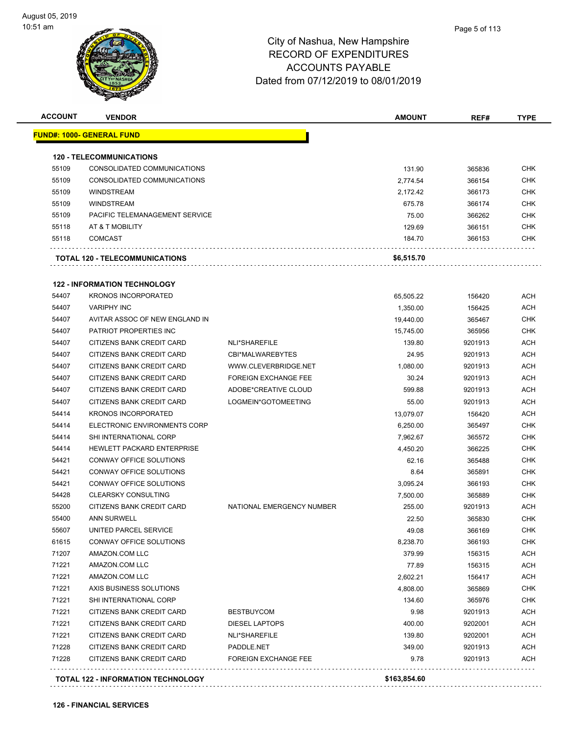| <b>ACCOUNT</b> | <b>VENDOR</b>                       |                             | <b>AMOUNT</b> | REF#    | <b>TYPE</b> |
|----------------|-------------------------------------|-----------------------------|---------------|---------|-------------|
|                | <u> FUND#: 1000- GENERAL FUND</u>   |                             |               |         |             |
|                | <b>120 - TELECOMMUNICATIONS</b>     |                             |               |         |             |
| 55109          | CONSOLIDATED COMMUNICATIONS         |                             | 131.90        | 365836  | <b>CHK</b>  |
| 55109          | CONSOLIDATED COMMUNICATIONS         |                             | 2,774.54      | 366154  | <b>CHK</b>  |
| 55109          | <b>WINDSTREAM</b>                   |                             | 2,172.42      | 366173  | <b>CHK</b>  |
| 55109          | <b>WINDSTREAM</b>                   |                             | 675.78        | 366174  | <b>CHK</b>  |
| 55109          | PACIFIC TELEMANAGEMENT SERVICE      |                             | 75.00         | 366262  | <b>CHK</b>  |
| 55118          | AT & T MOBILITY                     |                             | 129.69        | 366151  | <b>CHK</b>  |
| 55118          | <b>COMCAST</b>                      |                             | 184.70        | 366153  | CHK         |
|                | TOTAL 120 - TELECOMMUNICATIONS      |                             | \$6,515.70    |         |             |
|                | <b>122 - INFORMATION TECHNOLOGY</b> |                             |               |         |             |
| 54407          | <b>KRONOS INCORPORATED</b>          |                             | 65,505.22     | 156420  | <b>ACH</b>  |
| 54407          | <b>VARIPHY INC</b>                  |                             | 1,350.00      | 156425  | <b>ACH</b>  |
| 54407          | AVITAR ASSOC OF NEW ENGLAND IN      |                             | 19,440.00     | 365467  | <b>CHK</b>  |
| 54407          | PATRIOT PROPERTIES INC              |                             | 15,745.00     | 365956  | <b>CHK</b>  |
| 54407          | CITIZENS BANK CREDIT CARD           | NLI*SHAREFILE               | 139.80        | 9201913 | <b>ACH</b>  |
| 54407          | CITIZENS BANK CREDIT CARD           | CBI*MALWAREBYTES            | 24.95         | 9201913 | <b>ACH</b>  |
| 54407          | CITIZENS BANK CREDIT CARD           | WWW.CLEVERBRIDGE.NET        | 1,080.00      | 9201913 | <b>ACH</b>  |
| 54407          | CITIZENS BANK CREDIT CARD           | <b>FOREIGN EXCHANGE FEE</b> | 30.24         | 9201913 | ACH         |
| 54407          | CITIZENS BANK CREDIT CARD           | ADOBE*CREATIVE CLOUD        | 599.88        | 9201913 | <b>ACH</b>  |
| 54407          | CITIZENS BANK CREDIT CARD           | LOGMEIN*GOTOMEETING         | 55.00         | 9201913 | <b>ACH</b>  |
| 54414          | <b>KRONOS INCORPORATED</b>          |                             | 13,079.07     | 156420  | ACH         |
| 54414          | ELECTRONIC ENVIRONMENTS CORP        |                             | 6,250.00      | 365497  | <b>CHK</b>  |
| 54414          | SHI INTERNATIONAL CORP              |                             | 7,962.67      | 365572  | <b>CHK</b>  |
| 54414          | <b>HEWLETT PACKARD ENTERPRISE</b>   |                             | 4,450.20      | 366225  | <b>CHK</b>  |
| 54421          | CONWAY OFFICE SOLUTIONS             |                             | 62.16         | 365488  | <b>CHK</b>  |
| 54421          | CONWAY OFFICE SOLUTIONS             |                             | 8.64          | 365891  | <b>CHK</b>  |
| 54421          | CONWAY OFFICE SOLUTIONS             |                             | 3,095.24      | 366193  | <b>CHK</b>  |
| 54428          | <b>CLEARSKY CONSULTING</b>          |                             | 7,500.00      | 365889  | <b>CHK</b>  |
| 55200          | CITIZENS BANK CREDIT CARD           | NATIONAL EMERGENCY NUMBER   | 255.00        | 9201913 | ACH         |
| 55400          | <b>ANN SURWELL</b>                  |                             | 22.50         | 365830  | <b>CHK</b>  |
| 55607          | UNITED PARCEL SERVICE               |                             | 49.08         | 366169  | <b>CHK</b>  |
| 61615          | CONWAY OFFICE SOLUTIONS             |                             | 8,238.70      | 366193  | <b>CHK</b>  |
| 71207          | AMAZON.COM LLC                      |                             | 379.99        | 156315  | <b>ACH</b>  |
| 71221          | AMAZON.COM LLC                      |                             | 77.89         | 156315  | <b>ACH</b>  |
| 71221          | AMAZON.COM LLC                      |                             | 2,602.21      | 156417  | <b>ACH</b>  |
| 71221          | AXIS BUSINESS SOLUTIONS             |                             | 4,808.00      | 365869  | <b>CHK</b>  |
| 71221          | SHI INTERNATIONAL CORP              |                             | 134.60        | 365976  | <b>CHK</b>  |
| 71221          | CITIZENS BANK CREDIT CARD           | <b>BESTBUYCOM</b>           | 9.98          | 9201913 | <b>ACH</b>  |
| 71221          | CITIZENS BANK CREDIT CARD           | <b>DIESEL LAPTOPS</b>       | 400.00        | 9202001 | <b>ACH</b>  |
| 71221          | CITIZENS BANK CREDIT CARD           | NLI*SHAREFILE               | 139.80        | 9202001 | <b>ACH</b>  |
| 71228          | CITIZENS BANK CREDIT CARD           | PADDLE.NET                  | 349.00        | 9201913 | <b>ACH</b>  |
| 71228          | CITIZENS BANK CREDIT CARD           | <b>FOREIGN EXCHANGE FEE</b> | 9.78          | 9201913 | <b>ACH</b>  |
|                |                                     |                             |               |         |             |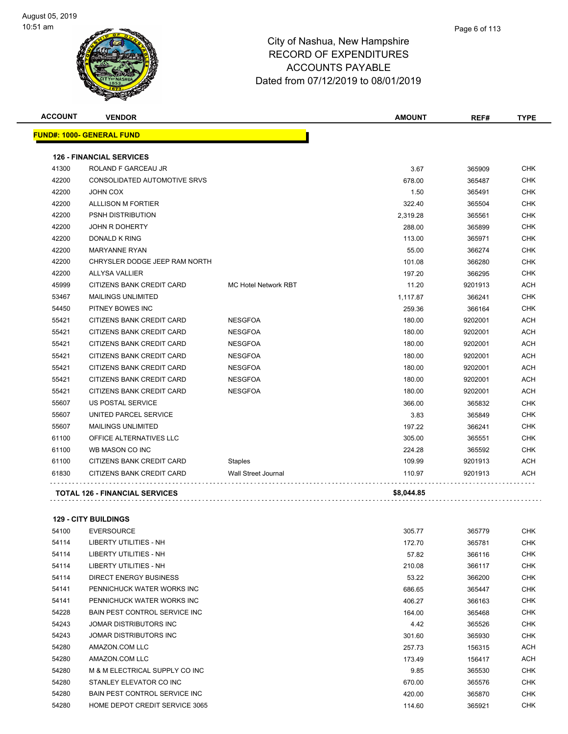

| <b>ACCOUNT</b> | <b>VENDOR</b>                         |                             | <b>AMOUNT</b> | REF#    | <b>TYPE</b> |
|----------------|---------------------------------------|-----------------------------|---------------|---------|-------------|
|                | <b>FUND#: 1000- GENERAL FUND</b>      |                             |               |         |             |
|                | <b>126 - FINANCIAL SERVICES</b>       |                             |               |         |             |
| 41300          | ROLAND F GARCEAU JR                   |                             | 3.67          | 365909  | <b>CHK</b>  |
| 42200          | CONSOLIDATED AUTOMOTIVE SRVS          |                             | 678.00        | 365487  | <b>CHK</b>  |
| 42200          | <b>JOHN COX</b>                       |                             | 1.50          | 365491  | <b>CHK</b>  |
| 42200          | <b>ALLLISON M FORTIER</b>             |                             | 322.40        | 365504  | <b>CHK</b>  |
| 42200          | <b>PSNH DISTRIBUTION</b>              |                             | 2,319.28      | 365561  | <b>CHK</b>  |
| 42200          | <b>JOHN R DOHERTY</b>                 |                             | 288.00        | 365899  | CHK         |
| 42200          | DONALD K RING                         |                             | 113.00        | 365971  | <b>CHK</b>  |
| 42200          | <b>MARYANNE RYAN</b>                  |                             | 55.00         | 366274  | <b>CHK</b>  |
| 42200          | CHRYSLER DODGE JEEP RAM NORTH         |                             | 101.08        | 366280  | <b>CHK</b>  |
| 42200          | <b>ALLYSA VALLIER</b>                 |                             | 197.20        | 366295  | <b>CHK</b>  |
| 45999          | CITIZENS BANK CREDIT CARD             | <b>MC Hotel Network RBT</b> | 11.20         | 9201913 | <b>ACH</b>  |
| 53467          | MAILINGS UNLIMITED                    |                             | 1,117.87      | 366241  | <b>CHK</b>  |
| 54450          | PITNEY BOWES INC                      |                             | 259.36        | 366164  | <b>CHK</b>  |
| 55421          | CITIZENS BANK CREDIT CARD             | <b>NESGFOA</b>              | 180.00        | 9202001 | <b>ACH</b>  |
| 55421          | CITIZENS BANK CREDIT CARD             | <b>NESGFOA</b>              | 180.00        | 9202001 | ACH         |
| 55421          | CITIZENS BANK CREDIT CARD             | <b>NESGFOA</b>              | 180.00        | 9202001 | <b>ACH</b>  |
| 55421          | CITIZENS BANK CREDIT CARD             | <b>NESGFOA</b>              | 180.00        | 9202001 | <b>ACH</b>  |
| 55421          | CITIZENS BANK CREDIT CARD             | <b>NESGFOA</b>              | 180.00        | 9202001 | <b>ACH</b>  |
| 55421          | CITIZENS BANK CREDIT CARD             | <b>NESGFOA</b>              | 180.00        | 9202001 | <b>ACH</b>  |
| 55421          | CITIZENS BANK CREDIT CARD             | <b>NESGFOA</b>              | 180.00        | 9202001 | <b>ACH</b>  |
| 55607          | US POSTAL SERVICE                     |                             | 366.00        | 365832  | CHK         |
| 55607          | UNITED PARCEL SERVICE                 |                             | 3.83          | 365849  | <b>CHK</b>  |
| 55607          | <b>MAILINGS UNLIMITED</b>             |                             | 197.22        | 366241  | <b>CHK</b>  |
| 61100          | OFFICE ALTERNATIVES LLC               |                             | 305.00        | 365551  | <b>CHK</b>  |
| 61100          | WB MASON CO INC                       |                             | 224.28        | 365592  | CHK         |
| 61100          | CITIZENS BANK CREDIT CARD             | <b>Staples</b>              | 109.99        | 9201913 | <b>ACH</b>  |
| 61830          | CITIZENS BANK CREDIT CARD             | <b>Wall Street Journal</b>  | 110.97        | 9201913 | ACH         |
|                | <b>TOTAL 126 - FINANCIAL SERVICES</b> |                             | \$8,044.85    |         |             |
|                |                                       |                             |               |         |             |

**129 - CITY BUILDINGS**

| 54100 | <b>EVERSOURCE</b>                     | 305.77 | 365779 | <b>CHK</b> |
|-------|---------------------------------------|--------|--------|------------|
| 54114 | LIBERTY UTILITIES - NH                | 172.70 | 365781 | <b>CHK</b> |
| 54114 | LIBERTY UTILITIES - NH                | 57.82  | 366116 | <b>CHK</b> |
| 54114 | LIBERTY UTILITIES - NH                | 210.08 | 366117 | <b>CHK</b> |
| 54114 | DIRECT ENERGY BUSINESS                | 53.22  | 366200 | <b>CHK</b> |
| 54141 | PENNICHUCK WATER WORKS INC            | 686.65 | 365447 | <b>CHK</b> |
| 54141 | PENNICHUCK WATER WORKS INC            | 406.27 | 366163 | <b>CHK</b> |
| 54228 | <b>BAIN PEST CONTROL SERVICE INC.</b> | 164.00 | 365468 | <b>CHK</b> |
| 54243 | JOMAR DISTRIBUTORS INC                | 4.42   | 365526 | <b>CHK</b> |
| 54243 | JOMAR DISTRIBUTORS INC                | 301.60 | 365930 | <b>CHK</b> |
| 54280 | AMAZON.COM LLC                        | 257.73 | 156315 | <b>ACH</b> |
| 54280 | AMAZON.COM LLC                        | 173.49 | 156417 | <b>ACH</b> |
| 54280 | M & M ELECTRICAL SUPPLY CO INC        | 9.85   | 365530 | <b>CHK</b> |
| 54280 | STANLEY ELEVATOR CO INC               | 670.00 | 365576 | <b>CHK</b> |
| 54280 | <b>BAIN PEST CONTROL SERVICE INC.</b> | 420.00 | 365870 | <b>CHK</b> |
| 54280 | HOME DEPOT CREDIT SERVICE 3065        | 114.60 | 365921 | <b>CHK</b> |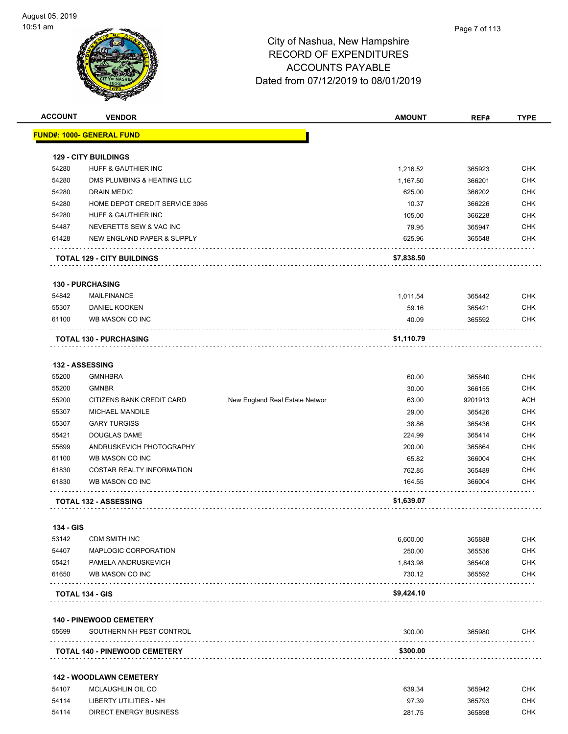

| <b>ACCOUNT</b> | <b>VENDOR</b>                                               | <b>AMOUNT</b>   | REF#             | <b>TYPE</b> |
|----------------|-------------------------------------------------------------|-----------------|------------------|-------------|
|                | <b>FUND#: 1000- GENERAL FUND</b>                            |                 |                  |             |
|                | <b>129 - CITY BUILDINGS</b>                                 |                 |                  |             |
| 54280          | HUFF & GAUTHIER INC                                         | 1,216.52        | 365923           | <b>CHK</b>  |
| 54280          | DMS PLUMBING & HEATING LLC                                  | 1,167.50        | 366201           | CHK         |
| 54280          | DRAIN MEDIC                                                 | 625.00          | 366202           | <b>CHK</b>  |
| 54280          | HOME DEPOT CREDIT SERVICE 3065                              |                 |                  | <b>CHK</b>  |
| 54280          | HUFF & GAUTHIER INC                                         | 10.37<br>105.00 | 366226           | <b>CHK</b>  |
| 54487          | NEVERETTS SEW & VAC INC                                     |                 | 366228           | <b>CHK</b>  |
| 61428          | NEW ENGLAND PAPER & SUPPLY                                  | 79.95<br>625.96 | 365947<br>365548 | <b>CHK</b>  |
|                | <b>TOTAL 129 - CITY BUILDINGS</b>                           | \$7,838.50      |                  |             |
|                |                                                             |                 |                  |             |
|                | <b>130 - PURCHASING</b>                                     |                 |                  |             |
| 54842          | <b>MAILFINANCE</b>                                          | 1,011.54        | 365442           | <b>CHK</b>  |
| 55307          | <b>DANIEL KOOKEN</b>                                        | 59.16           | 365421           | <b>CHK</b>  |
| 61100          | WB MASON CO INC                                             | 40.09           | 365592           | CHK         |
|                | <b>TOTAL 130 - PURCHASING</b>                               | \$1,110.79      |                  |             |
|                |                                                             |                 |                  |             |
|                | 132 - ASSESSING                                             |                 |                  |             |
| 55200          | <b>GMNHBRA</b>                                              | 60.00           | 365840           | <b>CHK</b>  |
| 55200          | <b>GMNBR</b>                                                | 30.00           | 366155           | <b>CHK</b>  |
| 55200          | CITIZENS BANK CREDIT CARD<br>New England Real Estate Networ | 63.00           | 9201913          | <b>ACH</b>  |
| 55307          | MICHAEL MANDILE                                             | 29.00           | 365426           | <b>CHK</b>  |
| 55307          | <b>GARY TURGISS</b>                                         | 38.86           | 365436           | <b>CHK</b>  |
| 55421          | DOUGLAS DAME                                                | 224.99          | 365414           | CHK         |
| 55699          | ANDRUSKEVICH PHOTOGRAPHY                                    | 200.00          | 365864           | CHK         |
| 61100          | WB MASON CO INC                                             | 65.82           | 366004           | <b>CHK</b>  |
| 61830          | <b>COSTAR REALTY INFORMATION</b>                            | 762.85          | 365489           | <b>CHK</b>  |
| 61830          | WB MASON CO INC                                             | 164.55          | 366004           | CHK         |
|                | <b>TOTAL 132 - ASSESSING</b>                                | \$1,639.07      |                  |             |
| 134 - GIS      |                                                             |                 |                  |             |
| 53142          | <b>CDM SMITH INC</b>                                        | 6,600.00        | 365888           | <b>CHK</b>  |
| 54407          | MAPLOGIC CORPORATION                                        | 250.00          | 365536           | <b>CHK</b>  |
| 55421          | PAMELA ANDRUSKEVICH                                         | 1,843.98        | 365408           | <b>CHK</b>  |
| 61650          | WB MASON CO INC                                             | 730.12          | 365592           | <b>CHK</b>  |
|                | TOTAL 134 - GIS                                             | \$9,424.10      |                  |             |
|                |                                                             |                 |                  |             |
| 55699          | <b>140 - PINEWOOD CEMETERY</b><br>SOUTHERN NH PEST CONTROL  | 300.00          | 365980           | CHK         |
|                |                                                             |                 |                  |             |
|                | TOTAL 140 - PINEWOOD CEMETERY                               | \$300.00        |                  |             |
|                | <b>142 - WOODLAWN CEMETERY</b>                              |                 |                  |             |
| 54107          | MCLAUGHLIN OIL CO                                           | 639.34          | 365942           | CHK         |
| 54114          | LIBERTY UTILITIES - NH                                      | 97.39           | 365793           | <b>CHK</b>  |
| 54114          | <b>DIRECT ENERGY BUSINESS</b>                               | 281.75          | 365898           | <b>CHK</b>  |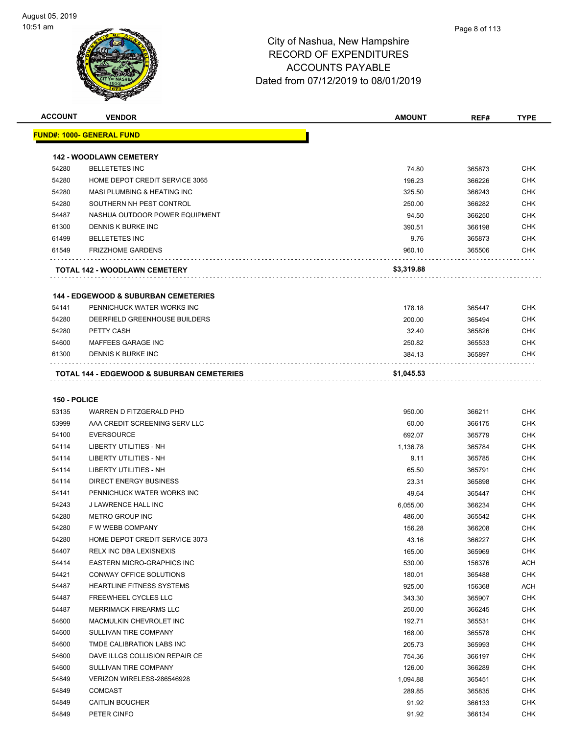

| <b>ACCOUNT</b> | <b>VENDOR</b>                                           | <b>AMOUNT</b> | REF#   | <b>TYPE</b> |
|----------------|---------------------------------------------------------|---------------|--------|-------------|
|                | <u> FUND#: 1000- GENERAL FUND</u>                       |               |        |             |
|                |                                                         |               |        |             |
| 54280          | <b>142 - WOODLAWN CEMETERY</b><br><b>BELLETETES INC</b> | 74.80         |        | <b>CHK</b>  |
|                |                                                         |               | 365873 |             |
| 54280          | HOME DEPOT CREDIT SERVICE 3065                          | 196.23        | 366226 | CHK         |
| 54280          | MASI PLUMBING & HEATING INC                             | 325.50        | 366243 | <b>CHK</b>  |
| 54280          | SOUTHERN NH PEST CONTROL                                | 250.00        | 366282 | CHK         |
| 54487          | NASHUA OUTDOOR POWER EQUIPMENT                          | 94.50         | 366250 | <b>CHK</b>  |
| 61300          | DENNIS K BURKE INC                                      | 390.51        | 366198 | <b>CHK</b>  |
| 61499          | <b>BELLETETES INC</b>                                   | 9.76          | 365873 | <b>CHK</b>  |
| 61549          | <b>FRIZZHOME GARDENS</b>                                | 960.10        | 365506 | <b>CHK</b>  |
|                | TOTAL 142 - WOODLAWN CEMETERY                           | \$3,319.88    |        |             |
|                | <b>144 - EDGEWOOD &amp; SUBURBAN CEMETERIES</b>         |               |        |             |
| 54141          | PENNICHUCK WATER WORKS INC                              | 178.18        | 365447 | <b>CHK</b>  |
| 54280          | DEERFIELD GREENHOUSE BUILDERS                           | 200.00        | 365494 | <b>CHK</b>  |
| 54280          | PETTY CASH                                              | 32.40         | 365826 | CHK         |
| 54600          | MAFFEES GARAGE INC                                      | 250.82        | 365533 | <b>CHK</b>  |
| 61300          | DENNIS K BURKE INC                                      | 384.13        | 365897 | CHK         |
|                | <b>TOTAL 144 - EDGEWOOD &amp; SUBURBAN CEMETERIES</b>   | \$1,045.53    |        |             |
|                |                                                         |               |        |             |
| 150 - POLICE   |                                                         |               |        |             |
| 53135          | WARREN D FITZGERALD PHD                                 | 950.00        | 366211 | <b>CHK</b>  |
| 53999          | AAA CREDIT SCREENING SERV LLC                           | 60.00         | 366175 | <b>CHK</b>  |
| 54100          | <b>EVERSOURCE</b>                                       | 692.07        | 365779 | CHK         |
| 54114          | LIBERTY UTILITIES - NH                                  | 1,136.78      | 365784 | <b>CHK</b>  |
| 54114          | LIBERTY UTILITIES - NH                                  | 9.11          | 365785 | CHK         |
| 54114          | LIBERTY UTILITIES - NH                                  | 65.50         | 365791 | <b>CHK</b>  |
| 54114          | <b>DIRECT ENERGY BUSINESS</b>                           | 23.31         | 365898 | <b>CHK</b>  |
| 54141          | PENNICHUCK WATER WORKS INC                              | 49.64         | 365447 | CHK         |
| 54243          | J LAWRENCE HALL INC                                     | 6,055.00      | 366234 | <b>CHK</b>  |
| 54280          | METRO GROUP INC                                         | 486.00        | 365542 | <b>CHK</b>  |
| 54280          | F W WEBB COMPANY                                        | 156.28        | 366208 | CHK         |
| 54280          | HOME DEPOT CREDIT SERVICE 3073                          | 43.16         | 366227 | CHK         |
| 54407          | RELX INC DBA LEXISNEXIS                                 | 165.00        | 365969 | CHK         |
| 54414          | EASTERN MICRO-GRAPHICS INC                              | 530.00        | 156376 | ACH         |
| 54421          | CONWAY OFFICE SOLUTIONS                                 | 180.01        | 365488 | <b>CHK</b>  |
| 54487          | HEARTLINE FITNESS SYSTEMS                               | 925.00        | 156368 | ACH         |
| 54487          | FREEWHEEL CYCLES LLC                                    | 343.30        | 365907 | <b>CHK</b>  |
| 54487          | <b>MERRIMACK FIREARMS LLC</b>                           | 250.00        | 366245 | <b>CHK</b>  |
| 54600          | MACMULKIN CHEVROLET INC                                 | 192.71        | 365531 | CHK         |
| 54600          | SULLIVAN TIRE COMPANY                                   | 168.00        | 365578 | <b>CHK</b>  |
| 54600          | TMDE CALIBRATION LABS INC                               | 205.73        | 365993 | <b>CHK</b>  |
| 54600          | DAVE ILLGS COLLISION REPAIR CE                          | 754.36        | 366197 | <b>CHK</b>  |
| 54600          | SULLIVAN TIRE COMPANY                                   | 126.00        | 366289 | <b>CHK</b>  |
| 54849          | VERIZON WIRELESS-286546928                              | 1,094.88      | 365451 | <b>CHK</b>  |
| 54849          | COMCAST                                                 | 289.85        | 365835 | <b>CHK</b>  |
| 54849          | <b>CAITLIN BOUCHER</b>                                  | 91.92         | 366133 | <b>CHK</b>  |
| 54849          | PETER CINFO                                             | 91.92         |        | <b>CHK</b>  |
|                |                                                         |               | 366134 |             |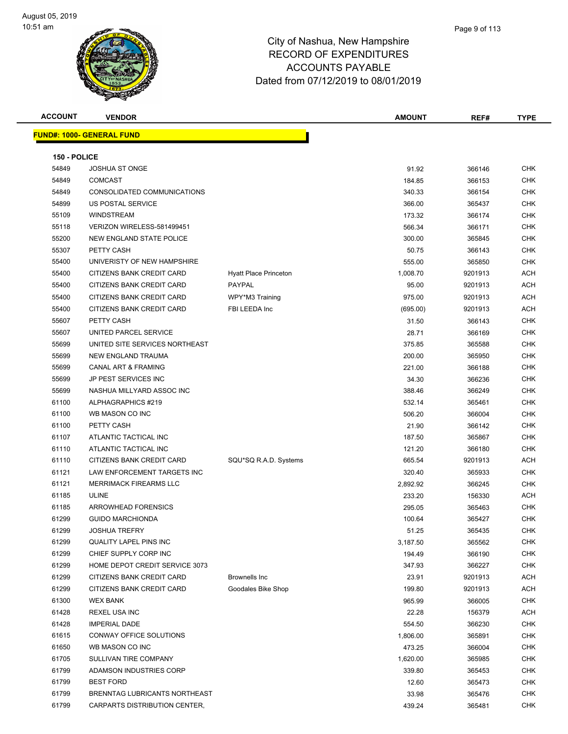

| <b>ACCOUNT</b> | <b>VENDOR</b>                    |                              | <b>AMOUNT</b> | REF#    | <b>TYPE</b> |
|----------------|----------------------------------|------------------------------|---------------|---------|-------------|
|                | <b>FUND#: 1000- GENERAL FUND</b> |                              |               |         |             |
|                |                                  |                              |               |         |             |
| 150 - POLICE   |                                  |                              |               |         |             |
| 54849          | <b>JOSHUA ST ONGE</b>            |                              | 91.92         | 366146  | CHK         |
| 54849          | <b>COMCAST</b>                   |                              | 184.85        | 366153  | <b>CHK</b>  |
| 54849          | CONSOLIDATED COMMUNICATIONS      |                              | 340.33        | 366154  | <b>CHK</b>  |
| 54899          | US POSTAL SERVICE                |                              | 366.00        | 365437  | <b>CHK</b>  |
| 55109          | <b>WINDSTREAM</b>                |                              | 173.32        | 366174  | <b>CHK</b>  |
| 55118          | VERIZON WIRELESS-581499451       |                              | 566.34        | 366171  | <b>CHK</b>  |
| 55200          | NEW ENGLAND STATE POLICE         |                              | 300.00        | 365845  | CHK         |
| 55307          | PETTY CASH                       |                              | 50.75         | 366143  | <b>CHK</b>  |
| 55400          | UNIVERISTY OF NEW HAMPSHIRE      |                              | 555.00        | 365850  | <b>CHK</b>  |
| 55400          | CITIZENS BANK CREDIT CARD        | <b>Hyatt Place Princeton</b> | 1,008.70      | 9201913 | ACH         |
| 55400          | CITIZENS BANK CREDIT CARD        | PAYPAL                       | 95.00         | 9201913 | <b>ACH</b>  |
| 55400          | CITIZENS BANK CREDIT CARD        | WPY*M3 Training              | 975.00        | 9201913 | ACH         |
| 55400          | CITIZENS BANK CREDIT CARD        | FBI LEEDA Inc                | (695.00)      | 9201913 | <b>ACH</b>  |
| 55607          | PETTY CASH                       |                              | 31.50         | 366143  | <b>CHK</b>  |
| 55607          | UNITED PARCEL SERVICE            |                              | 28.71         | 366169  | CHK         |
| 55699          | UNITED SITE SERVICES NORTHEAST   |                              | 375.85        | 365588  | CHK         |
| 55699          | NEW ENGLAND TRAUMA               |                              | 200.00        | 365950  | CHK         |
| 55699          | CANAL ART & FRAMING              |                              | 221.00        | 366188  | CHK         |
| 55699          | JP PEST SERVICES INC             |                              | 34.30         | 366236  | <b>CHK</b>  |
| 55699          | NASHUA MILLYARD ASSOC INC        |                              | 388.46        | 366249  | <b>CHK</b>  |
| 61100          | ALPHAGRAPHICS #219               |                              | 532.14        | 365461  | CHK         |
| 61100          | WB MASON CO INC                  |                              | 506.20        | 366004  | CHK         |
| 61100          | PETTY CASH                       |                              | 21.90         | 366142  | <b>CHK</b>  |
| 61107          | ATLANTIC TACTICAL INC            |                              | 187.50        | 365867  | <b>CHK</b>  |
| 61110          | ATLANTIC TACTICAL INC            |                              | 121.20        | 366180  | <b>CHK</b>  |
| 61110          | CITIZENS BANK CREDIT CARD        | SQU*SQ R.A.D. Systems        | 665.54        | 9201913 | <b>ACH</b>  |
| 61121          | LAW ENFORCEMENT TARGETS INC      |                              | 320.40        | 365933  | CHK         |
| 61121          | <b>MERRIMACK FIREARMS LLC</b>    |                              | 2,892.92      | 366245  | CHK         |
| 61185          | <b>ULINE</b>                     |                              | 233.20        | 156330  | ACH         |
| 61185          | <b>ARROWHEAD FORENSICS</b>       |                              | 295.05        | 365463  | <b>CHK</b>  |
| 61299          | <b>GUIDO MARCHIONDA</b>          |                              | 100.64        | 365427  | <b>CHK</b>  |
| 61299          | <b>JOSHUA TREFRY</b>             |                              | 51.25         | 365435  | CHK         |
| 61299          | <b>QUALITY LAPEL PINS INC</b>    |                              | 3,187.50      | 365562  | <b>CHK</b>  |
| 61299          | CHIEF SUPPLY CORP INC            |                              | 194.49        | 366190  | CHK         |
| 61299          | HOME DEPOT CREDIT SERVICE 3073   |                              | 347.93        | 366227  | CHK         |
| 61299          | CITIZENS BANK CREDIT CARD        | <b>Brownells Inc.</b>        | 23.91         | 9201913 | <b>ACH</b>  |
| 61299          | CITIZENS BANK CREDIT CARD        | Goodales Bike Shop           | 199.80        | 9201913 | ACH         |
| 61300          | <b>WEX BANK</b>                  |                              | 965.99        | 366005  | CHK         |
| 61428          | <b>REXEL USA INC</b>             |                              | 22.28         | 156379  | ACH         |
| 61428          | <b>IMPERIAL DADE</b>             |                              | 554.50        | 366230  | <b>CHK</b>  |
| 61615          | CONWAY OFFICE SOLUTIONS          |                              | 1,806.00      | 365891  | <b>CHK</b>  |
| 61650          | WB MASON CO INC                  |                              | 473.25        | 366004  | <b>CHK</b>  |
| 61705          | SULLIVAN TIRE COMPANY            |                              | 1,620.00      | 365985  | <b>CHK</b>  |
| 61799          | ADAMSON INDUSTRIES CORP          |                              | 339.80        | 365453  | <b>CHK</b>  |
| 61799          | <b>BEST FORD</b>                 |                              | 12.60         | 365473  | <b>CHK</b>  |
| 61799          | BRENNTAG LUBRICANTS NORTHEAST    |                              | 33.98         | 365476  | CHK         |
| 61799          | CARPARTS DISTRIBUTION CENTER,    |                              | 439.24        | 365481  | <b>CHK</b>  |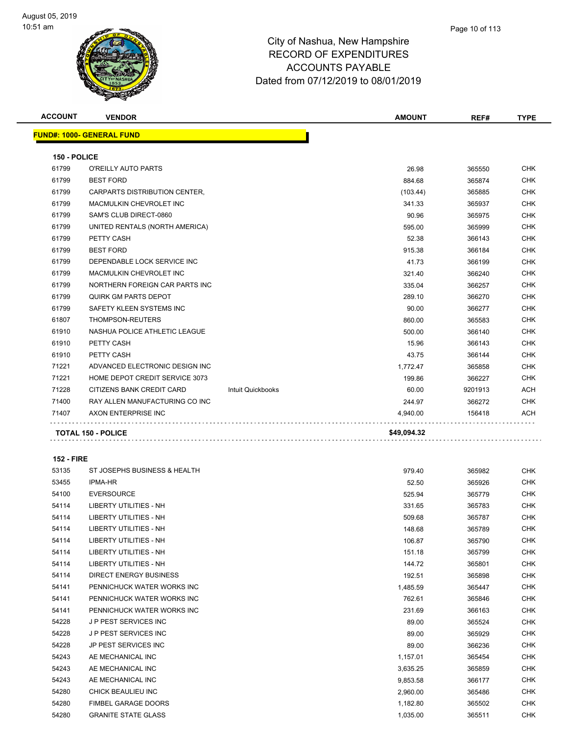

| <b>ACCOUNT</b>    | <b>VENDOR</b>                    |                   | <b>AMOUNT</b> | REF#    | <b>TYPE</b> |
|-------------------|----------------------------------|-------------------|---------------|---------|-------------|
|                   | <b>FUND#: 1000- GENERAL FUND</b> |                   |               |         |             |
| 150 - POLICE      |                                  |                   |               |         |             |
| 61799             | O'REILLY AUTO PARTS              |                   | 26.98         | 365550  | <b>CHK</b>  |
| 61799             | <b>BEST FORD</b>                 |                   | 884.68        | 365874  | CHK         |
| 61799             | CARPARTS DISTRIBUTION CENTER,    |                   | (103.44)      | 365885  | <b>CHK</b>  |
| 61799             | MACMULKIN CHEVROLET INC          |                   | 341.33        | 365937  | <b>CHK</b>  |
| 61799             | SAM'S CLUB DIRECT-0860           |                   | 90.96         | 365975  | CHK         |
| 61799             | UNITED RENTALS (NORTH AMERICA)   |                   | 595.00        | 365999  | <b>CHK</b>  |
| 61799             | PETTY CASH                       |                   | 52.38         | 366143  | CHK         |
| 61799             | <b>BEST FORD</b>                 |                   | 915.38        | 366184  | <b>CHK</b>  |
| 61799             | DEPENDABLE LOCK SERVICE INC      |                   | 41.73         | 366199  | <b>CHK</b>  |
| 61799             | MACMULKIN CHEVROLET INC          |                   | 321.40        | 366240  | CHK         |
| 61799             | NORTHERN FOREIGN CAR PARTS INC   |                   | 335.04        | 366257  | CHK         |
| 61799             | <b>QUIRK GM PARTS DEPOT</b>      |                   | 289.10        | 366270  | <b>CHK</b>  |
| 61799             | SAFETY KLEEN SYSTEMS INC         |                   | 90.00         | 366277  | CHK         |
| 61807             | THOMPSON-REUTERS                 |                   | 860.00        | 365583  | <b>CHK</b>  |
| 61910             | NASHUA POLICE ATHLETIC LEAGUE    |                   | 500.00        | 366140  | CHK         |
| 61910             | PETTY CASH                       |                   | 15.96         | 366143  | <b>CHK</b>  |
| 61910             | PETTY CASH                       |                   | 43.75         | 366144  | <b>CHK</b>  |
| 71221             | ADVANCED ELECTRONIC DESIGN INC   |                   | 1,772.47      | 365858  | <b>CHK</b>  |
| 71221             | HOME DEPOT CREDIT SERVICE 3073   |                   | 199.86        | 366227  | <b>CHK</b>  |
| 71228             | CITIZENS BANK CREDIT CARD        | Intuit Quickbooks | 60.00         | 9201913 | ACH         |
| 71400             | RAY ALLEN MANUFACTURING CO INC   |                   | 244.97        | 366272  | <b>CHK</b>  |
| 71407             | AXON ENTERPRISE INC              |                   | 4,940.00      | 156418  | <b>ACH</b>  |
|                   | <b>TOTAL 150 - POLICE</b>        |                   | \$49,094.32   |         |             |
| <b>152 - FIRE</b> |                                  |                   |               |         |             |
| 53135             | ST JOSEPHS BUSINESS & HEALTH     |                   | 979.40        | 365982  | <b>CHK</b>  |
| 53455             | <b>IPMA-HR</b>                   |                   | 52.50         | 365926  | CHK         |
| 54100             | <b>EVERSOURCE</b>                |                   | 525.94        | 365779  | <b>CHK</b>  |
| 54114             | <b>LIBERTY UTILITIES - NH</b>    |                   | 331.65        | 365783  | <b>CHK</b>  |
| 54114             | LIBERTY UTILITIES - NH           |                   | 509.68        | 365787  | <b>CHK</b>  |
| 54114             | <b>LIBERTY UTILITIES - NH</b>    |                   | 148.68        | 365789  | <b>CHK</b>  |
| 54114             | LIBERTY UTILITIES - NH           |                   | 106.87        | 365790  | <b>CHK</b>  |

 LIBERTY UTILITIES - NH 151.18 365799 CHK 54114 LIBERTY UTILITIES - NH 144.72 365801 CHK er 192.51 192.51 DIRECT ENERGY BUSINESS NET A SALE STATE RESERVED A SUB-SERVED ON THE STATE STATE OF STATE STATE STATE STATE STATE STATE STATE STATE STATE STATE STATE STATE STATE STATE STATE STATE STATE STATE STATE STATE S PENNICHUCK WATER WORKS INC 1,485.59 365447 CHK PENNICHUCK WATER WORKS INC 762.61 365846 CHK PENNICHUCK WATER WORKS INC 231.69 366163 CHK J P PEST SERVICES INC 89.00 365524 CHK J P PEST SERVICES INC 89.00 365929 CHK JP PEST SERVICES INC 89.00 366236 CHK 54243 AE MECHANICAL INC **ACCORD 1,157.01** 365454 CHK AE MECHANICAL INC 3,635.25 365859 CHK AE MECHANICAL INC 9,853.58 366177 CHK CHICK BEAULIEU INC 2,960.00 365486 CHK FIMBEL GARAGE DOORS 1,182.80 365502 CHK GRANITE STATE GLASS 1,035.00 365511 CHK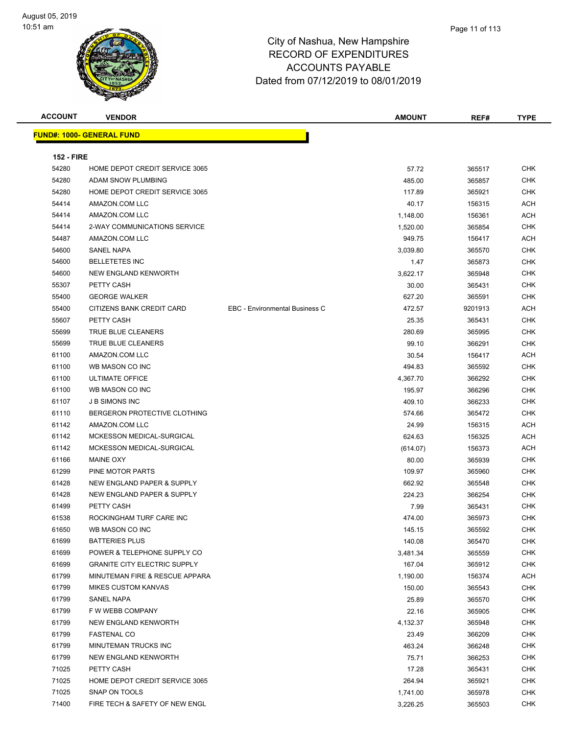| <b>ACCOUNT</b>    | <b>VENDOR</b>                       |                                       | <b>AMOUNT</b> | REF#    | <b>TYPE</b> |
|-------------------|-------------------------------------|---------------------------------------|---------------|---------|-------------|
|                   | <b>FUND#: 1000- GENERAL FUND</b>    |                                       |               |         |             |
|                   |                                     |                                       |               |         |             |
| <b>152 - FIRE</b> |                                     |                                       |               |         |             |
| 54280             | HOME DEPOT CREDIT SERVICE 3065      |                                       | 57.72         | 365517  | <b>CHK</b>  |
| 54280             | <b>ADAM SNOW PLUMBING</b>           |                                       | 485.00        | 365857  | CHK         |
| 54280             | HOME DEPOT CREDIT SERVICE 3065      |                                       | 117.89        | 365921  | <b>CHK</b>  |
| 54414             | AMAZON.COM LLC                      |                                       | 40.17         | 156315  | <b>ACH</b>  |
| 54414             | AMAZON.COM LLC                      |                                       | 1,148.00      | 156361  | <b>ACH</b>  |
| 54414             | 2-WAY COMMUNICATIONS SERVICE        |                                       | 1,520.00      | 365854  | <b>CHK</b>  |
| 54487             | AMAZON.COM LLC                      |                                       | 949.75        | 156417  | <b>ACH</b>  |
| 54600             | <b>SANEL NAPA</b>                   |                                       | 3,039.80      | 365570  | <b>CHK</b>  |
| 54600             | <b>BELLETETES INC</b>               |                                       | 1.47          | 365873  | <b>CHK</b>  |
| 54600             | NEW ENGLAND KENWORTH                |                                       | 3,622.17      | 365948  | <b>CHK</b>  |
| 55307             | PETTY CASH                          |                                       | 30.00         | 365431  | <b>CHK</b>  |
| 55400             | <b>GEORGE WALKER</b>                |                                       | 627.20        | 365591  | <b>CHK</b>  |
| 55400             | CITIZENS BANK CREDIT CARD           | <b>EBC - Environmental Business C</b> | 472.57        | 9201913 | ACH         |
| 55607             | PETTY CASH                          |                                       | 25.35         | 365431  | <b>CHK</b>  |
| 55699             | TRUE BLUE CLEANERS                  |                                       | 280.69        | 365995  | <b>CHK</b>  |
| 55699             | TRUE BLUE CLEANERS                  |                                       | 99.10         | 366291  | <b>CHK</b>  |
| 61100             | AMAZON.COM LLC                      |                                       | 30.54         | 156417  | <b>ACH</b>  |
| 61100             | WB MASON CO INC                     |                                       | 494.83        | 365592  | CHK         |
| 61100             | <b>ULTIMATE OFFICE</b>              |                                       | 4,367.70      | 366292  | <b>CHK</b>  |
| 61100             | WB MASON CO INC                     |                                       | 195.97        | 366296  | CHK         |
| 61107             | <b>J B SIMONS INC</b>               |                                       | 409.10        | 366233  | <b>CHK</b>  |
| 61110             | BERGERON PROTECTIVE CLOTHING        |                                       | 574.66        | 365472  | <b>CHK</b>  |
| 61142             | AMAZON.COM LLC                      |                                       | 24.99         | 156315  | ACH         |
| 61142             | MCKESSON MEDICAL-SURGICAL           |                                       | 624.63        | 156325  | ACH         |
| 61142             | MCKESSON MEDICAL-SURGICAL           |                                       | (614.07)      | 156373  | <b>ACH</b>  |
| 61166             | <b>MAINE OXY</b>                    |                                       | 80.00         | 365939  | CHK         |
| 61299             | PINE MOTOR PARTS                    |                                       | 109.97        | 365960  | <b>CHK</b>  |
| 61428             | NEW ENGLAND PAPER & SUPPLY          |                                       | 662.92        | 365548  | <b>CHK</b>  |
| 61428             | NEW ENGLAND PAPER & SUPPLY          |                                       | 224.23        | 366254  | <b>CHK</b>  |
| 61499             | PETTY CASH                          |                                       | 7.99          | 365431  | <b>CHK</b>  |
| 61538             | ROCKINGHAM TURF CARE INC            |                                       | 474.00        | 365973  | <b>CHK</b>  |
| 61650             | WB MASON CO INC                     |                                       | 145.15        | 365592  | <b>CHK</b>  |
| 61699             | <b>BATTERIES PLUS</b>               |                                       | 140.08        | 365470  | CHK         |
| 61699             | POWER & TELEPHONE SUPPLY CO         |                                       | 3,481.34      | 365559  | <b>CHK</b>  |
| 61699             | <b>GRANITE CITY ELECTRIC SUPPLY</b> |                                       | 167.04        | 365912  | <b>CHK</b>  |
| 61799             | MINUTEMAN FIRE & RESCUE APPARA      |                                       | 1,190.00      | 156374  | ACH         |
| 61799             | <b>MIKES CUSTOM KANVAS</b>          |                                       | 150.00        | 365543  | <b>CHK</b>  |
| 61799             | SANEL NAPA                          |                                       | 25.89         | 365570  | <b>CHK</b>  |
| 61799             | F W WEBB COMPANY                    |                                       | 22.16         | 365905  | <b>CHK</b>  |
| 61799             | NEW ENGLAND KENWORTH                |                                       | 4,132.37      | 365948  | <b>CHK</b>  |
| 61799             | <b>FASTENAL CO</b>                  |                                       | 23.49         | 366209  | <b>CHK</b>  |
| 61799             | MINUTEMAN TRUCKS INC                |                                       | 463.24        | 366248  | <b>CHK</b>  |
| 61799             | NEW ENGLAND KENWORTH                |                                       | 75.71         | 366253  | <b>CHK</b>  |
| 71025             | PETTY CASH                          |                                       | 17.28         | 365431  | <b>CHK</b>  |
| 71025             | HOME DEPOT CREDIT SERVICE 3065      |                                       | 264.94        | 365921  | <b>CHK</b>  |
| 71025             | SNAP ON TOOLS                       |                                       | 1,741.00      | 365978  | <b>CHK</b>  |
| 71400             | FIRE TECH & SAFETY OF NEW ENGL      |                                       | 3,226.25      | 365503  | <b>CHK</b>  |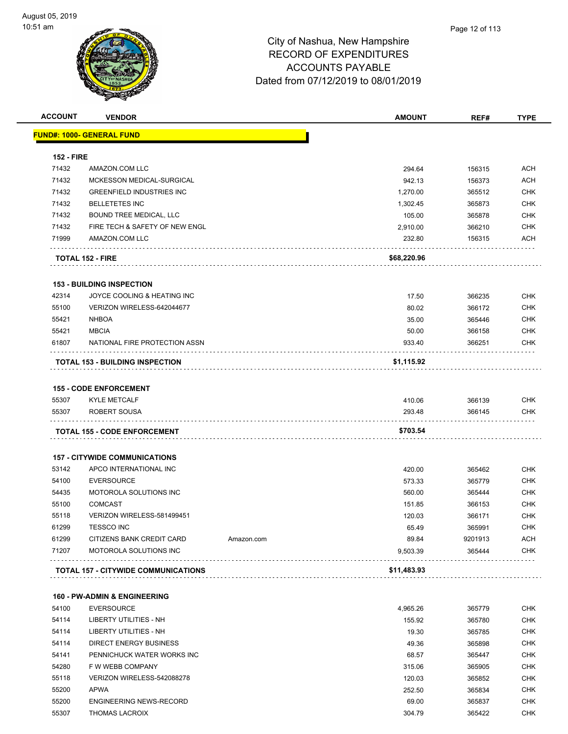| <b>ACCOUNT</b>    | <b>VENDOR</b>                              | <b>AMOUNT</b> | REF#    | <b>TYPE</b> |
|-------------------|--------------------------------------------|---------------|---------|-------------|
|                   | <b>FUND#: 1000- GENERAL FUND</b>           |               |         |             |
|                   |                                            |               |         |             |
| <b>152 - FIRE</b> |                                            |               |         |             |
| 71432             | AMAZON.COM LLC                             | 294.64        | 156315  | ACH         |
| 71432             | MCKESSON MEDICAL-SURGICAL                  | 942.13        | 156373  | ACH         |
| 71432             | <b>GREENFIELD INDUSTRIES INC</b>           | 1,270.00      | 365512  | <b>CHK</b>  |
| 71432             | <b>BELLETETES INC</b>                      | 1,302.45      | 365873  | <b>CHK</b>  |
| 71432             | BOUND TREE MEDICAL, LLC                    | 105.00        | 365878  | <b>CHK</b>  |
| 71432             | FIRE TECH & SAFETY OF NEW ENGL             | 2,910.00      | 366210  | <b>CHK</b>  |
| 71999             | AMAZON.COM LLC                             | 232.80        | 156315  | ACH         |
|                   | <b>TOTAL 152 - FIRE</b>                    | \$68,220.96   |         |             |
|                   | <b>153 - BUILDING INSPECTION</b>           |               |         |             |
| 42314             | JOYCE COOLING & HEATING INC                | 17.50         | 366235  | CHK         |
| 55100             | VERIZON WIRELESS-642044677                 | 80.02         | 366172  | <b>CHK</b>  |
| 55421             | <b>NHBOA</b>                               | 35.00         | 365446  | <b>CHK</b>  |
| 55421             | <b>MBCIA</b>                               | 50.00         | 366158  | <b>CHK</b>  |
| 61807             | NATIONAL FIRE PROTECTION ASSN              | 933.40        | 366251  | <b>CHK</b>  |
|                   | <b>TOTAL 153 - BUILDING INSPECTION</b>     | \$1,115.92    |         |             |
|                   |                                            |               |         |             |
|                   | <b>155 - CODE ENFORCEMENT</b>              |               |         |             |
| 55307             | <b>KYLE METCALF</b>                        | 410.06        | 366139  | <b>CHK</b>  |
| 55307             | ROBERT SOUSA                               | 293.48        | 366145  | CHK         |
|                   | <b>TOTAL 155 - CODE ENFORCEMENT</b>        | \$703.54      |         |             |
|                   | <b>157 - CITYWIDE COMMUNICATIONS</b>       |               |         |             |
| 53142             | APCO INTERNATIONAL INC                     | 420.00        | 365462  | <b>CHK</b>  |
| 54100             | <b>EVERSOURCE</b>                          | 573.33        | 365779  | <b>CHK</b>  |
| 54435             | MOTOROLA SOLUTIONS INC                     | 560.00        | 365444  | <b>CHK</b>  |
| 55100             | <b>COMCAST</b>                             | 151.85        | 366153  | <b>CHK</b>  |
| 55118             | VERIZON WIRELESS-581499451                 | 120.03        | 366171  | <b>CHK</b>  |
| 61299             | TESSCO INC                                 | 65.49         | 365991  | <b>CHK</b>  |
| 61299             | CITIZENS BANK CREDIT CARD<br>Amazon.com    | 89.84         | 9201913 | <b>ACH</b>  |
| 71207             | MOTOROLA SOLUTIONS INC                     | 9,503.39      | 365444  | CHK         |
|                   | <b>TOTAL 157 - CITYWIDE COMMUNICATIONS</b> | \$11,483.93   |         |             |
|                   |                                            |               |         |             |
|                   | <b>160 - PW-ADMIN &amp; ENGINEERING</b>    |               |         |             |
| 54100             | <b>EVERSOURCE</b>                          | 4,965.26      | 365779  | <b>CHK</b>  |
| 54114             | LIBERTY UTILITIES - NH                     | 155.92        | 365780  | <b>CHK</b>  |
| 54114             | <b>LIBERTY UTILITIES - NH</b>              | 19.30         | 365785  | <b>CHK</b>  |
| 54114             | <b>DIRECT ENERGY BUSINESS</b>              | 49.36         | 365898  | <b>CHK</b>  |
| 54141             | PENNICHUCK WATER WORKS INC                 | 68.57         | 365447  | <b>CHK</b>  |
| 54280             | F W WEBB COMPANY                           | 315.06        | 365905  | <b>CHK</b>  |
| 55118             | VERIZON WIRELESS-542088278                 | 120.03        | 365852  | CHK         |
| 55200             | <b>APWA</b>                                | 252.50        | 365834  | CHK         |
| 55200             | <b>ENGINEERING NEWS-RECORD</b>             | 69.00         | 365837  | <b>CHK</b>  |
| 55307             | <b>THOMAS LACROIX</b>                      | 304.79        | 365422  | CHK         |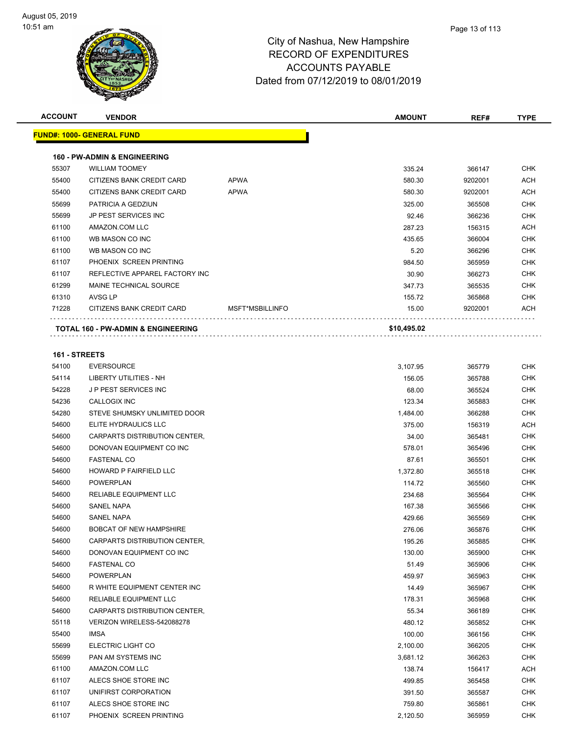

| <b>ACCOUNT</b> | <b>VENDOR</b>                           |                 | <b>AMOUNT</b> | REF#    | <b>TYPE</b>   |
|----------------|-----------------------------------------|-----------------|---------------|---------|---------------|
|                | <b>FUND#: 1000- GENERAL FUND</b>        |                 |               |         |               |
|                | <b>160 - PW-ADMIN &amp; ENGINEERING</b> |                 |               |         |               |
| 55307          | <b>WILLIAM TOOMEY</b>                   |                 | 335.24        | 366147  | <b>CHK</b>    |
| 55400          | CITIZENS BANK CREDIT CARD               | <b>APWA</b>     | 580.30        | 9202001 | <b>ACH</b>    |
| 55400          | CITIZENS BANK CREDIT CARD               | <b>APWA</b>     | 580.30        | 9202001 | <b>ACH</b>    |
| 55699          | PATRICIA A GEDZIUN                      |                 | 325.00        | 365508  | <b>CHK</b>    |
| 55699          | JP PEST SERVICES INC                    |                 | 92.46         | 366236  | <b>CHK</b>    |
| 61100          | AMAZON.COM LLC                          |                 | 287.23        | 156315  | <b>ACH</b>    |
| 61100          | WB MASON CO INC                         |                 | 435.65        | 366004  | <b>CHK</b>    |
| 61100          | WB MASON CO INC                         |                 | 5.20          | 366296  | <b>CHK</b>    |
| 61107          | PHOENIX SCREEN PRINTING                 |                 | 984.50        | 365959  | <b>CHK</b>    |
| 61107          | REFLECTIVE APPAREL FACTORY INC          |                 | 30.90         | 366273  | <b>CHK</b>    |
| 61299          | MAINE TECHNICAL SOURCE                  |                 | 347.73        | 365535  | <b>CHK</b>    |
| 61310          | AVSG LP                                 |                 | 155.72        | 365868  | <b>CHK</b>    |
| 71228          | CITIZENS BANK CREDIT CARD               | MSFT*MSBILLINFO | 15.00         | 9202001 | <b>ACH</b>    |
|                | TOTAL 160 - PW-ADMIN & ENGINEERING      |                 | \$10,495.02   |         |               |
|                |                                         |                 |               |         |               |
| 161 - STREETS  |                                         |                 |               |         |               |
| 54100          | <b>EVERSOURCE</b>                       |                 | 3,107.95      | 365779  | <b>CHK</b>    |
| 54114          | <b>LIBERTY UTILITIES - NH</b>           |                 | 156.05        | 365788  | <b>CHK</b>    |
| 54228          | <b>JP PEST SERVICES INC</b>             |                 | 68.00         | 365524  | <b>CHK</b>    |
| 54236          | <b>CALLOGIX INC</b>                     |                 | 123.34        | 365883  | <b>CHK</b>    |
| 54280          | STEVE SHUMSKY UNLIMITED DOOR            |                 | 1,484.00      | 366288  | <b>CHK</b>    |
| 54600          | ELITE HYDRAULICS LLC                    |                 | 375.00        | 156319  | <b>ACH</b>    |
| 54600          | CARPARTS DISTRIBUTION CENTER.           |                 | 34.00         | 365481  | <b>CHK</b>    |
| 54600          | DONOVAN EQUIPMENT CO INC                |                 | 578.01        | 365496  | <b>CHK</b>    |
| 54600          | <b>FASTENAL CO</b>                      |                 | 87.61         | 365501  | <b>CHK</b>    |
| 54600          | HOWARD P FAIRFIELD LLC                  |                 | 1,372.80      | 365518  | <b>CHK</b>    |
| 54600          | <b>POWERPLAN</b>                        |                 | 114.72        | 365560  | <b>CHK</b>    |
| 54600          | <b>RELIABLE EQUIPMENT LLC</b>           |                 | 234.68        | 365564  | <b>CHK</b>    |
| 54600          | <b>SANEL NAPA</b>                       |                 | 167.38        | 365566  | <b>CHK</b>    |
| 54600          | <b>SANEL NAPA</b>                       |                 | 429.66        | 365569  | <b>CHK</b>    |
| $-1000$        | <b>BOBO1T OF UEW UNITED UPP</b>         |                 |               |         | $\sim$ $\sim$ |

| 54600 | RELIABLE EQUIPMENT LLC               | 234.68   | 365564 | <b>CHK</b> |
|-------|--------------------------------------|----------|--------|------------|
| 54600 | <b>SANEL NAPA</b>                    | 167.38   | 365566 | <b>CHK</b> |
| 54600 | <b>SANEL NAPA</b>                    | 429.66   | 365569 | <b>CHK</b> |
| 54600 | <b>BOBCAT OF NEW HAMPSHIRE</b>       | 276.06   | 365876 | <b>CHK</b> |
| 54600 | <b>CARPARTS DISTRIBUTION CENTER.</b> | 195.26   | 365885 | <b>CHK</b> |
| 54600 | DONOVAN EQUIPMENT CO INC             | 130.00   | 365900 | <b>CHK</b> |
| 54600 | <b>FASTENAL CO</b>                   | 51.49    | 365906 | <b>CHK</b> |
| 54600 | <b>POWERPLAN</b>                     | 459.97   | 365963 | <b>CHK</b> |
| 54600 | R WHITE EQUIPMENT CENTER INC         | 14.49    | 365967 | <b>CHK</b> |
| 54600 | <b>RELIABLE EQUIPMENT LLC</b>        | 178.31   | 365968 | <b>CHK</b> |
| 54600 | CARPARTS DISTRIBUTION CENTER.        | 55.34    | 366189 | <b>CHK</b> |
| 55118 | VERIZON WIRELESS-542088278           | 480.12   | 365852 | <b>CHK</b> |
| 55400 | <b>IMSA</b>                          | 100.00   | 366156 | <b>CHK</b> |
| 55699 | ELECTRIC LIGHT CO                    | 2,100.00 | 366205 | <b>CHK</b> |
| 55699 | PAN AM SYSTEMS INC                   | 3,681.12 | 366263 | <b>CHK</b> |
| 61100 | AMAZON.COM LLC                       | 138.74   | 156417 | <b>ACH</b> |
| 61107 | ALECS SHOE STORE INC                 | 499.85   | 365458 | <b>CHK</b> |
| 61107 | UNIFIRST CORPORATION                 | 391.50   | 365587 | <b>CHK</b> |
| 61107 | ALECS SHOE STORE INC                 | 759.80   | 365861 | <b>CHK</b> |
| 61107 | PHOENIX SCREEN PRINTING              | 2,120.50 | 365959 | <b>CHK</b> |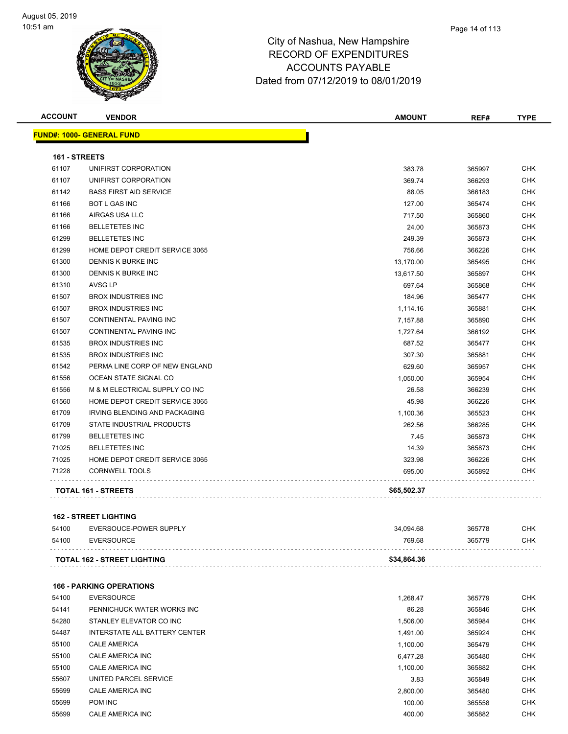### Page 14 of 113

## City of Nashua, New Hampshire RECORD OF EXPENDITURES ACCOUNTS PAYABLE Dated from 07/12/2019 to 08/01/2019

| <b>ACCOUNT</b> |  |
|----------------|--|
|----------------|--|

**FUND#: 1000- GENERAL FUND**

| <b>ACCOUNT</b>                    | NDOR | <b>AMOUNT</b> | REF# | <b>TYPF</b> |
|-----------------------------------|------|---------------|------|-------------|
|                                   |      |               |      |             |
| ND#:<br><b>GENERA</b><br>$1000 -$ | FUND |               |      |             |

| 161 - STREETS |                                       |             |        |            |
|---------------|---------------------------------------|-------------|--------|------------|
| 61107         | UNIFIRST CORPORATION                  | 383.78      | 365997 | <b>CHK</b> |
| 61107         | UNIFIRST CORPORATION                  | 369.74      | 366293 | <b>CHK</b> |
| 61142         | <b>BASS FIRST AID SERVICE</b>         | 88.05       | 366183 | <b>CHK</b> |
| 61166         | <b>BOT L GAS INC</b>                  | 127.00      | 365474 | <b>CHK</b> |
| 61166         | AIRGAS USA LLC                        | 717.50      | 365860 | <b>CHK</b> |
| 61166         | <b>BELLETETES INC</b>                 | 24.00       | 365873 | <b>CHK</b> |
| 61299         | <b>BELLETETES INC</b>                 | 249.39      | 365873 | <b>CHK</b> |
| 61299         | <b>HOME DEPOT CREDIT SERVICE 3065</b> | 756.66      | 366226 | <b>CHK</b> |
| 61300         | <b>DENNIS K BURKE INC</b>             | 13,170.00   | 365495 | <b>CHK</b> |
| 61300         | DENNIS K BURKE INC                    | 13,617.50   | 365897 | <b>CHK</b> |
| 61310         | AVSG LP                               | 697.64      | 365868 | <b>CHK</b> |
| 61507         | <b>BROX INDUSTRIES INC</b>            | 184.96      | 365477 | <b>CHK</b> |
| 61507         | <b>BROX INDUSTRIES INC</b>            | 1,114.16    | 365881 | <b>CHK</b> |
| 61507         | CONTINENTAL PAVING INC                | 7,157.88    | 365890 | <b>CHK</b> |
| 61507         | CONTINENTAL PAVING INC                | 1,727.64    | 366192 | <b>CHK</b> |
| 61535         | <b>BROX INDUSTRIES INC</b>            | 687.52      | 365477 | <b>CHK</b> |
| 61535         | <b>BROX INDUSTRIES INC</b>            | 307.30      | 365881 | <b>CHK</b> |
| 61542         | PERMA LINE CORP OF NEW ENGLAND        | 629.60      | 365957 | <b>CHK</b> |
| 61556         | OCEAN STATE SIGNAL CO                 | 1,050.00    | 365954 | <b>CHK</b> |
| 61556         | M & M ELECTRICAL SUPPLY CO INC        | 26.58       | 366239 | <b>CHK</b> |
| 61560         | HOME DEPOT CREDIT SERVICE 3065        | 45.98       | 366226 | <b>CHK</b> |
| 61709         | IRVING BLENDING AND PACKAGING         | 1,100.36    | 365523 | <b>CHK</b> |
| 61709         | STATE INDUSTRIAL PRODUCTS             | 262.56      | 366285 | <b>CHK</b> |
| 61799         | <b>BELLETETES INC</b>                 | 7.45        | 365873 | <b>CHK</b> |
| 71025         | <b>BELLETETES INC</b>                 | 14.39       | 365873 | <b>CHK</b> |
| 71025         | <b>HOME DEPOT CREDIT SERVICE 3065</b> | 323.98      | 366226 | <b>CHK</b> |
| 71228         | <b>CORNWELL TOOLS</b>                 | 695.00      | 365892 | <b>CHK</b> |
|               | <b>TOTAL 161 - STREETS</b>            | \$65,502.37 |        |            |
|               |                                       |             |        |            |

## **162 - STREET LIGHTING**

|       | <b>TOTAL 162 - STREET LIGHTING</b> | \$34,864.36 |        |            |
|-------|------------------------------------|-------------|--------|------------|
| 54100 | EVERSOURCE                         | 769.68      | 365779 | <b>CHK</b> |
| 54100 | EVERSOUCE-POWER SUPPLY             | 34.094.68   | 365778 | CHK        |

### **166 - PARKING OPERATIONS**

| 54100 | <b>EVERSOURCE</b>             | 1.268.47 | 365779 | <b>CHK</b> |
|-------|-------------------------------|----------|--------|------------|
| 54141 | PENNICHUCK WATER WORKS INC    | 86.28    | 365846 | <b>CHK</b> |
| 54280 | STANLEY ELEVATOR CO INC       | 1.506.00 | 365984 | <b>CHK</b> |
| 54487 | INTERSTATE ALL BATTERY CENTER | 1.491.00 | 365924 | <b>CHK</b> |
| 55100 | <b>CALE AMERICA</b>           | 1.100.00 | 365479 | <b>CHK</b> |
| 55100 | CALE AMERICA INC              | 6.477.28 | 365480 | <b>CHK</b> |
| 55100 | CALE AMERICA INC              | 1.100.00 | 365882 | <b>CHK</b> |
| 55607 | UNITED PARCEL SERVICE         | 3.83     | 365849 | <b>CHK</b> |
| 55699 | CALE AMERICA INC              | 2.800.00 | 365480 | <b>CHK</b> |
| 55699 | POM INC                       | 100.00   | 365558 | <b>CHK</b> |
| 55699 | CALE AMERICA INC              | 400.00   | 365882 | <b>CHK</b> |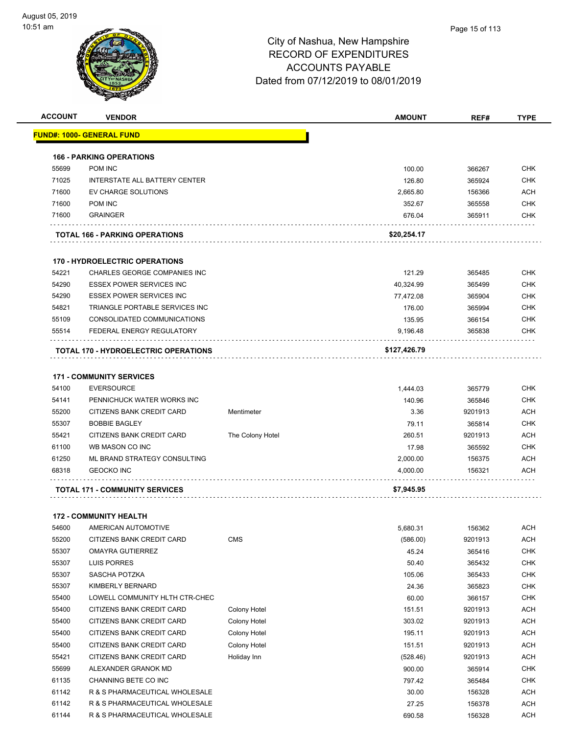| <b>ACCOUNT</b> | <b>VENDOR</b>                                                    |                  | <b>AMOUNT</b>  | REF#             | <b>TYPE</b>              |
|----------------|------------------------------------------------------------------|------------------|----------------|------------------|--------------------------|
|                | <u> FUND#: 1000- GENERAL FUND</u>                                |                  |                |                  |                          |
|                | <b>166 - PARKING OPERATIONS</b>                                  |                  |                |                  |                          |
| 55699          | POM INC                                                          |                  | 100.00         | 366267           | <b>CHK</b>               |
| 71025          | <b>INTERSTATE ALL BATTERY CENTER</b>                             |                  | 126.80         | 365924           | <b>CHK</b>               |
| 71600          | EV CHARGE SOLUTIONS                                              |                  | 2,665.80       | 156366           | <b>ACH</b>               |
| 71600          | <b>POM INC</b>                                                   |                  | 352.67         | 365558           | <b>CHK</b>               |
| 71600          | <b>GRAINGER</b>                                                  |                  | 676.04         | 365911           | <b>CHK</b>               |
|                | <b>TOTAL 166 - PARKING OPERATIONS</b>                            |                  | \$20,254.17    |                  |                          |
|                | <b>170 - HYDROELECTRIC OPERATIONS</b>                            |                  |                |                  |                          |
| 54221          | CHARLES GEORGE COMPANIES INC                                     |                  | 121.29         | 365485           | <b>CHK</b>               |
| 54290          | <b>ESSEX POWER SERVICES INC</b>                                  |                  | 40,324.99      | 365499           | <b>CHK</b>               |
| 54290          | <b>ESSEX POWER SERVICES INC</b>                                  |                  | 77,472.08      | 365904           | <b>CHK</b>               |
| 54821          | TRIANGLE PORTABLE SERVICES INC                                   |                  | 176.00         | 365994           | <b>CHK</b>               |
| 55109          | CONSOLIDATED COMMUNICATIONS                                      |                  | 135.95         | 366154           | <b>CHK</b>               |
| 55514          | FEDERAL ENERGY REGULATORY                                        |                  | 9,196.48       | 365838           | <b>CHK</b>               |
|                | <b>TOTAL 170 - HYDROELECTRIC OPERATIONS</b>                      |                  | \$127,426.79   |                  |                          |
|                | <b>171 - COMMUNITY SERVICES</b>                                  |                  |                |                  |                          |
| 54100          | <b>EVERSOURCE</b>                                                |                  | 1,444.03       | 365779           | <b>CHK</b>               |
| 54141          | PENNICHUCK WATER WORKS INC                                       |                  | 140.96         | 365846           | <b>CHK</b>               |
| 55200          | CITIZENS BANK CREDIT CARD                                        | Mentimeter       | 3.36           | 9201913          | <b>ACH</b>               |
| 55307          | <b>BOBBIE BAGLEY</b>                                             |                  | 79.11          | 365814           | <b>CHK</b>               |
| 55421          | CITIZENS BANK CREDIT CARD                                        | The Colony Hotel | 260.51         | 9201913          | ACH                      |
| 61100          | WB MASON CO INC                                                  |                  | 17.98          | 365592           | <b>CHK</b>               |
| 61250          | ML BRAND STRATEGY CONSULTING                                     |                  | 2,000.00       | 156375           | <b>ACH</b>               |
| 68318          | <b>GEOCKO INC</b>                                                |                  | 4,000.00       | 156321           | <b>ACH</b>               |
|                | <b>TOTAL 171 - COMMUNITY SERVICES</b>                            |                  | \$7,945.95     |                  |                          |
|                |                                                                  |                  |                |                  |                          |
|                | <b>172 - COMMUNITY HEALTH</b>                                    |                  |                |                  |                          |
|                |                                                                  |                  |                |                  |                          |
| 54600          | AMERICAN AUTOMOTIVE                                              |                  | 5,680.31       | 156362           | ACH                      |
| 55200          | CITIZENS BANK CREDIT CARD                                        | CMS              | (586.00)       | 9201913          | <b>ACH</b>               |
| 55307          | <b>OMAYRA GUTIERREZ</b>                                          |                  | 45.24          | 365416           | <b>CHK</b>               |
| 55307          | <b>LUIS PORRES</b>                                               |                  | 50.40          | 365432           | <b>CHK</b>               |
| 55307          | SASCHA POTZKA                                                    |                  | 105.06         | 365433           | <b>CHK</b>               |
| 55307          | KIMBERLY BERNARD                                                 |                  | 24.36          | 365823           | <b>CHK</b>               |
| 55400          | LOWELL COMMUNITY HLTH CTR-CHEC                                   |                  | 60.00          | 366157           | <b>CHK</b>               |
| 55400          | CITIZENS BANK CREDIT CARD                                        | Colony Hotel     | 151.51         | 9201913          | <b>ACH</b>               |
| 55400          | CITIZENS BANK CREDIT CARD                                        | Colony Hotel     | 303.02         | 9201913          | <b>ACH</b>               |
| 55400          | CITIZENS BANK CREDIT CARD                                        | Colony Hotel     | 195.11         | 9201913          | <b>ACH</b>               |
| 55400          | CITIZENS BANK CREDIT CARD                                        | Colony Hotel     | 151.51         | 9201913          | <b>ACH</b>               |
| 55421          | CITIZENS BANK CREDIT CARD                                        | Holiday Inn      | (528.46)       | 9201913          | <b>ACH</b>               |
| 55699          | ALEXANDER GRANOK MD                                              |                  | 900.00         | 365914           | <b>CHK</b>               |
| 61135          | CHANNING BETE CO INC                                             |                  | 797.42         | 365484           | <b>CHK</b>               |
| 61142<br>61142 | R & S PHARMACEUTICAL WHOLESALE<br>R & S PHARMACEUTICAL WHOLESALE |                  | 30.00<br>27.25 | 156328<br>156378 | <b>ACH</b><br><b>ACH</b> |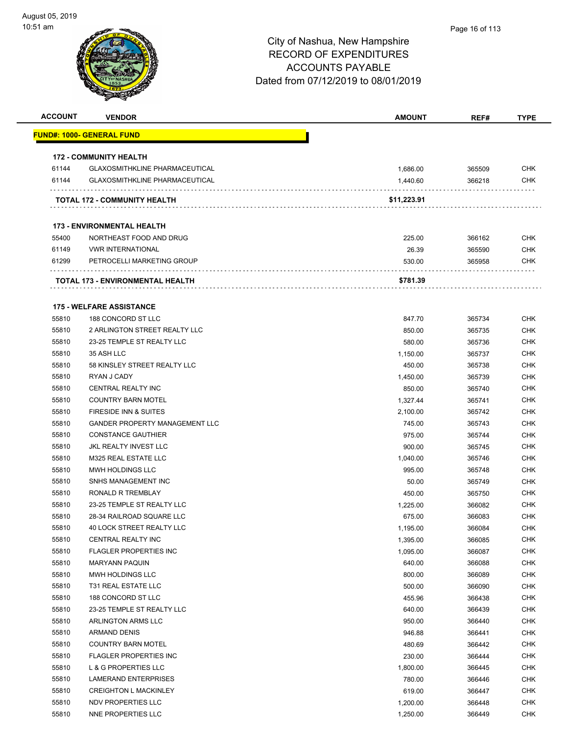| <b>ACCOUNT</b> | <b>VENDOR</b>                                                          | <b>AMOUNT</b> | REF#   | <b>TYPE</b> |
|----------------|------------------------------------------------------------------------|---------------|--------|-------------|
|                | <u> FUND#: 1000- GENERAL FUND</u>                                      |               |        |             |
|                |                                                                        |               |        |             |
| 61144          | <b>172 - COMMUNITY HEALTH</b><br><b>GLAXOSMITHKLINE PHARMACEUTICAL</b> | 1,686.00      | 365509 | <b>CHK</b>  |
| 61144          | <b>GLAXOSMITHKLINE PHARMACEUTICAL</b>                                  | 1,440.60      | 366218 | <b>CHK</b>  |
|                |                                                                        |               |        |             |
|                | TOTAL 172 - COMMUNITY HEALTH                                           | \$11,223.91   |        |             |
|                | <b>173 - ENVIRONMENTAL HEALTH</b>                                      |               |        |             |
| 55400          | NORTHEAST FOOD AND DRUG                                                | 225.00        | 366162 | <b>CHK</b>  |
| 61149          | <b>VWR INTERNATIONAL</b>                                               | 26.39         | 365590 | <b>CHK</b>  |
| 61299          | PETROCELLI MARKETING GROUP                                             | 530.00        | 365958 | <b>CHK</b>  |
|                | TOTAL 173 - ENVIRONMENTAL HEALTH                                       | \$781.39      |        |             |
|                |                                                                        |               |        |             |
| 55810          | <b>175 - WELFARE ASSISTANCE</b><br>188 CONCORD ST LLC                  | 847.70        | 365734 | <b>CHK</b>  |
| 55810          | 2 ARLINGTON STREET REALTY LLC                                          | 850.00        | 365735 | <b>CHK</b>  |
| 55810          | 23-25 TEMPLE ST REALTY LLC                                             | 580.00        | 365736 | <b>CHK</b>  |
| 55810          | 35 ASH LLC                                                             | 1,150.00      | 365737 | CHK         |
| 55810          | 58 KINSLEY STREET REALTY LLC                                           | 450.00        | 365738 | CHK         |
| 55810          | RYAN J CADY                                                            | 1,450.00      | 365739 | <b>CHK</b>  |
| 55810          | CENTRAL REALTY INC                                                     | 850.00        | 365740 | <b>CHK</b>  |
| 55810          | <b>COUNTRY BARN MOTEL</b>                                              | 1,327.44      | 365741 | <b>CHK</b>  |
| 55810          | FIRESIDE INN & SUITES                                                  | 2,100.00      | 365742 | <b>CHK</b>  |
| 55810          | <b>GANDER PROPERTY MANAGEMENT LLC</b>                                  | 745.00        | 365743 | CHK         |
| 55810          | <b>CONSTANCE GAUTHIER</b>                                              | 975.00        | 365744 | CHK         |
| 55810          | JKL REALTY INVEST LLC                                                  | 900.00        | 365745 | <b>CHK</b>  |
| 55810          | M325 REAL ESTATE LLC                                                   | 1,040.00      | 365746 | <b>CHK</b>  |
| 55810          | MWH HOLDINGS LLC                                                       | 995.00        | 365748 | <b>CHK</b>  |
| 55810          | SNHS MANAGEMENT INC                                                    | 50.00         | 365749 | <b>CHK</b>  |
| 55810          | RONALD R TREMBLAY                                                      | 450.00        | 365750 | CHK         |
| 55810          | 23-25 TEMPLE ST REALTY LLC                                             | 1,225.00      | 366082 | <b>CHK</b>  |
| 55810          | 28-34 RAILROAD SQUARE LLC                                              | 675.00        | 366083 | <b>CHK</b>  |
| 55810          | 40 LOCK STREET REALTY LLC                                              | 1,195.00      | 366084 | <b>CHK</b>  |
| 55810          | CENTRAL REALTY INC                                                     | 1,395.00      | 366085 | CHK         |
| 55810          | <b>FLAGLER PROPERTIES INC</b>                                          | 1,095.00      | 366087 | <b>CHK</b>  |
| 55810          | <b>MARYANN PAQUIN</b>                                                  | 640.00        | 366088 | <b>CHK</b>  |
| 55810          | MWH HOLDINGS LLC                                                       | 800.00        | 366089 | <b>CHK</b>  |
| 55810          | T31 REAL ESTATE LLC                                                    | 500.00        | 366090 | <b>CHK</b>  |
| 55810          | 188 CONCORD ST LLC                                                     | 455.96        | 366438 | <b>CHK</b>  |
| 55810          | 23-25 TEMPLE ST REALTY LLC                                             | 640.00        | 366439 | <b>CHK</b>  |
| 55810          | ARLINGTON ARMS LLC                                                     | 950.00        | 366440 | <b>CHK</b>  |
| 55810          | <b>ARMAND DENIS</b>                                                    | 946.88        | 366441 | <b>CHK</b>  |
| 55810          | <b>COUNTRY BARN MOTEL</b>                                              | 480.69        | 366442 | <b>CHK</b>  |
| 55810          | <b>FLAGLER PROPERTIES INC</b>                                          | 230.00        | 366444 | <b>CHK</b>  |
| 55810          | L & G PROPERTIES LLC                                                   | 1,800.00      | 366445 | <b>CHK</b>  |
| 55810          | LAMERAND ENTERPRISES                                                   | 780.00        | 366446 | <b>CHK</b>  |
| 55810          | <b>CREIGHTON L MACKINLEY</b>                                           | 619.00        | 366447 | <b>CHK</b>  |
| 55810          | NDV PROPERTIES LLC                                                     | 1,200.00      | 366448 | <b>CHK</b>  |
| 55810          | NNE PROPERTIES LLC                                                     | 1,250.00      | 366449 | <b>CHK</b>  |
|                |                                                                        |               |        |             |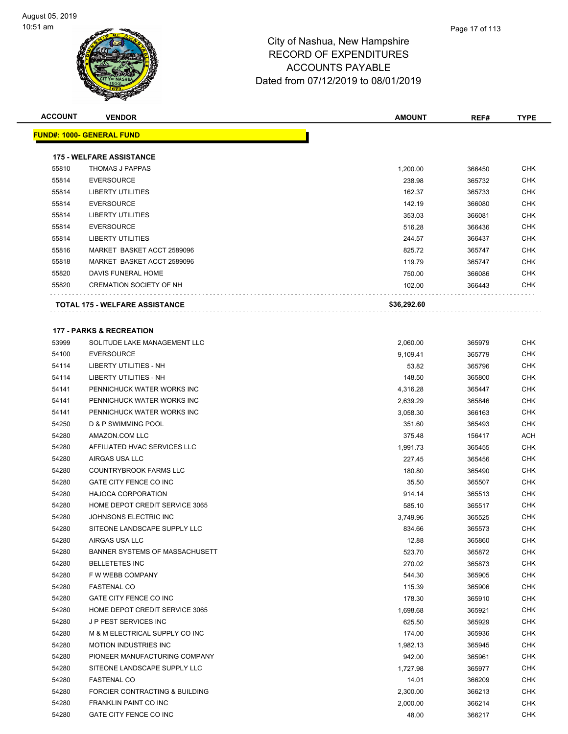### Page 17 of 113

| <b>ACCOUNT</b> | <b>VENDOR</b>                         | <b>AMOUNT</b> | REF#   | <b>TYPE</b> |
|----------------|---------------------------------------|---------------|--------|-------------|
|                | <b>FUND#: 1000- GENERAL FUND</b>      |               |        |             |
|                |                                       |               |        |             |
|                | <b>175 - WELFARE ASSISTANCE</b>       |               |        |             |
| 55810          | <b>THOMAS J PAPPAS</b>                | 1,200.00      | 366450 | <b>CHK</b>  |
| 55814          | <b>EVERSOURCE</b>                     | 238.98        | 365732 | <b>CHK</b>  |
| 55814          | <b>LIBERTY UTILITIES</b>              | 162.37        | 365733 | <b>CHK</b>  |
| 55814          | <b>EVERSOURCE</b>                     | 142.19        | 366080 | <b>CHK</b>  |
| 55814          | <b>LIBERTY UTILITIES</b>              | 353.03        | 366081 | <b>CHK</b>  |
| 55814          | <b>EVERSOURCE</b>                     | 516.28        | 366436 | <b>CHK</b>  |
| 55814          | <b>LIBERTY UTILITIES</b>              | 244.57        | 366437 | <b>CHK</b>  |
| 55816          | MARKET BASKET ACCT 2589096            | 825.72        | 365747 | <b>CHK</b>  |
| 55818          | MARKET BASKET ACCT 2589096            | 119.79        | 365747 | <b>CHK</b>  |
| 55820          | DAVIS FUNERAL HOME                    | 750.00        | 366086 | <b>CHK</b>  |
| 55820          | <b>CREMATION SOCIETY OF NH</b>        | 102.00        | 366443 | <b>CHK</b>  |
|                | <b>TOTAL 175 - WELFARE ASSISTANCE</b> | \$36,292.60   |        |             |
|                | <b>177 - PARKS &amp; RECREATION</b>   |               |        |             |
| 53999          | SOLITUDE LAKE MANAGEMENT LLC          | 2,060.00      | 365979 | <b>CHK</b>  |
| 54100          | <b>EVERSOURCE</b>                     | 9,109.41      | 365779 | <b>CHK</b>  |
| 54114          | <b>LIBERTY UTILITIES - NH</b>         | 53.82         | 365796 | <b>CHK</b>  |
| 54114          | <b>LIBERTY UTILITIES - NH</b>         | 148.50        | 365800 | <b>CHK</b>  |
| 54141          | PENNICHUCK WATER WORKS INC            | 4,316.28      | 365447 | <b>CHK</b>  |
| 54141          | PENNICHUCK WATER WORKS INC            | 2,639.29      | 365846 | <b>CHK</b>  |
| 54141          | PENNICHUCK WATER WORKS INC            | 3,058.30      | 366163 | <b>CHK</b>  |
| 54250          | D & P SWIMMING POOL                   | 351.60        | 365493 | <b>CHK</b>  |
| 54280          | AMAZON.COM LLC                        | 375.48        | 156417 | <b>ACH</b>  |
| 54280          | AFFILIATED HVAC SERVICES LLC          | 1,991.73      | 365455 | <b>CHK</b>  |
| 54280          | AIRGAS USA LLC                        | 227.45        | 365456 | <b>CHK</b>  |
| 54280          | COUNTRYBROOK FARMS LLC                | 180.80        | 365490 | <b>CHK</b>  |
| 54280          | GATE CITY FENCE CO INC                | 35.50         | 365507 | <b>CHK</b>  |
| 54280          | <b>HAJOCA CORPORATION</b>             | 914.14        | 365513 | <b>CHK</b>  |
| 54280          | HOME DEPOT CREDIT SERVICE 3065        | 585.10        | 365517 | <b>CHK</b>  |
| 54280          | JOHNSONS ELECTRIC INC                 | 3,749.96      | 365525 | <b>CHK</b>  |
| 54280          | SITEONE LANDSCAPE SUPPLY LLC          | 834.66        | 365573 | <b>CHK</b>  |
| 54280          | AIRGAS USA LLC                        | 12.88         | 365860 | <b>CHK</b>  |
| 54280          | BANNER SYSTEMS OF MASSACHUSETT        | 523.70        | 365872 | <b>CHK</b>  |
| 54280          | <b>BELLETETES INC</b>                 | 270.02        | 365873 | <b>CHK</b>  |
| 54280          | F W WEBB COMPANY                      | 544.30        | 365905 | <b>CHK</b>  |
| 54280          | <b>FASTENAL CO</b>                    | 115.39        | 365906 | <b>CHK</b>  |
| 54280          | GATE CITY FENCE CO INC                | 178.30        | 365910 | CHK         |
| 54280          | HOME DEPOT CREDIT SERVICE 3065        | 1,698.68      | 365921 | <b>CHK</b>  |
| 54280          | JP PEST SERVICES INC                  | 625.50        | 365929 | <b>CHK</b>  |
| 54280          | M & M ELECTRICAL SUPPLY CO INC        | 174.00        | 365936 | CHK         |
| 54280          | <b>MOTION INDUSTRIES INC</b>          | 1,982.13      | 365945 | <b>CHK</b>  |
| 54280          | PIONEER MANUFACTURING COMPANY         | 942.00        | 365961 | CHK         |
| 54280          | SITEONE LANDSCAPE SUPPLY LLC          | 1,727.98      | 365977 | <b>CHK</b>  |
| 54280          | <b>FASTENAL CO</b>                    | 14.01         | 366209 | <b>CHK</b>  |
| 54280          | FORCIER CONTRACTING & BUILDING        | 2,300.00      | 366213 | CHK         |
| 54280          | FRANKLIN PAINT CO INC                 | 2,000.00      | 366214 | <b>CHK</b>  |
| 54280          | GATE CITY FENCE CO INC                | 48.00         | 366217 | <b>CHK</b>  |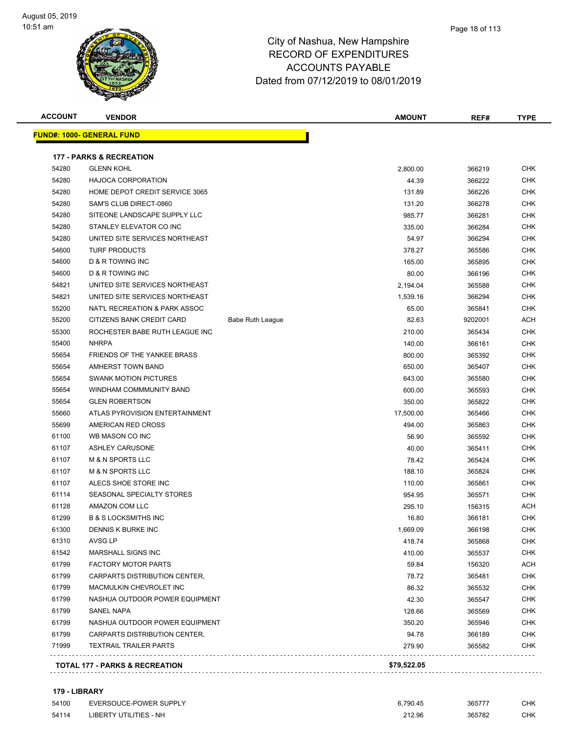

| <b>ACCOUNT</b> | <b>VENDOR</b>                       |                         | <b>AMOUNT</b> | REF#    | <b>TYPE</b> |
|----------------|-------------------------------------|-------------------------|---------------|---------|-------------|
|                | <b>FUND#: 1000- GENERAL FUND</b>    |                         |               |         |             |
|                | <b>177 - PARKS &amp; RECREATION</b> |                         |               |         |             |
| 54280          | <b>GLENN KOHL</b>                   |                         | 2,800.00      | 366219  | <b>CHK</b>  |
| 54280          | <b>HAJOCA CORPORATION</b>           |                         | 44.39         | 366222  | <b>CHK</b>  |
| 54280          | HOME DEPOT CREDIT SERVICE 3065      |                         | 131.89        | 366226  | <b>CHK</b>  |
| 54280          | SAM'S CLUB DIRECT-0860              |                         | 131.20        | 366278  | <b>CHK</b>  |
| 54280          | SITEONE LANDSCAPE SUPPLY LLC        |                         | 985.77        | 366281  | <b>CHK</b>  |
| 54280          | STANLEY ELEVATOR CO INC             |                         | 335.00        | 366284  | <b>CHK</b>  |
| 54280          | UNITED SITE SERVICES NORTHEAST      |                         | 54.97         | 366294  | <b>CHK</b>  |
| 54600          | <b>TURF PRODUCTS</b>                |                         | 378.27        | 365586  | <b>CHK</b>  |
| 54600          | D & R TOWING INC                    |                         | 165.00        | 365895  | <b>CHK</b>  |
| 54600          | <b>D &amp; R TOWING INC</b>         |                         | 80.00         | 366196  | <b>CHK</b>  |
| 54821          | UNITED SITE SERVICES NORTHEAST      |                         | 2,194.04      | 365588  | <b>CHK</b>  |
| 54821          | UNITED SITE SERVICES NORTHEAST      |                         | 1,539.16      | 366294  | <b>CHK</b>  |
| 55200          | NAT'L RECREATION & PARK ASSOC       |                         | 65.00         | 365841  | <b>CHK</b>  |
| 55200          | CITIZENS BANK CREDIT CARD           | <b>Babe Ruth League</b> | 82.63         | 9202001 | ACH         |
| 55300          | ROCHESTER BABE RUTH LEAGUE INC      |                         | 210.00        | 365434  | <b>CHK</b>  |
| 55400          | <b>NHRPA</b>                        |                         | 140.00        | 366161  | <b>CHK</b>  |
| 55654          | FRIENDS OF THE YANKEE BRASS         |                         | 800.00        | 365392  | <b>CHK</b>  |
| 55654          | AMHERST TOWN BAND                   |                         | 650.00        | 365407  | <b>CHK</b>  |
| 55654          | <b>SWANK MOTION PICTURES</b>        |                         | 643.00        | 365580  | <b>CHK</b>  |
| 55654          | WINDHAM COMMMUNITY BAND             |                         | 600.00        | 365593  | <b>CHK</b>  |
| 55654          | <b>GLEN ROBERTSON</b>               |                         | 350.00        | 365822  | CHK         |
| 55660          | ATLAS PYROVISION ENTERTAINMENT      |                         | 17,500.00     | 365466  | CHK         |
| 55699          | AMERICAN RED CROSS                  |                         | 494.00        | 365863  | <b>CHK</b>  |
| 61100          | WB MASON CO INC                     |                         | 56.90         | 365592  | <b>CHK</b>  |
| 61107          | <b>ASHLEY CARUSONE</b>              |                         | 40.00         | 365411  | <b>CHK</b>  |
| 61107          | <b>M &amp; N SPORTS LLC</b>         |                         | 78.42         | 365424  | <b>CHK</b>  |
| 61107          | <b>M &amp; N SPORTS LLC</b>         |                         | 188.10        | 365824  | <b>CHK</b>  |
| 61107          | ALECS SHOE STORE INC                |                         | 110.00        | 365861  | <b>CHK</b>  |
| 61114          | SEASONAL SPECIALTY STORES           |                         | 954.95        | 365571  | <b>CHK</b>  |
| 61128          | AMAZON.COM LLC                      |                         | 295.10        | 156315  | ACH         |
| 61299          | <b>B &amp; S LOCKSMITHS INC</b>     |                         | 16.80         | 366181  | <b>CHK</b>  |
| 61300          | DENNIS K BURKE INC                  |                         | 1,669.09      | 366198  | CHK         |
| 61310          | AVSG LP                             |                         | 418.74        | 365868  | CHK         |
| 61542          | MARSHALL SIGNS INC                  |                         | 410.00        | 365537  | CHK         |
| 61799          | <b>FACTORY MOTOR PARTS</b>          |                         | 59.84         | 156320  | ACH         |
| 61799          | CARPARTS DISTRIBUTION CENTER,       |                         | 78.72         | 365481  | CHK         |
| 61799          | <b>MACMULKIN CHEVROLET INC</b>      |                         | 86.32         | 365532  | CHK         |
| 61799          | NASHUA OUTDOOR POWER EQUIPMENT      |                         | 42.30         | 365547  | CHK         |
| 61799          | <b>SANEL NAPA</b>                   |                         | 128.66        | 365569  | CHK         |
| 61799          | NASHUA OUTDOOR POWER EQUIPMENT      |                         | 350.20        | 365946  | CHK         |
| 61799          | CARPARTS DISTRIBUTION CENTER,       |                         | 94.78         | 366189  | CHK         |
| 71999          | <b>TEXTRAIL TRAILER PARTS</b>       |                         | 279.90        | 365582  | <b>CHK</b>  |
|                |                                     |                         |               |         |             |

## **179 - LIBRARY**

| 54100 | EVERSOUCE-POWER SUPPLY | 6.790.45 | 365777 | СНК |
|-------|------------------------|----------|--------|-----|
| 54114 | LIBERTY UTILITIES - NH | 212.96   | 365782 | СНК |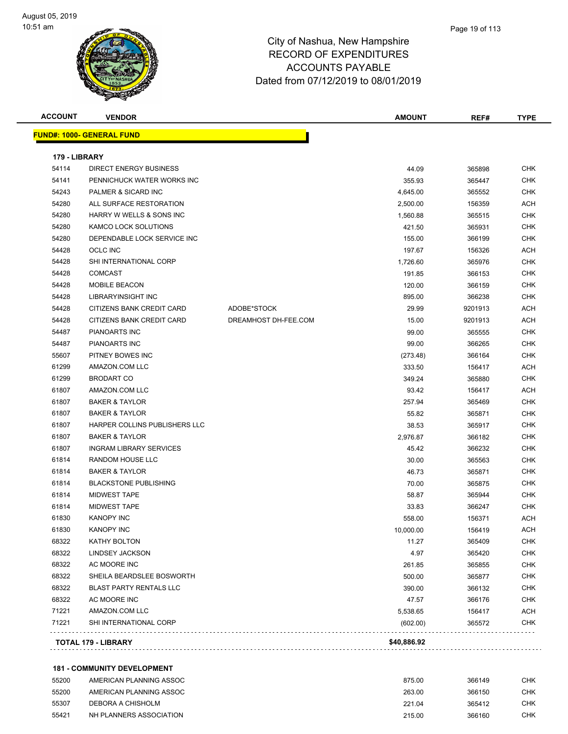

|               | <b>FUND#: 1000- GENERAL FUND</b> |                      |             |         |            |
|---------------|----------------------------------|----------------------|-------------|---------|------------|
| 179 - LIBRARY |                                  |                      |             |         |            |
| 54114         | <b>DIRECT ENERGY BUSINESS</b>    |                      | 44.09       | 365898  | <b>CHK</b> |
| 54141         | PENNICHUCK WATER WORKS INC       |                      | 355.93      | 365447  | <b>CHK</b> |
| 54243         | PALMER & SICARD INC              |                      | 4,645.00    | 365552  | CHK        |
| 54280         | ALL SURFACE RESTORATION          |                      | 2,500.00    | 156359  | ACH        |
| 54280         | HARRY W WELLS & SONS INC         |                      | 1,560.88    | 365515  | CHK        |
| 54280         | KAMCO LOCK SOLUTIONS             |                      | 421.50      | 365931  | CHK        |
| 54280         | DEPENDABLE LOCK SERVICE INC      |                      | 155.00      | 366199  | <b>CHK</b> |
| 54428         | OCLC INC                         |                      | 197.67      | 156326  | ACH        |
| 54428         | SHI INTERNATIONAL CORP           |                      | 1,726.60    | 365976  | CHK        |
| 54428         | <b>COMCAST</b>                   |                      | 191.85      | 366153  | <b>CHK</b> |
| 54428         | MOBILE BEACON                    |                      | 120.00      | 366159  | <b>CHK</b> |
| 54428         | LIBRARYINSIGHT INC               |                      | 895.00      | 366238  | CHK        |
| 54428         | CITIZENS BANK CREDIT CARD        | ADOBE*STOCK          | 29.99       | 9201913 | ACH        |
| 54428         | CITIZENS BANK CREDIT CARD        | DREAMHOST DH-FEE.COM | 15.00       | 9201913 | ACH        |
| 54487         | <b>PIANOARTS INC</b>             |                      | 99.00       | 365555  | CHK        |
| 54487         | <b>PIANOARTS INC</b>             |                      | 99.00       | 366265  | CHK        |
| 55607         | PITNEY BOWES INC                 |                      | (273.48)    | 366164  | <b>CHK</b> |
| 61299         | AMAZON.COM LLC                   |                      | 333.50      | 156417  | ACH        |
| 61299         | <b>BRODART CO</b>                |                      | 349.24      | 365880  | CHK        |
| 61807         | AMAZON.COM LLC                   |                      | 93.42       | 156417  | ACH        |
| 61807         | <b>BAKER &amp; TAYLOR</b>        |                      | 257.94      | 365469  | <b>CHK</b> |
| 61807         | <b>BAKER &amp; TAYLOR</b>        |                      | 55.82       | 365871  | <b>CHK</b> |
| 61807         | HARPER COLLINS PUBLISHERS LLC    |                      | 38.53       | 365917  | <b>CHK</b> |
| 61807         | <b>BAKER &amp; TAYLOR</b>        |                      | 2,976.87    | 366182  | CHK        |
| 61807         | <b>INGRAM LIBRARY SERVICES</b>   |                      | 45.42       | 366232  | CHK        |
| 61814         | RANDOM HOUSE LLC                 |                      | 30.00       | 365563  | CHK        |
| 61814         | <b>BAKER &amp; TAYLOR</b>        |                      | 46.73       | 365871  | CHK        |
| 61814         | <b>BLACKSTONE PUBLISHING</b>     |                      | 70.00       | 365875  | <b>CHK</b> |
| 61814         | <b>MIDWEST TAPE</b>              |                      | 58.87       | 365944  | CHK        |
| 61814         | <b>MIDWEST TAPE</b>              |                      | 33.83       | 366247  | CHK        |
| 61830         | <b>KANOPY INC</b>                |                      | 558.00      | 156371  | ACH        |
| 61830         | <b>KANOPY INC</b>                |                      | 10,000.00   | 156419  | ACH        |
| 68322         | <b>KATHY BOLTON</b>              |                      | 11.27       | 365409  | <b>CHK</b> |
| 68322         | LINDSEY JACKSON                  |                      | 4.97        | 365420  | <b>CHK</b> |
| 68322         | AC MOORE INC                     |                      | 261.85      | 365855  | <b>CHK</b> |
| 68322         | SHEILA BEARDSLEE BOSWORTH        |                      | 500.00      | 365877  | <b>CHK</b> |
| 68322         | <b>BLAST PARTY RENTALS LLC</b>   |                      | 390.00      | 366132  | <b>CHK</b> |
| 68322         | AC MOORE INC                     |                      | 47.57       | 366176  | <b>CHK</b> |
| 71221         | AMAZON.COM LLC                   |                      | 5,538.65    | 156417  | ACH        |
| 71221         | SHI INTERNATIONAL CORP           |                      | (602.00)    | 365572  | <b>CHK</b> |
|               | <b>TOTAL 179 - LIBRARY</b>       |                      | \$40,886.92 |         |            |

**ACCOUNT VENDOR AMOUNT REF# TYPE**

## **181 - COMMUNITY DEVELOPMENT**

| 55200 | AMERICAN PLANNING ASSOC | 875.00 | 366149 | СНК  |
|-------|-------------------------|--------|--------|------|
| 55200 | AMERICAN PLANNING ASSOC | 263.00 | 366150 | снк  |
| 55307 | DEBORA A CHISHOLM       | 221.04 | 365412 | СНК  |
| 55421 | NH PLANNERS ASSOCIATION | 215.00 | 366160 | CHK. |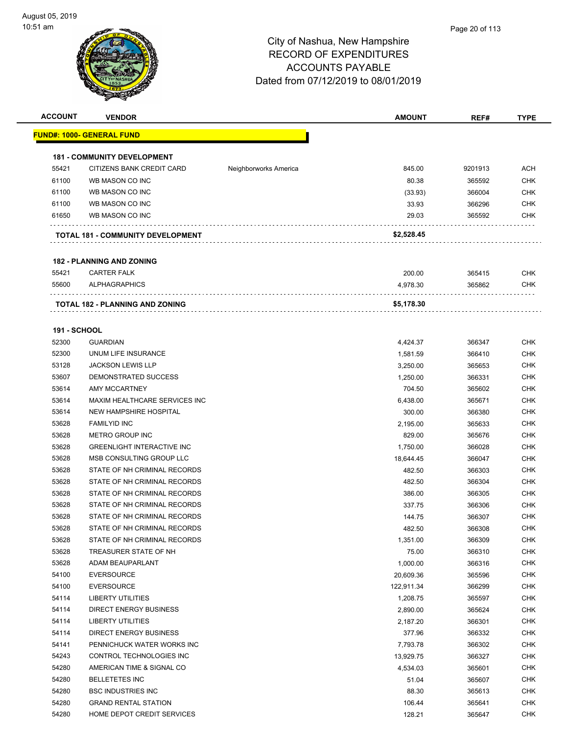| <b>ACCOUNT</b>               | <b>VENDOR</b>                      |                       | <b>AMOUNT</b>      | REF#             | <b>TYPE</b>              |
|------------------------------|------------------------------------|-----------------------|--------------------|------------------|--------------------------|
|                              | <u> FUND#: 1000- GENERAL FUND</u>  |                       |                    |                  |                          |
|                              |                                    |                       |                    |                  |                          |
|                              | <b>181 - COMMUNITY DEVELOPMENT</b> |                       |                    |                  |                          |
| 55421                        | CITIZENS BANK CREDIT CARD          | Neighborworks America | 845.00             | 9201913          | <b>ACH</b>               |
| 61100                        | WB MASON CO INC                    |                       | 80.38              | 365592           | <b>CHK</b>               |
| 61100                        | WB MASON CO INC                    |                       | (33.93)            | 366004           | <b>CHK</b>               |
| 61100                        | WB MASON CO INC                    |                       | 33.93              | 366296           | <b>CHK</b>               |
| 61650                        | WB MASON CO INC                    |                       | 29.03              | 365592           | <b>CHK</b>               |
|                              | TOTAL 181 - COMMUNITY DEVELOPMENT  |                       | \$2,528.45         |                  |                          |
|                              | <b>182 - PLANNING AND ZONING</b>   |                       |                    |                  |                          |
| 55421                        | <b>CARTER FALK</b>                 |                       | 200.00             | 365415           | <b>CHK</b>               |
| 55600                        | <b>ALPHAGRAPHICS</b>               |                       | 4,978.30           | 365862           | <b>CHK</b>               |
|                              | TOTAL 182 - PLANNING AND ZONING    |                       | \$5,178.30         |                  |                          |
|                              |                                    |                       |                    |                  |                          |
| <b>191 - SCHOOL</b><br>52300 | <b>GUARDIAN</b>                    |                       |                    |                  |                          |
|                              | UNUM LIFE INSURANCE                |                       | 4,424.37           | 366347           | <b>CHK</b>               |
| 52300<br>53128               | <b>JACKSON LEWIS LLP</b>           |                       | 1,581.59           | 366410           | <b>CHK</b><br><b>CHK</b> |
| 53607                        | DEMONSTRATED SUCCESS               |                       | 3,250.00           | 365653           | <b>CHK</b>               |
| 53614                        | <b>AMY MCCARTNEY</b>               |                       | 1,250.00           | 366331<br>365602 | <b>CHK</b>               |
| 53614                        | MAXIM HEALTHCARE SERVICES INC      |                       | 704.50             |                  | <b>CHK</b>               |
| 53614                        | <b>NEW HAMPSHIRE HOSPITAL</b>      |                       | 6,438.00           | 365671           |                          |
|                              | <b>FAMILYID INC</b>                |                       | 300.00             | 366380           | <b>CHK</b>               |
| 53628<br>53628               | METRO GROUP INC                    |                       | 2,195.00<br>829.00 | 365633<br>365676 | <b>CHK</b><br><b>CHK</b> |
| 53628                        | <b>GREENLIGHT INTERACTIVE INC</b>  |                       | 1,750.00           | 366028           | <b>CHK</b>               |
| 53628                        | MSB CONSULTING GROUP LLC           |                       | 18,644.45          | 366047           | <b>CHK</b>               |
| 53628                        | STATE OF NH CRIMINAL RECORDS       |                       | 482.50             | 366303           | <b>CHK</b>               |
| 53628                        | STATE OF NH CRIMINAL RECORDS       |                       | 482.50             | 366304           | <b>CHK</b>               |
| 53628                        | STATE OF NH CRIMINAL RECORDS       |                       | 386.00             | 366305           | <b>CHK</b>               |
| 53628                        | STATE OF NH CRIMINAL RECORDS       |                       | 337.75             | 366306           | <b>CHK</b>               |
| 53628                        | STATE OF NH CRIMINAL RECORDS       |                       | 144.75             | 366307           | <b>CHK</b>               |
| 53628                        | STATE OF NH CRIMINAL RECORDS       |                       | 482.50             | 366308           | <b>CHK</b>               |
| 53628                        | STATE OF NH CRIMINAL RECORDS       |                       | 1,351.00           | 366309           | CHK                      |
| 53628                        | TREASURER STATE OF NH              |                       | 75.00              | 366310           | <b>CHK</b>               |
| 53628                        | ADAM BEAUPARLANT                   |                       | 1,000.00           | 366316           | <b>CHK</b>               |
| 54100                        | <b>EVERSOURCE</b>                  |                       | 20,609.36          | 365596           | <b>CHK</b>               |
| 54100                        | <b>EVERSOURCE</b>                  |                       | 122,911.34         | 366299           | <b>CHK</b>               |
| 54114                        | LIBERTY UTILITIES                  |                       | 1,208.75           | 365597           | <b>CHK</b>               |
| 54114                        | <b>DIRECT ENERGY BUSINESS</b>      |                       | 2,890.00           | 365624           | <b>CHK</b>               |
| 54114                        | <b>LIBERTY UTILITIES</b>           |                       | 2,187.20           | 366301           | <b>CHK</b>               |
| 54114                        | <b>DIRECT ENERGY BUSINESS</b>      |                       | 377.96             | 366332           | <b>CHK</b>               |
| 54141                        | PENNICHUCK WATER WORKS INC         |                       | 7,793.78           | 366302           | <b>CHK</b>               |
| 54243                        | CONTROL TECHNOLOGIES INC           |                       | 13,929.75          | 366327           | <b>CHK</b>               |
| 54280                        | AMERICAN TIME & SIGNAL CO          |                       | 4,534.03           | 365601           | <b>CHK</b>               |
| 54280                        | <b>BELLETETES INC</b>              |                       | 51.04              | 365607           | <b>CHK</b>               |
| 54280                        | <b>BSC INDUSTRIES INC</b>          |                       | 88.30              | 365613           | <b>CHK</b>               |
| 54280                        | <b>GRAND RENTAL STATION</b>        |                       | 106.44             | 365641           | <b>CHK</b>               |
| 54280                        | HOME DEPOT CREDIT SERVICES         |                       | 128.21             | 365647           | <b>CHK</b>               |
|                              |                                    |                       |                    |                  |                          |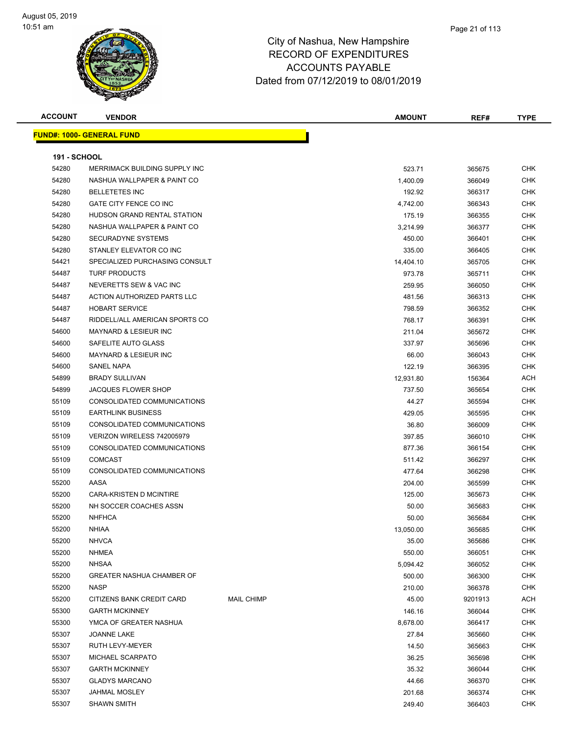

| <b>ACCOUNT</b>      | <b>VENDOR</b>                      |                   | <b>AMOUNT</b> | REF#    | <b>TYPE</b> |
|---------------------|------------------------------------|-------------------|---------------|---------|-------------|
|                     | <u> FUND#: 1000- GENERAL FUND</u>  |                   |               |         |             |
|                     |                                    |                   |               |         |             |
| <b>191 - SCHOOL</b> |                                    |                   |               |         |             |
| 54280               | MERRIMACK BUILDING SUPPLY INC      |                   | 523.71        | 365675  | <b>CHK</b>  |
| 54280               | NASHUA WALLPAPER & PAINT CO        |                   | 1,400.09      | 366049  | <b>CHK</b>  |
| 54280               | <b>BELLETETES INC</b>              |                   | 192.92        | 366317  | <b>CHK</b>  |
| 54280               | GATE CITY FENCE CO INC             |                   | 4,742.00      | 366343  | <b>CHK</b>  |
| 54280               | <b>HUDSON GRAND RENTAL STATION</b> |                   | 175.19        | 366355  | <b>CHK</b>  |
| 54280               | NASHUA WALLPAPER & PAINT CO        |                   | 3,214.99      | 366377  | <b>CHK</b>  |
| 54280               | SECURADYNE SYSTEMS                 |                   | 450.00        | 366401  | <b>CHK</b>  |
| 54280               | STANLEY ELEVATOR CO INC            |                   | 335.00        | 366405  | <b>CHK</b>  |
| 54421               | SPECIALIZED PURCHASING CONSULT     |                   | 14,404.10     | 365705  | <b>CHK</b>  |
| 54487               | <b>TURF PRODUCTS</b>               |                   | 973.78        | 365711  | <b>CHK</b>  |
| 54487               | NEVERETTS SEW & VAC INC            |                   | 259.95        | 366050  | <b>CHK</b>  |
| 54487               | ACTION AUTHORIZED PARTS LLC        |                   | 481.56        | 366313  | <b>CHK</b>  |
| 54487               | <b>HOBART SERVICE</b>              |                   | 798.59        | 366352  | <b>CHK</b>  |
| 54487               | RIDDELL/ALL AMERICAN SPORTS CO     |                   | 768.17        | 366391  | <b>CHK</b>  |
| 54600               | <b>MAYNARD &amp; LESIEUR INC</b>   |                   | 211.04        | 365672  | <b>CHK</b>  |
| 54600               | SAFELITE AUTO GLASS                |                   | 337.97        | 365696  | CHK         |
| 54600               | <b>MAYNARD &amp; LESIEUR INC</b>   |                   | 66.00         | 366043  | <b>CHK</b>  |
| 54600               | <b>SANEL NAPA</b>                  |                   | 122.19        | 366395  | <b>CHK</b>  |
| 54899               | <b>BRADY SULLIVAN</b>              |                   | 12,931.80     | 156364  | <b>ACH</b>  |
| 54899               | <b>JACQUES FLOWER SHOP</b>         |                   | 737.50        | 365654  | <b>CHK</b>  |
| 55109               | CONSOLIDATED COMMUNICATIONS        |                   | 44.27         | 365594  | <b>CHK</b>  |
| 55109               | <b>EARTHLINK BUSINESS</b>          |                   | 429.05        | 365595  | <b>CHK</b>  |
| 55109               | CONSOLIDATED COMMUNICATIONS        |                   | 36.80         | 366009  | <b>CHK</b>  |
| 55109               | VERIZON WIRELESS 742005979         |                   | 397.85        | 366010  | <b>CHK</b>  |
| 55109               | CONSOLIDATED COMMUNICATIONS        |                   | 877.36        | 366154  | <b>CHK</b>  |
| 55109               | <b>COMCAST</b>                     |                   | 511.42        | 366297  | <b>CHK</b>  |
| 55109               | CONSOLIDATED COMMUNICATIONS        |                   | 477.64        | 366298  | <b>CHK</b>  |
| 55200               | AASA                               |                   | 204.00        | 365599  | <b>CHK</b>  |
| 55200               | CARA-KRISTEN D MCINTIRE            |                   | 125.00        | 365673  | <b>CHK</b>  |
| 55200               | NH SOCCER COACHES ASSN             |                   | 50.00         | 365683  | <b>CHK</b>  |
| 55200               | <b>NHFHCA</b>                      |                   | 50.00         | 365684  | <b>CHK</b>  |
| 55200               | <b>NHIAA</b>                       |                   | 13,050.00     | 365685  | <b>CHK</b>  |
| 55200               | <b>NHVCA</b>                       |                   | 35.00         | 365686  | CHK         |
| 55200               | <b>NHMEA</b>                       |                   | 550.00        | 366051  | <b>CHK</b>  |
| 55200               | <b>NHSAA</b>                       |                   | 5,094.42      | 366052  | <b>CHK</b>  |
| 55200               | <b>GREATER NASHUA CHAMBER OF</b>   |                   | 500.00        | 366300  | <b>CHK</b>  |
| 55200               | <b>NASP</b>                        |                   | 210.00        | 366378  | <b>CHK</b>  |
| 55200               | CITIZENS BANK CREDIT CARD          | <b>MAIL CHIMP</b> | 45.00         | 9201913 | <b>ACH</b>  |
| 55300               | <b>GARTH MCKINNEY</b>              |                   | 146.16        | 366044  | <b>CHK</b>  |
| 55300               | YMCA OF GREATER NASHUA             |                   | 8,678.00      | 366417  | <b>CHK</b>  |
| 55307               | <b>JOANNE LAKE</b>                 |                   | 27.84         | 365660  | <b>CHK</b>  |
| 55307               | RUTH LEVY-MEYER                    |                   | 14.50         | 365663  | <b>CHK</b>  |
| 55307               | MICHAEL SCARPATO                   |                   | 36.25         | 365698  | <b>CHK</b>  |
| 55307               | <b>GARTH MCKINNEY</b>              |                   | 35.32         | 366044  | <b>CHK</b>  |
| 55307               | <b>GLADYS MARCANO</b>              |                   | 44.66         | 366370  | <b>CHK</b>  |
| 55307               | <b>JAHMAL MOSLEY</b>               |                   | 201.68        | 366374  | <b>CHK</b>  |
| 55307               | <b>SHAWN SMITH</b>                 |                   | 249.40        | 366403  | <b>CHK</b>  |
|                     |                                    |                   |               |         |             |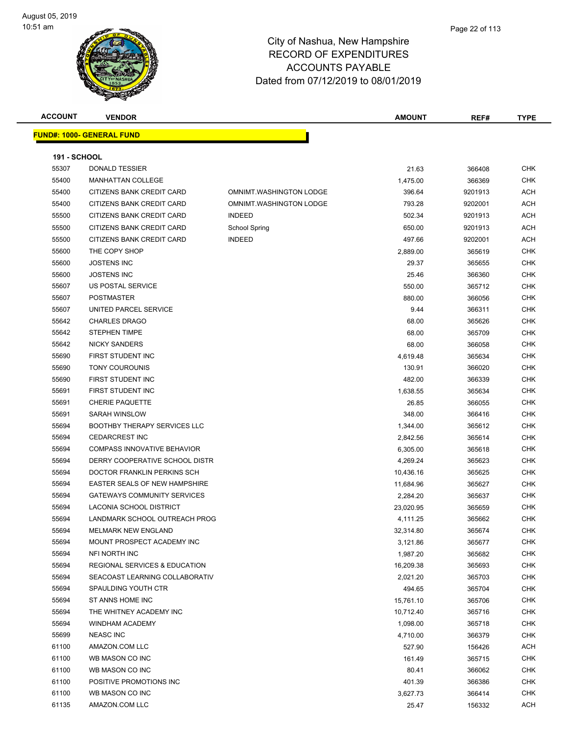| <b>ACCOUNT</b> | <b>VENDOR</b>                            |                         | <b>AMOUNT</b> | REF#    | <b>TYPE</b> |
|----------------|------------------------------------------|-------------------------|---------------|---------|-------------|
|                | <b>FUND#: 1000- GENERAL FUND</b>         |                         |               |         |             |
|                |                                          |                         |               |         |             |
| 191 - SCHOOL   |                                          |                         |               |         |             |
| 55307          | <b>DONALD TESSIER</b>                    |                         | 21.63         | 366408  | <b>CHK</b>  |
| 55400          | <b>MANHATTAN COLLEGE</b>                 |                         | 1,475.00      | 366369  | <b>CHK</b>  |
| 55400          | CITIZENS BANK CREDIT CARD                | OMNIMT.WASHINGTON LODGE | 396.64        | 9201913 | <b>ACH</b>  |
| 55400          | CITIZENS BANK CREDIT CARD                | OMNIMT.WASHINGTON LODGE | 793.28        | 9202001 | <b>ACH</b>  |
| 55500          | CITIZENS BANK CREDIT CARD                | <b>INDEED</b>           | 502.34        | 9201913 | ACH         |
| 55500          | CITIZENS BANK CREDIT CARD                | <b>School Spring</b>    | 650.00        | 9201913 | <b>ACH</b>  |
| 55500          | CITIZENS BANK CREDIT CARD                | <b>INDEED</b>           | 497.66        | 9202001 | ACH         |
| 55600          | THE COPY SHOP                            |                         | 2,889.00      | 365619  | <b>CHK</b>  |
| 55600          | <b>JOSTENS INC</b>                       |                         | 29.37         | 365655  | <b>CHK</b>  |
| 55600          | <b>JOSTENS INC</b>                       |                         | 25.46         | 366360  | <b>CHK</b>  |
| 55607          | US POSTAL SERVICE                        |                         | 550.00        | 365712  | <b>CHK</b>  |
| 55607          | <b>POSTMASTER</b>                        |                         | 880.00        | 366056  | <b>CHK</b>  |
| 55607          | UNITED PARCEL SERVICE                    |                         | 9.44          | 366311  | <b>CHK</b>  |
| 55642          | <b>CHARLES DRAGO</b>                     |                         | 68.00         | 365626  | <b>CHK</b>  |
| 55642          | <b>STEPHEN TIMPE</b>                     |                         | 68.00         | 365709  | <b>CHK</b>  |
| 55642          | <b>NICKY SANDERS</b>                     |                         | 68.00         | 366058  | <b>CHK</b>  |
| 55690          | FIRST STUDENT INC                        |                         | 4,619.48      | 365634  | <b>CHK</b>  |
| 55690          | <b>TONY COUROUNIS</b>                    |                         | 130.91        | 366020  | <b>CHK</b>  |
| 55690          | FIRST STUDENT INC                        |                         | 482.00        | 366339  | <b>CHK</b>  |
| 55691          | FIRST STUDENT INC                        |                         | 1,638.55      | 365634  | <b>CHK</b>  |
| 55691          | <b>CHERIE PAQUETTE</b>                   |                         | 26.85         | 366055  | <b>CHK</b>  |
| 55691          | SARAH WINSLOW                            |                         | 348.00        | 366416  | <b>CHK</b>  |
| 55694          | <b>BOOTHBY THERAPY SERVICES LLC</b>      |                         | 1,344.00      | 365612  | <b>CHK</b>  |
| 55694          | <b>CEDARCREST INC</b>                    |                         | 2,842.56      | 365614  | <b>CHK</b>  |
| 55694          | <b>COMPASS INNOVATIVE BEHAVIOR</b>       |                         | 6,305.00      | 365618  | <b>CHK</b>  |
| 55694          | DERRY COOPERATIVE SCHOOL DISTR           |                         | 4,269.24      | 365623  | <b>CHK</b>  |
| 55694          | DOCTOR FRANKLIN PERKINS SCH              |                         | 10,436.16     | 365625  | <b>CHK</b>  |
| 55694          | <b>EASTER SEALS OF NEW HAMPSHIRE</b>     |                         | 11,684.96     | 365627  | <b>CHK</b>  |
| 55694          | <b>GATEWAYS COMMUNITY SERVICES</b>       |                         | 2,284.20      | 365637  | <b>CHK</b>  |
| 55694          | LACONIA SCHOOL DISTRICT                  |                         | 23,020.95     | 365659  | <b>CHK</b>  |
| 55694          | LANDMARK SCHOOL OUTREACH PROG            |                         | 4,111.25      | 365662  | <b>CHK</b>  |
| 55694          | MELMARK NEW ENGLAND                      |                         | 32,314.80     | 365674  | CHK         |
| 55694          | MOUNT PROSPECT ACADEMY INC               |                         | 3,121.86      | 365677  | <b>CHK</b>  |
| 55694          | <b>NFI NORTH INC</b>                     |                         | 1,987.20      | 365682  | <b>CHK</b>  |
| 55694          | <b>REGIONAL SERVICES &amp; EDUCATION</b> |                         | 16,209.38     | 365693  | <b>CHK</b>  |
| 55694          | SEACOAST LEARNING COLLABORATIV           |                         | 2,021.20      | 365703  | <b>CHK</b>  |
| 55694          | SPAULDING YOUTH CTR                      |                         | 494.65        | 365704  | <b>CHK</b>  |
| 55694          | ST ANNS HOME INC                         |                         | 15,761.10     | 365706  | <b>CHK</b>  |
| 55694          | THE WHITNEY ACADEMY INC                  |                         | 10,712.40     | 365716  | <b>CHK</b>  |
| 55694          | WINDHAM ACADEMY                          |                         | 1,098.00      | 365718  | <b>CHK</b>  |
| 55699          | <b>NEASCINC</b>                          |                         | 4,710.00      | 366379  | <b>CHK</b>  |
| 61100          | AMAZON.COM LLC                           |                         | 527.90        | 156426  | ACH         |
| 61100          | WB MASON CO INC                          |                         | 161.49        | 365715  | <b>CHK</b>  |
| 61100          | WB MASON CO INC                          |                         | 80.41         | 366062  | <b>CHK</b>  |
| 61100          | POSITIVE PROMOTIONS INC                  |                         | 401.39        | 366386  | <b>CHK</b>  |
| 61100          | WB MASON CO INC                          |                         | 3,627.73      | 366414  | CHK         |
| 61135          | AMAZON.COM LLC                           |                         | 25.47         | 156332  | <b>ACH</b>  |
|                |                                          |                         |               |         |             |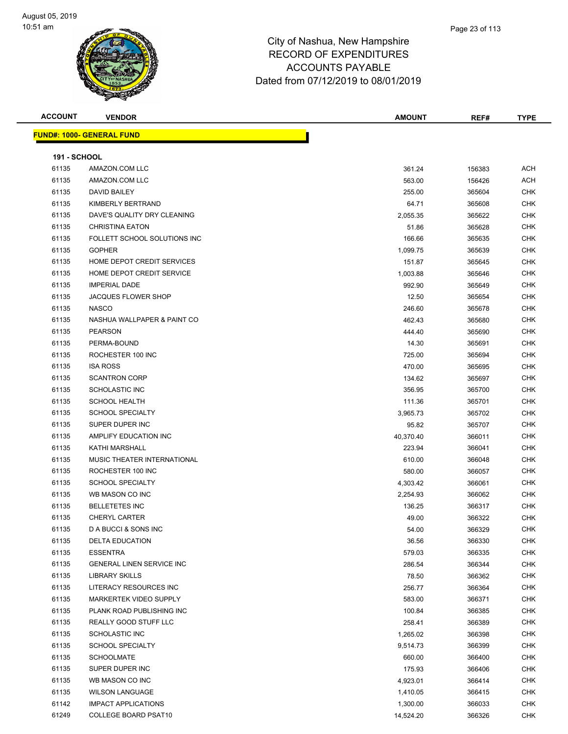## Page 23 of 113

# City of Nashua, New Hampshire RECORD OF EXPENDITURES ACCOUNTS PAYABLE Dated from 07/12/2019 to 08/01/2019

| <b>ACCOUNT</b> | VEND |
|----------------|------|
|                |      |

**FUND#: 100** 

| ACCOUNT      | <b>VENDOR</b>                     | <b>AMOUNT</b> | REF#   | <b>TYPE</b> |
|--------------|-----------------------------------|---------------|--------|-------------|
|              |                                   |               |        |             |
|              | <u> IND#: 1000- GENERAL FUNDI</u> |               |        |             |
| 191 - SCHOOL |                                   |               |        |             |
| 61135        | AMAZON.COM LLC                    | 361.24        | 156383 | ACH         |

| <b>UIIUU</b> | <b>AIVIALUIV.UUIVI LLU</b>       | ∪∪ .∠ .   | 199999 | <b>AVII</b> |
|--------------|----------------------------------|-----------|--------|-------------|
| 61135        | AMAZON.COM LLC                   | 563.00    | 156426 | ACH         |
| 61135        | DAVID BAILEY                     | 255.00    | 365604 | CHK         |
| 61135        | KIMBERLY BERTRAND                | 64.71     | 365608 | CHK         |
| 61135        | DAVE'S QUALITY DRY CLEANING      | 2,055.35  | 365622 | CHK         |
| 61135        | <b>CHRISTINA EATON</b>           | 51.86     | 365628 | CHK         |
| 61135        | FOLLETT SCHOOL SOLUTIONS INC     | 166.66    | 365635 | CHK         |
| 61135        | <b>GOPHER</b>                    | 1,099.75  | 365639 | CHK         |
| 61135        | HOME DEPOT CREDIT SERVICES       | 151.87    | 365645 | CHK         |
| 61135        | HOME DEPOT CREDIT SERVICE        | 1,003.88  | 365646 | CHK         |
| 61135        | <b>IMPERIAL DADE</b>             | 992.90    | 365649 | CHK         |
| 61135        | <b>JACQUES FLOWER SHOP</b>       | 12.50     | 365654 | CHK         |
| 61135        | <b>NASCO</b>                     | 246.60    | 365678 | CHK         |
| 61135        | NASHUA WALLPAPER & PAINT CO      | 462.43    | 365680 | CHK         |
| 61135        | <b>PEARSON</b>                   | 444.40    | 365690 | CHK         |
| 61135        | PERMA-BOUND                      | 14.30     | 365691 | CHK         |
| 61135        | ROCHESTER 100 INC                | 725.00    | 365694 | CHK         |
| 61135        | <b>ISA ROSS</b>                  | 470.00    | 365695 | <b>CHK</b>  |
| 61135        | <b>SCANTRON CORP</b>             | 134.62    | 365697 | CHK         |
| 61135        | <b>SCHOLASTIC INC</b>            | 356.95    | 365700 | CHK         |
| 61135        | <b>SCHOOL HEALTH</b>             | 111.36    | 365701 | CHK         |
| 61135        | <b>SCHOOL SPECIALTY</b>          | 3,965.73  | 365702 | CHK         |
| 61135        | SUPER DUPER INC                  | 95.82     | 365707 | CHK         |
| 61135        | AMPLIFY EDUCATION INC            | 40,370.40 | 366011 | CHK         |
| 61135        | KATHI MARSHALL                   | 223.94    | 366041 | CHK         |
| 61135        | MUSIC THEATER INTERNATIONAL      | 610.00    | 366048 | CHK         |
| 61135        | ROCHESTER 100 INC                | 580.00    | 366057 | CHK         |
| 61135        | <b>SCHOOL SPECIALTY</b>          | 4,303.42  | 366061 | CHK         |
| 61135        | WB MASON CO INC                  | 2,254.93  | 366062 | CHK         |
| 61135        | <b>BELLETETES INC</b>            | 136.25    | 366317 | CHK         |
| 61135        | <b>CHERYL CARTER</b>             | 49.00     | 366322 | CHK         |
| 61135        | D A BUCCI & SONS INC             | 54.00     | 366329 | CHK         |
| 61135        | <b>DELTA EDUCATION</b>           | 36.56     | 366330 | CHK         |
| 61135        | <b>ESSENTRA</b>                  | 579.03    | 366335 | CHK         |
| 61135        | <b>GENERAL LINEN SERVICE INC</b> | 286.54    | 366344 | CHK         |
| 61135        | <b>LIBRARY SKILLS</b>            | 78.50     | 366362 | CHK         |
| 61135        | LITERACY RESOURCES INC           | 256.77    | 366364 | <b>CHK</b>  |
| 61135        | MARKERTEK VIDEO SUPPLY           | 583.00    | 366371 | CHK         |
| 61135        | PLANK ROAD PUBLISHING INC        | 100.84    | 366385 | <b>CHK</b>  |
| 61135        | REALLY GOOD STUFF LLC            | 258.41    | 366389 | <b>CHK</b>  |
| 61135        | <b>SCHOLASTIC INC</b>            | 1,265.02  | 366398 | CHK         |
| 61135        | <b>SCHOOL SPECIALTY</b>          | 9,514.73  | 366399 | <b>CHK</b>  |
| 61135        | <b>SCHOOLMATE</b>                | 660.00    | 366400 | <b>CHK</b>  |
| 61135        | SUPER DUPER INC                  | 175.93    | 366406 | CHK         |
| 61135        | WB MASON CO INC                  | 4,923.01  | 366414 | CHK         |
| 61135        | <b>WILSON LANGUAGE</b>           | 1,410.05  | 366415 | CHK         |
| 61142        | <b>IMPACT APPLICATIONS</b>       | 1,300.00  | 366033 | CHK         |
| 61249        | COLLEGE BOARD PSAT10             | 14,524.20 | 366326 | <b>CHK</b>  |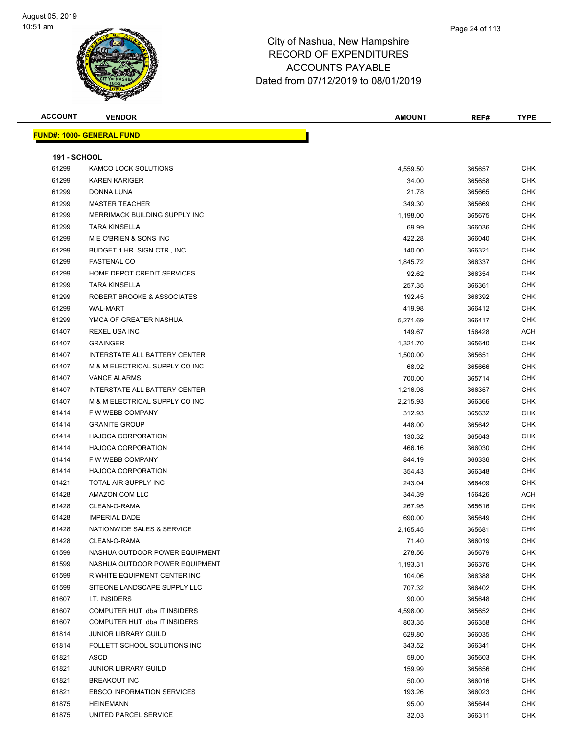

| <b>ACCOUNT</b>      | <b>VENDOR</b>                        | <b>AMOUNT</b> | REF#   | <b>TYPE</b> |
|---------------------|--------------------------------------|---------------|--------|-------------|
|                     | <b>FUND#: 1000- GENERAL FUND</b>     |               |        |             |
|                     |                                      |               |        |             |
| <b>191 - SCHOOL</b> |                                      |               |        |             |
| 61299               | <b>KAMCO LOCK SOLUTIONS</b>          | 4,559.50      | 365657 | <b>CHK</b>  |
| 61299               | <b>KAREN KARIGER</b>                 | 34.00         | 365658 | <b>CHK</b>  |
| 61299               | DONNA LUNA                           | 21.78         | 365665 | <b>CHK</b>  |
| 61299               | <b>MASTER TEACHER</b>                | 349.30        | 365669 | CHK         |
| 61299               | <b>MERRIMACK BUILDING SUPPLY INC</b> | 1,198.00      | 365675 | CHK         |
| 61299               | <b>TARA KINSELLA</b>                 | 69.99         | 366036 | <b>CHK</b>  |
| 61299               | ME O'BRIEN & SONS INC                | 422.28        | 366040 | <b>CHK</b>  |
| 61299               | BUDGET 1 HR. SIGN CTR., INC          | 140.00        | 366321 | CHK         |
| 61299               | <b>FASTENAL CO</b>                   | 1,845.72      | 366337 | <b>CHK</b>  |
| 61299               | HOME DEPOT CREDIT SERVICES           | 92.62         | 366354 | <b>CHK</b>  |
| 61299               | <b>TARA KINSELLA</b>                 | 257.35        | 366361 | <b>CHK</b>  |
| 61299               | ROBERT BROOKE & ASSOCIATES           | 192.45        | 366392 | CHK         |
| 61299               | <b>WAL-MART</b>                      | 419.98        | 366412 | CHK         |
| 61299               | YMCA OF GREATER NASHUA               | 5,271.69      | 366417 | <b>CHK</b>  |
| 61407               | <b>REXEL USA INC</b>                 | 149.67        | 156428 | ACH         |
| 61407               | <b>GRAINGER</b>                      | 1,321.70      | 365640 | <b>CHK</b>  |
| 61407               | INTERSTATE ALL BATTERY CENTER        | 1,500.00      | 365651 | <b>CHK</b>  |
| 61407               | M & M ELECTRICAL SUPPLY CO INC       | 68.92         | 365666 | <b>CHK</b>  |
| 61407               | <b>VANCE ALARMS</b>                  | 700.00        | 365714 | CHK         |
| 61407               | INTERSTATE ALL BATTERY CENTER        | 1,216.98      | 366357 | <b>CHK</b>  |
| 61407               | M & M ELECTRICAL SUPPLY CO INC       | 2,215.93      | 366366 | <b>CHK</b>  |
| 61414               | F W WEBB COMPANY                     | 312.93        | 365632 | <b>CHK</b>  |
| 61414               | <b>GRANITE GROUP</b>                 | 448.00        | 365642 | <b>CHK</b>  |
| 61414               | <b>HAJOCA CORPORATION</b>            | 130.32        | 365643 | CHK         |
| 61414               | <b>HAJOCA CORPORATION</b>            | 466.16        | 366030 | <b>CHK</b>  |
| 61414               | F W WEBB COMPANY                     | 844.19        | 366336 | CHK         |
| 61414               | <b>HAJOCA CORPORATION</b>            | 354.43        | 366348 | CHK         |
| 61421               | TOTAL AIR SUPPLY INC                 | 243.04        | 366409 | CHK         |
| 61428               | AMAZON.COM LLC                       | 344.39        | 156426 | ACH         |
| 61428               | CLEAN-O-RAMA                         | 267.95        | 365616 | CHK         |
| 61428               | <b>IMPERIAL DADE</b>                 | 690.00        | 365649 | <b>CHK</b>  |
| 61428               | NATIONWIDE SALES & SERVICE           | 2,165.45      | 365681 | CHK         |
| 61428               | CLEAN-O-RAMA                         | 71.40         | 366019 | <b>CHK</b>  |
| 61599               | NASHUA OUTDOOR POWER EQUIPMENT       | 278.56        | 365679 | <b>CHK</b>  |
| 61599               | NASHUA OUTDOOR POWER EQUIPMENT       | 1,193.31      | 366376 | <b>CHK</b>  |
| 61599               | R WHITE EQUIPMENT CENTER INC         |               |        | <b>CHK</b>  |
| 61599               | SITEONE LANDSCAPE SUPPLY LLC         | 104.06        | 366388 |             |
|                     |                                      | 707.32        | 366402 | CHK         |
| 61607               | I.T. INSIDERS                        | 90.00         | 365648 | <b>CHK</b>  |
| 61607               | COMPUTER HUT dba IT INSIDERS         | 4,598.00      | 365652 | CHK         |
| 61607               | COMPUTER HUT dba IT INSIDERS         | 803.35        | 366358 | CHK         |
| 61814               | <b>JUNIOR LIBRARY GUILD</b>          | 629.80        | 366035 | CHK         |
| 61814               | FOLLETT SCHOOL SOLUTIONS INC         | 343.52        | 366341 | CHK         |
| 61821               | ASCD                                 | 59.00         | 365603 | <b>CHK</b>  |
| 61821               | <b>JUNIOR LIBRARY GUILD</b>          | 159.99        | 365656 | <b>CHK</b>  |
| 61821               | <b>BREAKOUT INC</b>                  | 50.00         | 366016 | CHK         |
| 61821               | <b>EBSCO INFORMATION SERVICES</b>    | 193.26        | 366023 | CHK         |
| 61875               | <b>HEINEMANN</b>                     | 95.00         | 365644 | <b>CHK</b>  |
| 61875               | UNITED PARCEL SERVICE                | 32.03         | 366311 | <b>CHK</b>  |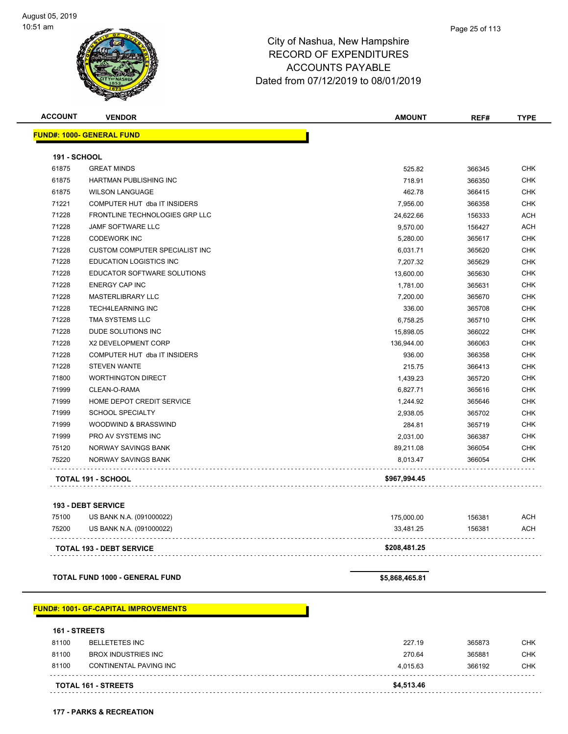

### Page 25 of 113

## City of Nashua, New Hampshire RECORD OF EXPENDITURES ACCOUNTS PAYABLE Dated from 07/12/2019 to 08/01/2019

| COUNT:<br>^' | <b>VENDOR</b> | <b>AMOUN<sup>T</sup></b> | REF#<br>RE. | <b>TYPF</b> |
|--------------|---------------|--------------------------|-------------|-------------|
|              |               |                          |             |             |

|                     | <b>FUND#: 1000- GENERAL FUND</b>      |            |        |            |
|---------------------|---------------------------------------|------------|--------|------------|
| <b>191 - SCHOOL</b> |                                       |            |        |            |
| 61875               | <b>GREAT MINDS</b>                    | 525.82     | 366345 | <b>CHK</b> |
| 61875               | <b>HARTMAN PUBLISHING INC</b>         | 718.91     | 366350 | <b>CHK</b> |
| 61875               | <b>WILSON LANGUAGE</b>                | 462.78     | 366415 |            |
| 71221               | COMPUTER HUT dba IT INSIDERS          | 7,956.00   | 366358 |            |
| 71228               | FRONTLINE TECHNOLOGIES GRP LLC        | 24,622.66  | 156333 | <b>ACH</b> |
| 71228               | <b>JAMF SOFTWARE LLC</b>              | 9,570.00   | 156427 | <b>ACH</b> |
| 71228               | <b>CODEWORK INC</b>                   | 5,280.00   | 365617 |            |
| 71228               | <b>CUSTOM COMPUTER SPECIALIST INC</b> | 6,031.71   | 365620 |            |
| 71228               | <b>EDUCATION LOGISTICS INC.</b>       | 7,207.32   | 365629 |            |
| 71228               | EDUCATOR SOFTWARE SOLUTIONS           | 13,600.00  | 365630 | <b>CHK</b> |
| 71228               | <b>ENERGY CAP INC</b>                 | 1,781.00   | 365631 | <b>CHK</b> |
| 71228               | <b>MASTERLIBRARY LLC</b>              | 7,200.00   | 365670 |            |
| 71228               | <b>TECH4LEARNING INC</b>              | 336.00     | 365708 | <b>CHK</b> |
| 71228               | TMA SYSTEMS LLC                       | 6,758.25   | 365710 | <b>CHK</b> |
| 71228               | DUDE SOLUTIONS INC                    | 15,898.05  | 366022 | <b>CHK</b> |
| 71228               | <b>X2 DEVELOPMENT CORP</b>            | 136,944.00 | 366063 | <b>CHK</b> |
| 71228               | COMPUTER HUT dba IT INSIDERS          | 936.00     | 366358 |            |
| 71228               | <b>STEVEN WANTE</b>                   | 215.75     | 366413 |            |

The Morth World World (1999) STATE STATE STATE STATE STATE STATE STATE STATE STATE STATE STATE STATE STATE STATE STATE STATE STATE STATE STATE STATE STATE STATE STATE STATE STATE STATE STATE STATE STATE STATE STATE STATE S CLEAN-O-RAMA 6,827.71 365616 CHK The Secret of the Service of the Service 1,244.92 and the Service of the Service of the Service of the Service of the Service of the Service of the Service of the Service of the Service of the Service of the Service of the SCHOOL SPECIALTY 2,938.05 365702 CHK WOODWIND & BRASSWIND 284.81 365719 CHK PRO AV SYSTEMS INC 2,031.00 366387 CHK NORWAY SAVINGS BANK 89,211.08 366054 CHK NORWAY SAVINGS BANK 8,013.47 366054 CHK

. . . . . . . . .

. . . . . . . .

. . . . .

 $\mathbb{R}^2$ 

|       | <b>TOTAL 193 - DEBT SERVICE</b> | \$208,481.25 |        |            |
|-------|---------------------------------|--------------|--------|------------|
| 75200 | US BANK N.A. (091000022)        | 33.481.25    | 156381 | <b>ACH</b> |
| 75100 | US BANK N.A. (091000022)        | 175.000.00   | 156381 | <b>ACH</b> |
|       | <b>193 - DEBT SERVICE</b>       |              |        |            |

**TOTAL 191 - SCHOOL \$967,994.45**

**TOTAL FUND 1000 - GENERAL FUND \$5,868,465.81** 

### **FUND#: 1001- GF-CAPITAL IMPROVEMENTS**

**161 - STREETS**

| <b>TOTAL 161 - STREETS</b> |                 |                        | \$4,513,46 |        |            |
|----------------------------|-----------------|------------------------|------------|--------|------------|
|                            | 81100           | CONTINENTAL PAVING INC | 4.015.63   | 366192 | <b>CHK</b> |
|                            | 81100           | BROX INDUSTRIES INC    | 270.64     | 365881 | <b>CHK</b> |
|                            | 81100           | BELLETETES INC         | 227.19     | 365873 | <b>CHK</b> |
|                            | 191 - 91 NEL 19 |                        |            |        |            |

**177 - PARKS & RECREATION**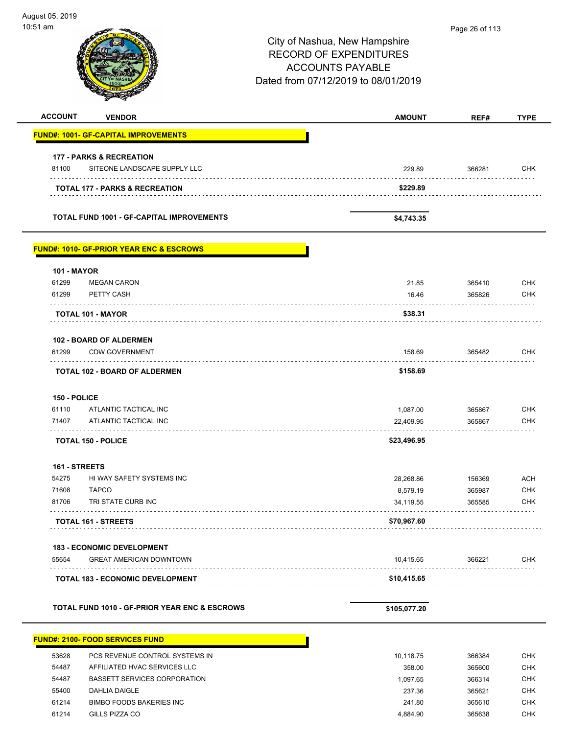| 10:51 am           |                                                          |                                                                                                                                  | Page 26 of 113 |             |
|--------------------|----------------------------------------------------------|----------------------------------------------------------------------------------------------------------------------------------|----------------|-------------|
|                    |                                                          | City of Nashua, New Hampshire<br><b>RECORD OF EXPENDITURES</b><br><b>ACCOUNTS PAYABLE</b><br>Dated from 07/12/2019 to 08/01/2019 |                |             |
| <b>ACCOUNT</b>     | <b>VENDOR</b>                                            | <b>AMOUNT</b>                                                                                                                    | REF#           | <b>TYPE</b> |
|                    | <b>FUND#: 1001- GF-CAPITAL IMPROVEMENTS</b>              |                                                                                                                                  |                |             |
|                    | <b>177 - PARKS &amp; RECREATION</b>                      |                                                                                                                                  |                |             |
| 81100              | SITEONE LANDSCAPE SUPPLY LLC                             | 229.89                                                                                                                           | 366281         | CHK         |
|                    | <b>TOTAL 177 - PARKS &amp; RECREATION</b>                | \$229.89                                                                                                                         |                |             |
|                    | <b>TOTAL FUND 1001 - GF-CAPITAL IMPROVEMENTS</b>         | \$4,743.35                                                                                                                       |                |             |
|                    | <b>FUND#: 1010- GF-PRIOR YEAR ENC &amp; ESCROWS</b>      |                                                                                                                                  |                |             |
| <b>101 - MAYOR</b> |                                                          |                                                                                                                                  |                |             |
| 61299              | <b>MEGAN CARON</b>                                       | 21.85                                                                                                                            | 365410         | <b>CHK</b>  |
| 61299              | PETTY CASH                                               | 16.46                                                                                                                            | 365826         | <b>CHK</b>  |
|                    | <b>TOTAL 101 - MAYOR</b>                                 | \$38.31                                                                                                                          |                |             |
|                    | <b>102 - BOARD OF ALDERMEN</b>                           |                                                                                                                                  |                |             |
| 61299              | <b>CDW GOVERNMENT</b>                                    | 158.69                                                                                                                           | 365482         | CHK         |
|                    | <b>TOTAL 102 - BOARD OF ALDERMEN</b>                     | \$158.69                                                                                                                         |                |             |
| 150 - POLICE       |                                                          |                                                                                                                                  |                |             |
| 61110              | ATLANTIC TACTICAL INC                                    | 1,087.00                                                                                                                         | 365867         | <b>CHK</b>  |
| 71407              | ATLANTIC TACTICAL INC                                    | 22,409.95                                                                                                                        | 365867         | <b>CHK</b>  |
|                    | <b>TOTAL 150 - POLICE</b>                                | \$23,496.95                                                                                                                      |                |             |
|                    | 161 - STREETS                                            |                                                                                                                                  |                |             |
| 54275              | HI WAY SAFETY SYSTEMS INC                                | 28,268.86                                                                                                                        | 156369         | <b>ACH</b>  |
| 71608              | <b>TAPCO</b>                                             | 8,579.19                                                                                                                         | 365987         | <b>CHK</b>  |
| 81706              | TRI STATE CURB INC                                       | 34,119.55                                                                                                                        | 365585         | <b>CHK</b>  |
|                    | <b>TOTAL 161 - STREETS</b>                               | \$70,967.60                                                                                                                      |                |             |
|                    | 183 - ECONOMIC DEVELOPMENT                               |                                                                                                                                  |                |             |
| 55654<br>.         | <b>GREAT AMERICAN DOWNTOWN</b>                           | 10,415.65                                                                                                                        | 366221         | CHK         |
|                    | <b>TOTAL 183 - ECONOMIC DEVELOPMENT</b>                  | \$10,415.65                                                                                                                      |                |             |
|                    | <b>TOTAL FUND 1010 - GF-PRIOR YEAR ENC &amp; ESCROWS</b> | \$105,077.20                                                                                                                     |                |             |
|                    | <u> FUND#: 2100- FOOD SERVICES FUND</u>                  |                                                                                                                                  |                |             |
| 53628              | PCS REVENUE CONTROL SYSTEMS IN                           | 10,118.75                                                                                                                        | 366384         | <b>CHK</b>  |
| 54487              | AFFILIATED HVAC SERVICES LLC                             | 358.00                                                                                                                           | 365600         | <b>CHK</b>  |

| 54487 | BASSETT SERVICES CORPORATION | 1.097.65 | 366314 | СНК |
|-------|------------------------------|----------|--------|-----|
| 55400 | DAHLIA DAIGLE                | 237.36   | 365621 | CHK |
| 61214 | BIMBO FOODS BAKERIES INC     | 241.80   | 365610 | CHK |
| 61214 | GILLS PIZZA CO               | 4.884.90 | 365638 | CHK |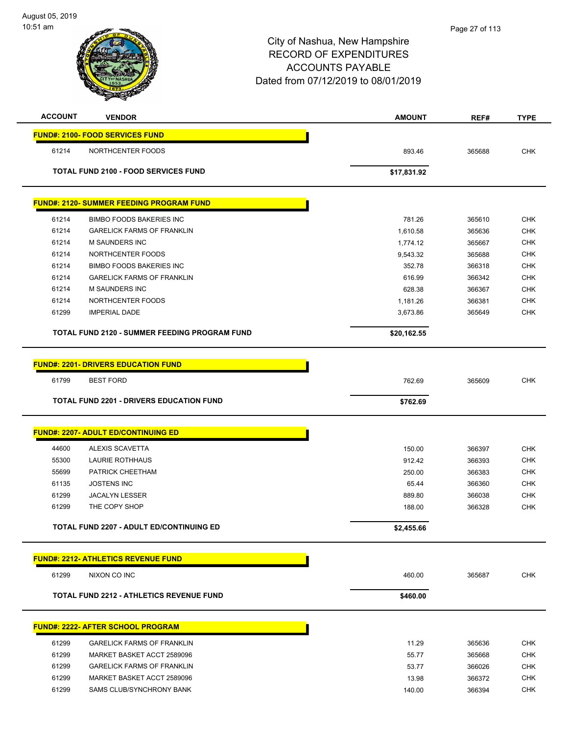| <b>ACCOUNT</b> | <b>VENDOR</b>                                        | <b>AMOUNT</b> | REF#   | <b>TYPE</b> |
|----------------|------------------------------------------------------|---------------|--------|-------------|
|                | <b>FUND#: 2100- FOOD SERVICES FUND</b>               |               |        |             |
| 61214          | NORTHCENTER FOODS                                    | 893.46        | 365688 | <b>CHK</b>  |
|                | <b>TOTAL FUND 2100 - FOOD SERVICES FUND</b>          | \$17,831.92   |        |             |
|                |                                                      |               |        |             |
|                | <b>FUND#: 2120- SUMMER FEEDING PROGRAM FUND</b>      |               |        |             |
| 61214          | <b>BIMBO FOODS BAKERIES INC</b>                      | 781.26        | 365610 | <b>CHK</b>  |
| 61214          | <b>GARELICK FARMS OF FRANKLIN</b>                    | 1,610.58      | 365636 | <b>CHK</b>  |
| 61214          | <b>M SAUNDERS INC</b>                                | 1,774.12      | 365667 | <b>CHK</b>  |
| 61214          | NORTHCENTER FOODS                                    | 9,543.32      | 365688 | <b>CHK</b>  |
| 61214          | <b>BIMBO FOODS BAKERIES INC</b>                      | 352.78        | 366318 | <b>CHK</b>  |
| 61214          | <b>GARELICK FARMS OF FRANKLIN</b>                    | 616.99        | 366342 | <b>CHK</b>  |
| 61214          | M SAUNDERS INC                                       | 628.38        | 366367 | <b>CHK</b>  |
| 61214          | NORTHCENTER FOODS                                    | 1,181.26      | 366381 | CHK         |
| 61299          | <b>IMPERIAL DADE</b>                                 | 3,673.86      | 365649 | <b>CHK</b>  |
|                | <b>TOTAL FUND 2120 - SUMMER FEEDING PROGRAM FUND</b> | \$20,162.55   |        |             |
|                |                                                      |               |        |             |
|                | <b>FUND#: 2201- DRIVERS EDUCATION FUND</b>           |               |        |             |
| 61799          | <b>BEST FORD</b>                                     | 762.69        | 365609 | <b>CHK</b>  |
|                | <b>TOTAL FUND 2201 - DRIVERS EDUCATION FUND</b>      | \$762.69      |        |             |
|                |                                                      |               |        |             |
|                | <b>FUND#: 2207- ADULT ED/CONTINUING ED</b>           |               |        |             |
| 44600          | ALEXIS SCAVETTA                                      | 150.00        | 366397 | <b>CHK</b>  |
| 55300          | <b>LAURIE ROTHHAUS</b>                               | 912.42        | 366393 | <b>CHK</b>  |
| 55699          | PATRICK CHEETHAM                                     | 250.00        | 366383 | <b>CHK</b>  |
| 61135          | <b>JOSTENS INC</b>                                   | 65.44         | 366360 | <b>CHK</b>  |
| 61299          | <b>JACALYN LESSER</b>                                | 889.80        | 366038 | <b>CHK</b>  |
| 61299          | THE COPY SHOP                                        | 188.00        | 366328 | <b>CHK</b>  |
|                | <b>TOTAL FUND 2207 - ADULT ED/CONTINUING ED</b>      | \$2,455.66    |        |             |
|                | <b>FUND#: 2212- ATHLETICS REVENUE FUND</b>           |               |        |             |
| 61299          | NIXON CO INC                                         | 460.00        | 365687 | <b>CHK</b>  |
|                |                                                      |               |        |             |
|                | <b>TOTAL FUND 2212 - ATHLETICS REVENUE FUND</b>      | \$460.00      |        |             |
|                | <b>FUND#: 2222- AFTER SCHOOL PROGRAM</b>             |               |        |             |
| 61299          | <b>GARELICK FARMS OF FRANKLIN</b>                    | 11.29         | 365636 | <b>CHK</b>  |
| 61299          | MARKET BASKET ACCT 2589096                           | 55.77         | 365668 | <b>CHK</b>  |
| 61299          | <b>GARELICK FARMS OF FRANKLIN</b>                    | 53.77         | 366026 | <b>CHK</b>  |
| 61299          | MARKET BASKET ACCT 2589096                           | 13.98         | 366372 | <b>CHK</b>  |
| 61299          | SAMS CLUB/SYNCHRONY BANK                             | 140.00        | 366394 | <b>CHK</b>  |
|                |                                                      |               |        |             |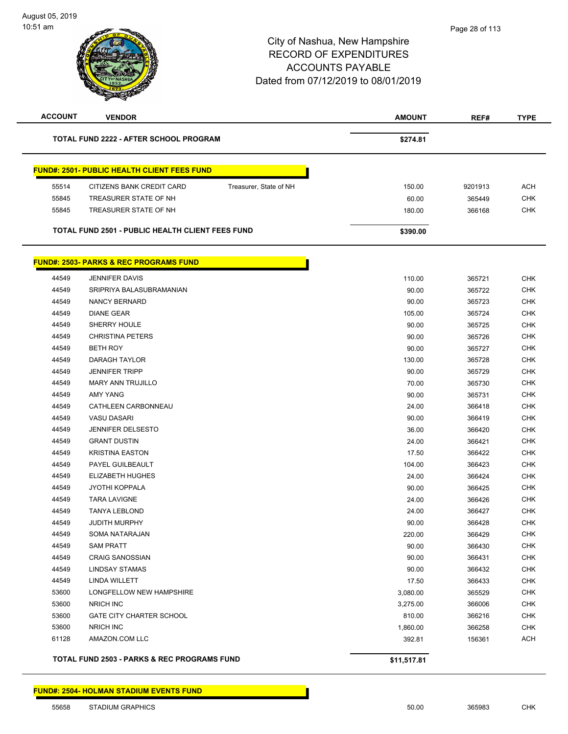| <b>ACCOUNT</b> | <b>VENDOR</b>                                           |                        | AMOUNT      | REF#    | <b>TYPE</b> |
|----------------|---------------------------------------------------------|------------------------|-------------|---------|-------------|
|                | <b>TOTAL FUND 2222 - AFTER SCHOOL PROGRAM</b>           |                        | \$274.81    |         |             |
|                | <b>FUND#: 2501- PUBLIC HEALTH CLIENT FEES FUND</b>      |                        |             |         |             |
| 55514          | CITIZENS BANK CREDIT CARD                               | Treasurer, State of NH | 150.00      | 9201913 | <b>ACH</b>  |
| 55845          | TREASURER STATE OF NH                                   |                        | 60.00       | 365449  | <b>CHK</b>  |
| 55845          | TREASURER STATE OF NH                                   |                        | 180.00      | 366168  | <b>CHK</b>  |
|                | <b>TOTAL FUND 2501 - PUBLIC HEALTH CLIENT FEES FUND</b> |                        | \$390.00    |         |             |
|                |                                                         |                        |             |         |             |
|                | <b>FUND#: 2503- PARKS &amp; REC PROGRAMS FUND</b>       |                        |             |         |             |
| 44549          | <b>JENNIFER DAVIS</b>                                   |                        | 110.00      | 365721  | <b>CHK</b>  |
| 44549          | SRIPRIYA BALASUBRAMANIAN                                |                        | 90.00       | 365722  | <b>CHK</b>  |
| 44549          | <b>NANCY BERNARD</b>                                    |                        | 90.00       | 365723  | <b>CHK</b>  |
| 44549          | <b>DIANE GEAR</b>                                       |                        | 105.00      | 365724  | <b>CHK</b>  |
| 44549          | <b>SHERRY HOULE</b>                                     |                        | 90.00       | 365725  | <b>CHK</b>  |
| 44549          | <b>CHRISTINA PETERS</b>                                 |                        | 90.00       | 365726  | <b>CHK</b>  |
| 44549          | <b>BETH ROY</b>                                         |                        | 90.00       | 365727  | <b>CHK</b>  |
| 44549          | <b>DARAGH TAYLOR</b>                                    |                        | 130.00      | 365728  | <b>CHK</b>  |
| 44549          | <b>JENNIFER TRIPP</b>                                   |                        | 90.00       | 365729  | <b>CHK</b>  |
| 44549          | <b>MARY ANN TRUJILLO</b>                                |                        | 70.00       | 365730  | <b>CHK</b>  |
| 44549          | <b>AMY YANG</b>                                         |                        | 90.00       | 365731  | <b>CHK</b>  |
| 44549          | CATHLEEN CARBONNEAU                                     |                        | 24.00       | 366418  | <b>CHK</b>  |
| 44549          | <b>VASU DASARI</b>                                      |                        | 90.00       | 366419  | <b>CHK</b>  |
| 44549          | <b>JENNIFER DELSESTO</b>                                |                        | 36.00       | 366420  | <b>CHK</b>  |
| 44549          | <b>GRANT DUSTIN</b>                                     |                        | 24.00       | 366421  | <b>CHK</b>  |
| 44549          | <b>KRISTINA EASTON</b>                                  |                        | 17.50       | 366422  | <b>CHK</b>  |
| 44549          | PAYEL GUILBEAULT                                        |                        | 104.00      | 366423  | <b>CHK</b>  |
| 44549          | <b>ELIZABETH HUGHES</b>                                 |                        | 24.00       | 366424  | <b>CHK</b>  |
| 44549          | <b>JYOTHI KOPPALA</b>                                   |                        | 90.00       | 366425  | <b>CHK</b>  |
| 44549          | <b>TARA LAVIGNE</b>                                     |                        | 24.00       | 366426  | <b>CHK</b>  |
| 44549          | <b>TANYA LEBLOND</b>                                    |                        | 24.00       | 366427  | <b>CHK</b>  |
| 44549          | <b>JUDITH MURPHY</b>                                    |                        | 90.00       | 366428  | <b>CHK</b>  |
| 44549          | SOMA NATARAJAN                                          |                        | 220.00      | 366429  | <b>CHK</b>  |
| 44549          | <b>SAM PRATT</b>                                        |                        | 90.00       | 366430  | <b>CHK</b>  |
| 44549          | <b>CRAIG SANOSSIAN</b>                                  |                        | 90.00       | 366431  | <b>CHK</b>  |
| 44549          | <b>LINDSAY STAMAS</b>                                   |                        | 90.00       | 366432  | <b>CHK</b>  |
| 44549          | <b>LINDA WILLETT</b>                                    |                        | 17.50       | 366433  | <b>CHK</b>  |
| 53600          | LONGFELLOW NEW HAMPSHIRE                                |                        | 3,080.00    | 365529  | <b>CHK</b>  |
| 53600          | NRICH INC                                               |                        | 3,275.00    | 366006  | <b>CHK</b>  |
| 53600          | <b>GATE CITY CHARTER SCHOOL</b>                         |                        | 810.00      | 366216  | <b>CHK</b>  |
|                |                                                         |                        |             |         |             |
| 53600          | NRICH INC                                               |                        | 1,860.00    | 366258  | <b>CHK</b>  |
| 61128          | AMAZON.COM LLC                                          |                        | 392.81      | 156361  | <b>ACH</b>  |
|                | <b>TOTAL FUND 2503 - PARKS &amp; REC PROGRAMS FUND</b>  |                        | \$11,517.81 |         |             |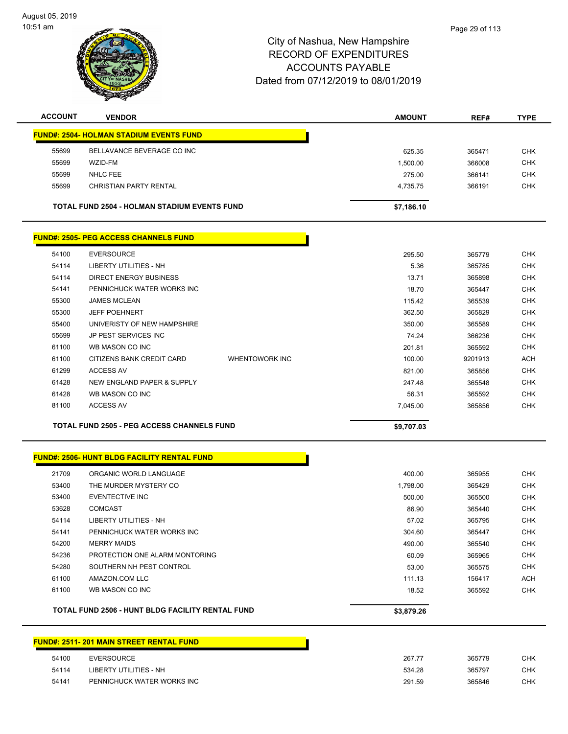August 05, 2019 10:51 am



| <b>ACCOUNT</b> | <b>VENDOR</b>                                      |                       | <b>AMOUNT</b> | REF#    | <b>TYPE</b> |  |  |  |
|----------------|----------------------------------------------------|-----------------------|---------------|---------|-------------|--|--|--|
|                | <b>FUND#: 2504- HOLMAN STADIUM EVENTS FUND</b>     |                       |               |         |             |  |  |  |
| 55699          | BELLAVANCE BEVERAGE CO INC                         |                       | 625.35        | 365471  | <b>CHK</b>  |  |  |  |
| 55699          | WZID-FM                                            |                       | 1,500.00      | 366008  | <b>CHK</b>  |  |  |  |
| 55699          | <b>NHLC FEE</b>                                    |                       | 275.00        | 366141  | <b>CHK</b>  |  |  |  |
| 55699          | CHRISTIAN PARTY RENTAL                             |                       | 4,735.75      | 366191  | <b>CHK</b>  |  |  |  |
|                | TOTAL FUND 2504 - HOLMAN STADIUM EVENTS FUND       |                       | \$7,186.10    |         |             |  |  |  |
|                | <b>FUND#: 2505- PEG ACCESS CHANNELS FUND</b>       |                       |               |         |             |  |  |  |
| 54100          | <b>EVERSOURCE</b>                                  |                       | 295.50        | 365779  | <b>CHK</b>  |  |  |  |
| 54114          | LIBERTY UTILITIES - NH                             |                       | 5.36          | 365785  | <b>CHK</b>  |  |  |  |
| 54114          | <b>DIRECT ENERGY BUSINESS</b>                      |                       | 13.71         | 365898  | <b>CHK</b>  |  |  |  |
| 54141          | PENNICHUCK WATER WORKS INC                         |                       | 18.70         | 365447  | <b>CHK</b>  |  |  |  |
| 55300          | <b>JAMES MCLEAN</b>                                |                       | 115.42        | 365539  | <b>CHK</b>  |  |  |  |
| 55300          | <b>JEFF POEHNERT</b>                               |                       | 362.50        | 365829  | <b>CHK</b>  |  |  |  |
| 55400          | UNIVERISTY OF NEW HAMPSHIRE                        |                       | 350.00        | 365589  | <b>CHK</b>  |  |  |  |
| 55699          | JP PEST SERVICES INC                               |                       | 74.24         | 366236  | <b>CHK</b>  |  |  |  |
| 61100          | WB MASON CO INC                                    |                       | 201.81        | 365592  | <b>CHK</b>  |  |  |  |
| 61100          | CITIZENS BANK CREDIT CARD                          | <b>WHENTOWORK INC</b> | 100.00        | 9201913 | <b>ACH</b>  |  |  |  |
| 61299          | <b>ACCESS AV</b>                                   |                       | 821.00        | 365856  | <b>CHK</b>  |  |  |  |
| 61428          | NEW ENGLAND PAPER & SUPPLY                         |                       | 247.48        | 365548  | <b>CHK</b>  |  |  |  |
| 61428          | WB MASON CO INC                                    |                       | 56.31         | 365592  | <b>CHK</b>  |  |  |  |
| 81100          | <b>ACCESS AV</b>                                   |                       | 7,045.00      | 365856  | <b>CHK</b>  |  |  |  |
|                | <b>TOTAL FUND 2505 - PEG ACCESS CHANNELS FUND</b>  |                       | \$9,707.03    |         |             |  |  |  |
|                | <b>FUND#: 2506- HUNT BLDG FACILITY RENTAL FUND</b> |                       |               |         |             |  |  |  |
| 21709          | ORGANIC WORLD LANGUAGE                             |                       | 400.00        | 365955  | <b>CHK</b>  |  |  |  |
| 53400          | THE MURDER MYSTERY CO                              |                       | 1,798.00      | 365429  | <b>CHK</b>  |  |  |  |
| 53400          | <b>EVENTECTIVE INC</b>                             |                       | 500.00        | 365500  | <b>CHK</b>  |  |  |  |
| 53628          | <b>COMCAST</b>                                     |                       | 86.90         | 365440  | <b>CHK</b>  |  |  |  |
| 54114          | <b>LIBERTY UTILITIES - NH</b>                      |                       | 57.02         | 365795  | <b>CHK</b>  |  |  |  |
| 54141          | PENNICHUCK WATER WORKS INC                         |                       | 304.60        | 365447  | CHK         |  |  |  |
| 54200          | <b>MERRY MAIDS</b>                                 |                       | 490.00        | 365540  | <b>CHK</b>  |  |  |  |
| 54236          | PROTECTION ONE ALARM MONTORING                     |                       | 60.09         | 365965  | <b>CHK</b>  |  |  |  |
| 54280          | SOUTHERN NH PEST CONTROL                           |                       | 53.00         | 365575  | <b>CHK</b>  |  |  |  |
| 61100          | AMAZON.COM LLC                                     |                       | 111.13        | 156417  | <b>ACH</b>  |  |  |  |
| 61100          | WB MASON CO INC                                    |                       | 18.52         | 365592  | <b>CHK</b>  |  |  |  |
|                | TOTAL FUND 2506 - HUNT BLDG FACILITY RENTAL FUND   |                       |               |         |             |  |  |  |
|                |                                                    |                       | \$3,879.26    |         |             |  |  |  |
|                |                                                    |                       |               |         |             |  |  |  |

|       | <u> FUND#: 2511- 201 MAIN STREET RENTAL FUNDI</u> |        |        |     |
|-------|---------------------------------------------------|--------|--------|-----|
| 54100 | EVERSOURCE                                        | 267.77 | 365779 | CHK |
| 54114 | LIBERTY UTILITIES - NH                            | 534.28 | 365797 | СНК |
| 54141 | PENNICHUCK WATER WORKS INC                        | 291.59 | 365846 | CHK |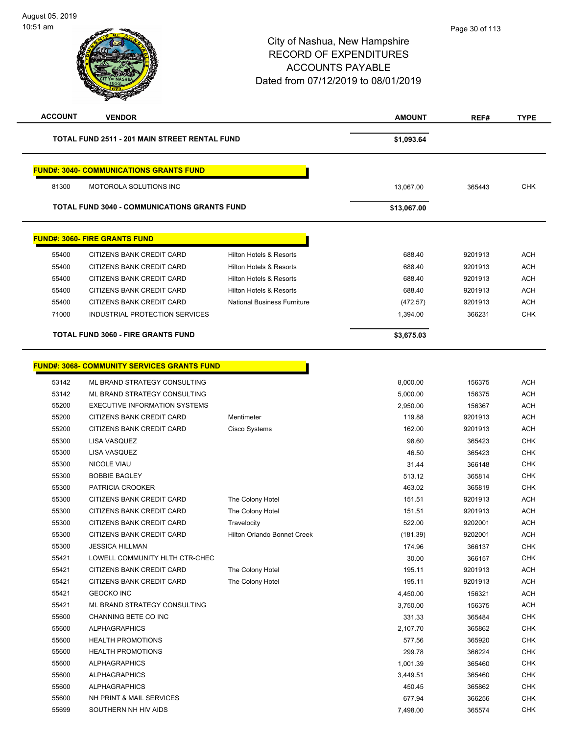| <b>ACCOUNT</b>                                | <b>VENDOR</b>                                       |                                    | <b>AMOUNT</b> | REF#    | <b>TYPE</b> |
|-----------------------------------------------|-----------------------------------------------------|------------------------------------|---------------|---------|-------------|
| TOTAL FUND 2511 - 201 MAIN STREET RENTAL FUND |                                                     | \$1,093.64                         |               |         |             |
|                                               |                                                     |                                    |               |         |             |
|                                               | <b>FUND#: 3040- COMMUNICATIONS GRANTS FUND</b>      |                                    |               |         |             |
|                                               |                                                     |                                    |               |         |             |
| 81300                                         | MOTOROLA SOLUTIONS INC                              |                                    | 13,067.00     | 365443  | <b>CHK</b>  |
|                                               | <b>TOTAL FUND 3040 - COMMUNICATIONS GRANTS FUND</b> |                                    | \$13,067.00   |         |             |
|                                               |                                                     |                                    |               |         |             |
|                                               | <b>FUND#: 3060- FIRE GRANTS FUND</b>                |                                    |               |         |             |
| 55400                                         | CITIZENS BANK CREDIT CARD                           | <b>Hilton Hotels &amp; Resorts</b> | 688.40        | 9201913 | <b>ACH</b>  |
| 55400                                         | CITIZENS BANK CREDIT CARD                           | <b>Hilton Hotels &amp; Resorts</b> | 688.40        | 9201913 | <b>ACH</b>  |
| 55400                                         | CITIZENS BANK CREDIT CARD                           | <b>Hilton Hotels &amp; Resorts</b> | 688.40        | 9201913 | <b>ACH</b>  |
| 55400                                         | CITIZENS BANK CREDIT CARD                           | <b>Hilton Hotels &amp; Resorts</b> | 688.40        | 9201913 | <b>ACH</b>  |
| 55400                                         | CITIZENS BANK CREDIT CARD                           | <b>National Business Furniture</b> | (472.57)      | 9201913 | <b>ACH</b>  |
| 71000                                         | INDUSTRIAL PROTECTION SERVICES                      |                                    | 1,394.00      | 366231  | <b>CHK</b>  |
|                                               | <b>TOTAL FUND 3060 - FIRE GRANTS FUND</b>           |                                    | \$3,675.03    |         |             |
|                                               |                                                     |                                    |               |         |             |
|                                               | <b>FUND#: 3068- COMMUNITY SERVICES GRANTS FUND</b>  |                                    |               |         |             |
| 53142                                         | ML BRAND STRATEGY CONSULTING                        |                                    | 8,000.00      | 156375  | <b>ACH</b>  |
| 53142                                         | ML BRAND STRATEGY CONSULTING                        |                                    | 5,000.00      | 156375  | <b>ACH</b>  |
| 55200                                         | <b>EXECUTIVE INFORMATION SYSTEMS</b>                |                                    | 2,950.00      | 156367  | <b>ACH</b>  |
| 55200                                         | CITIZENS BANK CREDIT CARD                           | Mentimeter                         | 119.88        | 9201913 | <b>ACH</b>  |
| 55200                                         | CITIZENS BANK CREDIT CARD                           | Cisco Systems                      | 162.00        | 9201913 | <b>ACH</b>  |
| 55300                                         | LISA VASQUEZ                                        |                                    | 98.60         | 365423  | <b>CHK</b>  |
| 55300                                         | LISA VASQUEZ                                        |                                    | 46.50         | 365423  | <b>CHK</b>  |
| 55300                                         | <b>NICOLE VIAU</b>                                  |                                    | 31.44         | 366148  | <b>CHK</b>  |
| 55300                                         | <b>BOBBIE BAGLEY</b>                                |                                    | 513.12        | 365814  | <b>CHK</b>  |
| 55300                                         | PATRICIA CROOKER                                    |                                    | 463.02        | 365819  | <b>CHK</b>  |
| 55300                                         | CITIZENS BANK CREDIT CARD                           | The Colony Hotel                   | 151.51        | 9201913 | <b>ACH</b>  |
| 55300                                         | CITIZENS BANK CREDIT CARD                           | The Colony Hotel                   | 151.51        | 9201913 | <b>ACH</b>  |
| 55300                                         | CITIZENS BANK CREDIT CARD                           | Travelocity                        | 522.00        | 9202001 | <b>ACH</b>  |
|                                               |                                                     |                                    |               |         |             |
| 55300                                         | CITIZENS BANK CREDIT CARD                           | Hilton Orlando Bonnet Creek        | (181.39)      | 9202001 | ACH         |
| 55300                                         | <b>JESSICA HILLMAN</b>                              |                                    | 174.96        | 366137  | <b>CHK</b>  |
| 55421                                         | LOWELL COMMUNITY HLTH CTR-CHEC                      |                                    | 30.00         | 366157  | <b>CHK</b>  |
| 55421                                         | CITIZENS BANK CREDIT CARD                           | The Colony Hotel                   | 195.11        | 9201913 | <b>ACH</b>  |
| 55421                                         | CITIZENS BANK CREDIT CARD                           | The Colony Hotel                   | 195.11        | 9201913 | <b>ACH</b>  |
| 55421                                         | <b>GEOCKO INC</b>                                   |                                    | 4,450.00      | 156321  | <b>ACH</b>  |
| 55421                                         | ML BRAND STRATEGY CONSULTING                        |                                    | 3,750.00      | 156375  | <b>ACH</b>  |
| 55600                                         | CHANNING BETE CO INC                                |                                    | 331.33        | 365484  | <b>CHK</b>  |
| 55600                                         | <b>ALPHAGRAPHICS</b>                                |                                    | 2,107.70      | 365862  | <b>CHK</b>  |
| 55600                                         | <b>HEALTH PROMOTIONS</b>                            |                                    | 577.56        | 365920  | <b>CHK</b>  |
| 55600                                         | <b>HEALTH PROMOTIONS</b>                            |                                    | 299.78        | 366224  | <b>CHK</b>  |
| 55600                                         | <b>ALPHAGRAPHICS</b>                                |                                    | 1,001.39      | 365460  | <b>CHK</b>  |
| 55600                                         | <b>ALPHAGRAPHICS</b>                                |                                    | 3,449.51      | 365460  | <b>CHK</b>  |
| 55600                                         | <b>ALPHAGRAPHICS</b>                                |                                    | 450.45        | 365862  | <b>CHK</b>  |
| 55600                                         | NH PRINT & MAIL SERVICES                            |                                    | 677.94        | 366256  | <b>CHK</b>  |
| 55699                                         | SOUTHERN NH HIV AIDS                                |                                    | 7,498.00      | 365574  | <b>CHK</b>  |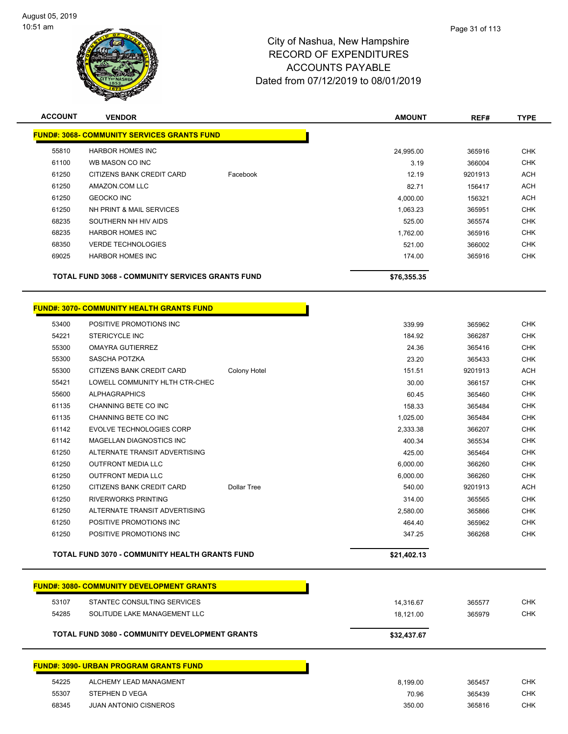

| <b>ACCOUNT</b> | <b>VENDOR</b>                                           |                    | <b>AMOUNT</b>    | REF#             | <b>TYPE</b> |
|----------------|---------------------------------------------------------|--------------------|------------------|------------------|-------------|
|                | <b>FUND#: 3068- COMMUNITY SERVICES GRANTS FUND</b>      |                    |                  |                  |             |
| 55810          | <b>HARBOR HOMES INC</b>                                 |                    | 24,995.00        | 365916           | <b>CHK</b>  |
| 61100          | WB MASON CO INC                                         |                    | 3.19             | 366004           | <b>CHK</b>  |
| 61250          | CITIZENS BANK CREDIT CARD                               | Facebook           | 12.19            | 9201913          | <b>ACH</b>  |
| 61250          | AMAZON.COM LLC                                          |                    | 82.71            | 156417           | <b>ACH</b>  |
| 61250          | <b>GEOCKO INC</b>                                       |                    | 4,000.00         | 156321           | <b>ACH</b>  |
| 61250          | NH PRINT & MAIL SERVICES                                |                    | 1,063.23         | 365951           | <b>CHK</b>  |
| 68235          | SOUTHERN NH HIV AIDS                                    |                    | 525.00           | 365574           | <b>CHK</b>  |
| 68235          | <b>HARBOR HOMES INC</b>                                 |                    | 1,762.00         | 365916           | <b>CHK</b>  |
| 68350          | <b>VERDE TECHNOLOGIES</b>                               |                    | 521.00           | 366002           | <b>CHK</b>  |
| 69025          | <b>HARBOR HOMES INC</b>                                 |                    | 174.00           | 365916           | <b>CHK</b>  |
|                |                                                         |                    |                  |                  |             |
|                | <b>TOTAL FUND 3068 - COMMUNITY SERVICES GRANTS FUND</b> |                    | \$76,355.35      |                  |             |
|                | <b>FUND#: 3070- COMMUNITY HEALTH GRANTS FUND</b>        |                    |                  |                  |             |
| 53400          | POSITIVE PROMOTIONS INC                                 |                    |                  |                  | <b>CHK</b>  |
| 54221          | <b>STERICYCLE INC</b>                                   |                    | 339.99<br>184.92 | 365962<br>366287 | <b>CHK</b>  |
| 55300          | <b>OMAYRA GUTIERREZ</b>                                 |                    | 24.36            | 365416           | <b>CHK</b>  |
| 55300          | <b>SASCHA POTZKA</b>                                    |                    | 23.20            | 365433           | <b>CHK</b>  |
| 55300          | CITIZENS BANK CREDIT CARD                               | Colony Hotel       | 151.51           | 9201913          | <b>ACH</b>  |
| 55421          | LOWELL COMMUNITY HLTH CTR-CHEC                          |                    | 30.00            | 366157           | <b>CHK</b>  |
| 55600          | <b>ALPHAGRAPHICS</b>                                    |                    | 60.45            | 365460           | <b>CHK</b>  |
| 61135          | CHANNING BETE CO INC                                    |                    | 158.33           | 365484           | <b>CHK</b>  |
| 61135          | CHANNING BETE CO INC                                    |                    | 1,025.00         | 365484           | <b>CHK</b>  |
| 61142          | <b>EVOLVE TECHNOLOGIES CORP</b>                         |                    | 2,333.38         | 366207           | <b>CHK</b>  |
| 61142          | MAGELLAN DIAGNOSTICS INC                                |                    | 400.34           | 365534           | <b>CHK</b>  |
| 61250          | ALTERNATE TRANSIT ADVERTISING                           |                    | 425.00           | 365464           | <b>CHK</b>  |
| 61250          | <b>OUTFRONT MEDIA LLC</b>                               |                    | 6,000.00         | 366260           | <b>CHK</b>  |
| 61250          | <b>OUTFRONT MEDIA LLC</b>                               |                    | 6,000.00         | 366260           | <b>CHK</b>  |
| 61250          | CITIZENS BANK CREDIT CARD                               | <b>Dollar Tree</b> | 540.00           | 9201913          | <b>ACH</b>  |
| 61250          | <b>RIVERWORKS PRINTING</b>                              |                    | 314.00           | 365565           | <b>CHK</b>  |
| 61250          | ALTERNATE TRANSIT ADVERTISING                           |                    | 2,580.00         | 365866           | <b>CHK</b>  |
| 61250          | POSITIVE PROMOTIONS INC                                 |                    | 464.40           | 365962           | <b>CHK</b>  |
| 61250          | POSITIVE PROMOTIONS INC                                 |                    | 347.25           | 366268           | <b>CHK</b>  |
|                | TOTAL FUND 3070 - COMMUNITY HEALTH GRANTS FUND          |                    | \$21,402.13      |                  |             |
|                |                                                         |                    |                  |                  |             |
|                | <b>FUND#: 3080- COMMUNITY DEVELOPMENT GRANTS</b>        |                    |                  |                  |             |
| 53107          | STANTEC CONSULTING SERVICES                             |                    | 14,316.67        | 365577           | <b>CHK</b>  |
| 54285          | SOLITUDE LAKE MANAGEMENT LLC                            |                    | 18,121.00        | 365979           | <b>CHK</b>  |
|                | TOTAL FUND 3080 - COMMUNITY DEVELOPMENT GRANTS          |                    | \$32,437.67      |                  |             |
|                | <b>FUND#: 3090- URBAN PROGRAM GRANTS FUND</b>           |                    |                  |                  |             |
| 54225          | ALCHEMY LEAD MANAGMENT                                  |                    | 8,199.00         | 365457           | <b>CHK</b>  |
| 55307          | STEPHEN D VEGA                                          |                    | 70.96            | 365439           | <b>CHK</b>  |
| 68345          | JUAN ANTONIO CISNEROS                                   |                    | 350.00           | 365816           | <b>CHK</b>  |
|                |                                                         |                    |                  |                  |             |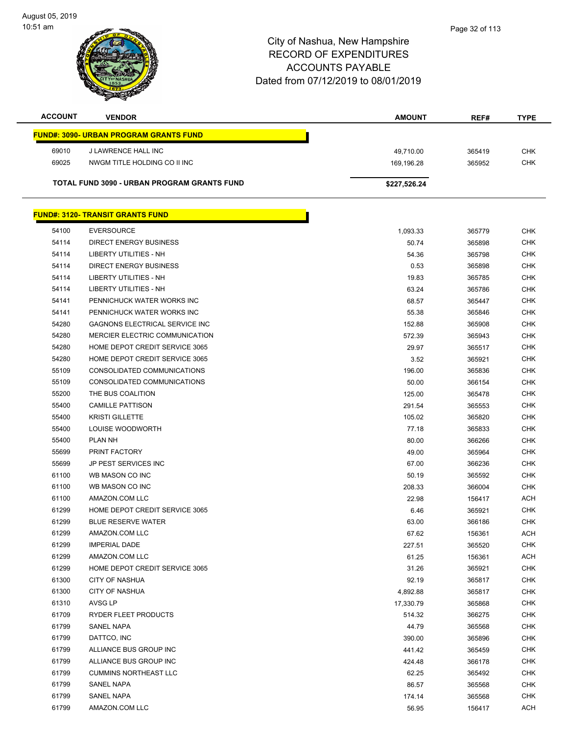August 05, 2019 10:51 am

**FUND#: 3090** 

**FUND#: 3120** 



## City of Nashua, New Hampshire RECORD OF EXPENDITURES ACCOUNTS PAYABLE Dated from 07/12/2019 to 08/01/2019

| <b>ACCOUNT</b> | <b>VENDOR</b>                                 | <b>AMOUNT</b> | REF#   | <b>TYPE</b> |
|----------------|-----------------------------------------------|---------------|--------|-------------|
|                | <u> IND#: 3090- URBAN PROGRAM GRANTS FUND</u> |               |        |             |
| 69010          | J LAWRENCE HALL INC                           | 49,710.00     | 365419 | <b>CHK</b>  |
| 69025          | NWGM TITLE HOLDING CO II INC                  | 169,196.28    | 365952 | <b>CHK</b>  |
|                | TOTAL FUND 3090 - URBAN PROGRAM GRANTS FUND   | \$227,526.24  |        |             |
|                | <u> IND#: 3120- TRANSIT GRANTS FUND</u>       |               |        |             |
| 54100          | <b>EVERSOURCE</b>                             | 1,093.33      | 365779 | CHK         |
| 54114          | <b>DIRECT ENERGY BUSINESS</b>                 | 50.74         | 365898 | <b>CHK</b>  |
| 54114          | LIBERTY UTILITIES - NH                        | 54.36         | 365798 | <b>CHK</b>  |
| 54114          | DIRECT ENERGY BUSINESS                        | 0.53          | 365898 | <b>CHK</b>  |
| 54114          | LIBERTY UTILITIES - NH                        | 19.83         | 365785 | <b>CHK</b>  |
| 54114          | LIBERTY UTILITIES - NH                        | 63.24         | 365786 | <b>CHK</b>  |
| 54141          | PENNICHUCK WATER WORKS INC                    | 68.57         | 365447 | <b>CHK</b>  |
| 54141          | PENNICHUCK WATER WORKS INC                    | 55.38         | 365846 | <b>CHK</b>  |
| 54280          | GAGNONS ELECTRICAL SERVICE INC                | 152.88        | 365908 | <b>CHK</b>  |
| 54280          | MERCIER ELECTRIC COMMUNICATION                | 572.39        | 365943 | <b>CHK</b>  |
| 54280          | HOME DEPOT CREDIT SERVICE 3065                | 29.97         | 365517 | <b>CHK</b>  |
| 54280          | HOME DEPOT CREDIT SERVICE 3065                | 3.52          | 365921 | <b>CHK</b>  |
| 55109          | CONSOLIDATED COMMUNICATIONS                   | 196.00        | 365836 | <b>CHK</b>  |
| 55109          | CONSOLIDATED COMMUNICATIONS                   | 50.00         | 366154 | <b>CHK</b>  |
| 55200          | THE BUS COALITION                             | 125.00        | 365478 | <b>CHK</b>  |
| 55400          | <b>CAMILLE PATTISON</b>                       | 291.54        | 365553 | <b>CHK</b>  |
| 55400          | <b>KRISTI GILLETTE</b>                        | 105.02        | 365820 | <b>CHK</b>  |
| 55400          | LOUISE WOODWORTH                              | 77.18         | 365833 | <b>CHK</b>  |
| 55400          | PLAN NH                                       | 80.00         | 366266 | <b>CHK</b>  |
| 55699          | PRINT FACTORY                                 | 49.00         | 365964 | <b>CHK</b>  |
| 55699          | JP PEST SERVICES INC                          | 67.00         | 366236 | <b>CHK</b>  |
| 61100          | WB MASON CO INC                               | 50.19         | 365592 | <b>CHK</b>  |
| 61100          | WB MASON CO INC                               | 208.33        | 366004 | <b>CHK</b>  |
| 61100          | AMAZON.COM LLC                                | 22.98         | 156417 | <b>ACH</b>  |
| 61299          | HOME DEPOT CREDIT SERVICE 3065                | 6.46          | 365921 | <b>CHK</b>  |
| 61299          | <b>BLUE RESERVE WATER</b>                     | 63.00         | 366186 | <b>CHK</b>  |
| 61299          | AMAZON.COM LLC                                | 67.62         | 156361 | <b>ACH</b>  |
| 61299          | <b>IMPERIAL DADE</b>                          | 227.51        | 365520 | <b>CHK</b>  |
| 61299          | AMAZON.COM LLC                                | 61.25         | 156361 | <b>ACH</b>  |
| 61299          | HOME DEPOT CREDIT SERVICE 3065                | 31.26         | 365921 | <b>CHK</b>  |
| 61300          | <b>CITY OF NASHUA</b>                         | 92.19         | 365817 | <b>CHK</b>  |
| 61300          | <b>CITY OF NASHUA</b>                         | 4,892.88      | 365817 | <b>CHK</b>  |
| 61310          | AVSG LP                                       | 17,330.79     | 365868 | <b>CHK</b>  |
| 61709          | <b>RYDER FLEET PRODUCTS</b>                   | 514.32        | 366275 | <b>CHK</b>  |
| 61799          | SANEL NAPA                                    | 44.79         | 365568 | <b>CHK</b>  |
| 61799          | DATTCO, INC                                   | 390.00        | 365896 | <b>CHK</b>  |
| 61799          | ALLIANCE BUS GROUP INC                        | 441.42        | 365459 | <b>CHK</b>  |

 ALLIANCE BUS GROUP INC 424.48 366178 CHK CUMMINS NORTHEAST LLC 62.25 365492 CHK SANEL NAPA 86.57 365568 CHK SANEL NAPA 174.14 365568 CHK er by the matrix of the matrix of the matrix of the matrix of the matrix of the matrix of the matrix of the matrix of the matrix of the matrix of the matrix of the matrix of the matrix of the matrix of the matrix of the ma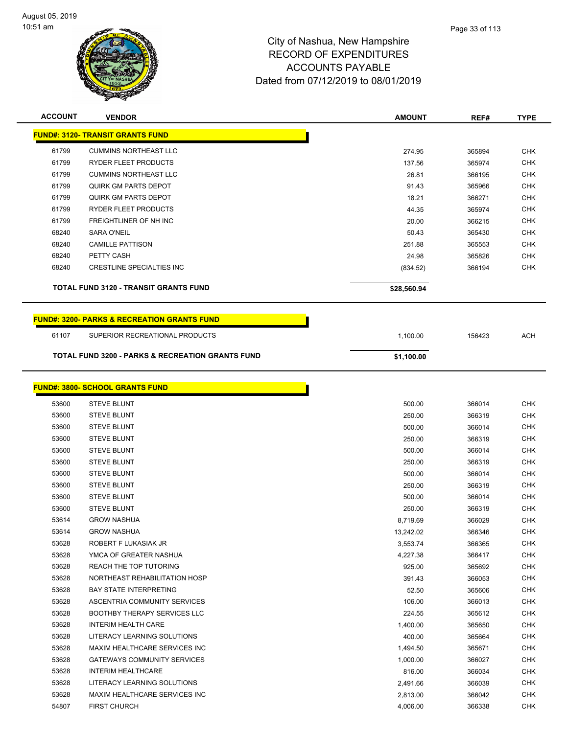

| <b>ACCOUNT</b> | <b>VENDOR</b>                                               | <b>AMOUNT</b> | REF#   | <b>TYPE</b> |
|----------------|-------------------------------------------------------------|---------------|--------|-------------|
|                | <b>FUND#: 3120- TRANSIT GRANTS FUND</b>                     |               |        |             |
| 61799          | <b>CUMMINS NORTHEAST LLC</b>                                | 274.95        | 365894 | <b>CHK</b>  |
| 61799          | <b>RYDER FLEET PRODUCTS</b>                                 | 137.56        | 365974 | <b>CHK</b>  |
| 61799          | <b>CUMMINS NORTHEAST LLC</b>                                | 26.81         | 366195 | <b>CHK</b>  |
| 61799          | QUIRK GM PARTS DEPOT                                        | 91.43         | 365966 | <b>CHK</b>  |
| 61799          | QUIRK GM PARTS DEPOT                                        | 18.21         | 366271 | <b>CHK</b>  |
| 61799          | <b>RYDER FLEET PRODUCTS</b>                                 | 44.35         | 365974 | <b>CHK</b>  |
| 61799          | FREIGHTLINER OF NH INC                                      | 20.00         | 366215 | <b>CHK</b>  |
| 68240          | <b>SARA O'NEIL</b>                                          | 50.43         | 365430 | <b>CHK</b>  |
| 68240          | <b>CAMILLE PATTISON</b>                                     | 251.88        | 365553 | <b>CHK</b>  |
| 68240          | PETTY CASH                                                  | 24.98         | 365826 | <b>CHK</b>  |
| 68240          | <b>CRESTLINE SPECIALTIES INC</b>                            | (834.52)      | 366194 | <b>CHK</b>  |
|                | <b>TOTAL FUND 3120 - TRANSIT GRANTS FUND</b>                | \$28,560.94   |        |             |
|                | <b>FUND#: 3200- PARKS &amp; RECREATION GRANTS FUND</b>      |               |        |             |
| 61107          | SUPERIOR RECREATIONAL PRODUCTS                              | 1,100.00      | 156423 | <b>ACH</b>  |
|                | <b>TOTAL FUND 3200 - PARKS &amp; RECREATION GRANTS FUND</b> | \$1,100.00    |        |             |
|                | <b>FUND#: 3800- SCHOOL GRANTS FUND</b>                      |               |        |             |
| 53600          | <b>STEVE BLUNT</b>                                          | 500.00        | 366014 | <b>CHK</b>  |
| 53600          | <b>STEVE BLUNT</b>                                          | 250.00        | 366319 | <b>CHK</b>  |
| 53600          | <b>STEVE BLUNT</b>                                          | 500.00        | 366014 | <b>CHK</b>  |
| 53600          | <b>STEVE BLUNT</b>                                          | 250.00        | 366319 | <b>CHK</b>  |
| 53600          | <b>STEVE BLUNT</b>                                          | 500.00        | 366014 | <b>CHK</b>  |

| 53600 | <b>STEVE BLUNT</b>                  | 250.00    | 366319 | <b>CHK</b> |
|-------|-------------------------------------|-----------|--------|------------|
| 53600 | <b>STEVE BLUNT</b>                  | 500.00    | 366014 | <b>CHK</b> |
| 53600 | <b>STEVE BLUNT</b>                  | 250.00    | 366319 | <b>CHK</b> |
| 53600 | <b>STEVE BLUNT</b>                  | 500.00    | 366014 | <b>CHK</b> |
| 53600 | <b>STEVE BLUNT</b>                  | 250.00    | 366319 | CHK        |
| 53614 | <b>GROW NASHUA</b>                  | 8,719.69  | 366029 | <b>CHK</b> |
| 53614 | <b>GROW NASHUA</b>                  | 13,242.02 | 366346 | <b>CHK</b> |
| 53628 | ROBERT F LUKASIAK JR                | 3,553.74  | 366365 | <b>CHK</b> |
| 53628 | YMCA OF GREATER NASHUA              | 4,227.38  | 366417 | <b>CHK</b> |
| 53628 | <b>REACH THE TOP TUTORING</b>       | 925.00    | 365692 | <b>CHK</b> |
| 53628 | NORTHEAST REHABILITATION HOSP       | 391.43    | 366053 | CHK        |
| 53628 | <b>BAY STATE INTERPRETING</b>       | 52.50     | 365606 | <b>CHK</b> |
| 53628 | ASCENTRIA COMMUNITY SERVICES        | 106.00    | 366013 | <b>CHK</b> |
| 53628 | <b>BOOTHBY THERAPY SERVICES LLC</b> | 224.55    | 365612 | CHK        |
| 53628 | <b>INTERIM HEALTH CARE</b>          | 1,400.00  | 365650 | <b>CHK</b> |
| 53628 | LITERACY LEARNING SOLUTIONS         | 400.00    | 365664 | <b>CHK</b> |
| 53628 | MAXIM HEALTHCARE SERVICES INC       | 1,494.50  | 365671 | CHK        |
| 53628 | <b>GATEWAYS COMMUNITY SERVICES</b>  | 1,000.00  | 366027 | <b>CHK</b> |
| 53628 | <b>INTERIM HEALTHCARE</b>           | 816.00    | 366034 | CHK        |
| 53628 | LITERACY LEARNING SOLUTIONS         | 2,491.66  | 366039 | <b>CHK</b> |
| 53628 | MAXIM HEALTHCARE SERVICES INC       | 2,813.00  | 366042 | <b>CHK</b> |
| 54807 | <b>FIRST CHURCH</b>                 | 4,006.00  | 366338 | CHK        |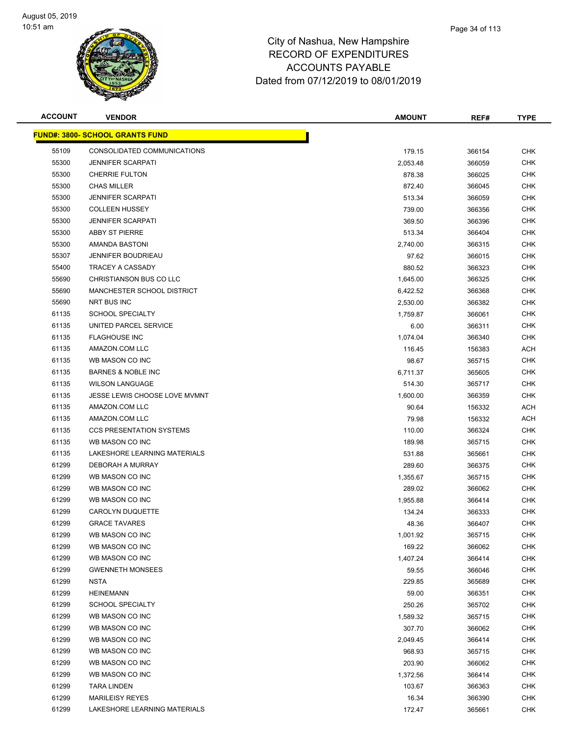

| <b>ACCOUNT</b> | <b>VENDOR</b>                          | <b>AMOUNT</b> | REF#   | <b>TYPE</b> |
|----------------|----------------------------------------|---------------|--------|-------------|
|                | <b>FUND#: 3800- SCHOOL GRANTS FUND</b> |               |        |             |
| 55109          | CONSOLIDATED COMMUNICATIONS            | 179.15        | 366154 | <b>CHK</b>  |
| 55300          | <b>JENNIFER SCARPATI</b>               | 2,053.48      | 366059 | <b>CHK</b>  |
| 55300          | <b>CHERRIE FULTON</b>                  | 878.38        | 366025 | <b>CHK</b>  |
| 55300          | <b>CHAS MILLER</b>                     | 872.40        | 366045 | <b>CHK</b>  |
| 55300          | <b>JENNIFER SCARPATI</b>               | 513.34        | 366059 | <b>CHK</b>  |
| 55300          | <b>COLLEEN HUSSEY</b>                  | 739.00        | 366356 | <b>CHK</b>  |
| 55300          | <b>JENNIFER SCARPATI</b>               | 369.50        | 366396 | <b>CHK</b>  |
| 55300          | <b>ABBY ST PIERRE</b>                  | 513.34        | 366404 | <b>CHK</b>  |
| 55300          | AMANDA BASTONI                         | 2,740.00      | 366315 | <b>CHK</b>  |
| 55307          | <b>JENNIFER BOUDRIEAU</b>              | 97.62         | 366015 | CHK         |
| 55400          | <b>TRACEY A CASSADY</b>                | 880.52        | 366323 | CHK         |
| 55690          | CHRISTIANSON BUS CO LLC                | 1,645.00      | 366325 | <b>CHK</b>  |
| 55690          | MANCHESTER SCHOOL DISTRICT             | 6,422.52      | 366368 | <b>CHK</b>  |
| 55690          | NRT BUS INC                            | 2,530.00      | 366382 | <b>CHK</b>  |
| 61135          | <b>SCHOOL SPECIALTY</b>                | 1,759.87      | 366061 | <b>CHK</b>  |
| 61135          | UNITED PARCEL SERVICE                  | 6.00          | 366311 | <b>CHK</b>  |
| 61135          | <b>FLAGHOUSE INC</b>                   | 1,074.04      | 366340 | <b>CHK</b>  |
| 61135          | AMAZON.COM LLC                         | 116.45        | 156383 | <b>ACH</b>  |
| 61135          | WB MASON CO INC                        | 98.67         | 365715 | <b>CHK</b>  |
| 61135          | <b>BARNES &amp; NOBLE INC</b>          | 6,711.37      | 365605 | <b>CHK</b>  |
| 61135          | <b>WILSON LANGUAGE</b>                 | 514.30        | 365717 | <b>CHK</b>  |
| 61135          | JESSE LEWIS CHOOSE LOVE MVMNT          | 1,600.00      | 366359 | CHK         |
| 61135          | AMAZON.COM LLC                         | 90.64         | 156332 | <b>ACH</b>  |
| 61135          | AMAZON.COM LLC                         | 79.98         | 156332 | <b>ACH</b>  |
| 61135          | <b>CCS PRESENTATION SYSTEMS</b>        | 110.00        | 366324 | <b>CHK</b>  |
| 61135          | WB MASON CO INC                        | 189.98        | 365715 | <b>CHK</b>  |
| 61135          | LAKESHORE LEARNING MATERIALS           | 531.88        | 365661 | <b>CHK</b>  |
| 61299          | DEBORAH A MURRAY                       | 289.60        | 366375 | <b>CHK</b>  |
| 61299          | WB MASON CO INC                        | 1,355.67      | 365715 | <b>CHK</b>  |
| 61299          | WB MASON CO INC                        | 289.02        | 366062 | <b>CHK</b>  |
| 61299          | WB MASON CO INC                        | 1,955.88      | 366414 | <b>CHK</b>  |
| 61299          | CAROLYN DUQUETTE                       | 134.24        | 366333 | <b>CHK</b>  |
| 61299          | <b>GRACE TAVARES</b>                   | 48.36         | 366407 | <b>CHK</b>  |
| 61299          | WB MASON CO INC                        | 1,001.92      | 365715 | <b>CHK</b>  |
| 61299          | WB MASON CO INC                        | 169.22        | 366062 | <b>CHK</b>  |
| 61299          | WB MASON CO INC                        | 1,407.24      | 366414 | CHK         |
| 61299          | <b>GWENNETH MONSEES</b>                | 59.55         | 366046 | CHK         |
| 61299          | NSTA                                   | 229.85        | 365689 | <b>CHK</b>  |
| 61299          | <b>HEINEMANN</b>                       | 59.00         | 366351 | CHK         |
| 61299          | <b>SCHOOL SPECIALTY</b>                | 250.26        | 365702 | <b>CHK</b>  |
| 61299          | WB MASON CO INC                        | 1,589.32      | 365715 | <b>CHK</b>  |
| 61299          | WB MASON CO INC                        | 307.70        | 366062 | <b>CHK</b>  |
| 61299          | WB MASON CO INC                        | 2,049.45      | 366414 | <b>CHK</b>  |
| 61299          | WB MASON CO INC                        | 968.93        | 365715 | CHK         |
| 61299          | WB MASON CO INC                        | 203.90        | 366062 | <b>CHK</b>  |
| 61299          | WB MASON CO INC                        | 1,372.56      | 366414 | CHK         |
| 61299          | TARA LINDEN                            | 103.67        | 366363 | CHK         |
| 61299          | <b>MARILEISY REYES</b>                 | 16.34         | 366390 | CHK         |
| 61299          | LAKESHORE LEARNING MATERIALS           | 172.47        | 365661 | <b>CHK</b>  |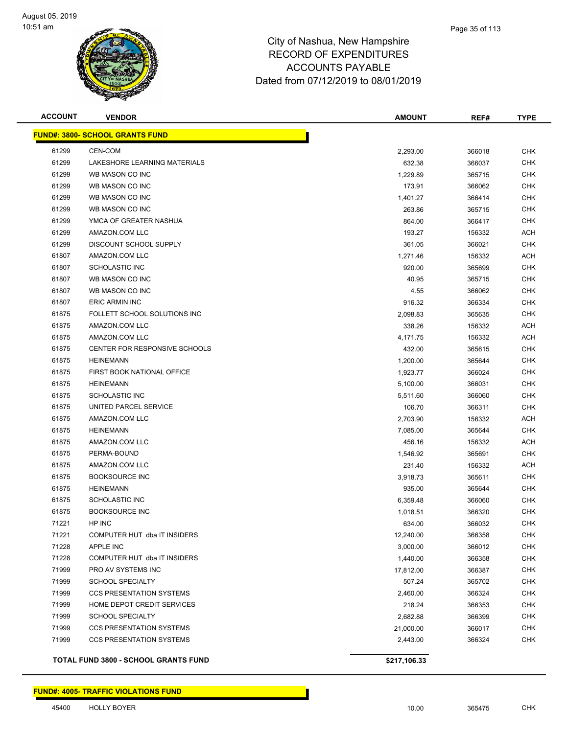

Page 35 of 113

| <b>ACCOUNT</b> | <b>VENDOR</b>                               | <b>AMOUNT</b> | REF#   | TYPE       |
|----------------|---------------------------------------------|---------------|--------|------------|
|                | <b>FUND#: 3800- SCHOOL GRANTS FUND</b>      |               |        |            |
|                |                                             |               |        | <b>CHK</b> |
| 61299<br>61299 | CEN-COM<br>LAKESHORE LEARNING MATERIALS     | 2,293.00      | 366018 |            |
|                | WB MASON CO INC                             | 632.38        | 366037 | <b>CHK</b> |
| 61299          |                                             | 1,229.89      | 365715 | <b>CHK</b> |
| 61299          | WB MASON CO INC                             | 173.91        | 366062 | CHK        |
| 61299          | WB MASON CO INC                             | 1,401.27      | 366414 | <b>CHK</b> |
| 61299          | WB MASON CO INC                             | 263.86        | 365715 | <b>CHK</b> |
| 61299          | YMCA OF GREATER NASHUA                      | 864.00        | 366417 | CHK        |
| 61299          | AMAZON.COM LLC                              | 193.27        | 156332 | ACH        |
| 61299          | DISCOUNT SCHOOL SUPPLY                      | 361.05        | 366021 | CHK        |
| 61807          | AMAZON.COM LLC                              | 1,271.46      | 156332 | ACH        |
| 61807          | <b>SCHOLASTIC INC</b>                       | 920.00        | 365699 | <b>CHK</b> |
| 61807          | WB MASON CO INC                             | 40.95         | 365715 | CHK        |
| 61807          | WB MASON CO INC                             | 4.55          | 366062 | CHK        |
| 61807          | <b>ERIC ARMIN INC</b>                       | 916.32        | 366334 | <b>CHK</b> |
| 61875          | FOLLETT SCHOOL SOLUTIONS INC                | 2,098.83      | 365635 | CHK        |
| 61875          | AMAZON.COM LLC                              | 338.26        | 156332 | ACH        |
| 61875          | AMAZON.COM LLC                              | 4,171.75      | 156332 | ACH        |
| 61875          | CENTER FOR RESPONSIVE SCHOOLS               | 432.00        | 365615 | <b>CHK</b> |
| 61875          | <b>HEINEMANN</b>                            | 1,200.00      | 365644 | <b>CHK</b> |
| 61875          | FIRST BOOK NATIONAL OFFICE                  | 1,923.77      | 366024 | CHK        |
| 61875          | <b>HEINEMANN</b>                            | 5,100.00      | 366031 | <b>CHK</b> |
| 61875          | <b>SCHOLASTIC INC</b>                       | 5,511.60      | 366060 | <b>CHK</b> |
| 61875          | UNITED PARCEL SERVICE                       | 106.70        | 366311 | CHK        |
| 61875          | AMAZON.COM LLC                              | 2,703.90      | 156332 | ACH        |
| 61875          | <b>HEINEMANN</b>                            | 7,085.00      | 365644 | <b>CHK</b> |
| 61875          | AMAZON.COM LLC                              | 456.16        | 156332 | ACH        |
| 61875          | PERMA-BOUND                                 | 1,546.92      | 365691 | <b>CHK</b> |
| 61875          | AMAZON.COM LLC                              | 231.40        | 156332 | ACH        |
| 61875          | <b>BOOKSOURCE INC</b>                       | 3,918.73      | 365611 | CHK        |
| 61875          | <b>HEINEMANN</b>                            | 935.00        | 365644 | <b>CHK</b> |
| 61875          | <b>SCHOLASTIC INC</b>                       | 6,359.48      | 366060 | <b>CHK</b> |
| 61875          | <b>BOOKSOURCE INC</b>                       | 1,018.51      | 366320 | <b>CHK</b> |
| 71221          | HP INC                                      | 634.00        | 366032 | <b>CHK</b> |
| 71221          | COMPUTER HUT dba IT INSIDERS                | 12,240.00     | 366358 | CHK        |
| 71228          | <b>APPLE INC</b>                            | 3,000.00      | 366012 | <b>CHK</b> |
| 71228          | COMPUTER HUT dba IT INSIDERS                | 1,440.00      | 366358 | <b>CHK</b> |
| 71999          | PRO AV SYSTEMS INC                          | 17,812.00     | 366387 | <b>CHK</b> |
| 71999          | <b>SCHOOL SPECIALTY</b>                     | 507.24        | 365702 | <b>CHK</b> |
| 71999          | <b>CCS PRESENTATION SYSTEMS</b>             | 2,460.00      | 366324 | <b>CHK</b> |
| 71999          | HOME DEPOT CREDIT SERVICES                  | 218.24        | 366353 | <b>CHK</b> |
| 71999          | <b>SCHOOL SPECIALTY</b>                     | 2,682.88      | 366399 | CHK        |
| 71999          | <b>CCS PRESENTATION SYSTEMS</b>             |               |        |            |
|                |                                             | 21,000.00     | 366017 | <b>CHK</b> |
| 71999          | <b>CCS PRESENTATION SYSTEMS</b>             | 2,443.00      | 366324 | <b>CHK</b> |
|                | <b>TOTAL FUND 3800 - SCHOOL GRANTS FUND</b> | \$217,106.33  |        |            |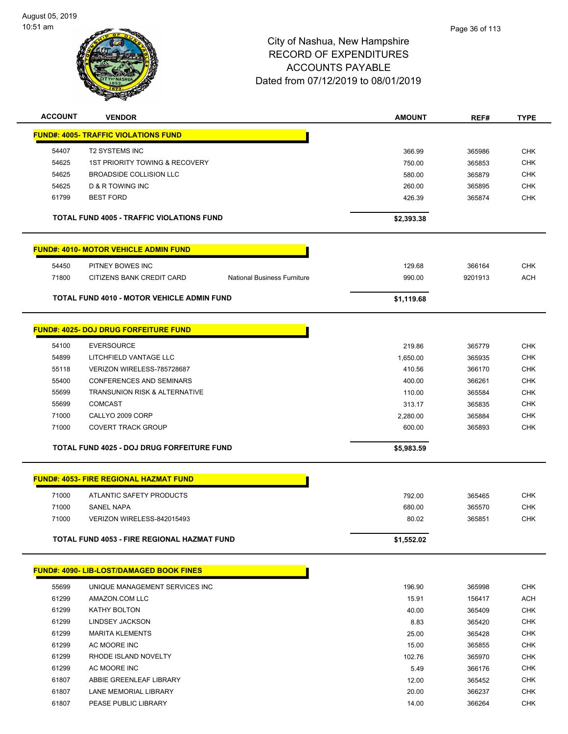

| <b>ACCOUNT</b>                              | <b>VENDOR</b>                                                   | <b>AMOUNT</b> | REF#    | <b>TYPE</b> |  |
|---------------------------------------------|-----------------------------------------------------------------|---------------|---------|-------------|--|
| <b>FUND#: 4005- TRAFFIC VIOLATIONS FUND</b> |                                                                 |               |         |             |  |
| 54407                                       | <b>T2 SYSTEMS INC</b>                                           | 366.99        | 365986  | <b>CHK</b>  |  |
| 54625                                       | 1ST PRIORITY TOWING & RECOVERY                                  | 750.00        | 365853  | <b>CHK</b>  |  |
| 54625                                       | <b>BROADSIDE COLLISION LLC</b>                                  | 580.00        | 365879  | <b>CHK</b>  |  |
| 54625                                       | D & R TOWING INC                                                | 260.00        | 365895  | CHK         |  |
| 61799                                       | <b>BEST FORD</b>                                                | 426.39        | 365874  | <b>CHK</b>  |  |
|                                             |                                                                 |               |         |             |  |
|                                             | <b>TOTAL FUND 4005 - TRAFFIC VIOLATIONS FUND</b>                | \$2,393.38    |         |             |  |
|                                             | <b>FUND#: 4010- MOTOR VEHICLE ADMIN FUND</b>                    |               |         |             |  |
| 54450                                       | PITNEY BOWES INC                                                | 129.68        | 366164  | <b>CHK</b>  |  |
| 71800                                       | CITIZENS BANK CREDIT CARD<br><b>National Business Furniture</b> | 990.00        | 9201913 | <b>ACH</b>  |  |
|                                             |                                                                 |               |         |             |  |
|                                             | <b>TOTAL FUND 4010 - MOTOR VEHICLE ADMIN FUND</b>               | \$1,119.68    |         |             |  |
|                                             | <b>FUND#: 4025- DOJ DRUG FORFEITURE FUND</b>                    |               |         |             |  |
|                                             |                                                                 |               |         |             |  |
| 54100                                       | <b>EVERSOURCE</b>                                               | 219.86        | 365779  | <b>CHK</b>  |  |
| 54899                                       | LITCHFIELD VANTAGE LLC                                          | 1,650.00      | 365935  | <b>CHK</b>  |  |
| 55118                                       | VERIZON WIRELESS-785728687                                      | 410.56        | 366170  | <b>CHK</b>  |  |
| 55400                                       | <b>CONFERENCES AND SEMINARS</b>                                 | 400.00        | 366261  | <b>CHK</b>  |  |
| 55699                                       | TRANSUNION RISK & ALTERNATIVE                                   | 110.00        | 365584  | <b>CHK</b>  |  |
| 55699                                       | <b>COMCAST</b>                                                  | 313.17        | 365835  | <b>CHK</b>  |  |
| 71000                                       | CALLYO 2009 CORP                                                | 2,280.00      | 365884  | <b>CHK</b>  |  |
| 71000                                       | <b>COVERT TRACK GROUP</b>                                       | 600.00        | 365893  | <b>CHK</b>  |  |
|                                             | TOTAL FUND 4025 - DOJ DRUG FORFEITURE FUND                      | \$5,983.59    |         |             |  |
|                                             | <b>FUND#: 4053- FIRE REGIONAL HAZMAT FUND</b>                   |               |         |             |  |
| 71000                                       | ATLANTIC SAFETY PRODUCTS                                        | 792.00        | 365465  | <b>CHK</b>  |  |
| 71000                                       | <b>SANEL NAPA</b>                                               | 680.00        | 365570  | <b>CHK</b>  |  |
| 71000                                       | VERIZON WIRELESS-842015493                                      | 80.02         | 365851  | <b>CHK</b>  |  |
|                                             |                                                                 |               |         |             |  |
|                                             | TOTAL FUND 4053 - FIRE REGIONAL HAZMAT FUND                     | \$1,552.02    |         |             |  |
|                                             | <b>FUND#: 4090- LIB-LOST/DAMAGED BOOK FINES</b>                 |               |         |             |  |
| 55699                                       | UNIQUE MANAGEMENT SERVICES INC                                  | 196.90        | 365998  | <b>CHK</b>  |  |
| 61299                                       | AMAZON.COM LLC                                                  | 15.91         | 156417  | <b>ACH</b>  |  |
| 61299                                       | KATHY BOLTON                                                    | 40.00         | 365409  | <b>CHK</b>  |  |
| 61299                                       | LINDSEY JACKSON                                                 | 8.83          | 365420  | <b>CHK</b>  |  |
| 61299                                       | <b>MARITA KLEMENTS</b>                                          | 25.00         | 365428  | <b>CHK</b>  |  |
| 61299                                       | AC MOORE INC                                                    | 15.00         | 365855  | CHK         |  |
| 61299                                       | RHODE ISLAND NOVELTY                                            | 102.76        | 365970  | <b>CHK</b>  |  |
| 61299                                       | AC MOORE INC                                                    | 5.49          | 366176  | <b>CHK</b>  |  |
| 61807                                       | ABBIE GREENLEAF LIBRARY                                         | 12.00         | 365452  | <b>CHK</b>  |  |
| 61807                                       | LANE MEMORIAL LIBRARY                                           | 20.00         | 366237  | <b>CHK</b>  |  |
| 61807                                       | PEASE PUBLIC LIBRARY                                            | 14.00         | 366264  | <b>CHK</b>  |  |
|                                             |                                                                 |               |         |             |  |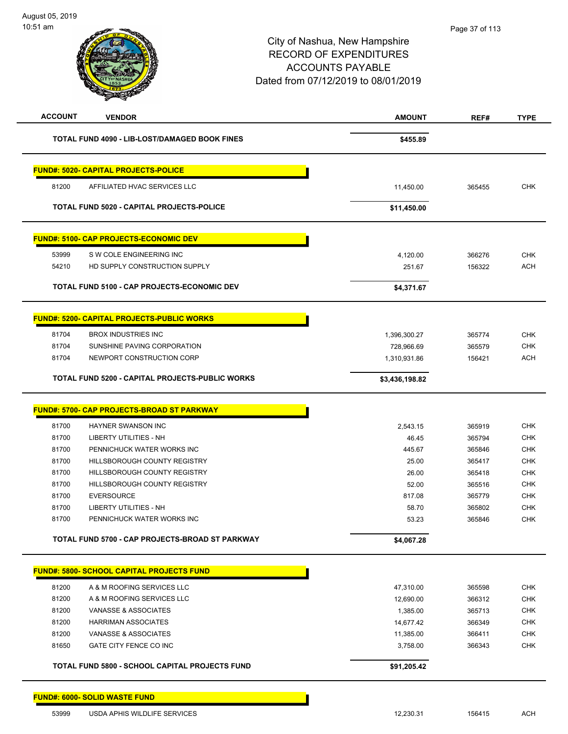|       | <b>VENDOR</b>                                     | <b>AMOUNT</b>  | REF#   | <b>TYPE</b>                                                                                                                |
|-------|---------------------------------------------------|----------------|--------|----------------------------------------------------------------------------------------------------------------------------|
|       | TOTAL FUND 4090 - LIB-LOST/DAMAGED BOOK FINES     | \$455.89       |        |                                                                                                                            |
|       | <b>FUND#: 5020- CAPITAL PROJECTS-POLICE</b>       |                |        |                                                                                                                            |
| 81200 | AFFILIATED HVAC SERVICES LLC                      | 11,450.00      | 365455 | <b>CHK</b>                                                                                                                 |
|       | TOTAL FUND 5020 - CAPITAL PROJECTS-POLICE         | \$11,450.00    |        |                                                                                                                            |
|       | <b>FUND#: 5100- CAP PROJECTS-ECONOMIC DEV</b>     |                |        |                                                                                                                            |
| 53999 | S W COLE ENGINEERING INC                          | 4,120.00       | 366276 | <b>CHK</b>                                                                                                                 |
| 54210 | HD SUPPLY CONSTRUCTION SUPPLY                     | 251.67         | 156322 | <b>ACH</b>                                                                                                                 |
|       | TOTAL FUND 5100 - CAP PROJECTS-ECONOMIC DEV       | \$4,371.67     |        |                                                                                                                            |
|       | <b>FUND#: 5200- CAPITAL PROJECTS-PUBLIC WORKS</b> |                |        |                                                                                                                            |
| 81704 | <b>BROX INDUSTRIES INC</b>                        | 1,396,300.27   | 365774 | <b>CHK</b>                                                                                                                 |
| 81704 | SUNSHINE PAVING CORPORATION                       | 728,966.69     | 365579 | <b>CHK</b>                                                                                                                 |
| 81704 | NEWPORT CONSTRUCTION CORP                         | 1,310,931.86   | 156421 | <b>ACH</b>                                                                                                                 |
|       | TOTAL FUND 5200 - CAPITAL PROJECTS-PUBLIC WORKS   | \$3,436,198.82 |        |                                                                                                                            |
|       |                                                   |                |        |                                                                                                                            |
|       | <b>FUND#: 5700- CAP PROJECTS-BROAD ST PARKWAY</b> |                |        |                                                                                                                            |
| 81700 | HAYNER SWANSON INC                                | 2,543.15       | 365919 |                                                                                                                            |
| 81700 | <b>LIBERTY UTILITIES - NH</b>                     | 46.45          | 365794 |                                                                                                                            |
| 81700 | PENNICHUCK WATER WORKS INC                        | 445.67         | 365846 |                                                                                                                            |
| 81700 | HILLSBOROUGH COUNTY REGISTRY                      | 25.00          | 365417 |                                                                                                                            |
| 81700 | HILLSBOROUGH COUNTY REGISTRY                      | 26.00          | 365418 |                                                                                                                            |
| 81700 | HILLSBOROUGH COUNTY REGISTRY                      | 52.00          | 365516 |                                                                                                                            |
| 81700 | <b>EVERSOURCE</b>                                 | 817.08         | 365779 |                                                                                                                            |
| 81700 | LIBERTY UTILITIES - NH                            | 58.70          | 365802 |                                                                                                                            |
| 81700 | PENNICHUCK WATER WORKS INC                        | 53.23          | 365846 | <b>CHK</b><br><b>CHK</b><br><b>CHK</b><br><b>CHK</b><br><b>CHK</b><br><b>CHK</b><br><b>CHK</b><br><b>CHK</b><br><b>CHK</b> |
|       | TOTAL FUND 5700 - CAP PROJECTS-BROAD ST PARKWAY   | \$4,067.28     |        |                                                                                                                            |
|       | <b>FUND#: 5800- SCHOOL CAPITAL PROJECTS FUND</b>  |                |        |                                                                                                                            |
| 81200 | A & M ROOFING SERVICES LLC                        | 47,310.00      | 365598 |                                                                                                                            |
| 81200 | A & M ROOFING SERVICES LLC                        | 12,690.00      | 366312 |                                                                                                                            |
| 81200 | VANASSE & ASSOCIATES                              | 1,385.00       | 365713 |                                                                                                                            |
| 81200 | <b>HARRIMAN ASSOCIATES</b>                        | 14,677.42      | 366349 |                                                                                                                            |
| 81200 | VANASSE & ASSOCIATES                              | 11,385.00      | 366411 |                                                                                                                            |
| 81650 | GATE CITY FENCE CO INC                            | 3,758.00       | 366343 | <b>CHK</b><br>CHK<br><b>CHK</b><br><b>CHK</b><br><b>CHK</b><br><b>CHK</b>                                                  |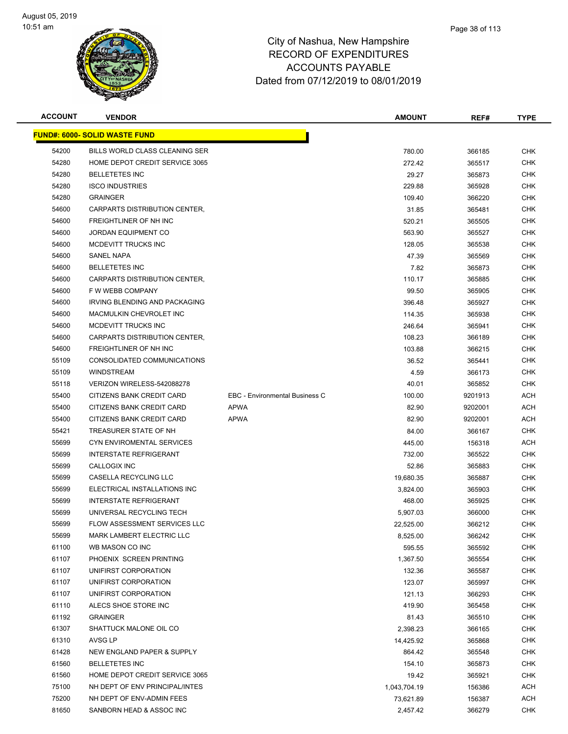

| <b>ACCOUNT</b> | <b>VENDOR</b>                         |                                       | <b>AMOUNT</b> | REF#    | <b>TYPE</b> |
|----------------|---------------------------------------|---------------------------------------|---------------|---------|-------------|
|                | <b>FUND#: 6000- SOLID WASTE FUND</b>  |                                       |               |         |             |
| 54200          | <b>BILLS WORLD CLASS CLEANING SER</b> |                                       | 780.00        | 366185  | <b>CHK</b>  |
| 54280          | HOME DEPOT CREDIT SERVICE 3065        |                                       | 272.42        | 365517  | <b>CHK</b>  |
| 54280          | <b>BELLETETES INC</b>                 |                                       | 29.27         | 365873  | CHK         |
| 54280          | <b>ISCO INDUSTRIES</b>                |                                       | 229.88        | 365928  | <b>CHK</b>  |
| 54280          | <b>GRAINGER</b>                       |                                       | 109.40        | 366220  | <b>CHK</b>  |
| 54600          | CARPARTS DISTRIBUTION CENTER,         |                                       | 31.85         | 365481  | <b>CHK</b>  |
| 54600          | FREIGHTLINER OF NH INC                |                                       | 520.21        | 365505  | <b>CHK</b>  |
| 54600          | <b>JORDAN EQUIPMENT CO</b>            |                                       | 563.90        | 365527  | <b>CHK</b>  |
| 54600          | MCDEVITT TRUCKS INC                   |                                       | 128.05        | 365538  | <b>CHK</b>  |
| 54600          | <b>SANEL NAPA</b>                     |                                       | 47.39         | 365569  | CHK         |
| 54600          | <b>BELLETETES INC</b>                 |                                       | 7.82          | 365873  | CHK         |
| 54600          | CARPARTS DISTRIBUTION CENTER,         |                                       | 110.17        | 365885  | <b>CHK</b>  |
| 54600          | F W WEBB COMPANY                      |                                       | 99.50         | 365905  | CHK         |
| 54600          | IRVING BLENDING AND PACKAGING         |                                       | 396.48        | 365927  | CHK         |
| 54600          | MACMULKIN CHEVROLET INC               |                                       | 114.35        | 365938  | <b>CHK</b>  |
| 54600          | MCDEVITT TRUCKS INC                   |                                       | 246.64        | 365941  | <b>CHK</b>  |
| 54600          | CARPARTS DISTRIBUTION CENTER,         |                                       | 108.23        | 366189  | <b>CHK</b>  |
| 54600          | FREIGHTLINER OF NH INC                |                                       | 103.88        | 366215  | <b>CHK</b>  |
| 55109          | CONSOLIDATED COMMUNICATIONS           |                                       | 36.52         | 365441  | <b>CHK</b>  |
| 55109          | <b>WINDSTREAM</b>                     |                                       | 4.59          | 366173  | <b>CHK</b>  |
| 55118          | VERIZON WIRELESS-542088278            |                                       | 40.01         | 365852  | <b>CHK</b>  |
| 55400          | CITIZENS BANK CREDIT CARD             | <b>EBC - Environmental Business C</b> | 100.00        | 9201913 | ACH         |
| 55400          | CITIZENS BANK CREDIT CARD             | <b>APWA</b>                           | 82.90         | 9202001 | ACH         |
| 55400          | CITIZENS BANK CREDIT CARD             | <b>APWA</b>                           | 82.90         | 9202001 | <b>ACH</b>  |
| 55421          | TREASURER STATE OF NH                 |                                       | 84.00         | 366167  | <b>CHK</b>  |
| 55699          | CYN ENVIROMENTAL SERVICES             |                                       | 445.00        | 156318  | ACH         |
| 55699          | <b>INTERSTATE REFRIGERANT</b>         |                                       | 732.00        | 365522  | <b>CHK</b>  |
| 55699          | CALLOGIX INC                          |                                       | 52.86         | 365883  | CHK         |
| 55699          | <b>CASELLA RECYCLING LLC</b>          |                                       | 19,680.35     | 365887  | <b>CHK</b>  |
| 55699          | ELECTRICAL INSTALLATIONS INC          |                                       | 3,824.00      | 365903  | CHK         |
| 55699          | <b>INTERSTATE REFRIGERANT</b>         |                                       | 468.00        | 365925  | CHK         |
| 55699          | UNIVERSAL RECYCLING TECH              |                                       | 5,907.03      | 366000  | <b>CHK</b>  |
| 55699          | <b>FLOW ASSESSMENT SERVICES LLC</b>   |                                       | 22,525.00     | 366212  | <b>CHK</b>  |
| 55699          | MARK LAMBERT ELECTRIC LLC             |                                       | 8,525.00      | 366242  | <b>CHK</b>  |
| 61100          | WB MASON CO INC                       |                                       | 595.55        | 365592  | <b>CHK</b>  |
| 61107          | PHOENIX SCREEN PRINTING               |                                       | 1,367.50      | 365554  | <b>CHK</b>  |
| 61107          | UNIFIRST CORPORATION                  |                                       | 132.36        | 365587  | <b>CHK</b>  |
| 61107          | UNIFIRST CORPORATION                  |                                       | 123.07        | 365997  | <b>CHK</b>  |
| 61107          | UNIFIRST CORPORATION                  |                                       | 121.13        | 366293  | <b>CHK</b>  |
| 61110          | ALECS SHOE STORE INC                  |                                       | 419.90        | 365458  | <b>CHK</b>  |
| 61192          | <b>GRAINGER</b>                       |                                       | 81.43         | 365510  | <b>CHK</b>  |
| 61307          | SHATTUCK MALONE OIL CO                |                                       | 2,398.23      | 366165  | <b>CHK</b>  |
| 61310          | AVSG LP                               |                                       | 14,425.92     | 365868  | <b>CHK</b>  |
| 61428          | NEW ENGLAND PAPER & SUPPLY            |                                       | 864.42        | 365548  | <b>CHK</b>  |
| 61560          | <b>BELLETETES INC</b>                 |                                       | 154.10        | 365873  | <b>CHK</b>  |
| 61560          | HOME DEPOT CREDIT SERVICE 3065        |                                       | 19.42         | 365921  | CHK         |
| 75100          | NH DEPT OF ENV PRINCIPAL/INTES        |                                       | 1,043,704.19  | 156386  | ACH         |
| 75200          | NH DEPT OF ENV-ADMIN FEES             |                                       | 73,621.89     | 156387  | ACH         |
| 81650          | SANBORN HEAD & ASSOC INC              |                                       | 2,457.42      | 366279  | <b>CHK</b>  |
|                |                                       |                                       |               |         |             |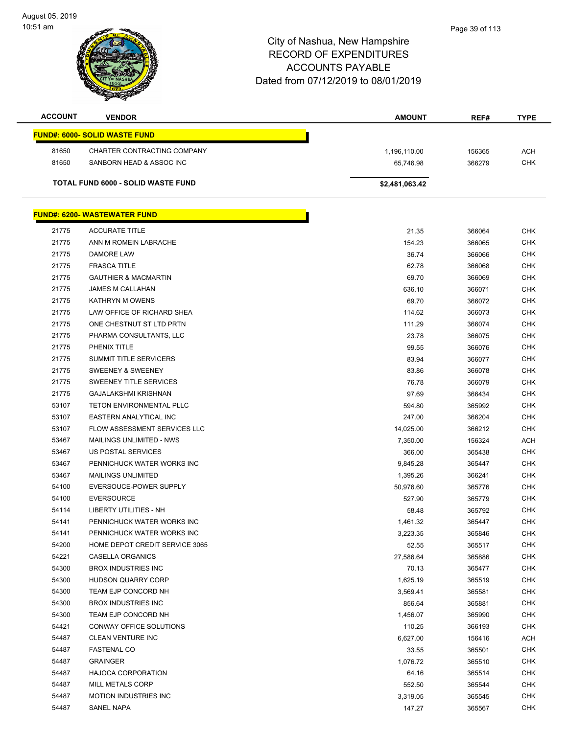August 05, 2019 10:51 am



| <b>ACCOUNT</b> | <b>VENDOR</b>                         | <b>AMOUNT</b>  | REF#   | <b>TYPE</b> |
|----------------|---------------------------------------|----------------|--------|-------------|
|                | <u> FUND#: 6000- SOLID WASTE FUND</u> |                |        |             |
| 81650          | CHARTER CONTRACTING COMPANY           | 1,196,110.00   | 156365 | <b>ACH</b>  |
| 81650          | SANBORN HEAD & ASSOC INC              | 65,746.98      | 366279 | <b>CHK</b>  |
|                |                                       |                |        |             |
|                | TOTAL FUND 6000 - SOLID WASTE FUND    | \$2,481,063.42 |        |             |
|                | <u> FUND#: 6200- WASTEWATER FUND</u>  |                |        |             |
|                |                                       |                |        |             |
| 21775          | <b>ACCURATE TITLE</b>                 | 21.35          | 366064 | <b>CHK</b>  |
| 21775          | ANN M ROMEIN LABRACHE                 | 154.23         | 366065 | <b>CHK</b>  |
| 21775          | DAMORE LAW                            | 36.74          | 366066 | <b>CHK</b>  |
| 21775          | <b>FRASCA TITLE</b>                   | 62.78          | 366068 | <b>CHK</b>  |
| 21775          | <b>GAUTHIER &amp; MACMARTIN</b>       | 69.70          | 366069 | <b>CHK</b>  |
| 21775          | <b>JAMES M CALLAHAN</b>               | 636.10         | 366071 | <b>CHK</b>  |
| 21775          | <b>KATHRYN M OWENS</b>                | 69.70          | 366072 | <b>CHK</b>  |
| 21775          | LAW OFFICE OF RICHARD SHEA            | 114.62         | 366073 | <b>CHK</b>  |
| 21775          | ONE CHESTNUT ST LTD PRTN              | 111.29         | 366074 | <b>CHK</b>  |
| 21775          | PHARMA CONSULTANTS, LLC               | 23.78          | 366075 | <b>CHK</b>  |
| 21775          | PHENIX TITLE                          | 99.55          | 366076 | <b>CHK</b>  |
| 21775          | <b>SUMMIT TITLE SERVICERS</b>         | 83.94          | 366077 | <b>CHK</b>  |
| 21775          | SWEENEY & SWEENEY                     | 83.86          | 366078 | <b>CHK</b>  |
| 21775          | SWEENEY TITLE SERVICES                | 76.78          | 366079 | <b>CHK</b>  |
| 21775          | <b>GAJALAKSHMI KRISHNAN</b>           | 97.69          | 366434 | <b>CHK</b>  |
| 53107          | TETON ENVIRONMENTAL PLLC              | 594.80         | 365992 | CHK         |
| 53107          | EASTERN ANALYTICAL INC                | 247.00         | 366204 | <b>CHK</b>  |
| 53107          | FLOW ASSESSMENT SERVICES LLC          | 14,025.00      | 366212 | <b>CHK</b>  |
| 53467          | MAILINGS UNLIMITED - NWS              | 7,350.00       | 156324 | <b>ACH</b>  |
| 53467          | US POSTAL SERVICES                    | 366.00         | 365438 | <b>CHK</b>  |
| 53467          | PENNICHUCK WATER WORKS INC            | 9,845.28       | 365447 | <b>CHK</b>  |
| 53467          | <b>MAILINGS UNLIMITED</b>             | 1,395.26       | 366241 | <b>CHK</b>  |
| 54100          | EVERSOUCE-POWER SUPPLY                | 50,976.60      | 365776 | <b>CHK</b>  |
| 54100          | <b>EVERSOURCE</b>                     | 527.90         | 365779 | <b>CHK</b>  |
| 54114          | <b>LIBERTY UTILITIES - NH</b>         | 58.48          | 365792 | <b>CHK</b>  |
| 54141          | PENNICHUCK WATER WORKS INC            | 1,461.32       | 365447 | <b>CHK</b>  |
| 54141          | PENNICHUCK WATER WORKS INC            | 3,223.35       | 365846 | <b>CHK</b>  |
| 54200          | HOME DEPOT CREDIT SERVICE 3065        | 52.55          | 365517 | <b>CHK</b>  |
| 54221          | <b>CASELLA ORGANICS</b>               | 27,586.64      | 365886 | <b>CHK</b>  |
| 54300          | <b>BROX INDUSTRIES INC</b>            | 70.13          | 365477 | <b>CHK</b>  |
| 54300          | <b>HUDSON QUARRY CORP</b>             | 1,625.19       | 365519 | <b>CHK</b>  |
| 54300          | TEAM EJP CONCORD NH                   | 3,569.41       | 365581 | <b>CHK</b>  |
| 54300          | <b>BROX INDUSTRIES INC</b>            | 856.64         | 365881 | <b>CHK</b>  |
| 54300          | TEAM EJP CONCORD NH                   | 1,456.07       | 365990 | <b>CHK</b>  |
| 54421          | CONWAY OFFICE SOLUTIONS               | 110.25         | 366193 | <b>CHK</b>  |
| 54487          | CLEAN VENTURE INC                     | 6,627.00       | 156416 | ACH         |
| 54487          | <b>FASTENAL CO</b>                    | 33.55          | 365501 | <b>CHK</b>  |
| 54487          | <b>GRAINGER</b>                       | 1,076.72       | 365510 | <b>CHK</b>  |
| 54487          | <b>HAJOCA CORPORATION</b>             | 64.16          | 365514 | <b>CHK</b>  |
| 54487          | MILL METALS CORP                      | 552.50         | 365544 | <b>CHK</b>  |
| 54487          | <b>MOTION INDUSTRIES INC</b>          | 3,319.05       | 365545 | <b>CHK</b>  |
| 54487          | SANEL NAPA                            | 147.27         | 365567 | <b>CHK</b>  |
|                |                                       |                |        |             |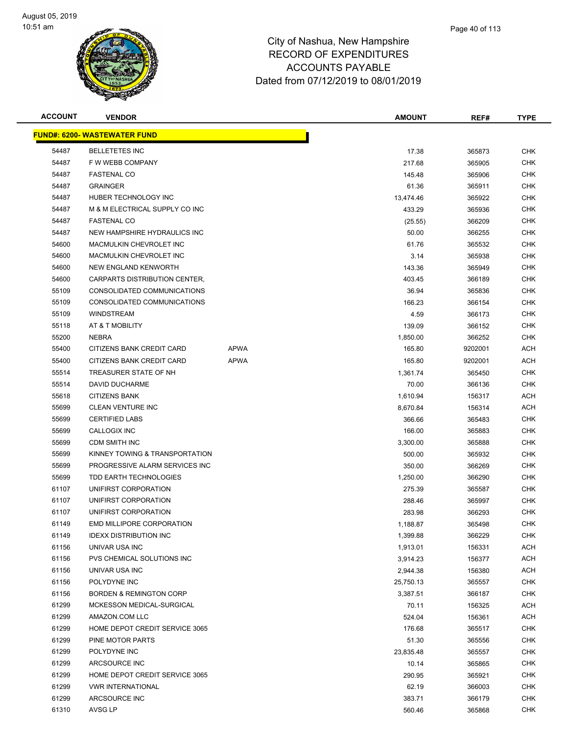

# City of Nashua, New Hampshire RECORD OF ACCOUN Dated from 07/1

| <b>ACCOUNT</b> | <b>VENDOR</b> | <b>AMOUNT</b>                       | REF# | TYPE |
|----------------|---------------|-------------------------------------|------|------|
|                |               | Dated from 07/12/2019 to 08/01/2019 |      |      |
|                |               | <b>ACCOUNTS PAYABLE</b>             |      |      |
|                |               | <b>RECORD OF EXPENDITURES</b>       |      |      |
|                |               |                                     |      |      |

|       | <u>FUND#: 6200- WASTEWATER FUND</u> |             |           |         |            |
|-------|-------------------------------------|-------------|-----------|---------|------------|
| 54487 | <b>BELLETETES INC</b>               |             | 17.38     | 365873  | <b>CHK</b> |
| 54487 | F W WEBB COMPANY                    |             | 217.68    | 365905  | <b>CHK</b> |
| 54487 | <b>FASTENAL CO</b>                  |             | 145.48    | 365906  | <b>CHK</b> |
| 54487 | <b>GRAINGER</b>                     |             | 61.36     | 365911  | <b>CHK</b> |
| 54487 | HUBER TECHNOLOGY INC                |             | 13,474.46 | 365922  | <b>CHK</b> |
| 54487 | M & M ELECTRICAL SUPPLY CO INC      |             | 433.29    | 365936  | <b>CHK</b> |
| 54487 | <b>FASTENAL CO</b>                  |             | (25.55)   | 366209  | <b>CHK</b> |
| 54487 | NEW HAMPSHIRE HYDRAULICS INC        |             | 50.00     | 366255  | <b>CHK</b> |
| 54600 | MACMULKIN CHEVROLET INC             |             | 61.76     | 365532  | <b>CHK</b> |
| 54600 | MACMULKIN CHEVROLET INC             |             | 3.14      | 365938  | <b>CHK</b> |
| 54600 | NEW ENGLAND KENWORTH                |             | 143.36    | 365949  | <b>CHK</b> |
| 54600 | CARPARTS DISTRIBUTION CENTER,       |             | 403.45    | 366189  | <b>CHK</b> |
| 55109 | CONSOLIDATED COMMUNICATIONS         |             | 36.94     | 365836  | <b>CHK</b> |
| 55109 | CONSOLIDATED COMMUNICATIONS         |             |           |         | <b>CHK</b> |
|       |                                     |             | 166.23    | 366154  |            |
| 55109 | <b>WINDSTREAM</b>                   |             | 4.59      | 366173  | <b>CHK</b> |
| 55118 | AT & T MOBILITY                     |             | 139.09    | 366152  | <b>CHK</b> |
| 55200 | NEBRA                               |             | 1,850.00  | 366252  | <b>CHK</b> |
| 55400 | CITIZENS BANK CREDIT CARD           | APWA        | 165.80    | 9202001 | <b>ACH</b> |
| 55400 | CITIZENS BANK CREDIT CARD           | <b>APWA</b> | 165.80    | 9202001 | <b>ACH</b> |
| 55514 | TREASURER STATE OF NH               |             | 1,361.74  | 365450  | <b>CHK</b> |
| 55514 | DAVID DUCHARME                      |             | 70.00     | 366136  | <b>CHK</b> |
| 55618 | <b>CITIZENS BANK</b>                |             | 1,610.94  | 156317  | <b>ACH</b> |
| 55699 | <b>CLEAN VENTURE INC</b>            |             | 8,670.84  | 156314  | <b>ACH</b> |
| 55699 | <b>CERTIFIED LABS</b>               |             | 366.66    | 365483  | <b>CHK</b> |
| 55699 | CALLOGIX INC                        |             | 166.00    | 365883  | <b>CHK</b> |
| 55699 | <b>CDM SMITH INC</b>                |             | 3,300.00  | 365888  | <b>CHK</b> |
| 55699 | KINNEY TOWING & TRANSPORTATION      |             | 500.00    | 365932  | <b>CHK</b> |
| 55699 | PROGRESSIVE ALARM SERVICES INC      |             | 350.00    | 366269  | <b>CHK</b> |
| 55699 | TDD EARTH TECHNOLOGIES              |             | 1,250.00  | 366290  | <b>CHK</b> |
| 61107 | UNIFIRST CORPORATION                |             | 275.39    | 365587  | <b>CHK</b> |
| 61107 | UNIFIRST CORPORATION                |             | 288.46    | 365997  | <b>CHK</b> |
| 61107 | UNIFIRST CORPORATION                |             | 283.98    | 366293  | <b>CHK</b> |
| 61149 | <b>EMD MILLIPORE CORPORATION</b>    |             | 1,188.87  | 365498  | <b>CHK</b> |
| 61149 | <b>IDEXX DISTRIBUTION INC</b>       |             | 1,399.88  | 366229  | <b>CHK</b> |
| 61156 | UNIVAR USA INC                      |             | 1,913.01  | 156331  | <b>ACH</b> |
| 61156 | PVS CHEMICAL SOLUTIONS INC          |             | 3,914.23  | 156377  | <b>ACH</b> |
| 61156 | UNIVAR USA INC                      |             | 2,944.38  | 156380  | <b>ACH</b> |
| 61156 | POLYDYNE INC                        |             | 25,750.13 | 365557  | <b>CHK</b> |
| 61156 | <b>BORDEN &amp; REMINGTON CORP</b>  |             | 3,387.51  | 366187  | <b>CHK</b> |
| 61299 | MCKESSON MEDICAL-SURGICAL           |             | 70.11     | 156325  | <b>ACH</b> |
| 61299 | AMAZON.COM LLC                      |             | 524.04    | 156361  | ACH        |
| 61299 | HOME DEPOT CREDIT SERVICE 3065      |             | 176.68    | 365517  | <b>CHK</b> |
| 61299 | PINE MOTOR PARTS                    |             | 51.30     | 365556  | <b>CHK</b> |
| 61299 | POLYDYNE INC                        |             | 23,835.48 | 365557  | CHK        |
| 61299 | ARCSOURCE INC                       |             | 10.14     | 365865  | <b>CHK</b> |
| 61299 | HOME DEPOT CREDIT SERVICE 3065      |             | 290.95    | 365921  | <b>CHK</b> |
| 61299 | <b>VWR INTERNATIONAL</b>            |             |           |         | <b>CHK</b> |
|       |                                     |             | 62.19     | 366003  |            |
| 61299 | ARCSOURCE INC                       |             | 383.71    | 366179  | <b>CHK</b> |
| 61310 | AVSG LP                             |             | 560.46    | 365868  | <b>CHK</b> |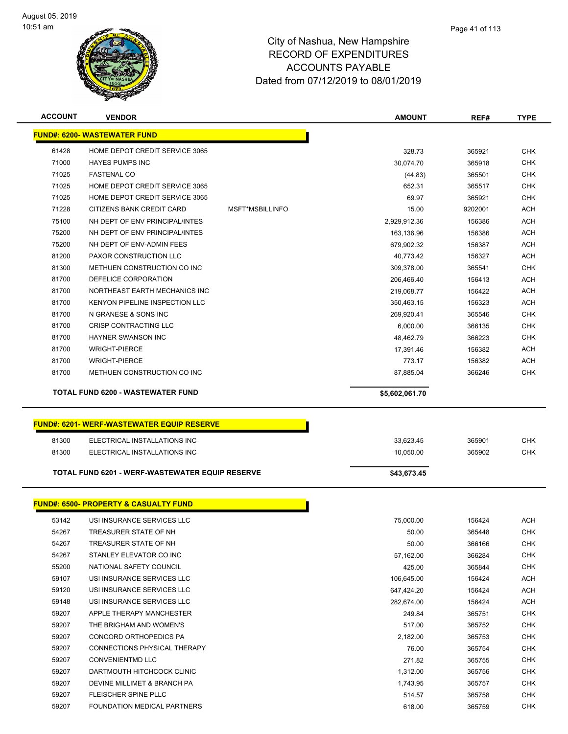

| <b>ACCOUNT</b> | <b>VENDOR</b>                                    |                 | <b>AMOUNT</b>  | REF#    | <b>TYPE</b> |
|----------------|--------------------------------------------------|-----------------|----------------|---------|-------------|
|                | <b>FUND#: 6200- WASTEWATER FUND</b>              |                 |                |         |             |
| 61428          | HOME DEPOT CREDIT SERVICE 3065                   |                 | 328.73         | 365921  | <b>CHK</b>  |
| 71000          | <b>HAYES PUMPS INC</b>                           |                 | 30,074.70      | 365918  | CHK         |
| 71025          | <b>FASTENAL CO</b>                               |                 | (44.83)        | 365501  | CHK         |
| 71025          | HOME DEPOT CREDIT SERVICE 3065                   |                 | 652.31         | 365517  | <b>CHK</b>  |
| 71025          | HOME DEPOT CREDIT SERVICE 3065                   |                 | 69.97          | 365921  | <b>CHK</b>  |
| 71228          | CITIZENS BANK CREDIT CARD                        | MSFT*MSBILLINFO | 15.00          | 9202001 | ACH         |
| 75100          | NH DEPT OF ENV PRINCIPAL/INTES                   |                 | 2,929,912.36   | 156386  | <b>ACH</b>  |
| 75200          | NH DEPT OF ENV PRINCIPAL/INTES                   |                 | 163,136.96     | 156386  | <b>ACH</b>  |
| 75200          | NH DEPT OF ENV-ADMIN FEES                        |                 | 679,902.32     | 156387  | <b>ACH</b>  |
| 81200          | PAXOR CONSTRUCTION LLC                           |                 | 40,773.42      | 156327  | ACH         |
| 81300          | METHUEN CONSTRUCTION CO INC                      |                 | 309,378.00     | 365541  | <b>CHK</b>  |
| 81700          | DEFELICE CORPORATION                             |                 | 206,466.40     | 156413  | <b>ACH</b>  |
| 81700          | NORTHEAST EARTH MECHANICS INC                    |                 | 219,068.77     | 156422  | ACH         |
| 81700          | KENYON PIPELINE INSPECTION LLC                   |                 | 350,463.15     | 156323  | <b>ACH</b>  |
| 81700          | N GRANESE & SONS INC                             |                 | 269,920.41     | 365546  | <b>CHK</b>  |
| 81700          | CRISP CONTRACTING LLC                            |                 | 6,000.00       | 366135  | <b>CHK</b>  |
| 81700          | <b>HAYNER SWANSON INC</b>                        |                 | 48,462.79      | 366223  | <b>CHK</b>  |
| 81700          | <b>WRIGHT-PIERCE</b>                             |                 | 17,391.46      | 156382  | <b>ACH</b>  |
| 81700          | <b>WRIGHT-PIERCE</b>                             |                 | 773.17         | 156382  | <b>ACH</b>  |
| 81700          | METHUEN CONSTRUCTION CO INC                      |                 | 87,885.04      | 366246  | <b>CHK</b>  |
|                | <b>TOTAL FUND 6200 - WASTEWATER FUND</b>         |                 | \$5,602,061.70 |         |             |
|                |                                                  |                 |                |         |             |
|                | <b>FUND#: 6201-WERF-WASTEWATER EQUIP RESERVE</b> |                 |                |         |             |
| 81300          | ELECTRICAL INSTALLATIONS INC                     |                 | 33,623.45      | 365901  | <b>CHK</b>  |
| 81300          | ELECTRICAL INSTALLATIONS INC                     |                 | 10,050.00      | 365902  | <b>CHK</b>  |
|                | TOTAL FUND 6201 - WERF-WASTEWATER EQUIP RESERVE  |                 | \$43,673.45    |         |             |
|                |                                                  |                 |                |         |             |
|                | <b>FUND#: 6500- PROPERTY &amp; CASUALTY FUND</b> |                 |                |         |             |
| 53142          | USI INSURANCE SERVICES LLC                       |                 | 75,000.00      | 156424  | <b>ACH</b>  |
| 54267          | TREASURER STATE OF NH                            |                 | 50.00          | 365448  | <b>CHK</b>  |
| 54267          | TREASURER STATE OF NH                            |                 | 50.00          | 366166  | <b>CHK</b>  |
| 54267          | STANLEY ELEVATOR CO INC                          |                 | 57,162.00      | 366284  | <b>CHK</b>  |
| 55200          | NATIONAL SAFETY COUNCIL                          |                 | 425.00         | 365844  | <b>CHK</b>  |
| 59107          | USI INSURANCE SERVICES LLC                       |                 | 106,645.00     | 156424  | ACH         |
| 59120          | USI INSURANCE SERVICES LLC                       |                 | 647,424.20     | 156424  | ACH         |
| 59148          | USI INSURANCE SERVICES LLC                       |                 | 282,674.00     | 156424  | <b>ACH</b>  |
| 59207          | APPLE THERAPY MANCHESTER                         |                 | 249.84         | 365751  | <b>CHK</b>  |
| 59207          | THE BRIGHAM AND WOMEN'S                          |                 | 517.00         | 365752  | <b>CHK</b>  |
| 59207          | CONCORD ORTHOPEDICS PA                           |                 | 2,182.00       | 365753  | <b>CHK</b>  |
| 59207          | CONNECTIONS PHYSICAL THERAPY                     |                 | 76.00          | 365754  | <b>CHK</b>  |
| 59207          | <b>CONVENIENTMD LLC</b>                          |                 | 271.82         | 365755  | <b>CHK</b>  |
| 59207          | DARTMOUTH HITCHCOCK CLINIC                       |                 | 1,312.00       | 365756  | <b>CHK</b>  |
| 59207          | DEVINE MILLIMET & BRANCH PA                      |                 | 1,743.95       | 365757  | <b>CHK</b>  |
| 59207          | FLEISCHER SPINE PLLC                             |                 | 514.57         | 365758  | <b>CHK</b>  |
| 59207          | FOUNDATION MEDICAL PARTNERS                      |                 | 618.00         | 365759  | <b>CHK</b>  |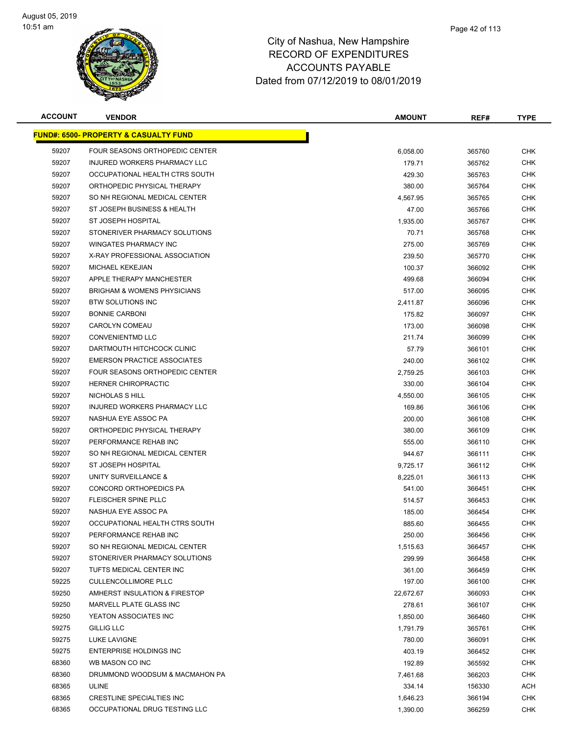

| <b>ACCOUNT</b> | <b>VENDOR</b>                                    | <b>AMOUNT</b> | REF#   | <b>TYPE</b> |
|----------------|--------------------------------------------------|---------------|--------|-------------|
|                | <b>FUND#: 6500- PROPERTY &amp; CASUALTY FUND</b> |               |        |             |
| 59207          | FOUR SEASONS ORTHOPEDIC CENTER                   | 6,058.00      | 365760 | <b>CHK</b>  |
| 59207          | INJURED WORKERS PHARMACY LLC                     | 179.71        | 365762 | <b>CHK</b>  |
| 59207          | OCCUPATIONAL HEALTH CTRS SOUTH                   | 429.30        | 365763 | <b>CHK</b>  |
| 59207          | ORTHOPEDIC PHYSICAL THERAPY                      | 380.00        | 365764 | <b>CHK</b>  |
| 59207          | SO NH REGIONAL MEDICAL CENTER                    | 4,567.95      | 365765 | <b>CHK</b>  |
| 59207          | ST JOSEPH BUSINESS & HEALTH                      | 47.00         | 365766 | <b>CHK</b>  |
| 59207          | ST JOSEPH HOSPITAL                               | 1,935.00      | 365767 | <b>CHK</b>  |
| 59207          | STONERIVER PHARMACY SOLUTIONS                    | 70.71         | 365768 | <b>CHK</b>  |
| 59207          | <b>WINGATES PHARMACY INC</b>                     | 275.00        | 365769 | CHK         |
| 59207          | X-RAY PROFESSIONAL ASSOCIATION                   | 239.50        | 365770 | CHK         |
| 59207          | <b>MICHAEL KEKEJIAN</b>                          | 100.37        | 366092 | CHK         |
| 59207          | APPLE THERAPY MANCHESTER                         | 499.68        | 366094 | CHK         |
| 59207          | <b>BRIGHAM &amp; WOMENS PHYSICIANS</b>           | 517.00        | 366095 | <b>CHK</b>  |
| 59207          | BTW SOLUTIONS INC                                | 2,411.87      | 366096 | <b>CHK</b>  |
| 59207          | <b>BONNIE CARBONI</b>                            | 175.82        | 366097 | CHK         |
| 59207          | CAROLYN COMEAU                                   | 173.00        | 366098 | <b>CHK</b>  |
| 59207          | <b>CONVENIENTMD LLC</b>                          | 211.74        | 366099 | <b>CHK</b>  |
| 59207          | DARTMOUTH HITCHCOCK CLINIC                       | 57.79         | 366101 | <b>CHK</b>  |
| 59207          | <b>EMERSON PRACTICE ASSOCIATES</b>               | 240.00        | 366102 | <b>CHK</b>  |
| 59207          | FOUR SEASONS ORTHOPEDIC CENTER                   | 2,759.25      | 366103 | CHK         |
| 59207          | <b>HERNER CHIROPRACTIC</b>                       | 330.00        | 366104 | <b>CHK</b>  |
| 59207          | NICHOLAS S HILL                                  | 4,550.00      | 366105 | <b>CHK</b>  |
| 59207          | INJURED WORKERS PHARMACY LLC                     | 169.86        | 366106 | <b>CHK</b>  |
| 59207          | NASHUA EYE ASSOC PA                              | 200.00        | 366108 | <b>CHK</b>  |
| 59207          | ORTHOPEDIC PHYSICAL THERAPY                      | 380.00        | 366109 | <b>CHK</b>  |
| 59207          | PERFORMANCE REHAB INC                            | 555.00        | 366110 | <b>CHK</b>  |
| 59207          | SO NH REGIONAL MEDICAL CENTER                    | 944.67        | 366111 | <b>CHK</b>  |
| 59207          | ST JOSEPH HOSPITAL                               | 9,725.17      | 366112 | <b>CHK</b>  |
| 59207          | UNITY SURVEILLANCE &                             | 8,225.01      | 366113 | <b>CHK</b>  |
| 59207          | CONCORD ORTHOPEDICS PA                           | 541.00        | 366451 | CHK         |
| 59207          | <b>FLEISCHER SPINE PLLC</b>                      | 514.57        | 366453 | CHK         |
| 59207          | NASHUA EYE ASSOC PA                              | 185.00        | 366454 | <b>CHK</b>  |
| 59207          | OCCUPATIONAL HEALTH CTRS SOUTH                   | 885.60        | 366455 | <b>CHK</b>  |
| 59207          | PERFORMANCE REHAB INC                            | 250.00        | 366456 | <b>CHK</b>  |
| 59207          | SO NH REGIONAL MEDICAL CENTER                    | 1,515.63      | 366457 | <b>CHK</b>  |
| 59207          | STONERIVER PHARMACY SOLUTIONS                    | 299.99        | 366458 | <b>CHK</b>  |
| 59207          | TUFTS MEDICAL CENTER INC                         | 361.00        | 366459 | <b>CHK</b>  |
| 59225          | <b>CULLENCOLLIMORE PLLC</b>                      | 197.00        | 366100 | <b>CHK</b>  |
| 59250          | AMHERST INSULATION & FIRESTOP                    | 22,672.67     | 366093 | <b>CHK</b>  |
| 59250          | MARVELL PLATE GLASS INC                          | 278.61        | 366107 | <b>CHK</b>  |
| 59250          | YEATON ASSOCIATES INC                            | 1,850.00      | 366460 | <b>CHK</b>  |
| 59275          | <b>GILLIG LLC</b>                                | 1,791.79      | 365761 | CHK         |
| 59275          | LUKE LAVIGNE                                     | 780.00        | 366091 | <b>CHK</b>  |
| 59275          | <b>ENTERPRISE HOLDINGS INC</b>                   | 403.19        | 366452 | <b>CHK</b>  |
| 68360          | WB MASON CO INC                                  | 192.89        | 365592 | <b>CHK</b>  |
| 68360          | DRUMMOND WOODSUM & MACMAHON PA                   | 7,461.68      | 366203 | <b>CHK</b>  |
| 68365          | ULINE                                            | 334.14        | 156330 | ACH         |
| 68365          | CRESTLINE SPECIALTIES INC                        | 1,646.23      | 366194 | <b>CHK</b>  |
| 68365          | OCCUPATIONAL DRUG TESTING LLC                    | 1,390.00      | 366259 | <b>CHK</b>  |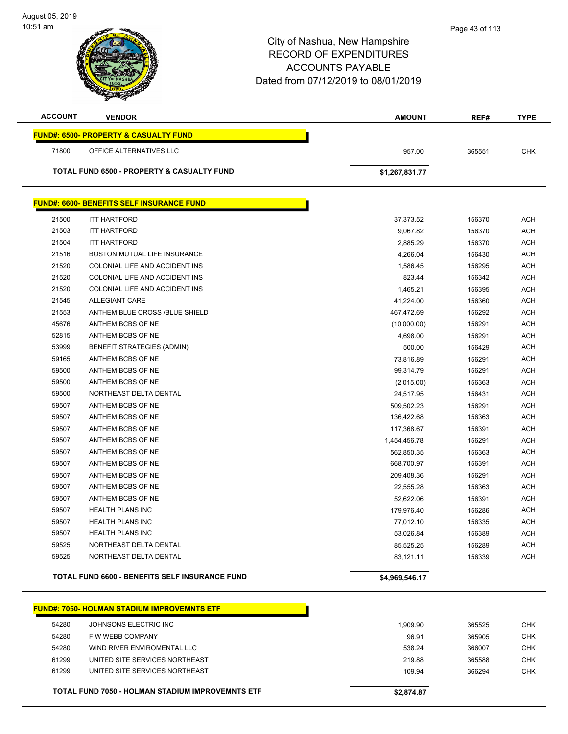| <b>ACCOUNT</b> | <b>VENDOR</b>                                           | <b>AMOUNT</b>  | REF#   | <b>TYPE</b> |
|----------------|---------------------------------------------------------|----------------|--------|-------------|
|                | <b>FUND#: 6500- PROPERTY &amp; CASUALTY FUND</b>        |                |        |             |
| 71800          | OFFICE ALTERNATIVES LLC                                 | 957.00         | 365551 | <b>CHK</b>  |
|                | TOTAL FUND 6500 - PROPERTY & CASUALTY FUND              | \$1,267,831.77 |        |             |
|                |                                                         |                |        |             |
|                | <b>FUND#: 6600- BENEFITS SELF INSURANCE FUND</b>        |                |        |             |
| 21500          | <b>ITT HARTFORD</b>                                     | 37,373.52      | 156370 | <b>ACH</b>  |
| 21503          | <b>ITT HARTFORD</b>                                     | 9,067.82       | 156370 | <b>ACH</b>  |
| 21504          | <b>ITT HARTFORD</b>                                     | 2,885.29       | 156370 | <b>ACH</b>  |
| 21516          | BOSTON MUTUAL LIFE INSURANCE                            | 4,266.04       | 156430 | <b>ACH</b>  |
| 21520          | COLONIAL LIFE AND ACCIDENT INS                          | 1,586.45       | 156295 | <b>ACH</b>  |
| 21520          | COLONIAL LIFE AND ACCIDENT INS                          | 823.44         | 156342 | <b>ACH</b>  |
| 21520          | COLONIAL LIFE AND ACCIDENT INS                          | 1,465.21       | 156395 | <b>ACH</b>  |
| 21545          | <b>ALLEGIANT CARE</b>                                   | 41,224.00      | 156360 | <b>ACH</b>  |
| 21553          | ANTHEM BLUE CROSS /BLUE SHIELD                          | 467,472.69     | 156292 | <b>ACH</b>  |
| 45676          | ANTHEM BCBS OF NE                                       | (10,000.00)    | 156291 | <b>ACH</b>  |
| 52815          | ANTHEM BCBS OF NE                                       | 4,698.00       | 156291 | <b>ACH</b>  |
| 53999          | <b>BENEFIT STRATEGIES (ADMIN)</b>                       | 500.00         | 156429 | <b>ACH</b>  |
| 59165          | ANTHEM BCBS OF NE                                       | 73,816.89      | 156291 | <b>ACH</b>  |
| 59500          | ANTHEM BCBS OF NE                                       | 99,314.79      | 156291 | <b>ACH</b>  |
| 59500          | ANTHEM BCBS OF NE                                       | (2,015.00)     | 156363 | <b>ACH</b>  |
| 59500          | NORTHEAST DELTA DENTAL                                  | 24,517.95      | 156431 | <b>ACH</b>  |
| 59507          | ANTHEM BCBS OF NE                                       | 509,502.23     | 156291 | <b>ACH</b>  |
| 59507          | ANTHEM BCBS OF NE                                       | 136,422.68     | 156363 | <b>ACH</b>  |
| 59507          | ANTHEM BCBS OF NE                                       | 117,368.67     | 156391 | <b>ACH</b>  |
| 59507          | ANTHEM BCBS OF NE                                       | 1,454,456.78   | 156291 | <b>ACH</b>  |
| 59507          | ANTHEM BCBS OF NE                                       | 562,850.35     | 156363 | <b>ACH</b>  |
| 59507          | ANTHEM BCBS OF NE                                       | 668,700.97     | 156391 | <b>ACH</b>  |
| 59507          | ANTHEM BCBS OF NE                                       | 209,408.36     | 156291 | <b>ACH</b>  |
| 59507          | ANTHEM BCBS OF NE                                       | 22,555.28      | 156363 | <b>ACH</b>  |
| 59507          | ANTHEM BCBS OF NE                                       | 52,622.06      | 156391 | <b>ACH</b>  |
| 59507          | <b>HEALTH PLANS INC</b>                                 | 179,976.40     | 156286 | <b>ACH</b>  |
| 59507          | HEALTH PLANS INC                                        | 77,012.10      | 156335 | <b>ACH</b>  |
| 59507          | <b>HEALTH PLANS INC</b>                                 | 53,026.84      | 156389 | <b>ACH</b>  |
| 59525          | NORTHEAST DELTA DENTAL                                  | 85,525.25      | 156289 | <b>ACH</b>  |
| 59525          | NORTHEAST DELTA DENTAL                                  | 83,121.11      | 156339 | <b>ACH</b>  |
|                | TOTAL FUND 6600 - BENEFITS SELF INSURANCE FUND          | \$4,969,546.17 |        |             |
|                |                                                         |                |        |             |
|                | <b>FUND#: 7050- HOLMAN STADIUM IMPROVEMNTS ETF</b>      |                |        |             |
| 54280          | JOHNSONS ELECTRIC INC                                   | 1,909.90       | 365525 | <b>CHK</b>  |
| 54280          | F W WEBB COMPANY                                        | 96.91          | 365905 | CHK         |
| 54280          | WIND RIVER ENVIROMENTAL LLC                             | 538.24         | 366007 | <b>CHK</b>  |
| 61299          | UNITED SITE SERVICES NORTHEAST                          | 219.88         | 365588 | <b>CHK</b>  |
| 61299          | UNITED SITE SERVICES NORTHEAST                          | 109.94         | 366294 | <b>CHK</b>  |
|                | <b>TOTAL FUND 7050 - HOLMAN STADIUM IMPROVEMNTS ETF</b> | \$2,874.87     |        |             |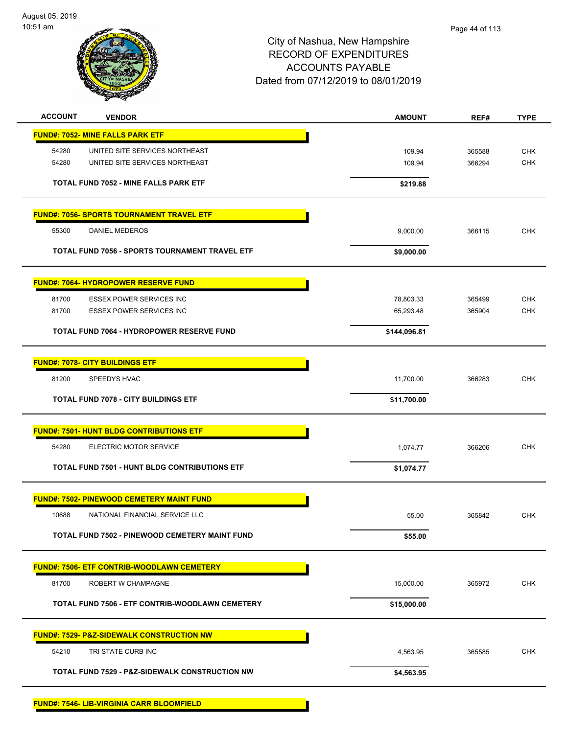August 05, 2019 10:51 am



# City of Nashua, New Hampshire RECORD OF EXPENDITURES ACCOUNTS PAYABLE Dated from 07/12/2019 to 08/01/2019

| <b>ACCOUNT</b> | <b>VENDOR</b>                                             | <b>AMOUNT</b> | REF#   | <b>TYPE</b> |
|----------------|-----------------------------------------------------------|---------------|--------|-------------|
|                | <b>FUND#: 7052- MINE FALLS PARK ETF</b>                   |               |        |             |
| 54280          | UNITED SITE SERVICES NORTHEAST                            | 109.94        | 365588 | <b>CHK</b>  |
| 54280          | UNITED SITE SERVICES NORTHEAST                            | 109.94        | 366294 | CHK         |
|                | <b>TOTAL FUND 7052 - MINE FALLS PARK ETF</b>              | \$219.88      |        |             |
|                | <b>FUND#: 7056- SPORTS TOURNAMENT TRAVEL ETF</b>          |               |        |             |
| 55300          | <b>DANIEL MEDEROS</b>                                     | 9,000.00      | 366115 | <b>CHK</b>  |
|                | TOTAL FUND 7056 - SPORTS TOURNAMENT TRAVEL ETF            | \$9,000.00    |        |             |
|                | <b>FUND#: 7064- HYDROPOWER RESERVE FUND</b>               |               |        |             |
| 81700          | <b>ESSEX POWER SERVICES INC</b>                           | 78,803.33     | 365499 | <b>CHK</b>  |
| 81700          | ESSEX POWER SERVICES INC                                  | 65,293.48     | 365904 | <b>CHK</b>  |
|                | TOTAL FUND 7064 - HYDROPOWER RESERVE FUND                 | \$144,096.81  |        |             |
|                | <b>FUND#: 7078- CITY BUILDINGS ETF</b>                    |               |        |             |
| 81200          | SPEEDYS HVAC                                              | 11,700.00     | 366283 | <b>CHK</b>  |
|                | <b>TOTAL FUND 7078 - CITY BUILDINGS ETF</b>               | \$11,700.00   |        |             |
|                | <b>FUND#: 7501- HUNT BLDG CONTRIBUTIONS ETF</b>           |               |        |             |
| 54280          | ELECTRIC MOTOR SERVICE                                    | 1,074.77      | 366206 | <b>CHK</b>  |
|                | <b>TOTAL FUND 7501 - HUNT BLDG CONTRIBUTIONS ETF</b>      | \$1,074.77    |        |             |
|                | <u>FUND#: 7502- PINEWOOD CEMETERY MAINT FUND</u>          |               |        |             |
| 10688          | NATIONAL FINANCIAL SERVICE LLC                            | 55.00         | 365842 | <b>CHK</b>  |
|                | TOTAL FUND 7502 - PINEWOOD CEMETERY MAINT FUND            | \$55.00       |        |             |
|                | <b>FUND#: 7506- ETF CONTRIB-WOODLAWN CEMETERY</b>         |               |        |             |
| 81700          | ROBERT W CHAMPAGNE                                        | 15,000.00     | 365972 | <b>CHK</b>  |
|                | TOTAL FUND 7506 - ETF CONTRIB-WOODLAWN CEMETERY           | \$15,000.00   |        |             |
|                | <b>FUND#: 7529- P&amp;Z-SIDEWALK CONSTRUCTION NW</b>      |               |        |             |
| 54210          | TRI STATE CURB INC                                        | 4,563.95      | 365585 | <b>CHK</b>  |
|                | <b>TOTAL FUND 7529 - P&amp;Z-SIDEWALK CONSTRUCTION NW</b> | \$4,563.95    |        |             |
|                |                                                           |               |        |             |

**FUND#: 7546- LIB-VIRGINIA CARR BLOOMFIELD**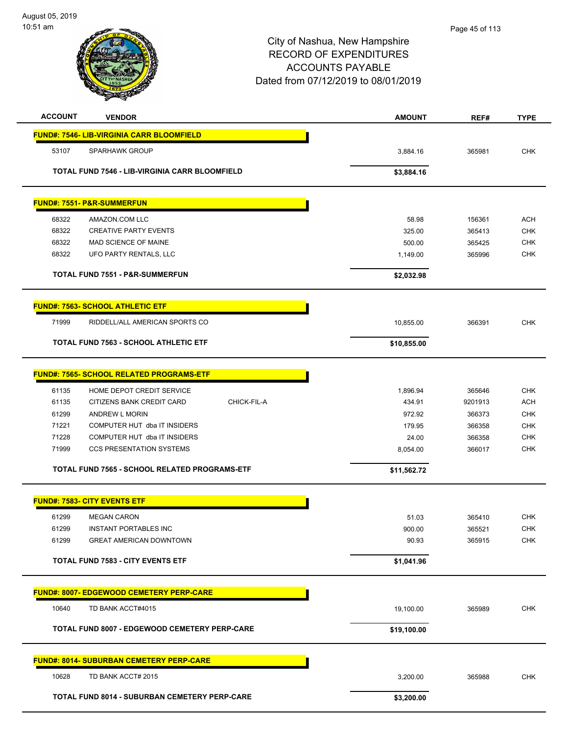| <b>ACCOUNT</b><br><b>VENDOR</b>                       | <b>AMOUNT</b> | REF#    | <b>TYPE</b> |
|-------------------------------------------------------|---------------|---------|-------------|
| <b>FUND#: 7546- LIB-VIRGINIA CARR BLOOMFIELD</b>      |               |         |             |
| 53107<br><b>SPARHAWK GROUP</b>                        | 3,884.16      | 365981  | <b>CHK</b>  |
| <b>TOTAL FUND 7546 - LIB-VIRGINIA CARR BLOOMFIELD</b> | \$3,884.16    |         |             |
|                                                       |               |         |             |
| FUND#: 7551- P&R-SUMMERFUN                            |               |         |             |
| 68322<br>AMAZON.COM LLC                               | 58.98         | 156361  | <b>ACH</b>  |
| 68322<br><b>CREATIVE PARTY EVENTS</b>                 | 325.00        | 365413  | <b>CHK</b>  |
| 68322<br>MAD SCIENCE OF MAINE                         | 500.00        | 365425  | <b>CHK</b>  |
| 68322<br>UFO PARTY RENTALS, LLC                       | 1,149.00      | 365996  | <b>CHK</b>  |
| TOTAL FUND 7551 - P&R-SUMMERFUN                       | \$2,032.98    |         |             |
| <b>FUND#: 7563- SCHOOL ATHLETIC ETF</b>               |               |         |             |
| 71999<br>RIDDELL/ALL AMERICAN SPORTS CO               | 10,855.00     | 366391  | <b>CHK</b>  |
| <b>TOTAL FUND 7563 - SCHOOL ATHLETIC ETF</b>          | \$10,855.00   |         |             |
|                                                       |               |         |             |
| <b>FUND#: 7565- SCHOOL RELATED PROGRAMS-ETF</b>       |               |         |             |
| 61135<br>HOME DEPOT CREDIT SERVICE                    | 1,896.94      | 365646  | <b>CHK</b>  |
| 61135<br>CITIZENS BANK CREDIT CARD<br>CHICK-FIL-A     | 434.91        | 9201913 | <b>ACH</b>  |
| 61299<br><b>ANDREW L MORIN</b>                        | 972.92        | 366373  | <b>CHK</b>  |
| 71221<br>COMPUTER HUT dba IT INSIDERS                 | 179.95        | 366358  | <b>CHK</b>  |
| 71228<br>COMPUTER HUT dba IT INSIDERS                 | 24.00         | 366358  | <b>CHK</b>  |
| 71999<br><b>CCS PRESENTATION SYSTEMS</b>              | 8,054.00      | 366017  | <b>CHK</b>  |
| TOTAL FUND 7565 - SCHOOL RELATED PROGRAMS-ETF         | \$11,562.72   |         |             |
| <b>FUND#: 7583- CITY EVENTS ETF</b>                   |               |         |             |
| 61299<br><b>MEGAN CARON</b>                           | 51.03         | 365410  | <b>CHK</b>  |
| 61299<br><b>INSTANT PORTABLES INC</b>                 | 900.00        | 365521  | CHK         |
| 61299<br><b>GREAT AMERICAN DOWNTOWN</b>               | 90.93         | 365915  | CHK         |
| <b>TOTAL FUND 7583 - CITY EVENTS ETF</b>              | \$1,041.96    |         |             |
|                                                       |               |         |             |
| <b>FUND#: 8007- EDGEWOOD CEMETERY PERP-CARE</b>       |               |         |             |
| 10640<br>TD BANK ACCT#4015                            | 19,100.00     | 365989  | <b>CHK</b>  |
| TOTAL FUND 8007 - EDGEWOOD CEMETERY PERP-CARE         | \$19,100.00   |         |             |
| <b>FUND#: 8014- SUBURBAN CEMETERY PERP-CARE</b>       |               |         |             |
| 10628<br>TD BANK ACCT# 2015                           | 3,200.00      | 365988  | <b>CHK</b>  |
| <b>TOTAL FUND 8014 - SUBURBAN CEMETERY PERP-CARE</b>  | \$3,200.00    |         |             |
|                                                       |               |         |             |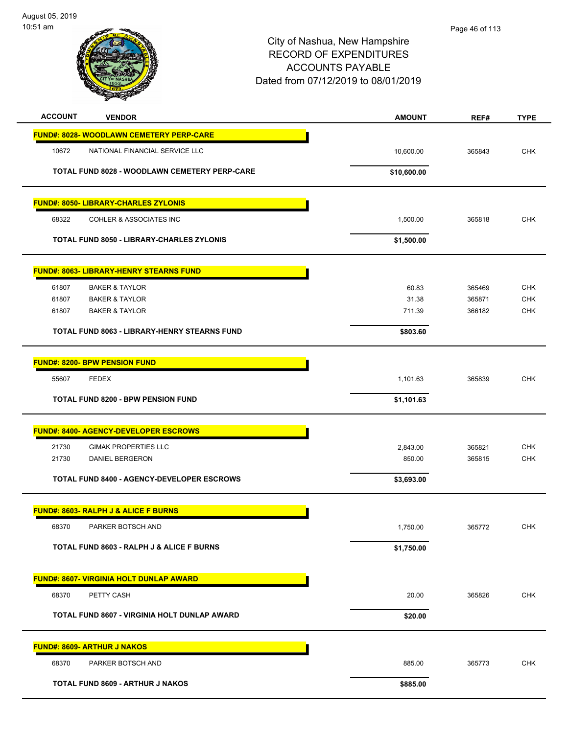

| <b>ACCOUNT</b><br><b>VENDOR</b>                                          | <b>AMOUNT</b> | REF#   | <b>TYPE</b>              |
|--------------------------------------------------------------------------|---------------|--------|--------------------------|
| FUND#: 8028- WOODLAWN CEMETERY PERP-CARE                                 |               |        |                          |
| 10672<br>NATIONAL FINANCIAL SERVICE LLC                                  | 10,600.00     | 365843 | <b>CHK</b>               |
| <b>TOTAL FUND 8028 - WOODLAWN CEMETERY PERP-CARE</b>                     | \$10,600.00   |        |                          |
| FUND#: 8050- LIBRARY-CHARLES ZYLONIS                                     |               |        |                          |
| 68322<br>COHLER & ASSOCIATES INC                                         | 1,500.00      | 365818 | <b>CHK</b>               |
| TOTAL FUND 8050 - LIBRARY-CHARLES ZYLONIS                                | \$1,500.00    |        |                          |
| <b>FUND#: 8063- LIBRARY-HENRY STEARNS FUND</b>                           |               |        |                          |
| 61807<br><b>BAKER &amp; TAYLOR</b>                                       | 60.83         | 365469 | <b>CHK</b>               |
| 61807<br><b>BAKER &amp; TAYLOR</b><br>61807<br><b>BAKER &amp; TAYLOR</b> | 31.38         | 365871 | <b>CHK</b><br><b>CHK</b> |
|                                                                          | 711.39        | 366182 |                          |
| TOTAL FUND 8063 - LIBRARY-HENRY STEARNS FUND                             | \$803.60      |        |                          |
| <b>FUND#: 8200- BPW PENSION FUND</b>                                     |               |        |                          |
| <b>FEDEX</b><br>55607                                                    | 1,101.63      | 365839 | <b>CHK</b>               |
| <b>TOTAL FUND 8200 - BPW PENSION FUND</b>                                | \$1,101.63    |        |                          |
| <b>FUND#: 8400- AGENCY-DEVELOPER ESCROWS</b>                             |               |        |                          |
| 21730<br><b>GIMAK PROPERTIES LLC</b>                                     | 2,843.00      | 365821 | CHK                      |
| 21730<br><b>DANIEL BERGERON</b>                                          | 850.00        | 365815 | <b>CHK</b>               |
| <b>TOTAL FUND 8400 - AGENCY-DEVELOPER ESCROWS</b>                        | \$3,693.00    |        |                          |
| <b>FUND#: 8603- RALPH J &amp; ALICE F BURNS</b>                          |               |        |                          |
| PARKER BOTSCH AND<br>68370                                               | 1,750.00      | 365772 | <b>CHK</b>               |
| TOTAL FUND 8603 - RALPH J & ALICE F BURNS                                | \$1,750.00    |        |                          |
| <u> FUND#: 8607- VIRGINIA HOLT DUNLAP AWARD</u>                          |               |        |                          |
| 68370<br>PETTY CASH                                                      | 20.00         | 365826 | <b>CHK</b>               |
| TOTAL FUND 8607 - VIRGINIA HOLT DUNLAP AWARD                             | \$20.00       |        |                          |
| <b>FUND#: 8609- ARTHUR J NAKOS</b>                                       |               |        |                          |
| 68370<br>PARKER BOTSCH AND                                               | 885.00        | 365773 | CHK                      |
| TOTAL FUND 8609 - ARTHUR J NAKOS                                         | \$885.00      |        |                          |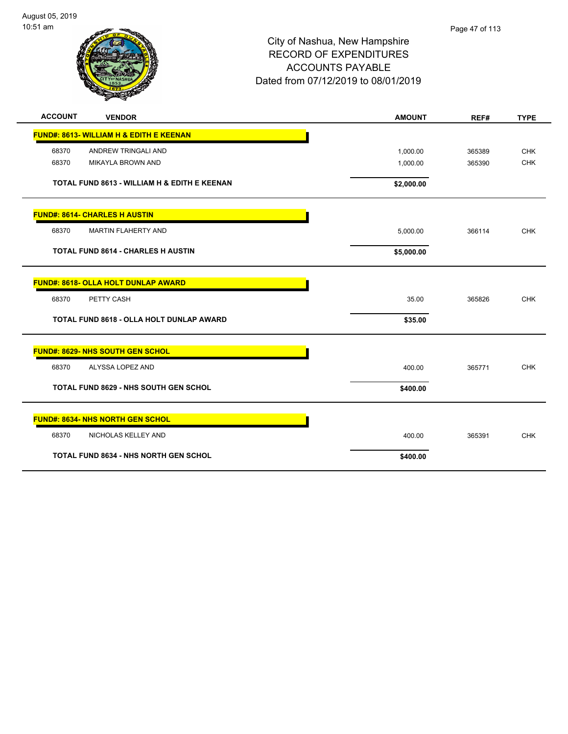August 05, 2019 10:51 am



| <b>ACCOUNT</b> | <b>VENDOR</b>                                      | <b>AMOUNT</b> | REF#   | <b>TYPE</b> |
|----------------|----------------------------------------------------|---------------|--------|-------------|
|                | <b>FUND#: 8613- WILLIAM H &amp; EDITH E KEENAN</b> |               |        |             |
| 68370          | <b>ANDREW TRINGALI AND</b>                         | 1,000.00      | 365389 | <b>CHK</b>  |
| 68370          | <b>MIKAYLA BROWN AND</b>                           | 1,000.00      | 365390 | <b>CHK</b>  |
|                | TOTAL FUND 8613 - WILLIAM H & EDITH E KEENAN       | \$2,000.00    |        |             |
|                | <b>FUND#: 8614- CHARLES H AUSTIN</b>               |               |        |             |
| 68370          | <b>MARTIN FLAHERTY AND</b>                         | 5,000.00      | 366114 | <b>CHK</b>  |
|                | <b>TOTAL FUND 8614 - CHARLES H AUSTIN</b>          | \$5,000.00    |        |             |
|                | <b>FUND#: 8618- OLLA HOLT DUNLAP AWARD</b>         |               |        |             |
| 68370          | PETTY CASH                                         | 35.00         | 365826 | <b>CHK</b>  |
|                | TOTAL FUND 8618 - OLLA HOLT DUNLAP AWARD           | \$35.00       |        |             |
|                | FUND#: 8629- NHS SOUTH GEN SCHOL                   |               |        |             |
| 68370          | ALYSSA LOPEZ AND                                   | 400.00        | 365771 | <b>CHK</b>  |
|                | <b>TOTAL FUND 8629 - NHS SOUTH GEN SCHOL</b>       | \$400.00      |        |             |
|                | <b>FUND#: 8634- NHS NORTH GEN SCHOL</b>            |               |        |             |
| 68370          | NICHOLAS KELLEY AND                                | 400.00        | 365391 | <b>CHK</b>  |
|                | <b>TOTAL FUND 8634 - NHS NORTH GEN SCHOL</b>       | \$400.00      |        |             |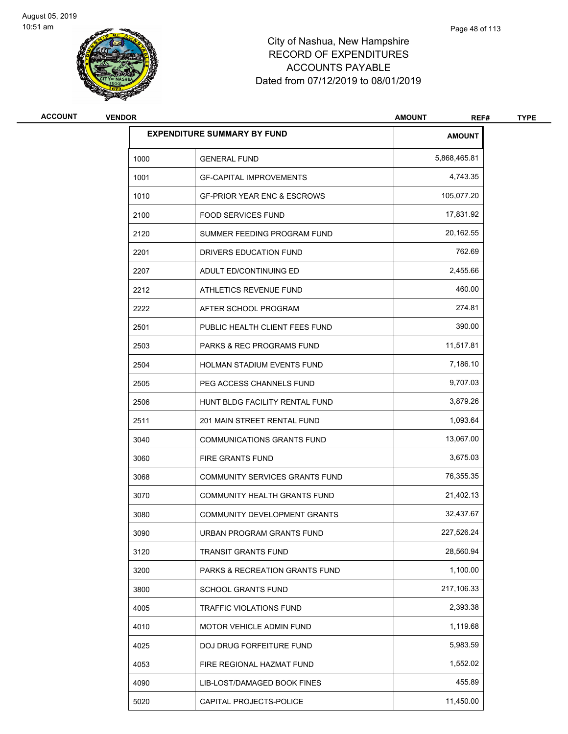

| <b>ACCOUNT</b> | <b>VENDOR</b> |                                        | <b>AMOUNT</b><br>REF# | <b>TYPE</b> |  |
|----------------|---------------|----------------------------------------|-----------------------|-------------|--|
|                |               | <b>EXPENDITURE SUMMARY BY FUND</b>     | <b>AMOUNT</b>         |             |  |
|                | 1000          | <b>GENERAL FUND</b>                    | 5,868,465.81          |             |  |
|                | 1001          | <b>GF-CAPITAL IMPROVEMENTS</b>         | 4,743.35              |             |  |
|                | 1010          | <b>GF-PRIOR YEAR ENC &amp; ESCROWS</b> | 105,077.20            |             |  |
|                | 2100          | <b>FOOD SERVICES FUND</b>              | 17,831.92             |             |  |
|                | 2120          | SUMMER FEEDING PROGRAM FUND            | 20,162.55             |             |  |
|                | 2201          | DRIVERS EDUCATION FUND                 | 762.69                |             |  |
|                | 2207          | ADULT ED/CONTINUING ED                 | 2,455.66              |             |  |
|                | 2212          | ATHLETICS REVENUE FUND                 | 460.00                |             |  |
|                | 2222          | AFTER SCHOOL PROGRAM                   | 274.81                |             |  |
|                | 2501          | PUBLIC HEALTH CLIENT FEES FUND         | 390.00                |             |  |
|                | 2503          | <b>PARKS &amp; REC PROGRAMS FUND</b>   | 11,517.81             |             |  |
|                | 2504          | HOLMAN STADIUM EVENTS FUND             | 7,186.10              |             |  |
|                | 2505          | PEG ACCESS CHANNELS FUND               | 9,707.03              |             |  |
|                | 2506          | HUNT BLDG FACILITY RENTAL FUND         | 3,879.26              |             |  |
|                | 2511          | 201 MAIN STREET RENTAL FUND            | 1,093.64              |             |  |
|                | 3040          | <b>COMMUNICATIONS GRANTS FUND</b>      | 13,067.00             |             |  |
|                | 3060          | FIRE GRANTS FUND                       | 3,675.03              |             |  |
|                | 3068          | COMMUNITY SERVICES GRANTS FUND         | 76,355.35             |             |  |
|                | 3070          | COMMUNITY HEALTH GRANTS FUND           | 21,402.13             |             |  |
|                | 3080          | COMMUNITY DEVELOPMENT GRANTS           | 32,437.67             |             |  |
|                | 3090          | URBAN PROGRAM GRANTS FUND              | 227,526.24            |             |  |
|                | 3120          | <b>TRANSIT GRANTS FUND</b>             | 28,560.94             |             |  |
|                | 3200          | PARKS & RECREATION GRANTS FUND         | 1,100.00              |             |  |
|                | 3800          | <b>SCHOOL GRANTS FUND</b>              | 217,106.33            |             |  |
|                | 4005          | TRAFFIC VIOLATIONS FUND                | 2,393.38              |             |  |
|                | 4010          | MOTOR VEHICLE ADMIN FUND               | 1,119.68              |             |  |
|                | 4025          | DOJ DRUG FORFEITURE FUND               | 5,983.59              |             |  |
|                | 4053          | FIRE REGIONAL HAZMAT FUND              | 1,552.02              |             |  |
|                | 4090          | LIB-LOST/DAMAGED BOOK FINES            | 455.89                |             |  |
|                | 5020          | CAPITAL PROJECTS-POLICE                | 11,450.00             |             |  |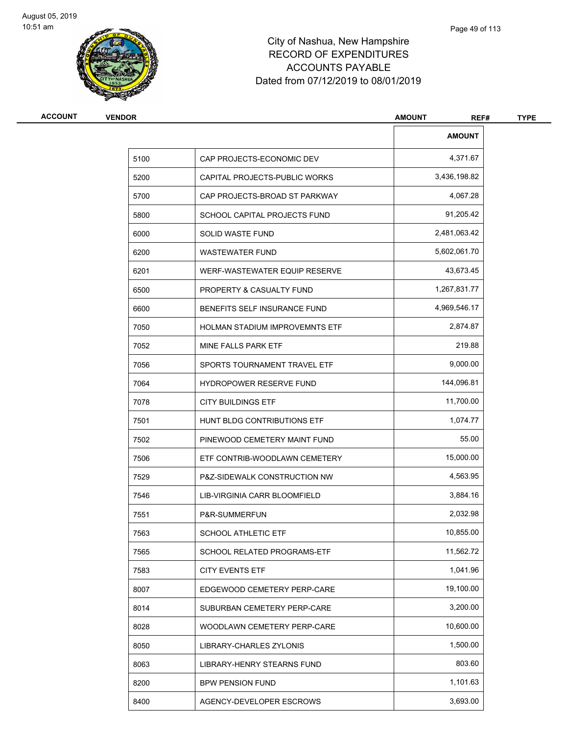

| <b>ACCOUNT</b> | <b>VENDOR</b> |                                       | <b>AMOUNT</b><br>REF# | <b>TYPE</b> |
|----------------|---------------|---------------------------------------|-----------------------|-------------|
|                |               |                                       | <b>AMOUNT</b>         |             |
|                | 5100          | CAP PROJECTS-ECONOMIC DEV             | 4,371.67              |             |
|                | 5200          | CAPITAL PROJECTS-PUBLIC WORKS         | 3,436,198.82          |             |
|                | 5700          | CAP PROJECTS-BROAD ST PARKWAY         | 4,067.28              |             |
|                | 5800          | SCHOOL CAPITAL PROJECTS FUND          | 91,205.42             |             |
|                | 6000          | SOLID WASTE FUND                      | 2,481,063.42          |             |
|                | 6200          | <b>WASTEWATER FUND</b>                | 5,602,061.70          |             |
|                | 6201          | WERF-WASTEWATER EQUIP RESERVE         | 43,673.45             |             |
|                | 6500          | PROPERTY & CASUALTY FUND              | 1,267,831.77          |             |
|                | 6600          | BENEFITS SELF INSURANCE FUND          | 4,969,546.17          |             |
|                | 7050          | <b>HOLMAN STADIUM IMPROVEMNTS ETF</b> | 2,874.87              |             |
|                | 7052          | MINE FALLS PARK ETF                   | 219.88                |             |
|                | 7056          | SPORTS TOURNAMENT TRAVEL ETF          | 9,000.00              |             |
|                | 7064          | <b>HYDROPOWER RESERVE FUND</b>        | 144,096.81            |             |
|                | 7078          | <b>CITY BUILDINGS ETF</b>             | 11,700.00             |             |
|                | 7501          | HUNT BLDG CONTRIBUTIONS ETF           | 1,074.77              |             |
|                | 7502          | PINEWOOD CEMETERY MAINT FUND          | 55.00                 |             |
|                | 7506          | ETF CONTRIB-WOODLAWN CEMETERY         | 15,000.00             |             |
|                | 7529          | P&Z-SIDEWALK CONSTRUCTION NW          | 4,563.95              |             |
|                | 7546          | LIB-VIRGINIA CARR BLOOMFIELD          | 3,884.16              |             |
|                | 7551          | P&R-SUMMERFUN                         | 2,032.98              |             |
|                | 7563          | <b>SCHOOL ATHLETIC ETF</b>            | 10,855.00             |             |
|                | 7565          | SCHOOL RELATED PROGRAMS-ETF           | 11,562.72             |             |
|                | 7583          | <b>CITY EVENTS ETF</b>                | 1,041.96              |             |
|                | 8007          | EDGEWOOD CEMETERY PERP-CARE           | 19,100.00             |             |
|                | 8014          | SUBURBAN CEMETERY PERP-CARE           | 3,200.00              |             |
|                | 8028          | WOODLAWN CEMETERY PERP-CARE           | 10,600.00             |             |
|                | 8050          | LIBRARY-CHARLES ZYLONIS               | 1,500.00              |             |
|                | 8063          | LIBRARY-HENRY STEARNS FUND            | 803.60                |             |
|                | 8200          | <b>BPW PENSION FUND</b>               | 1,101.63              |             |
|                | 8400          | AGENCY-DEVELOPER ESCROWS              | 3,693.00              |             |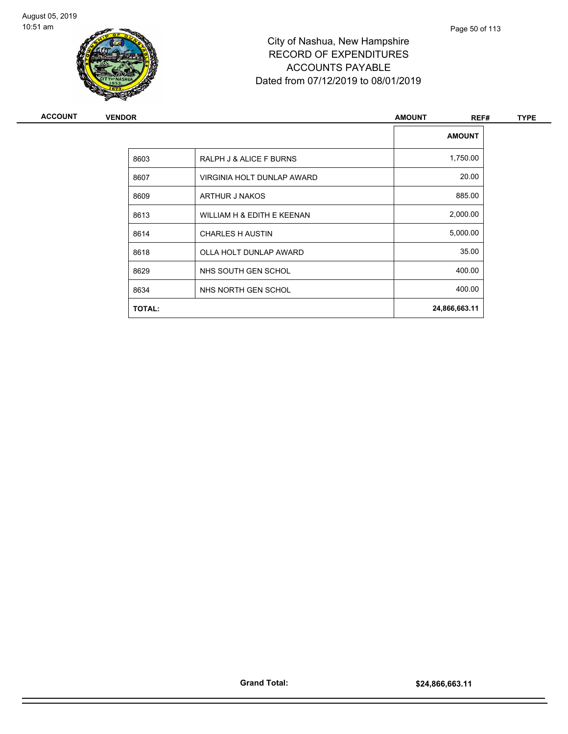

| <b>ACCOUNT</b> | <b>VENDOR</b> |                            | <b>AMOUNT</b><br>REF# | <b>TYPE</b> |
|----------------|---------------|----------------------------|-----------------------|-------------|
|                |               |                            | <b>AMOUNT</b>         |             |
|                | 8603          | RALPH J & ALICE F BURNS    | 1,750.00              |             |
|                | 8607          | VIRGINIA HOLT DUNLAP AWARD | 20.00                 |             |
|                | 8609          | <b>ARTHUR J NAKOS</b>      | 885.00                |             |
|                | 8613          | WILLIAM H & EDITH E KEENAN | 2,000.00              |             |
|                | 8614          | <b>CHARLES H AUSTIN</b>    | 5,000.00              |             |
|                | 8618          | OLLA HOLT DUNLAP AWARD     | 35.00                 |             |
|                | 8629          | NHS SOUTH GEN SCHOL        | 400.00                |             |
|                | 8634          | NHS NORTH GEN SCHOL        | 400.00                |             |
|                | <b>TOTAL:</b> |                            | 24,866,663.11         |             |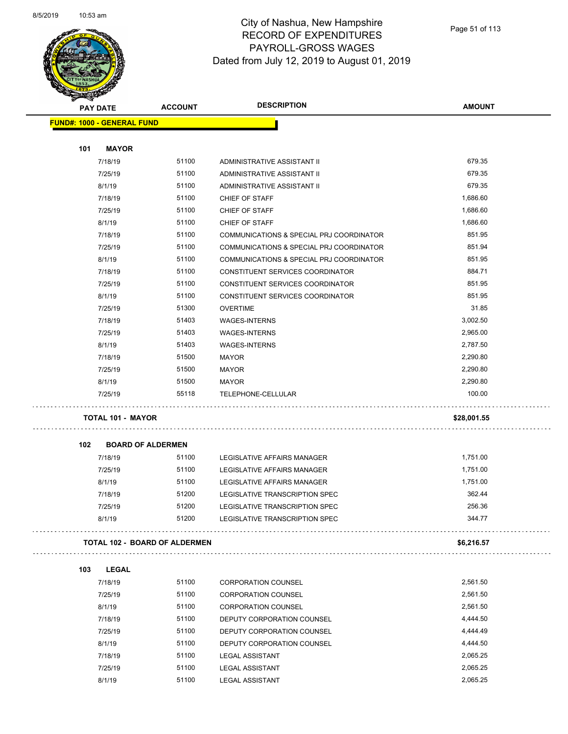

|     | <b>STATERIA</b>                   |                                      |                                          |               |  |
|-----|-----------------------------------|--------------------------------------|------------------------------------------|---------------|--|
|     | <b>PAY DATE</b>                   | <b>ACCOUNT</b>                       | <b>DESCRIPTION</b>                       | <b>AMOUNT</b> |  |
|     | <b>FUND#: 1000 - GENERAL FUND</b> |                                      |                                          |               |  |
|     |                                   |                                      |                                          |               |  |
| 101 | <b>MAYOR</b>                      |                                      |                                          |               |  |
|     | 7/18/19                           | 51100                                | ADMINISTRATIVE ASSISTANT II              | 679.35        |  |
|     | 7/25/19                           | 51100                                | ADMINISTRATIVE ASSISTANT II              | 679.35        |  |
|     | 8/1/19                            | 51100                                | ADMINISTRATIVE ASSISTANT II              | 679.35        |  |
|     | 7/18/19                           | 51100                                | CHIEF OF STAFF                           | 1,686.60      |  |
|     | 7/25/19                           | 51100                                | CHIEF OF STAFF                           | 1,686.60      |  |
|     | 8/1/19                            | 51100                                | CHIEF OF STAFF                           | 1,686.60      |  |
|     | 7/18/19                           | 51100                                | COMMUNICATIONS & SPECIAL PRJ COORDINATOR | 851.95        |  |
|     | 7/25/19                           | 51100                                | COMMUNICATIONS & SPECIAL PRJ COORDINATOR | 851.94        |  |
|     | 8/1/19                            | 51100                                | COMMUNICATIONS & SPECIAL PRJ COORDINATOR | 851.95        |  |
|     | 7/18/19                           | 51100                                | CONSTITUENT SERVICES COORDINATOR         | 884.71        |  |
|     | 7/25/19                           | 51100                                | CONSTITUENT SERVICES COORDINATOR         | 851.95        |  |
|     | 8/1/19                            | 51100                                | CONSTITUENT SERVICES COORDINATOR         | 851.95        |  |
|     | 7/25/19                           | 51300                                | <b>OVERTIME</b>                          | 31.85         |  |
|     | 7/18/19                           | 51403                                | <b>WAGES-INTERNS</b>                     | 3,002.50      |  |
|     | 7/25/19                           | 51403                                | <b>WAGES-INTERNS</b>                     | 2,965.00      |  |
|     | 8/1/19                            | 51403                                | <b>WAGES-INTERNS</b>                     | 2,787.50      |  |
|     | 7/18/19                           | 51500                                | MAYOR                                    | 2,290.80      |  |
|     | 7/25/19                           | 51500                                | <b>MAYOR</b>                             | 2,290.80      |  |
|     | 8/1/19                            | 51500                                | MAYOR                                    | 2,290.80      |  |
|     | 7/25/19                           | 55118                                | TELEPHONE-CELLULAR                       | 100.00        |  |
|     | <b>TOTAL 101 - MAYOR</b>          |                                      |                                          | \$28,001.55   |  |
|     |                                   |                                      |                                          |               |  |
| 102 | <b>BOARD OF ALDERMEN</b>          |                                      |                                          |               |  |
|     | 7/18/19                           | 51100                                | LEGISLATIVE AFFAIRS MANAGER              | 1,751.00      |  |
|     | 7/25/19                           | 51100                                | <b>LEGISLATIVE AFFAIRS MANAGER</b>       | 1,751.00      |  |
|     | 8/1/19                            | 51100                                | <b>LEGISLATIVE AFFAIRS MANAGER</b>       | 1,751.00      |  |
|     | 7/18/19                           | 51200                                | LEGISLATIVE TRANSCRIPTION SPEC           | 362.44        |  |
|     | 7/25/19                           | 51200                                | LEGISLATIVE TRANSCRIPTION SPEC           | 256.36        |  |
|     | 8/1/19                            | 51200                                | LEGISLATIVE TRANSCRIPTION SPEC           | 344.77        |  |
|     |                                   | <b>TOTAL 102 - BOARD OF ALDERMEN</b> |                                          | \$6,216.57    |  |
|     |                                   |                                      |                                          |               |  |
| 103 | <b>LEGAL</b>                      | 51100                                |                                          | 2,561.50      |  |
|     | 7/18/19                           | 51100                                | <b>CORPORATION COUNSEL</b>               |               |  |
|     | 7/25/19                           |                                      | <b>CORPORATION COUNSEL</b>               | 2,561.50      |  |
|     | 8/1/19                            | 51100                                | <b>CORPORATION COUNSEL</b>               | 2,561.50      |  |
|     | 7/18/19                           | 51100                                | DEPUTY CORPORATION COUNSEL               | 4,444.50      |  |
|     | 7/25/19                           | 51100                                | DEPUTY CORPORATION COUNSEL               | 4,444.49      |  |
|     | 8/1/19                            | 51100                                | DEPUTY CORPORATION COUNSEL               | 4,444.50      |  |
|     | 7/18/19                           | 51100                                | <b>LEGAL ASSISTANT</b>                   | 2,065.25      |  |
|     | 7/25/19                           | 51100                                | <b>LEGAL ASSISTANT</b>                   | 2,065.25      |  |
|     | 8/1/19                            | 51100                                | <b>LEGAL ASSISTANT</b>                   | 2,065.25      |  |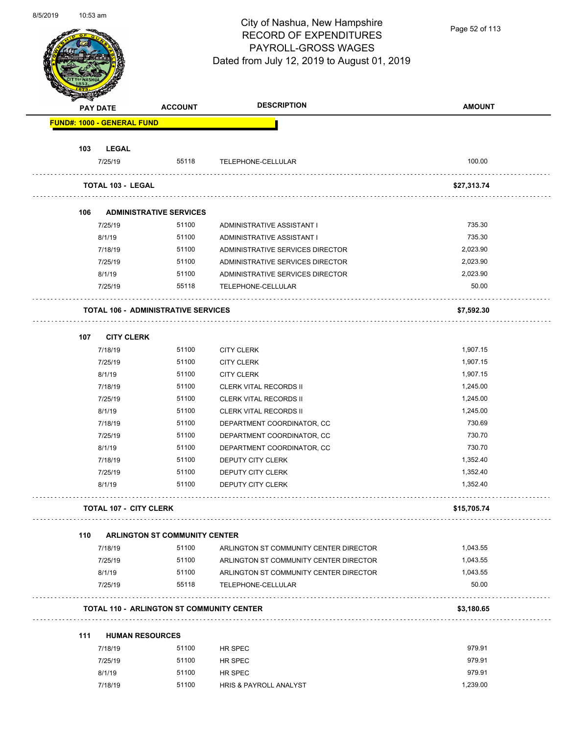

Page 52 of 113

|     | <b>PAY DATE</b>                   | <b>ACCOUNT</b>                             | <b>DESCRIPTION</b>                               | <b>AMOUNT</b> |
|-----|-----------------------------------|--------------------------------------------|--------------------------------------------------|---------------|
|     | <b>FUND#: 1000 - GENERAL FUND</b> |                                            |                                                  |               |
| 103 | <b>LEGAL</b>                      |                                            |                                                  |               |
|     | 7/25/19                           | 55118                                      | TELEPHONE-CELLULAR                               | 100.00        |
|     | <b>TOTAL 103 - LEGAL</b>          |                                            |                                                  | \$27,313.74   |
|     |                                   |                                            |                                                  |               |
| 106 |                                   | <b>ADMINISTRATIVE SERVICES</b>             |                                                  |               |
|     | 7/25/19                           | 51100                                      | ADMINISTRATIVE ASSISTANT I                       | 735.30        |
|     | 8/1/19                            | 51100                                      | ADMINISTRATIVE ASSISTANT I                       | 735.30        |
|     | 7/18/19                           | 51100                                      | ADMINISTRATIVE SERVICES DIRECTOR                 | 2,023.90      |
|     | 7/25/19                           | 51100                                      | ADMINISTRATIVE SERVICES DIRECTOR                 | 2,023.90      |
|     | 8/1/19                            | 51100                                      | ADMINISTRATIVE SERVICES DIRECTOR                 | 2,023.90      |
|     | 7/25/19                           | 55118                                      | TELEPHONE-CELLULAR                               | 50.00         |
|     |                                   | <b>TOTAL 106 - ADMINISTRATIVE SERVICES</b> |                                                  | \$7,592.30    |
| 107 | <b>CITY CLERK</b>                 |                                            |                                                  |               |
|     | 7/18/19                           | 51100                                      | <b>CITY CLERK</b>                                | 1,907.15      |
|     | 7/25/19                           | 51100                                      | <b>CITY CLERK</b>                                | 1,907.15      |
|     | 8/1/19                            | 51100                                      | <b>CITY CLERK</b>                                | 1,907.15      |
|     | 7/18/19                           | 51100                                      | <b>CLERK VITAL RECORDS II</b>                    | 1,245.00      |
|     | 7/25/19                           | 51100                                      | <b>CLERK VITAL RECORDS II</b>                    | 1,245.00      |
|     | 8/1/19                            | 51100                                      | <b>CLERK VITAL RECORDS II</b>                    | 1,245.00      |
|     | 7/18/19                           | 51100                                      |                                                  | 730.69        |
|     | 7/25/19                           | 51100                                      | DEPARTMENT COORDINATOR, CC                       | 730.70        |
|     |                                   | 51100                                      | DEPARTMENT COORDINATOR, CC                       | 730.70        |
|     | 8/1/19                            | 51100                                      | DEPARTMENT COORDINATOR, CC                       | 1,352.40      |
|     | 7/18/19                           | 51100                                      | DEPUTY CITY CLERK                                | 1,352.40      |
|     | 7/25/19                           |                                            | <b>DEPUTY CITY CLERK</b>                         |               |
|     | 8/1/19                            | 51100                                      | DEPUTY CITY CLERK                                | 1,352.40      |
|     | <b>TOTAL 107 - CITY CLERK</b>     |                                            |                                                  | \$15,705.74   |
| 110 |                                   | <b>ARLINGTON ST COMMUNITY CENTER</b>       |                                                  |               |
|     | 7/18/19                           | 51100                                      | ARLINGTON ST COMMUNITY CENTER DIRECTOR           | 1,043.55      |
|     | 7/25/19                           | 51100                                      | ARLINGTON ST COMMUNITY CENTER DIRECTOR           | 1,043.55      |
|     | 8/1/19                            | 51100                                      | ARLINGTON ST COMMUNITY CENTER DIRECTOR           | 1,043.55      |
|     | 7/25/19                           | 55118                                      | TELEPHONE-CELLULAR                               | 50.00         |
|     |                                   |                                            | <b>TOTAL 110 - ARLINGTON ST COMMUNITY CENTER</b> | \$3,180.65    |
| 111 | <b>HUMAN RESOURCES</b>            |                                            |                                                  |               |
|     | 7/18/19                           | 51100                                      | HR SPEC                                          | 979.91        |
|     | 7/25/19                           | 51100                                      | HR SPEC                                          | 979.91        |
|     | 8/1/19                            | 51100                                      | HR SPEC                                          | 979.91        |
|     | 7/18/19                           | 51100                                      | HRIS & PAYROLL ANALYST                           | 1,239.00      |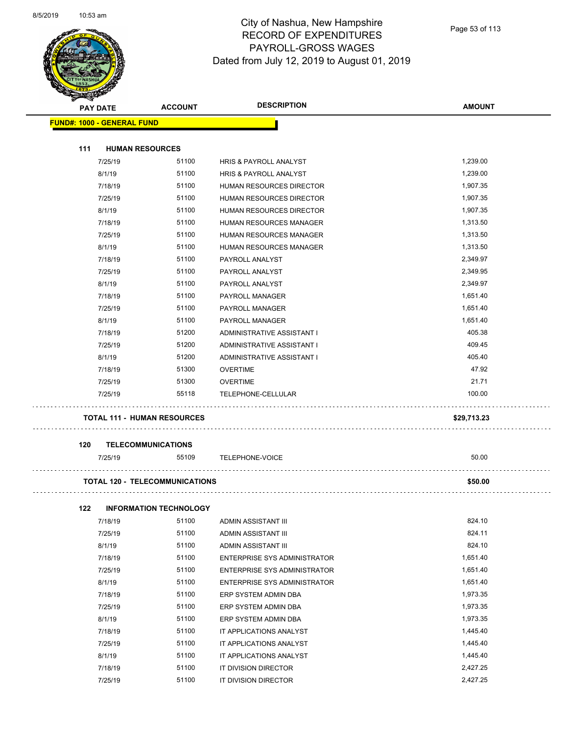$\overline{\phantom{0}}$ 



| <b>PAY DATE</b>                       | <b>ACCOUNT</b>                | <b>DESCRIPTION</b>                                        | <b>AMOUNT</b>        |
|---------------------------------------|-------------------------------|-----------------------------------------------------------|----------------------|
| <b>FUND#: 1000 - GENERAL FUND</b>     |                               |                                                           |                      |
| 111<br><b>HUMAN RESOURCES</b>         |                               |                                                           |                      |
| 7/25/19                               | 51100                         | <b>HRIS &amp; PAYROLL ANALYST</b>                         | 1,239.00             |
| 8/1/19                                | 51100                         | <b>HRIS &amp; PAYROLL ANALYST</b>                         | 1,239.00             |
| 7/18/19                               | 51100                         | <b>HUMAN RESOURCES DIRECTOR</b>                           | 1,907.35             |
| 7/25/19                               | 51100                         | HUMAN RESOURCES DIRECTOR                                  | 1,907.35             |
|                                       | 51100                         |                                                           | 1,907.35             |
| 8/1/19                                | 51100                         | HUMAN RESOURCES DIRECTOR                                  | 1,313.50             |
| 7/18/19                               | 51100                         | HUMAN RESOURCES MANAGER                                   | 1,313.50             |
| 7/25/19<br>8/1/19                     | 51100                         | HUMAN RESOURCES MANAGER<br><b>HUMAN RESOURCES MANAGER</b> |                      |
|                                       | 51100                         | PAYROLL ANALYST                                           | 1,313.50<br>2,349.97 |
| 7/18/19                               |                               |                                                           |                      |
| 7/25/19                               | 51100<br>51100                | PAYROLL ANALYST                                           | 2,349.95             |
| 8/1/19                                | 51100                         | PAYROLL ANALYST                                           | 2,349.97             |
| 7/18/19                               |                               | PAYROLL MANAGER                                           | 1,651.40             |
| 7/25/19                               | 51100                         | <b>PAYROLL MANAGER</b>                                    | 1,651.40             |
| 8/1/19                                | 51100                         | PAYROLL MANAGER                                           | 1,651.40             |
| 7/18/19                               | 51200                         | ADMINISTRATIVE ASSISTANT I                                | 405.38               |
| 7/25/19                               | 51200                         | ADMINISTRATIVE ASSISTANT I                                | 409.45               |
| 8/1/19                                | 51200                         | ADMINISTRATIVE ASSISTANT I                                | 405.40               |
| 7/18/19                               | 51300                         | <b>OVERTIME</b>                                           | 47.92                |
| 7/25/19                               | 51300                         | <b>OVERTIME</b>                                           | 21.71                |
| 7/25/19                               | 55118                         | TELEPHONE-CELLULAR                                        | 100.00               |
| <b>TOTAL 111 - HUMAN RESOURCES</b>    |                               |                                                           | \$29,713.23          |
| 120                                   | <b>TELECOMMUNICATIONS</b>     |                                                           |                      |
| 7/25/19                               | 55109                         | <b>TELEPHONE-VOICE</b>                                    | 50.00                |
| <b>TOTAL 120 - TELECOMMUNICATIONS</b> |                               |                                                           | \$50.00              |
| 122                                   | <b>INFORMATION TECHNOLOGY</b> |                                                           |                      |
| 7/18/19                               | 51100                         | ADMIN ASSISTANT III                                       | 824.10               |
| 7/25/19                               | 51100                         | ADMIN ASSISTANT III                                       | 824.11               |
| 8/1/19                                | 51100                         | ADMIN ASSISTANT III                                       | 824.10               |
| 7/18/19                               | 51100                         | <b>ENTERPRISE SYS ADMINISTRATOR</b>                       | 1,651.40             |
| 7/25/19                               | 51100                         | <b>ENTERPRISE SYS ADMINISTRATOR</b>                       | 1,651.40             |
| 8/1/19                                | 51100                         | <b>ENTERPRISE SYS ADMINISTRATOR</b>                       | 1,651.40             |
| 7/18/19                               | 51100                         | ERP SYSTEM ADMIN DBA                                      | 1,973.35             |
| 7/25/19                               | 51100                         | ERP SYSTEM ADMIN DBA                                      | 1,973.35             |
| 8/1/19                                | 51100                         | ERP SYSTEM ADMIN DBA                                      | 1,973.35             |
| 7/18/19                               | 51100                         | IT APPLICATIONS ANALYST                                   | 1,445.40             |
| 7/25/19                               | 51100                         | IT APPLICATIONS ANALYST                                   | 1,445.40             |
| 8/1/19                                | 51100                         | IT APPLICATIONS ANALYST                                   | 1,445.40             |
| 7/18/19                               | 51100                         | IT DIVISION DIRECTOR                                      | 2,427.25             |
| 7/25/19                               | 51100                         | IT DIVISION DIRECTOR                                      | 2,427.25             |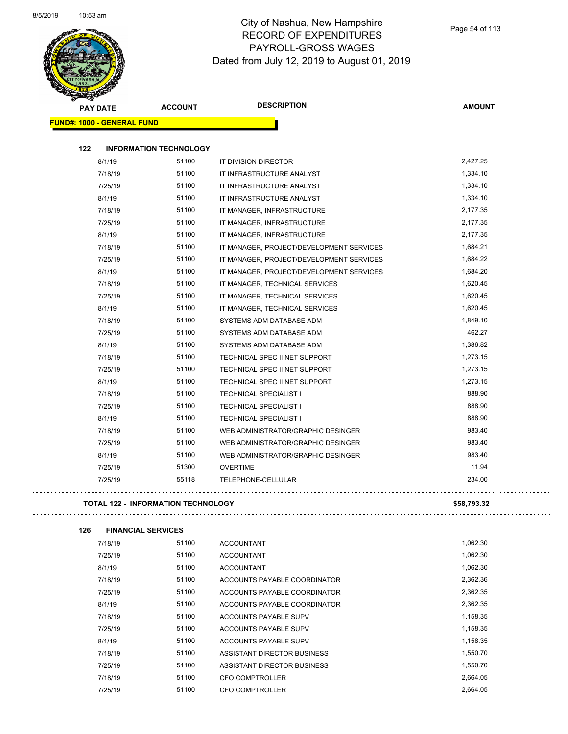

| <b>PAY DATE</b>                   | <b>ACCOUNT</b>                | <b>DESCRIPTION</b>                       | <b>AMOUNT</b> |
|-----------------------------------|-------------------------------|------------------------------------------|---------------|
| <b>FUND#: 1000 - GENERAL FUND</b> |                               |                                          |               |
|                                   |                               |                                          |               |
| 122                               | <b>INFORMATION TECHNOLOGY</b> |                                          |               |
| 8/1/19                            | 51100                         | IT DIVISION DIRECTOR                     | 2,427.25      |
| 7/18/19                           | 51100                         | IT INFRASTRUCTURE ANALYST                | 1,334.10      |
| 7/25/19                           | 51100                         | IT INFRASTRUCTURE ANALYST                | 1,334.10      |
| 8/1/19                            | 51100                         | IT INFRASTRUCTURE ANALYST                | 1,334.10      |
| 7/18/19                           | 51100                         | IT MANAGER, INFRASTRUCTURE               | 2,177.35      |
| 7/25/19                           | 51100                         | IT MANAGER, INFRASTRUCTURE               | 2,177.35      |
| 8/1/19                            | 51100                         | IT MANAGER, INFRASTRUCTURE               | 2,177.35      |
| 7/18/19                           | 51100                         | IT MANAGER, PROJECT/DEVELOPMENT SERVICES | 1,684.21      |
| 7/25/19                           | 51100                         | IT MANAGER, PROJECT/DEVELOPMENT SERVICES | 1,684.22      |
| 8/1/19                            | 51100                         | IT MANAGER, PROJECT/DEVELOPMENT SERVICES | 1,684.20      |
| 7/18/19                           | 51100                         | IT MANAGER, TECHNICAL SERVICES           | 1,620.45      |
| 7/25/19                           | 51100                         | IT MANAGER, TECHNICAL SERVICES           | 1,620.45      |
| 8/1/19                            | 51100                         | IT MANAGER, TECHNICAL SERVICES           | 1,620.45      |
| 7/18/19                           | 51100                         | SYSTEMS ADM DATABASE ADM                 | 1,849.10      |
| 7/25/19                           | 51100                         | SYSTEMS ADM DATABASE ADM                 | 462.27        |
| 8/1/19                            | 51100                         | SYSTEMS ADM DATABASE ADM                 | 1.386.82      |
| 7/18/19                           | 51100                         | TECHNICAL SPEC II NET SUPPORT            | 1,273.15      |
| 7/25/19                           | 51100                         | TECHNICAL SPEC II NET SUPPORT            | 1,273.15      |
| 8/1/19                            | 51100                         | TECHNICAL SPEC II NET SUPPORT            | 1,273.15      |
| 7/18/19                           | 51100                         | <b>TECHNICAL SPECIALIST I</b>            | 888.90        |
| 7/25/19                           | 51100                         | <b>TECHNICAL SPECIALIST I</b>            | 888.90        |
| 8/1/19                            | 51100                         | <b>TECHNICAL SPECIALIST I</b>            | 888.90        |
| 7/18/19                           | 51100                         | WEB ADMINISTRATOR/GRAPHIC DESINGER       | 983.40        |
| 7/25/19                           | 51100                         | WEB ADMINISTRATOR/GRAPHIC DESINGER       | 983.40        |
| 8/1/19                            | 51100                         | WEB ADMINISTRATOR/GRAPHIC DESINGER       | 983.40        |
| 7/25/19                           | 51300                         | <b>OVERTIME</b>                          | 11.94         |
| 7/25/19                           | 55118                         | <b>TELEPHONE-CELLULAR</b>                | 234.00        |

**TOTAL 122 - INFORMATION TECHNOLOGY \$58,793.32**

```
126 FINANCIAL SERVICES
```

| 7/18/19 | 51100 | <b>ACCOUNTANT</b>            | 1,062.30 |
|---------|-------|------------------------------|----------|
| 7/25/19 | 51100 | <b>ACCOUNTANT</b>            | 1,062.30 |
| 8/1/19  | 51100 | <b>ACCOUNTANT</b>            | 1,062.30 |
| 7/18/19 | 51100 | ACCOUNTS PAYABLE COORDINATOR | 2,362.36 |
| 7/25/19 | 51100 | ACCOUNTS PAYABLE COORDINATOR | 2,362.35 |
| 8/1/19  | 51100 | ACCOUNTS PAYABLE COORDINATOR | 2,362.35 |
| 7/18/19 | 51100 | ACCOUNTS PAYABLE SUPV        | 1,158.35 |
| 7/25/19 | 51100 | ACCOUNTS PAYABLE SUPV        | 1,158.35 |
| 8/1/19  | 51100 | ACCOUNTS PAYABLE SUPV        | 1,158.35 |
| 7/18/19 | 51100 | ASSISTANT DIRECTOR BUSINESS  | 1.550.70 |
| 7/25/19 | 51100 | ASSISTANT DIRECTOR BUSINESS  | 1,550.70 |
| 7/18/19 | 51100 | <b>CFO COMPTROLLER</b>       | 2.664.05 |
| 7/25/19 | 51100 | <b>CFO COMPTROLLER</b>       | 2.664.05 |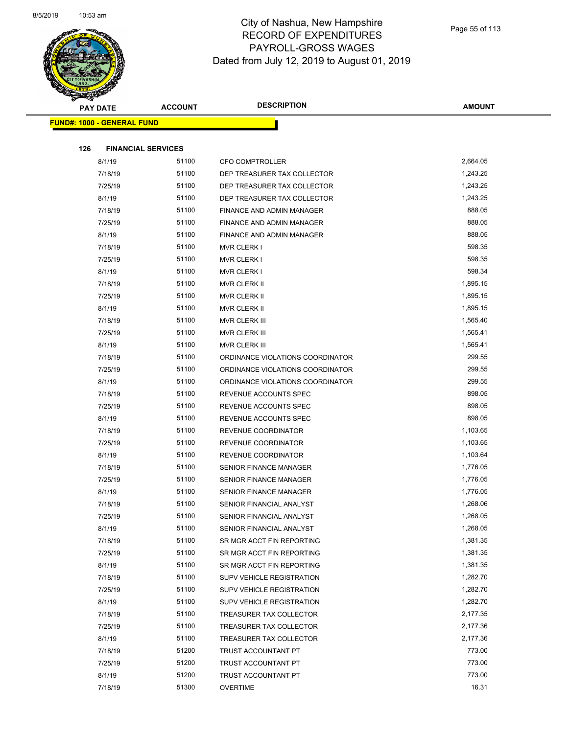

| <b>SANGRA</b>   |                |                                                                                  |                    |
|-----------------|----------------|----------------------------------------------------------------------------------|--------------------|
| <b>PAY DATE</b> | <b>ACCOUNT</b> |                                                                                  | <b>AMOUNT</b>      |
|                 |                |                                                                                  |                    |
|                 |                |                                                                                  |                    |
|                 |                |                                                                                  |                    |
| 8/1/19          | 51100          | <b>CFO COMPTROLLER</b>                                                           | 2,664.05           |
| 7/18/19         | 51100          | DEP TREASURER TAX COLLECTOR                                                      | 1,243.25           |
| 7/25/19         | 51100          | DEP TREASURER TAX COLLECTOR                                                      | 1,243.25           |
| 8/1/19          | 51100          | DEP TREASURER TAX COLLECTOR                                                      | 1,243.25           |
| 7/18/19         | 51100          | FINANCE AND ADMIN MANAGER                                                        | 888.05             |
| 7/25/19         | 51100          | FINANCE AND ADMIN MANAGER                                                        | 888.05             |
| 8/1/19          | 51100          | FINANCE AND ADMIN MANAGER                                                        | 888.05             |
| 7/18/19         | 51100          | <b>MVR CLERK I</b>                                                               | 598.35             |
| 7/25/19         | 51100          | <b>MVR CLERK I</b>                                                               | 598.35             |
| 8/1/19          | 51100          | <b>MVR CLERK I</b>                                                               | 598.34             |
| 7/18/19         | 51100          | MVR CLERK II                                                                     | 1,895.15           |
| 7/25/19         | 51100          | MVR CLERK II                                                                     | 1,895.15           |
| 8/1/19          | 51100          | MVR CLERK II                                                                     | 1,895.15           |
| 7/18/19         | 51100          | <b>MVR CLERK III</b>                                                             | 1,565.40           |
| 7/25/19         | 51100          | MVR CLERK III                                                                    | 1,565.41           |
| 8/1/19          | 51100          | MVR CLERK III                                                                    | 1,565.41           |
| 7/18/19         | 51100          | ORDINANCE VIOLATIONS COORDINATOR                                                 | 299.55             |
| 7/25/19         | 51100          | ORDINANCE VIOLATIONS COORDINATOR                                                 | 299.55             |
| 8/1/19          | 51100          | ORDINANCE VIOLATIONS COORDINATOR                                                 | 299.55             |
| 7/18/19         | 51100          | REVENUE ACCOUNTS SPEC                                                            | 898.05             |
| 7/25/19         | 51100          | REVENUE ACCOUNTS SPEC                                                            | 898.05             |
| 8/1/19          | 51100          | REVENUE ACCOUNTS SPEC                                                            | 898.05             |
| 7/18/19         | 51100          | REVENUE COORDINATOR                                                              | 1,103.65           |
| 7/25/19         | 51100          | REVENUE COORDINATOR                                                              | 1,103.65           |
| 8/1/19          | 51100          | <b>REVENUE COORDINATOR</b>                                                       | 1,103.64           |
| 7/18/19         | 51100          | <b>SENIOR FINANCE MANAGER</b>                                                    | 1,776.05           |
| 7/25/19         | 51100          | <b>SENIOR FINANCE MANAGER</b>                                                    | 1,776.05           |
| 8/1/19          | 51100          | <b>SENIOR FINANCE MANAGER</b>                                                    | 1,776.05           |
| 7/18/19         | 51100          | SENIOR FINANCIAL ANALYST                                                         | 1,268.06           |
| 7/25/19         | 51100          | SENIOR FINANCIAL ANALYST                                                         | 1,268.05           |
| 8/1/19          | 51100          | SENIOR FINANCIAL ANALYST                                                         | 1,268.05           |
| 7/18/19         |                | SR MGR ACCT FIN REPORTING                                                        | 1,381.35           |
| 7/25/19         | 51100          | SR MGR ACCT FIN REPORTING                                                        | 1,381.35           |
| 8/1/19          | 51100          | SR MGR ACCT FIN REPORTING                                                        | 1,381.35           |
| 7/18/19         | 51100          | <b>SUPV VEHICLE REGISTRATION</b>                                                 | 1,282.70           |
| 7/25/19         | 51100          | SUPV VEHICLE REGISTRATION                                                        | 1,282.70           |
| 8/1/19          |                | SUPV VEHICLE REGISTRATION                                                        | 1,282.70           |
| 7/18/19         | 51100          | TREASURER TAX COLLECTOR                                                          | 2,177.35           |
| 7/25/19         | 51100          | TREASURER TAX COLLECTOR                                                          | 2,177.36           |
| 8/1/19          | 51100          | TREASURER TAX COLLECTOR                                                          | 2,177.36           |
| 7/18/19         | 51200          | TRUST ACCOUNTANT PT                                                              | 773.00             |
| 7/25/19         | 51200          | TRUST ACCOUNTANT PT                                                              | 773.00             |
| 8/1/19          | 51200          | TRUST ACCOUNTANT PT                                                              | 773.00             |
| 7/18/19         | 51300          | <b>OVERTIME</b>                                                                  | 16.31              |
|                 |                | <b>FUND#: 1000 - GENERAL FUND</b><br><b>FINANCIAL SERVICES</b><br>51100<br>51100 | <b>DESCRIPTION</b> |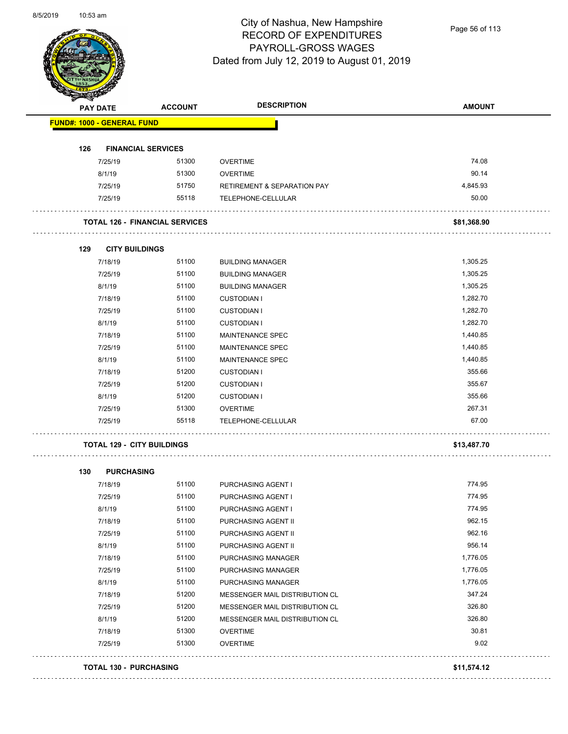#### City of Nashua, New Hampshire RECORD OF EXPENDITURES PAYROLL-GROSS WAGES<br>om July 12, 2010 to August 01, 2010 Dated from July 12, 2019 to Aug

Page 56 of 113

|                                   | <b>PAY DATE</b> | <b>ACCOUNT</b>                        | <b>DESCRIPTION</b>                     | <b>AMOUNT</b> |
|-----------------------------------|-----------------|---------------------------------------|----------------------------------------|---------------|
| <b>FUND#: 1000 - GENERAL FUND</b> |                 |                                       |                                        |               |
| 126                               |                 | <b>FINANCIAL SERVICES</b>             |                                        |               |
|                                   | 7/25/19         | 51300                                 | <b>OVERTIME</b>                        | 74.08         |
|                                   | 8/1/19          | 51300                                 | <b>OVERTIME</b>                        | 90.14         |
|                                   | 7/25/19         | 51750                                 | <b>RETIREMENT &amp; SEPARATION PAY</b> | 4,845.93      |
|                                   | 7/25/19         | 55118                                 | TELEPHONE-CELLULAR                     | 50.00         |
|                                   |                 | <b>TOTAL 126 - FINANCIAL SERVICES</b> |                                        | \$81,368.90   |
| 129                               |                 | <b>CITY BUILDINGS</b>                 |                                        |               |
|                                   | 7/18/19         | 51100                                 | <b>BUILDING MANAGER</b>                | 1,305.25      |
|                                   | 7/25/19         | 51100                                 | <b>BUILDING MANAGER</b>                | 1,305.25      |
|                                   | 8/1/19          | 51100                                 | <b>BUILDING MANAGER</b>                | 1,305.25      |
|                                   | 7/18/19         | 51100                                 | <b>CUSTODIAN I</b>                     | 1,282.70      |
|                                   | 7/25/19         | 51100                                 | <b>CUSTODIAN I</b>                     | 1,282.70      |
|                                   | 8/1/19          | 51100                                 | <b>CUSTODIAN I</b>                     | 1,282.70      |
|                                   | 7/18/19         | 51100                                 | MAINTENANCE SPEC                       | 1,440.85      |
|                                   | 7/25/19         | 51100                                 | MAINTENANCE SPEC                       | 1,440.85      |
|                                   | 8/1/19          | 51100                                 | MAINTENANCE SPEC                       | 1,440.85      |
|                                   | 7/18/19         | 51200                                 | <b>CUSTODIAN I</b>                     | 355.66        |
|                                   | 7/25/19         | 51200                                 | <b>CUSTODIAN I</b>                     | 355.67        |
|                                   | 8/1/19          | 51200                                 | <b>CUSTODIAN I</b>                     | 355.66        |
|                                   | 7/25/19         | 51300                                 | <b>OVERTIME</b>                        | 267.31        |
|                                   | 7/25/19         | 55118                                 | TELEPHONE-CELLULAR                     | 67.00         |
|                                   |                 | <b>TOTAL 129 - CITY BUILDINGS</b>     |                                        | \$13,487.70   |
| 130                               |                 | <b>PURCHASING</b>                     |                                        |               |
|                                   | 7/18/19         | 51100                                 | PURCHASING AGENT I                     | 774.95        |
|                                   | 7/25/19         | 51100                                 | PURCHASING AGENT I                     | 774.95        |
|                                   | 8/1/19          | 51100                                 | PURCHASING AGENT I                     | 774.95        |
|                                   | 7/18/19         | 51100                                 | PURCHASING AGENT II                    | 962.15        |
|                                   | 7/25/19         | 51100                                 | PURCHASING AGENT II                    | 962.16        |
|                                   | 8/1/19          | 51100                                 | PURCHASING AGENT II                    | 956.14        |
|                                   | 7/18/19         | 51100                                 | PURCHASING MANAGER                     | 1,776.05      |
|                                   | 7/25/19         | 51100                                 | PURCHASING MANAGER                     | 1,776.05      |
|                                   | 8/1/19          | 51100                                 | PURCHASING MANAGER                     | 1,776.05      |
|                                   | 7/18/19         | 51200                                 | MESSENGER MAIL DISTRIBUTION CL         | 347.24        |
|                                   | 7/25/19         | 51200                                 | MESSENGER MAIL DISTRIBUTION CL         | 326.80        |
|                                   | 8/1/19          | 51200                                 | MESSENGER MAIL DISTRIBUTION CL         | 326.80        |
|                                   | 7/18/19         | 51300                                 | <b>OVERTIME</b>                        | 30.81         |
|                                   |                 |                                       |                                        |               |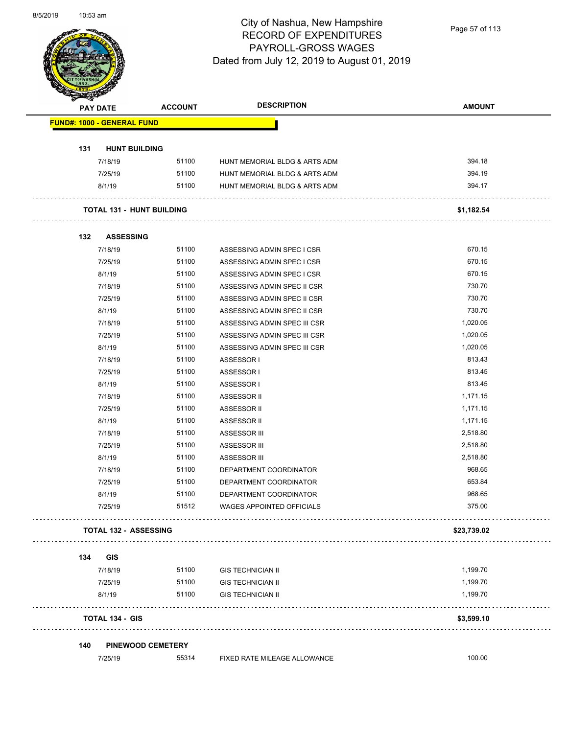

Page 57 of 113

| <b>PAY DATE</b> |                                   | <b>ACCOUNT</b> | <b>DESCRIPTION</b>               | <b>AMOUNT</b> |
|-----------------|-----------------------------------|----------------|----------------------------------|---------------|
|                 | <b>FUND#: 1000 - GENERAL FUND</b> |                |                                  |               |
| 131             | <b>HUNT BUILDING</b>              |                |                                  |               |
|                 | 7/18/19                           | 51100          | HUNT MEMORIAL BLDG & ARTS ADM    | 394.18        |
|                 | 7/25/19                           | 51100          | HUNT MEMORIAL BLDG & ARTS ADM    | 394.19        |
|                 | 8/1/19                            | 51100          | HUNT MEMORIAL BLDG & ARTS ADM    | 394.17        |
|                 | <b>TOTAL 131 - HUNT BUILDING</b>  |                |                                  | \$1,182.54    |
| 132             | <b>ASSESSING</b>                  |                |                                  |               |
|                 | 7/18/19                           | 51100          | ASSESSING ADMIN SPEC I CSR       | 670.15        |
|                 | 7/25/19                           | 51100          | ASSESSING ADMIN SPEC I CSR       | 670.15        |
|                 | 8/1/19                            | 51100          | ASSESSING ADMIN SPEC I CSR       | 670.15        |
|                 | 7/18/19                           | 51100          | ASSESSING ADMIN SPEC II CSR      | 730.70        |
|                 | 7/25/19                           | 51100          | ASSESSING ADMIN SPEC II CSR      | 730.70        |
|                 | 8/1/19                            | 51100          | ASSESSING ADMIN SPEC II CSR      | 730.70        |
|                 | 7/18/19                           | 51100          | ASSESSING ADMIN SPEC III CSR     | 1,020.05      |
|                 | 7/25/19                           | 51100          | ASSESSING ADMIN SPEC III CSR     | 1,020.05      |
| 8/1/19          |                                   | 51100          | ASSESSING ADMIN SPEC III CSR     | 1,020.05      |
|                 | 7/18/19                           | 51100          | ASSESSOR I                       | 813.43        |
|                 | 7/25/19                           | 51100          | ASSESSOR I                       | 813.45        |
|                 | 8/1/19                            | 51100          | ASSESSOR I                       | 813.45        |
|                 | 7/18/19                           | 51100          | ASSESSOR II                      | 1,171.15      |
|                 | 7/25/19                           | 51100          | ASSESSOR II                      | 1,171.15      |
| 8/1/19          |                                   | 51100          | ASSESSOR II                      | 1,171.15      |
|                 | 7/18/19                           | 51100          | ASSESSOR III                     | 2,518.80      |
|                 | 7/25/19                           | 51100          | ASSESSOR III                     | 2,518.80      |
| 8/1/19          |                                   | 51100          | ASSESSOR III                     | 2,518.80      |
|                 | 7/18/19                           | 51100          | DEPARTMENT COORDINATOR           | 968.65        |
|                 | 7/25/19                           | 51100          | DEPARTMENT COORDINATOR           | 653.84        |
| 8/1/19          |                                   | 51100          | DEPARTMENT COORDINATOR           | 968.65        |
|                 | 7/25/19                           | 51512          | <b>WAGES APPOINTED OFFICIALS</b> | 375.00        |
|                 | <b>TOTAL 132 - ASSESSING</b>      |                |                                  | \$23,739.02   |
| 134             | <b>GIS</b>                        |                |                                  |               |
|                 | 7/18/19                           | 51100          | <b>GIS TECHNICIAN II</b>         | 1,199.70      |
|                 | 7/25/19                           | 51100          | <b>GIS TECHNICIAN II</b>         | 1,199.70      |
|                 | 8/1/19                            | 51100          | <b>GIS TECHNICIAN II</b>         | 1,199.70      |
|                 | <b>TOTAL 134 - GIS</b>            |                |                                  | \$3,599.10    |
| 140             | <b>PINEWOOD CEMETERY</b>          |                |                                  |               |
|                 | 7/25/19                           | 55314          | FIXED RATE MILEAGE ALLOWANCE     | 100.00        |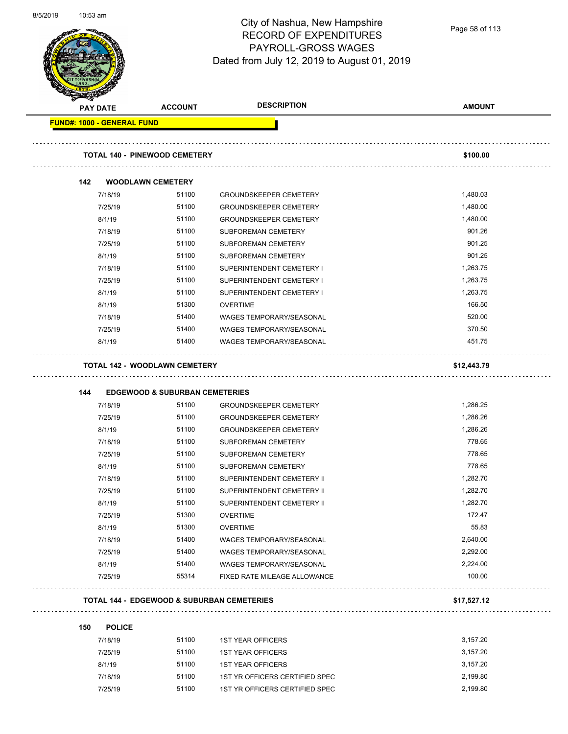

Page 58 of 113

| <b>PAY DATE</b>                   | <b>ACCOUNT</b>                                        | <b>DESCRIPTION</b>                  | <b>AMOUNT</b> |
|-----------------------------------|-------------------------------------------------------|-------------------------------------|---------------|
| <b>FUND#: 1000 - GENERAL FUND</b> |                                                       |                                     |               |
|                                   | <b>TOTAL 140 - PINEWOOD CEMETERY</b>                  |                                     | \$100.00      |
| 142                               | <b>WOODLAWN CEMETERY</b>                              |                                     |               |
| 7/18/19                           | 51100                                                 | <b>GROUNDSKEEPER CEMETERY</b>       | 1,480.03      |
| 7/25/19                           | 51100                                                 | <b>GROUNDSKEEPER CEMETERY</b>       | 1,480.00      |
| 8/1/19                            | 51100                                                 | <b>GROUNDSKEEPER CEMETERY</b>       | 1,480.00      |
| 7/18/19                           | 51100                                                 | SUBFOREMAN CEMETERY                 | 901.26        |
| 7/25/19                           | 51100                                                 | SUBFOREMAN CEMETERY                 | 901.25        |
| 8/1/19                            | 51100                                                 | SUBFOREMAN CEMETERY                 | 901.25        |
| 7/18/19                           | 51100                                                 | SUPERINTENDENT CEMETERY I           | 1,263.75      |
| 7/25/19                           | 51100                                                 | SUPERINTENDENT CEMETERY I           | 1,263.75      |
| 8/1/19                            | 51100                                                 | SUPERINTENDENT CEMETERY I           | 1,263.75      |
| 8/1/19                            | 51300                                                 | <b>OVERTIME</b>                     | 166.50        |
| 7/18/19                           | 51400                                                 | <b>WAGES TEMPORARY/SEASONAL</b>     | 520.00        |
| 7/25/19                           | 51400                                                 | <b>WAGES TEMPORARY/SEASONAL</b>     | 370.50        |
| 8/1/19                            | 51400                                                 | <b>WAGES TEMPORARY/SEASONAL</b>     | 451.75        |
|                                   | <b>TOTAL 142 - WOODLAWN CEMETERY</b>                  |                                     | \$12,443.79   |
|                                   |                                                       |                                     |               |
| 144                               | <b>EDGEWOOD &amp; SUBURBAN CEMETERIES</b>             |                                     |               |
| 7/18/19                           | 51100                                                 | <b>GROUNDSKEEPER CEMETERY</b>       | 1,286.25      |
| 7/25/19                           | 51100                                                 | <b>GROUNDSKEEPER CEMETERY</b>       | 1,286.26      |
| 8/1/19                            | 51100                                                 | <b>GROUNDSKEEPER CEMETERY</b>       | 1,286.26      |
| 7/18/19                           | 51100                                                 | SUBFOREMAN CEMETERY                 | 778.65        |
| 7/25/19                           | 51100                                                 | SUBFOREMAN CEMETERY                 | 778.65        |
| 8/1/19                            | 51100                                                 | SUBFOREMAN CEMETERY                 | 778.65        |
| 7/18/19                           | 51100                                                 | SUPERINTENDENT CEMETERY II          | 1,282.70      |
| 7/25/19                           | 51100                                                 | SUPERINTENDENT CEMETERY II          | 1,282.70      |
| 8/1/19                            | 51100                                                 | SUPERINTENDENT CEMETERY II          | 1,282.70      |
| 7/25/19                           | 51300                                                 | <b>OVERTIME</b>                     | 172.47        |
| 8/1/19                            | 51300                                                 | <b>OVERTIME</b>                     | 55.83         |
| 7/18/19                           | 51400                                                 | WAGES TEMPORARY/SEASONAL            | 2,640.00      |
| 7/25/19                           | 51400                                                 | WAGES TEMPORARY/SEASONAL            | 2,292.00      |
| 8/1/19                            | 51400                                                 | WAGES TEMPORARY/SEASONAL            | 2,224.00      |
| 7/25/19                           | 55314                                                 | <b>FIXED RATE MILEAGE ALLOWANCE</b> | 100.00        |
|                                   | <b>TOTAL 144 - EDGEWOOD &amp; SUBURBAN CEMETERIES</b> |                                     | \$17,527.12   |
| 150                               | <b>POLICE</b>                                         |                                     |               |
| 7/18/19                           | 51100                                                 | <b>1ST YEAR OFFICERS</b>            | 3,157.20      |
| 7/25/19                           | 51100                                                 | <b>1ST YEAR OFFICERS</b>            | 3,157.20      |
|                                   |                                                       |                                     |               |
| 8/1/19                            | 51100                                                 | <b>1ST YEAR OFFICERS</b>            | 3,157.20      |

7/25/19 51100 1ST YR OFFICERS CERTIFIED SPEC 2,199.80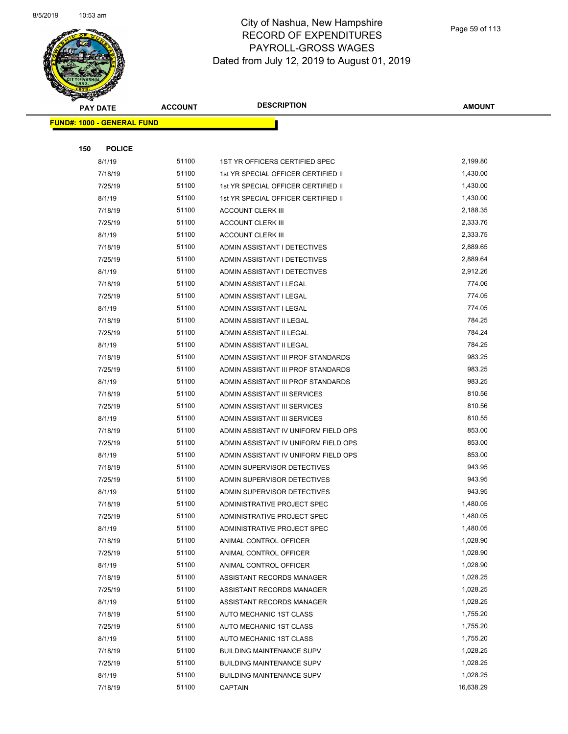

|     | <b>PAY DATE</b>                    | <b>ACCOUNT</b> | <b>DESCRIPTION</b>                   | <b>AMOUNT</b> |  |
|-----|------------------------------------|----------------|--------------------------------------|---------------|--|
|     | <u> FUND#: 1000 - GENERAL FUND</u> |                |                                      |               |  |
|     |                                    |                |                                      |               |  |
| 150 | <b>POLICE</b>                      |                |                                      |               |  |
|     | 8/1/19                             | 51100          | 1ST YR OFFICERS CERTIFIED SPEC       | 2,199.80      |  |
|     | 7/18/19                            | 51100          | 1st YR SPECIAL OFFICER CERTIFIED II  | 1,430.00      |  |
|     | 7/25/19                            | 51100          | 1st YR SPECIAL OFFICER CERTIFIED II  | 1,430.00      |  |
|     | 8/1/19                             | 51100          | 1st YR SPECIAL OFFICER CERTIFIED II  | 1,430.00      |  |
|     | 7/18/19                            | 51100          | <b>ACCOUNT CLERK III</b>             | 2,188.35      |  |
|     | 7/25/19                            | 51100          | <b>ACCOUNT CLERK III</b>             | 2,333.76      |  |
|     | 8/1/19                             | 51100          | <b>ACCOUNT CLERK III</b>             | 2,333.75      |  |
|     | 7/18/19                            | 51100          | ADMIN ASSISTANT I DETECTIVES         | 2,889.65      |  |
|     | 7/25/19                            | 51100          | ADMIN ASSISTANT I DETECTIVES         | 2,889.64      |  |
|     | 8/1/19                             | 51100          | ADMIN ASSISTANT I DETECTIVES         | 2,912.26      |  |
|     | 7/18/19                            | 51100          | ADMIN ASSISTANT I LEGAL              | 774.06        |  |
|     | 7/25/19                            | 51100          | ADMIN ASSISTANT I LEGAL              | 774.05        |  |
|     | 8/1/19                             | 51100          | ADMIN ASSISTANT I LEGAL              | 774.05        |  |
|     | 7/18/19                            | 51100          | ADMIN ASSISTANT II LEGAL             | 784.25        |  |
|     | 7/25/19                            | 51100          | ADMIN ASSISTANT II LEGAL             | 784.24        |  |
|     | 8/1/19                             | 51100          | ADMIN ASSISTANT II LEGAL             | 784.25        |  |
|     | 7/18/19                            | 51100          | ADMIN ASSISTANT III PROF STANDARDS   | 983.25        |  |
|     | 7/25/19                            | 51100          | ADMIN ASSISTANT III PROF STANDARDS   | 983.25        |  |
|     | 8/1/19                             | 51100          | ADMIN ASSISTANT III PROF STANDARDS   | 983.25        |  |
|     | 7/18/19                            | 51100          | ADMIN ASSISTANT III SERVICES         | 810.56        |  |
|     | 7/25/19                            | 51100          | ADMIN ASSISTANT III SERVICES         | 810.56        |  |
|     | 8/1/19                             | 51100          | ADMIN ASSISTANT III SERVICES         | 810.55        |  |
|     | 7/18/19                            | 51100          | ADMIN ASSISTANT IV UNIFORM FIELD OPS | 853.00        |  |
|     | 7/25/19                            | 51100          | ADMIN ASSISTANT IV UNIFORM FIELD OPS | 853.00        |  |
|     | 8/1/19                             | 51100          | ADMIN ASSISTANT IV UNIFORM FIELD OPS | 853.00        |  |
|     | 7/18/19                            | 51100          | ADMIN SUPERVISOR DETECTIVES          | 943.95        |  |
|     | 7/25/19                            | 51100          | ADMIN SUPERVISOR DETECTIVES          | 943.95        |  |
|     | 8/1/19                             | 51100          | ADMIN SUPERVISOR DETECTIVES          | 943.95        |  |
|     | 7/18/19                            | 51100          | ADMINISTRATIVE PROJECT SPEC          | 1,480.05      |  |
|     | 7/25/19                            | 51100          | ADMINISTRATIVE PROJECT SPEC          | 1,480.05      |  |
|     | 8/1/19                             | 51100          | ADMINISTRATIVE PROJECT SPEC          | 1,480.05      |  |
|     | 7/18/19                            | 51100          | ANIMAL CONTROL OFFICER               | 1,028.90      |  |
|     | 7/25/19                            | 51100          | ANIMAL CONTROL OFFICER               | 1,028.90      |  |
|     | 8/1/19                             | 51100          | ANIMAL CONTROL OFFICER               | 1,028.90      |  |
|     | 7/18/19                            | 51100          | ASSISTANT RECORDS MANAGER            | 1,028.25      |  |
|     | 7/25/19                            | 51100          | ASSISTANT RECORDS MANAGER            | 1,028.25      |  |
|     | 8/1/19                             | 51100          | ASSISTANT RECORDS MANAGER            | 1,028.25      |  |
|     | 7/18/19                            | 51100          | AUTO MECHANIC 1ST CLASS              | 1,755.20      |  |
|     | 7/25/19                            | 51100          | AUTO MECHANIC 1ST CLASS              | 1,755.20      |  |
|     | 8/1/19                             | 51100          | AUTO MECHANIC 1ST CLASS              | 1,755.20      |  |
|     | 7/18/19                            | 51100          | <b>BUILDING MAINTENANCE SUPV</b>     | 1,028.25      |  |
|     | 7/25/19                            | 51100          | <b>BUILDING MAINTENANCE SUPV</b>     | 1,028.25      |  |
|     | 8/1/19                             | 51100          | <b>BUILDING MAINTENANCE SUPV</b>     | 1,028.25      |  |
|     | 7/18/19                            | 51100          | <b>CAPTAIN</b>                       | 16,638.29     |  |
|     |                                    |                |                                      |               |  |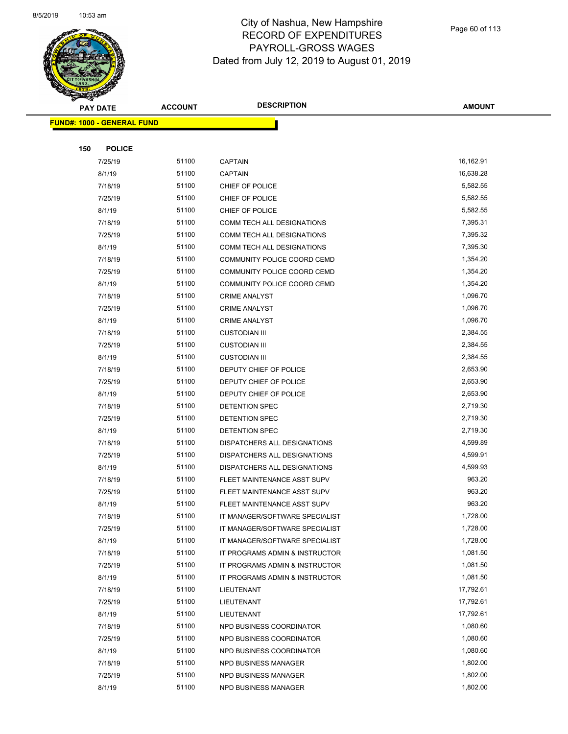

| A.  | <b>PAY DATE</b>                   | <b>ACCOUNT</b> | <b>DESCRIPTION</b>             | <b>AMOUNT</b> |
|-----|-----------------------------------|----------------|--------------------------------|---------------|
|     | <b>FUND#: 1000 - GENERAL FUND</b> |                |                                |               |
|     |                                   |                |                                |               |
| 150 | <b>POLICE</b>                     |                |                                |               |
|     | 7/25/19                           | 51100          | <b>CAPTAIN</b>                 | 16,162.91     |
|     | 8/1/19                            | 51100          | <b>CAPTAIN</b>                 | 16,638.28     |
|     | 7/18/19                           | 51100          | CHIEF OF POLICE                | 5,582.55      |
|     | 7/25/19                           | 51100          | CHIEF OF POLICE                | 5,582.55      |
|     | 8/1/19                            | 51100          | CHIEF OF POLICE                | 5,582.55      |
|     | 7/18/19                           | 51100          | COMM TECH ALL DESIGNATIONS     | 7,395.31      |
|     | 7/25/19                           | 51100          | COMM TECH ALL DESIGNATIONS     | 7,395.32      |
|     | 8/1/19                            | 51100          | COMM TECH ALL DESIGNATIONS     | 7,395.30      |
|     | 7/18/19                           | 51100          | COMMUNITY POLICE COORD CEMD    | 1,354.20      |
|     | 7/25/19                           | 51100          | COMMUNITY POLICE COORD CEMD    | 1,354.20      |
|     | 8/1/19                            | 51100          | COMMUNITY POLICE COORD CEMD    | 1,354.20      |
|     | 7/18/19                           | 51100          | <b>CRIME ANALYST</b>           | 1,096.70      |
|     | 7/25/19                           | 51100          | <b>CRIME ANALYST</b>           | 1,096.70      |
|     | 8/1/19                            | 51100          | <b>CRIME ANALYST</b>           | 1,096.70      |
|     | 7/18/19                           | 51100          | <b>CUSTODIAN III</b>           | 2,384.55      |
|     | 7/25/19                           | 51100          | <b>CUSTODIAN III</b>           | 2,384.55      |
|     | 8/1/19                            | 51100          | <b>CUSTODIAN III</b>           | 2,384.55      |
|     | 7/18/19                           | 51100          | DEPUTY CHIEF OF POLICE         | 2,653.90      |
|     | 7/25/19                           | 51100          | DEPUTY CHIEF OF POLICE         | 2,653.90      |
|     | 8/1/19                            | 51100          | DEPUTY CHIEF OF POLICE         | 2,653.90      |
|     | 7/18/19                           | 51100          | DETENTION SPEC                 | 2,719.30      |
|     | 7/25/19                           | 51100          | DETENTION SPEC                 | 2,719.30      |
|     | 8/1/19                            | 51100          | DETENTION SPEC                 | 2,719.30      |
|     | 7/18/19                           | 51100          | DISPATCHERS ALL DESIGNATIONS   | 4,599.89      |
|     | 7/25/19                           | 51100          | DISPATCHERS ALL DESIGNATIONS   | 4,599.91      |
|     | 8/1/19                            | 51100          | DISPATCHERS ALL DESIGNATIONS   | 4,599.93      |
|     | 7/18/19                           | 51100          | FLEET MAINTENANCE ASST SUPV    | 963.20        |
|     | 7/25/19                           | 51100          | FLEET MAINTENANCE ASST SUPV    | 963.20        |
|     | 8/1/19                            | 51100          | FLEET MAINTENANCE ASST SUPV    | 963.20        |
|     | 7/18/19                           | 51100          | IT MANAGER/SOFTWARE SPECIALIST | 1,728.00      |
|     | 7/25/19                           | 51100          | IT MANAGER/SOFTWARE SPECIALIST | 1,728.00      |
|     | 8/1/19                            | 51100          | IT MANAGER/SOFTWARE SPECIALIST | 1,728.00      |
|     | 7/18/19                           | 51100          | IT PROGRAMS ADMIN & INSTRUCTOR | 1,081.50      |
|     | 7/25/19                           | 51100          | IT PROGRAMS ADMIN & INSTRUCTOR | 1,081.50      |
|     | 8/1/19                            | 51100          | IT PROGRAMS ADMIN & INSTRUCTOR | 1,081.50      |
|     | 7/18/19                           | 51100          | LIEUTENANT                     | 17,792.61     |
|     | 7/25/19                           | 51100          | LIEUTENANT                     | 17,792.61     |
|     | 8/1/19                            | 51100          | LIEUTENANT                     | 17,792.61     |
|     | 7/18/19                           | 51100          | NPD BUSINESS COORDINATOR       | 1,080.60      |
|     | 7/25/19                           | 51100          | NPD BUSINESS COORDINATOR       | 1,080.60      |
|     | 8/1/19                            | 51100          | NPD BUSINESS COORDINATOR       | 1,080.60      |
|     | 7/18/19                           | 51100          | NPD BUSINESS MANAGER           | 1,802.00      |
|     | 7/25/19                           | 51100          | NPD BUSINESS MANAGER           | 1,802.00      |
|     | 8/1/19                            | 51100          | NPD BUSINESS MANAGER           | 1,802.00      |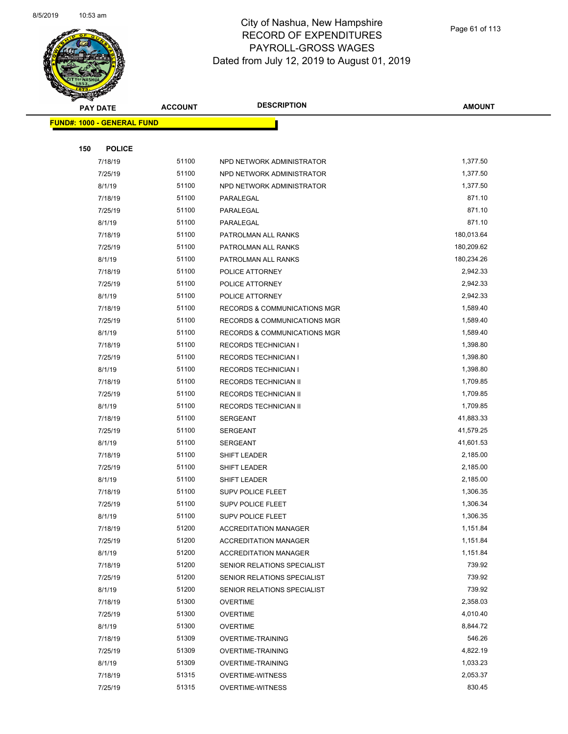

| <b>SANGRA</b> |                                   |                | <b>DESCRIPTION</b>                      |               |
|---------------|-----------------------------------|----------------|-----------------------------------------|---------------|
|               | <b>PAY DATE</b>                   | <b>ACCOUNT</b> |                                         | <b>AMOUNT</b> |
|               | <b>FUND#: 1000 - GENERAL FUND</b> |                |                                         |               |
|               |                                   |                |                                         |               |
| 150           | <b>POLICE</b>                     |                |                                         |               |
|               | 7/18/19                           | 51100          | NPD NETWORK ADMINISTRATOR               | 1,377.50      |
|               | 7/25/19                           | 51100          | NPD NETWORK ADMINISTRATOR               | 1,377.50      |
|               | 8/1/19                            | 51100          | NPD NETWORK ADMINISTRATOR               | 1,377.50      |
|               | 7/18/19                           | 51100          | PARALEGAL                               | 871.10        |
|               | 7/25/19                           | 51100          | PARALEGAL                               | 871.10        |
|               | 8/1/19                            | 51100          | PARALEGAL                               | 871.10        |
|               | 7/18/19                           | 51100          | PATROLMAN ALL RANKS                     | 180,013.64    |
|               | 7/25/19                           | 51100          | PATROLMAN ALL RANKS                     | 180,209.62    |
|               | 8/1/19                            | 51100          | PATROLMAN ALL RANKS                     | 180,234.26    |
|               | 7/18/19                           | 51100          | POLICE ATTORNEY                         | 2,942.33      |
|               | 7/25/19                           | 51100          | POLICE ATTORNEY                         | 2,942.33      |
|               | 8/1/19                            | 51100          | POLICE ATTORNEY                         | 2,942.33      |
|               | 7/18/19                           | 51100          | RECORDS & COMMUNICATIONS MGR            | 1,589.40      |
|               | 7/25/19                           | 51100          | RECORDS & COMMUNICATIONS MGR            | 1,589.40      |
|               | 8/1/19                            | 51100          | <b>RECORDS &amp; COMMUNICATIONS MGR</b> | 1,589.40      |
|               | 7/18/19                           | 51100          | <b>RECORDS TECHNICIAN I</b>             | 1,398.80      |
|               | 7/25/19                           | 51100          | <b>RECORDS TECHNICIAN I</b>             | 1,398.80      |
|               | 8/1/19                            | 51100          | <b>RECORDS TECHNICIAN I</b>             | 1,398.80      |
|               | 7/18/19                           | 51100          | RECORDS TECHNICIAN II                   | 1,709.85      |
|               | 7/25/19                           | 51100          | RECORDS TECHNICIAN II                   | 1,709.85      |
|               | 8/1/19                            | 51100          | RECORDS TECHNICIAN II                   | 1,709.85      |
|               | 7/18/19                           | 51100          | <b>SERGEANT</b>                         | 41,883.33     |
|               | 7/25/19                           | 51100          | <b>SERGEANT</b>                         | 41,579.25     |
|               | 8/1/19                            | 51100          | <b>SERGEANT</b>                         | 41,601.53     |
|               | 7/18/19                           | 51100          | SHIFT LEADER                            | 2,185.00      |
|               | 7/25/19                           | 51100          | SHIFT LEADER                            | 2,185.00      |
|               | 8/1/19                            | 51100          | SHIFT LEADER                            | 2,185.00      |
|               | 7/18/19                           | 51100          | SUPV POLICE FLEET                       | 1,306.35      |
|               | 7/25/19                           | 51100          | SUPV POLICE FLEET                       | 1,306.34      |
|               | 8/1/19                            | 51100          | <b>SUPV POLICE FLEET</b>                | 1,306.35      |
|               | 7/18/19                           | 51200          | <b>ACCREDITATION MANAGER</b>            | 1,151.84      |
|               | 7/25/19                           | 51200          | <b>ACCREDITATION MANAGER</b>            | 1,151.84      |
|               | 8/1/19                            | 51200          | <b>ACCREDITATION MANAGER</b>            | 1,151.84      |
|               | 7/18/19                           | 51200          | SENIOR RELATIONS SPECIALIST             | 739.92        |
|               | 7/25/19                           | 51200          | SENIOR RELATIONS SPECIALIST             | 739.92        |
|               | 8/1/19                            | 51200          | SENIOR RELATIONS SPECIALIST             | 739.92        |
|               | 7/18/19                           | 51300          | <b>OVERTIME</b>                         | 2,358.03      |
|               | 7/25/19                           | 51300          | <b>OVERTIME</b>                         | 4,010.40      |
|               | 8/1/19                            | 51300          | <b>OVERTIME</b>                         | 8,844.72      |
|               | 7/18/19                           | 51309          | OVERTIME-TRAINING                       | 546.26        |
|               | 7/25/19                           | 51309          | <b>OVERTIME-TRAINING</b>                | 4,822.19      |
|               | 8/1/19                            | 51309          | <b>OVERTIME-TRAINING</b>                | 1,033.23      |
|               | 7/18/19                           | 51315          | <b>OVERTIME-WITNESS</b>                 | 2,053.37      |
|               | 7/25/19                           | 51315          | <b>OVERTIME-WITNESS</b>                 | 830.45        |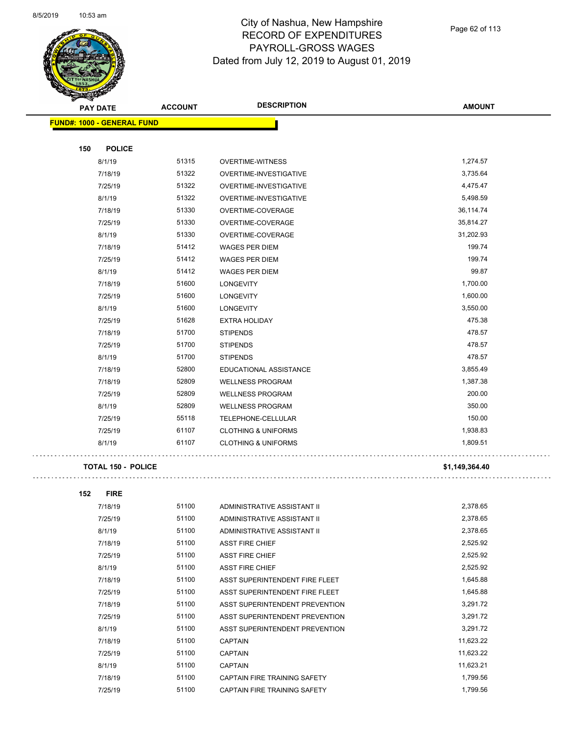$\bar{\mathcal{L}}$  .

 $\ddot{\phantom{1}}$  .



#### City of Nashua, New Hampshire RECORD OF EXPENDITURES PAYROLL-GROSS WAGES Dated from July 12, 2019 to August 01, 2019

Page 62 of 113

| <b>REAR READ</b>                  |                |                                |                |  |
|-----------------------------------|----------------|--------------------------------|----------------|--|
| <b>PAY DATE</b>                   | <b>ACCOUNT</b> | <b>DESCRIPTION</b>             | <b>AMOUNT</b>  |  |
| <b>FUND#: 1000 - GENERAL FUND</b> |                |                                |                |  |
|                                   |                |                                |                |  |
| <b>POLICE</b><br>150              |                |                                |                |  |
| 8/1/19                            | 51315          | OVERTIME-WITNESS               | 1,274.57       |  |
| 7/18/19                           | 51322          | OVERTIME-INVESTIGATIVE         | 3,735.64       |  |
| 7/25/19                           | 51322          | OVERTIME-INVESTIGATIVE         | 4,475.47       |  |
| 8/1/19                            | 51322          | OVERTIME-INVESTIGATIVE         | 5,498.59       |  |
| 7/18/19                           | 51330          | OVERTIME-COVERAGE              | 36,114.74      |  |
| 7/25/19                           | 51330          | OVERTIME-COVERAGE              | 35,814.27      |  |
| 8/1/19                            | 51330          | OVERTIME-COVERAGE              | 31,202.93      |  |
| 7/18/19                           | 51412          | <b>WAGES PER DIEM</b>          | 199.74         |  |
| 7/25/19                           | 51412          | <b>WAGES PER DIEM</b>          | 199.74         |  |
| 8/1/19                            | 51412          | <b>WAGES PER DIEM</b>          | 99.87          |  |
| 7/18/19                           | 51600          | <b>LONGEVITY</b>               | 1,700.00       |  |
| 7/25/19                           | 51600          | <b>LONGEVITY</b>               | 1,600.00       |  |
| 8/1/19                            | 51600          | <b>LONGEVITY</b>               | 3,550.00       |  |
| 7/25/19                           | 51628          | <b>EXTRA HOLIDAY</b>           | 475.38         |  |
| 7/18/19                           | 51700          | <b>STIPENDS</b>                | 478.57         |  |
| 7/25/19                           | 51700          | <b>STIPENDS</b>                | 478.57         |  |
| 8/1/19                            | 51700          | <b>STIPENDS</b>                | 478.57         |  |
| 7/18/19                           | 52800          | EDUCATIONAL ASSISTANCE         | 3,855.49       |  |
| 7/18/19                           | 52809          | <b>WELLNESS PROGRAM</b>        | 1,387.38       |  |
| 7/25/19                           | 52809          | <b>WELLNESS PROGRAM</b>        | 200.00         |  |
| 8/1/19                            | 52809          | <b>WELLNESS PROGRAM</b>        | 350.00         |  |
| 7/25/19                           | 55118          | TELEPHONE-CELLULAR             | 150.00         |  |
| 7/25/19                           | 61107          | <b>CLOTHING &amp; UNIFORMS</b> | 1,938.83       |  |
| 8/1/19                            | 61107          | <b>CLOTHING &amp; UNIFORMS</b> | 1,809.51       |  |
| <b>TOTAL 150 - POLICE</b>         |                |                                | \$1,149,364.40 |  |
| 152<br><b>FIRE</b>                |                |                                |                |  |
| 7/18/19                           | 51100          | ADMINISTRATIVE ASSISTANT II    | 2,378.65       |  |
|                                   |                |                                |                |  |

| 7718719 | <b>51100</b> | ADMINISTRATIVE ASSISTANT II    | 2,378.00  |
|---------|--------------|--------------------------------|-----------|
| 7/25/19 | 51100        | ADMINISTRATIVE ASSISTANT II    | 2,378.65  |
| 8/1/19  | 51100        | ADMINISTRATIVE ASSISTANT II    | 2,378.65  |
| 7/18/19 | 51100        | <b>ASST FIRE CHIEF</b>         | 2,525.92  |
| 7/25/19 | 51100        | <b>ASST FIRE CHIEF</b>         | 2,525.92  |
| 8/1/19  | 51100        | <b>ASST FIRE CHIEF</b>         | 2,525.92  |
| 7/18/19 | 51100        | ASST SUPERINTENDENT FIRE FLEET | 1,645.88  |
| 7/25/19 | 51100        | ASST SUPERINTENDENT FIRE FLEET | 1,645.88  |
| 7/18/19 | 51100        | ASST SUPERINTENDENT PREVENTION | 3,291.72  |
| 7/25/19 | 51100        | ASST SUPERINTENDENT PREVENTION | 3,291.72  |
| 8/1/19  | 51100        | ASST SUPERINTENDENT PREVENTION | 3,291.72  |
| 7/18/19 | 51100        | <b>CAPTAIN</b>                 | 11,623.22 |
| 7/25/19 | 51100        | <b>CAPTAIN</b>                 | 11,623.22 |
| 8/1/19  | 51100        | <b>CAPTAIN</b>                 | 11,623.21 |
| 7/18/19 | 51100        | CAPTAIN FIRE TRAINING SAFETY   | 1,799.56  |
| 7/25/19 | 51100        | CAPTAIN FIRE TRAINING SAFETY   | 1,799.56  |
|         |              |                                |           |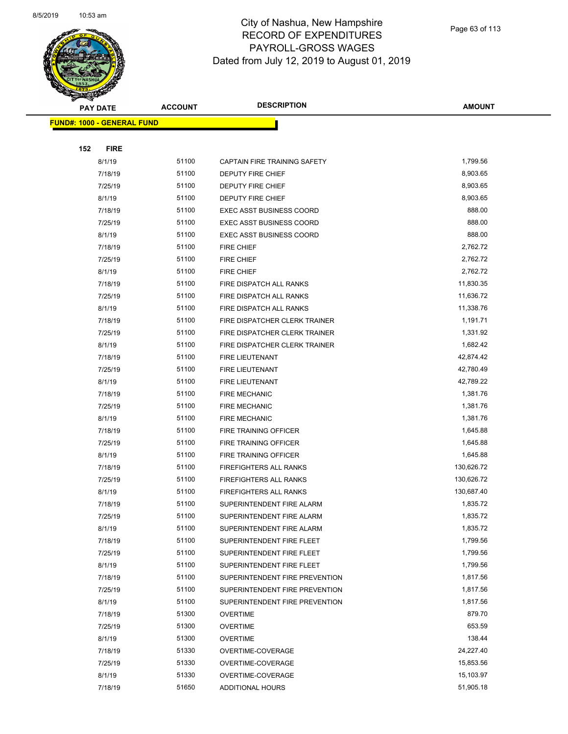

|     | <b>PAY DATE</b>                    | <b>ACCOUNT</b> | <b>DESCRIPTION</b>              | <b>AMOUNT</b> |  |
|-----|------------------------------------|----------------|---------------------------------|---------------|--|
|     | <u> FUND#: 1000 - GENERAL FUND</u> |                |                                 |               |  |
|     |                                    |                |                                 |               |  |
| 152 | <b>FIRE</b>                        |                |                                 |               |  |
|     | 8/1/19                             | 51100          | CAPTAIN FIRE TRAINING SAFETY    | 1,799.56      |  |
|     | 7/18/19                            | 51100          | DEPUTY FIRE CHIEF               | 8,903.65      |  |
|     | 7/25/19                            | 51100          | DEPUTY FIRE CHIEF               | 8,903.65      |  |
|     | 8/1/19                             | 51100          | DEPUTY FIRE CHIEF               | 8,903.65      |  |
|     | 7/18/19                            | 51100          | <b>EXEC ASST BUSINESS COORD</b> | 888.00        |  |
|     | 7/25/19                            | 51100          | <b>EXEC ASST BUSINESS COORD</b> | 888.00        |  |
|     | 8/1/19                             | 51100          | <b>EXEC ASST BUSINESS COORD</b> | 888.00        |  |
|     | 7/18/19                            | 51100          | FIRE CHIEF                      | 2,762.72      |  |
|     | 7/25/19                            | 51100          | FIRE CHIEF                      | 2,762.72      |  |
|     | 8/1/19                             | 51100          | FIRE CHIEF                      | 2,762.72      |  |
|     | 7/18/19                            | 51100          | FIRE DISPATCH ALL RANKS         | 11,830.35     |  |
|     | 7/25/19                            | 51100          | FIRE DISPATCH ALL RANKS         | 11,636.72     |  |
|     | 8/1/19                             | 51100          | FIRE DISPATCH ALL RANKS         | 11,338.76     |  |
|     | 7/18/19                            | 51100          | FIRE DISPATCHER CLERK TRAINER   | 1,191.71      |  |
|     | 7/25/19                            | 51100          | FIRE DISPATCHER CLERK TRAINER   | 1,331.92      |  |
|     | 8/1/19                             | 51100          | FIRE DISPATCHER CLERK TRAINER   | 1,682.42      |  |
|     | 7/18/19                            | 51100          | FIRE LIEUTENANT                 | 42,874.42     |  |
|     | 7/25/19                            | 51100          | FIRE LIEUTENANT                 | 42,780.49     |  |
|     | 8/1/19                             | 51100          | FIRE LIEUTENANT                 | 42,789.22     |  |
|     | 7/18/19                            | 51100          | <b>FIRE MECHANIC</b>            | 1,381.76      |  |
|     | 7/25/19                            | 51100          | <b>FIRE MECHANIC</b>            | 1,381.76      |  |
|     | 8/1/19                             | 51100          | <b>FIRE MECHANIC</b>            | 1,381.76      |  |
|     | 7/18/19                            | 51100          | FIRE TRAINING OFFICER           | 1,645.88      |  |
|     | 7/25/19                            | 51100          | FIRE TRAINING OFFICER           | 1,645.88      |  |
|     | 8/1/19                             | 51100          | FIRE TRAINING OFFICER           | 1,645.88      |  |
|     | 7/18/19                            | 51100          | <b>FIREFIGHTERS ALL RANKS</b>   | 130,626.72    |  |
|     | 7/25/19                            | 51100          | FIREFIGHTERS ALL RANKS          | 130,626.72    |  |
|     | 8/1/19                             | 51100          | <b>FIREFIGHTERS ALL RANKS</b>   | 130,687.40    |  |
|     | 7/18/19                            | 51100          | SUPERINTENDENT FIRE ALARM       | 1,835.72      |  |
|     | 7/25/19                            | 51100          | SUPERINTENDENT FIRE ALARM       | 1,835.72      |  |
|     | 8/1/19                             | 51100          | SUPERINTENDENT FIRE ALARM       | 1,835.72      |  |
|     | 7/18/19                            | 51100          | SUPERINTENDENT FIRE FLEET       | 1,799.56      |  |
|     | 7/25/19                            | 51100          | SUPERINTENDENT FIRE FLEET       | 1,799.56      |  |
|     | 8/1/19                             | 51100          | SUPERINTENDENT FIRE FLEET       | 1,799.56      |  |
|     | 7/18/19                            | 51100          | SUPERINTENDENT FIRE PREVENTION  | 1,817.56      |  |
|     | 7/25/19                            | 51100          | SUPERINTENDENT FIRE PREVENTION  | 1,817.56      |  |
|     | 8/1/19                             | 51100          | SUPERINTENDENT FIRE PREVENTION  | 1,817.56      |  |
|     | 7/18/19                            | 51300          | <b>OVERTIME</b>                 | 879.70        |  |
|     | 7/25/19                            | 51300          | <b>OVERTIME</b>                 | 653.59        |  |
|     | 8/1/19                             | 51300          | <b>OVERTIME</b>                 | 138.44        |  |
|     | 7/18/19                            | 51330          | OVERTIME-COVERAGE               | 24,227.40     |  |
|     | 7/25/19                            | 51330          | OVERTIME-COVERAGE               | 15,853.56     |  |
|     | 8/1/19                             | 51330          | OVERTIME-COVERAGE               | 15,103.97     |  |
|     | 7/18/19                            | 51650          | <b>ADDITIONAL HOURS</b>         | 51,905.18     |  |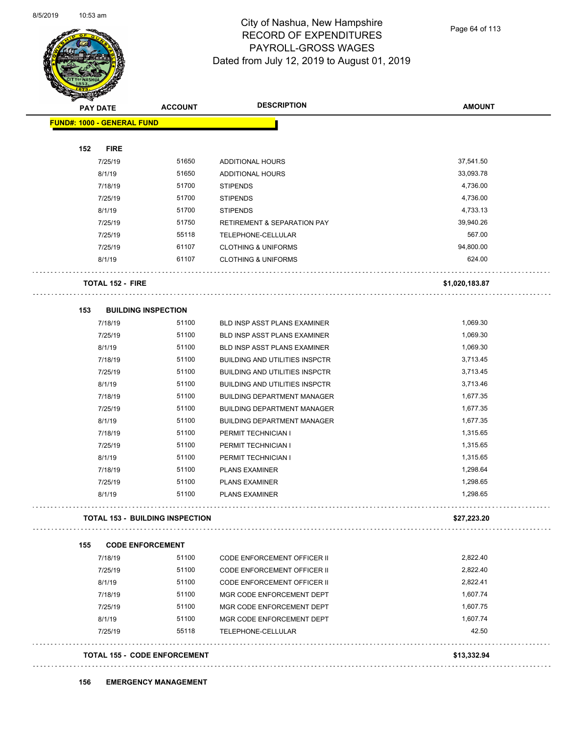

Page 64 of 113

|     | <b>PAY DATE</b><br><b>FUND#: 1000 - GENERAL FUND</b> |                                        |                                        |                |
|-----|------------------------------------------------------|----------------------------------------|----------------------------------------|----------------|
|     |                                                      |                                        |                                        |                |
| 152 | <b>FIRE</b>                                          |                                        |                                        |                |
|     | 7/25/19                                              | 51650                                  | ADDITIONAL HOURS                       | 37,541.50      |
|     | 8/1/19                                               | 51650                                  | ADDITIONAL HOURS                       | 33,093.78      |
|     | 7/18/19                                              | 51700                                  | <b>STIPENDS</b>                        | 4,736.00       |
|     | 7/25/19                                              | 51700                                  | <b>STIPENDS</b>                        | 4,736.00       |
|     | 8/1/19                                               | 51700                                  | <b>STIPENDS</b>                        | 4,733.13       |
|     | 7/25/19                                              | 51750                                  | <b>RETIREMENT &amp; SEPARATION PAY</b> | 39,940.26      |
|     | 7/25/19                                              | 55118                                  | TELEPHONE-CELLULAR                     | 567.00         |
|     | 7/25/19                                              | 61107                                  | <b>CLOTHING &amp; UNIFORMS</b>         | 94,800.00      |
|     | 8/1/19                                               | 61107                                  | <b>CLOTHING &amp; UNIFORMS</b>         | 624.00         |
|     | <b>TOTAL 152 - FIRE</b>                              |                                        |                                        | \$1,020,183.87 |
| 153 |                                                      | <b>BUILDING INSPECTION</b>             |                                        |                |
|     | 7/18/19                                              | 51100                                  | BLD INSP ASST PLANS EXAMINER           | 1,069.30       |
|     | 7/25/19                                              | 51100                                  | BLD INSP ASST PLANS EXAMINER           | 1,069.30       |
|     | 8/1/19                                               | 51100                                  | BLD INSP ASST PLANS EXAMINER           | 1,069.30       |
|     | 7/18/19                                              | 51100                                  | <b>BUILDING AND UTILITIES INSPCTR</b>  | 3,713.45       |
|     | 7/25/19                                              | 51100                                  | <b>BUILDING AND UTILITIES INSPCTR</b>  | 3,713.45       |
|     | 8/1/19                                               | 51100                                  | <b>BUILDING AND UTILITIES INSPCTR</b>  | 3,713.46       |
|     | 7/18/19                                              | 51100                                  | <b>BUILDING DEPARTMENT MANAGER</b>     | 1,677.35       |
|     | 7/25/19                                              | 51100                                  | <b>BUILDING DEPARTMENT MANAGER</b>     | 1,677.35       |
|     | 8/1/19                                               | 51100                                  | <b>BUILDING DEPARTMENT MANAGER</b>     | 1,677.35       |
|     | 7/18/19                                              | 51100                                  | PERMIT TECHNICIAN I                    | 1,315.65       |
|     | 7/25/19                                              | 51100                                  | PERMIT TECHNICIAN I                    | 1,315.65       |
|     | 8/1/19                                               | 51100                                  | PERMIT TECHNICIAN I                    | 1,315.65       |
|     | 7/18/19                                              | 51100                                  | <b>PLANS EXAMINER</b>                  | 1,298.64       |
|     | 7/25/19                                              | 51100                                  | <b>PLANS EXAMINER</b>                  | 1,298.65       |
|     | 8/1/19                                               | 51100                                  | <b>PLANS EXAMINER</b>                  | 1,298.65       |
|     |                                                      | <b>TOTAL 153 - BUILDING INSPECTION</b> |                                        | \$27,223.20    |
| 155 |                                                      | <b>CODE ENFORCEMENT</b>                |                                        |                |
|     | 7/18/19                                              | 51100                                  | <b>CODE ENFORCEMENT OFFICER II</b>     | 2,822.40       |
|     | 7/25/19                                              | 51100                                  | CODE ENFORCEMENT OFFICER II            | 2,822.40       |
|     | 8/1/19                                               | 51100                                  | CODE ENFORCEMENT OFFICER II            | 2,822.41       |
|     | 7/18/19                                              | 51100                                  | MGR CODE ENFORCEMENT DEPT              | 1,607.74       |
|     | 7/25/19                                              | 51100                                  | MGR CODE ENFORCEMENT DEPT              | 1,607.75       |
|     | 8/1/19                                               | 51100                                  | MGR CODE ENFORCEMENT DEPT              | 1,607.74       |
|     | 7/25/19                                              | 55118                                  | TELEPHONE-CELLULAR                     | 42.50          |
|     |                                                      | <b>TOTAL 155 - CODE ENFORCEMENT</b>    |                                        | \$13,332.94    |
|     |                                                      |                                        |                                        |                |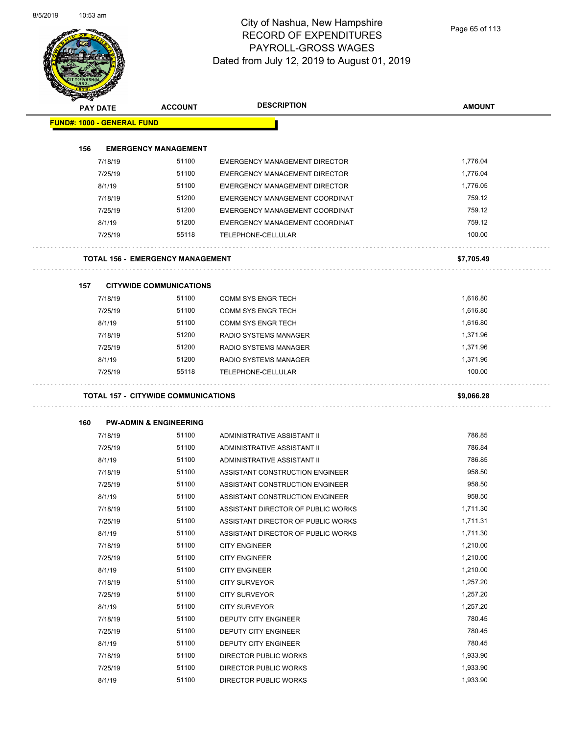Page 65 of 113

| PAY DATE                          |                    | <b>ACCOUNT</b>                             | <b>DESCRIPTION</b>                           | <b>AMOUNT</b> |
|-----------------------------------|--------------------|--------------------------------------------|----------------------------------------------|---------------|
| <b>FUND#: 1000 - GENERAL FUND</b> |                    |                                            |                                              |               |
| 156                               |                    | <b>EMERGENCY MANAGEMENT</b>                |                                              |               |
|                                   | 7/18/19            | 51100                                      | EMERGENCY MANAGEMENT DIRECTOR                | 1,776.04      |
|                                   | 7/25/19            | 51100                                      | <b>EMERGENCY MANAGEMENT DIRECTOR</b>         | 1,776.04      |
|                                   | 8/1/19             | 51100                                      | <b>EMERGENCY MANAGEMENT DIRECTOR</b>         | 1,776.05      |
|                                   | 7/18/19            | 51200                                      | EMERGENCY MANAGEMENT COORDINAT               | 759.12        |
|                                   | 7/25/19            | 51200                                      | EMERGENCY MANAGEMENT COORDINAT               | 759.12        |
|                                   | 8/1/19             | 51200                                      | EMERGENCY MANAGEMENT COORDINAT               | 759.12        |
|                                   | 7/25/19            | 55118                                      | TELEPHONE-CELLULAR                           | 100.00        |
|                                   |                    | <b>TOTAL 156 - EMERGENCY MANAGEMENT</b>    |                                              | \$7,705.49    |
|                                   |                    |                                            |                                              |               |
| 157                               |                    | <b>CITYWIDE COMMUNICATIONS</b>             |                                              |               |
|                                   | 7/18/19            | 51100                                      | <b>COMM SYS ENGR TECH</b>                    | 1,616.80      |
|                                   | 7/25/19            | 51100                                      | <b>COMM SYS ENGR TECH</b>                    | 1,616.80      |
|                                   | 8/1/19             | 51100                                      | <b>COMM SYS ENGR TECH</b>                    | 1,616.80      |
|                                   | 7/18/19            | 51200                                      | RADIO SYSTEMS MANAGER                        | 1,371.96      |
|                                   | 7/25/19            | 51200                                      | RADIO SYSTEMS MANAGER                        | 1,371.96      |
|                                   | 8/1/19             | 51200                                      | RADIO SYSTEMS MANAGER                        | 1,371.96      |
|                                   | 7/25/19            | 55118                                      | TELEPHONE-CELLULAR                           | 100.00        |
|                                   |                    | <b>TOTAL 157 - CITYWIDE COMMUNICATIONS</b> |                                              | \$9,066.28    |
| 160                               |                    | <b>PW-ADMIN &amp; ENGINEERING</b>          |                                              |               |
|                                   | 7/18/19            | 51100                                      | ADMINISTRATIVE ASSISTANT II                  | 786.85        |
|                                   | 7/25/19            | 51100                                      | ADMINISTRATIVE ASSISTANT II                  | 786.84        |
|                                   | 8/1/19             | 51100                                      | ADMINISTRATIVE ASSISTANT II                  | 786.85        |
|                                   | 7/18/19            | 51100                                      | ASSISTANT CONSTRUCTION ENGINEER              | 958.50        |
|                                   | 7/25/19            | 51100                                      | ASSISTANT CONSTRUCTION ENGINEER              | 958.50        |
|                                   | 8/1/19             | 51100                                      | ASSISTANT CONSTRUCTION ENGINEER              | 958.50        |
|                                   | 7/18/19            | 51100                                      | ASSISTANT DIRECTOR OF PUBLIC WORKS           | 1,711.30      |
|                                   | 7/25/19            | 51100                                      | ASSISTANT DIRECTOR OF PUBLIC WORKS           | 1,711.31      |
|                                   | 8/1/19             | 51100                                      | ASSISTANT DIRECTOR OF PUBLIC WORKS           | 1,711.30      |
|                                   | 7/18/19            | 51100                                      | <b>CITY ENGINEER</b>                         | 1,210.00      |
|                                   |                    | 51100                                      | <b>CITY ENGINEER</b>                         | 1,210.00      |
|                                   | 7/25/19            |                                            |                                              | 1,210.00      |
|                                   | 8/1/19             | 51100                                      | <b>CITY ENGINEER</b>                         |               |
|                                   |                    | 51100                                      |                                              | 1,257.20      |
|                                   | 7/18/19<br>7/25/19 | 51100                                      | <b>CITY SURVEYOR</b><br><b>CITY SURVEYOR</b> | 1,257.20      |
|                                   | 8/1/19             | 51100                                      | <b>CITY SURVEYOR</b>                         | 1,257.20      |
|                                   | 7/18/19            | 51100                                      | DEPUTY CITY ENGINEER                         | 780.45        |
|                                   | 7/25/19            | 51100                                      | DEPUTY CITY ENGINEER                         | 780.45        |
|                                   | 8/1/19             | 51100                                      | DEPUTY CITY ENGINEER                         | 780.45        |
|                                   | 7/18/19            | 51100                                      | <b>DIRECTOR PUBLIC WORKS</b>                 | 1,933.90      |

8/1/19 51100 DIRECTOR PUBLIC WORKS 1,933.90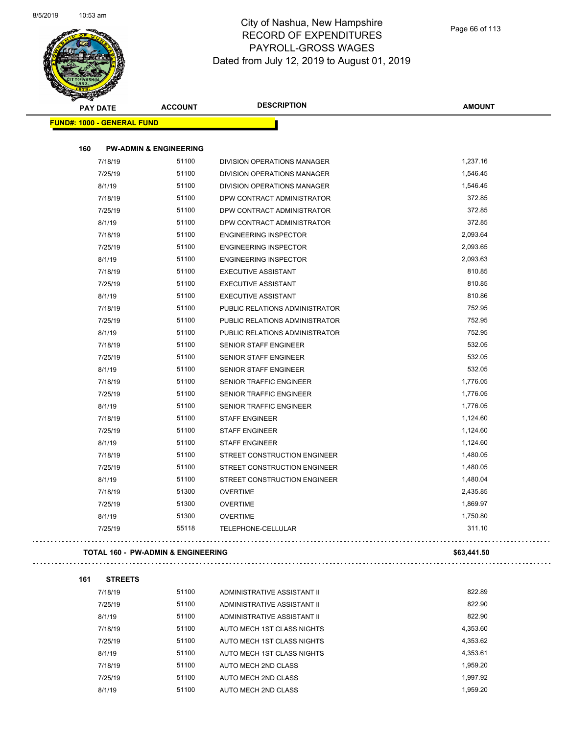

|     | <b>PAY DATE</b>                               | <b>ACCOUNT</b> | <b>DESCRIPTION</b>             | <b>AMOUNT</b> |
|-----|-----------------------------------------------|----------------|--------------------------------|---------------|
|     | <b>FUND#: 1000 - GENERAL FUND</b>             |                |                                |               |
|     |                                               |                |                                |               |
| 160 | <b>PW-ADMIN &amp; ENGINEERING</b>             |                |                                |               |
|     | 7/18/19                                       | 51100          | DIVISION OPERATIONS MANAGER    | 1,237.16      |
|     | 7/25/19                                       | 51100          | DIVISION OPERATIONS MANAGER    | 1,546.45      |
|     | 8/1/19                                        | 51100          | DIVISION OPERATIONS MANAGER    | 1,546.45      |
|     | 7/18/19                                       | 51100          | DPW CONTRACT ADMINISTRATOR     | 372.85        |
|     | 7/25/19                                       | 51100          | DPW CONTRACT ADMINISTRATOR     | 372.85        |
|     | 8/1/19                                        | 51100          | DPW CONTRACT ADMINISTRATOR     | 372.85        |
|     | 7/18/19                                       | 51100          | <b>ENGINEERING INSPECTOR</b>   | 2,093.64      |
|     | 7/25/19                                       | 51100          | <b>ENGINEERING INSPECTOR</b>   | 2,093.65      |
|     | 8/1/19                                        | 51100          | <b>ENGINEERING INSPECTOR</b>   | 2,093.63      |
|     | 7/18/19                                       | 51100          | <b>EXECUTIVE ASSISTANT</b>     | 810.85        |
|     | 7/25/19                                       | 51100          | <b>EXECUTIVE ASSISTANT</b>     | 810.85        |
|     | 8/1/19                                        | 51100          | <b>EXECUTIVE ASSISTANT</b>     | 810.86        |
|     | 7/18/19                                       | 51100          | PUBLIC RELATIONS ADMINISTRATOR | 752.95        |
|     | 7/25/19                                       | 51100          | PUBLIC RELATIONS ADMINISTRATOR | 752.95        |
|     | 8/1/19                                        | 51100          | PUBLIC RELATIONS ADMINISTRATOR | 752.95        |
|     | 7/18/19                                       | 51100          | <b>SENIOR STAFF ENGINEER</b>   | 532.05        |
|     | 7/25/19                                       | 51100          | <b>SENIOR STAFF ENGINEER</b>   | 532.05        |
|     | 8/1/19                                        | 51100          | <b>SENIOR STAFF ENGINEER</b>   | 532.05        |
|     | 7/18/19                                       | 51100          | SENIOR TRAFFIC ENGINEER        | 1,776.05      |
|     | 7/25/19                                       | 51100          | SENIOR TRAFFIC ENGINEER        | 1,776.05      |
|     | 8/1/19                                        | 51100          | SENIOR TRAFFIC ENGINEER        | 1,776.05      |
|     | 7/18/19                                       | 51100          | <b>STAFF ENGINEER</b>          | 1,124.60      |
|     | 7/25/19                                       | 51100          | <b>STAFF ENGINEER</b>          | 1,124.60      |
|     | 8/1/19                                        | 51100          | <b>STAFF ENGINEER</b>          | 1,124.60      |
|     | 7/18/19                                       | 51100          | STREET CONSTRUCTION ENGINEER   | 1,480.05      |
|     | 7/25/19                                       | 51100          | STREET CONSTRUCTION ENGINEER   | 1,480.05      |
|     | 8/1/19                                        | 51100          | STREET CONSTRUCTION ENGINEER   | 1,480.04      |
|     | 7/18/19                                       | 51300          | <b>OVERTIME</b>                | 2,435.85      |
|     | 7/25/19                                       | 51300          | <b>OVERTIME</b>                | 1,869.97      |
|     | 8/1/19                                        | 51300          | <b>OVERTIME</b>                | 1,750.80      |
|     | 7/25/19                                       | 55118          | TELEPHONE-CELLULAR             | 311.10        |
|     | <b>TOTAL 160 - PW-ADMIN &amp; ENGINEERING</b> |                |                                | \$63,441.50   |
| 161 | <b>STREETS</b>                                |                |                                |               |
|     | 7/18/19                                       | 51100          | ADMINISTRATIVE ASSISTANT II    | 822.89        |
|     | 7/25/19                                       | 51100          | ADMINISTRATIVE ASSISTANT II    | 822.90        |
|     | 8/1/19                                        | 51100          | ADMINISTRATIVE ASSISTANT II    | 822.90        |

| 7/25/19 | 51100 | ADMINISTRATIVE ASSISTANT II | 822.90   |
|---------|-------|-----------------------------|----------|
| 8/1/19  | 51100 | ADMINISTRATIVE ASSISTANT II | 822.90   |
| 7/18/19 | 51100 | AUTO MECH 1ST CLASS NIGHTS  | 4.353.60 |
| 7/25/19 | 51100 | AUTO MECH 1ST CLASS NIGHTS  | 4.353.62 |
| 8/1/19  | 51100 | AUTO MECH 1ST CLASS NIGHTS  | 4.353.61 |
| 7/18/19 | 51100 | AUTO MECH 2ND CLASS         | 1.959.20 |
| 7/25/19 | 51100 | AUTO MECH 2ND CLASS         | 1.997.92 |
| 8/1/19  | 51100 | AUTO MECH 2ND CLASS         | 1.959.20 |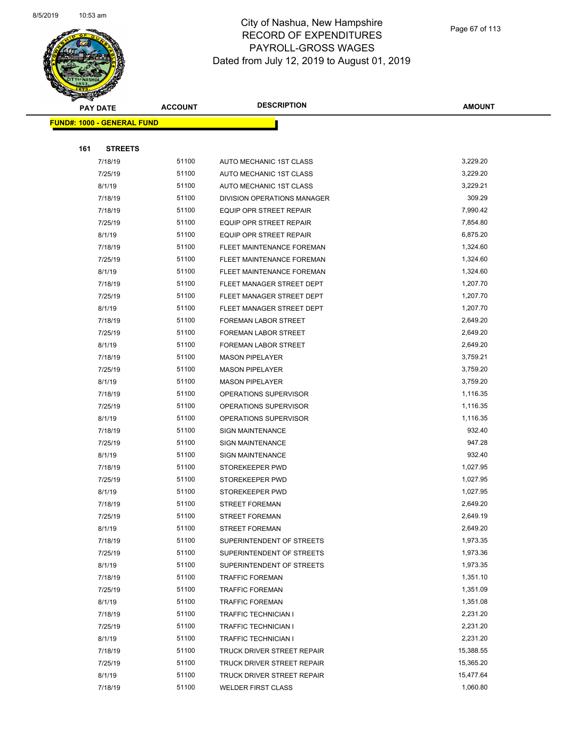

|     | <b>PAY DATE</b>                   | <b>ACCOUNT</b> | <b>DESCRIPTION</b>                                    | <b>AMOUNT</b>        |
|-----|-----------------------------------|----------------|-------------------------------------------------------|----------------------|
|     | <b>FUND#: 1000 - GENERAL FUND</b> |                |                                                       |                      |
|     |                                   |                |                                                       |                      |
| 161 | <b>STREETS</b>                    |                |                                                       |                      |
|     | 7/18/19                           | 51100          | AUTO MECHANIC 1ST CLASS                               | 3,229.20             |
|     | 7/25/19                           | 51100          | AUTO MECHANIC 1ST CLASS                               | 3,229.20             |
|     | 8/1/19                            | 51100          | AUTO MECHANIC 1ST CLASS                               | 3,229.21             |
|     | 7/18/19                           | 51100          | DIVISION OPERATIONS MANAGER                           | 309.29               |
|     | 7/18/19                           | 51100          | <b>EQUIP OPR STREET REPAIR</b>                        | 7,990.42             |
|     | 7/25/19                           | 51100          | <b>EQUIP OPR STREET REPAIR</b>                        | 7,854.80             |
|     | 8/1/19                            | 51100          | <b>EQUIP OPR STREET REPAIR</b>                        | 6,875.20             |
|     | 7/18/19                           | 51100          | FLEET MAINTENANCE FOREMAN                             | 1,324.60             |
|     | 7/25/19                           | 51100          | FLEET MAINTENANCE FOREMAN                             | 1,324.60             |
|     | 8/1/19                            | 51100          | FLEET MAINTENANCE FOREMAN                             | 1,324.60             |
|     | 7/18/19                           | 51100          | FLEET MANAGER STREET DEPT                             | 1,207.70             |
|     | 7/25/19                           | 51100          | FLEET MANAGER STREET DEPT                             | 1,207.70             |
|     | 8/1/19                            | 51100          | FLEET MANAGER STREET DEPT                             | 1,207.70             |
|     | 7/18/19                           | 51100          | FOREMAN LABOR STREET                                  | 2,649.20             |
|     | 7/25/19                           | 51100          | FOREMAN LABOR STREET                                  | 2,649.20             |
|     | 8/1/19                            | 51100          | FOREMAN LABOR STREET                                  | 2,649.20             |
|     | 7/18/19                           | 51100          | <b>MASON PIPELAYER</b>                                | 3,759.21             |
|     | 7/25/19                           | 51100          | <b>MASON PIPELAYER</b>                                | 3,759.20             |
|     | 8/1/19                            | 51100          | <b>MASON PIPELAYER</b>                                | 3,759.20             |
|     | 7/18/19                           | 51100          | OPERATIONS SUPERVISOR                                 | 1,116.35             |
|     | 7/25/19                           | 51100          | OPERATIONS SUPERVISOR                                 | 1,116.35             |
|     | 8/1/19                            | 51100          | OPERATIONS SUPERVISOR                                 | 1,116.35             |
|     | 7/18/19                           | 51100          | <b>SIGN MAINTENANCE</b>                               | 932.40               |
|     | 7/25/19                           | 51100          | <b>SIGN MAINTENANCE</b>                               | 947.28               |
|     | 8/1/19                            | 51100          | <b>SIGN MAINTENANCE</b>                               | 932.40               |
|     | 7/18/19                           | 51100          | STOREKEEPER PWD                                       | 1,027.95             |
|     | 7/25/19                           | 51100          | STOREKEEPER PWD                                       | 1,027.95             |
|     | 8/1/19                            | 51100          | STOREKEEPER PWD                                       | 1,027.95             |
|     | 7/18/19                           | 51100          | <b>STREET FOREMAN</b>                                 | 2,649.20             |
|     | 7/25/19                           | 51100          | STREET FOREMAN                                        | 2,649.19             |
|     | 8/1/19                            | 51100          | <b>STREET FOREMAN</b>                                 | 2,649.20             |
|     | 7/18/19                           | 51100          | SUPERINTENDENT OF STREETS                             | 1,973.35             |
|     | 7/25/19                           | 51100          | SUPERINTENDENT OF STREETS                             | 1,973.36             |
|     | 8/1/19                            | 51100          | SUPERINTENDENT OF STREETS                             | 1,973.35             |
|     | 7/18/19                           | 51100<br>51100 | <b>TRAFFIC FOREMAN</b>                                | 1,351.10<br>1,351.09 |
|     | 7/25/19<br>8/1/19                 | 51100          | <b>TRAFFIC FOREMAN</b>                                | 1,351.08             |
|     | 7/18/19                           | 51100          | <b>TRAFFIC FOREMAN</b><br><b>TRAFFIC TECHNICIAN I</b> | 2,231.20             |
|     | 7/25/19                           | 51100          |                                                       | 2,231.20             |
|     | 8/1/19                            | 51100          | TRAFFIC TECHNICIAN I<br>TRAFFIC TECHNICIAN I          | 2,231.20             |
|     | 7/18/19                           | 51100          | TRUCK DRIVER STREET REPAIR                            | 15,388.55            |
|     | 7/25/19                           | 51100          | TRUCK DRIVER STREET REPAIR                            | 15,365.20            |
|     | 8/1/19                            | 51100          | TRUCK DRIVER STREET REPAIR                            | 15,477.64            |
|     | 7/18/19                           | 51100          | <b>WELDER FIRST CLASS</b>                             | 1,060.80             |
|     |                                   |                |                                                       |                      |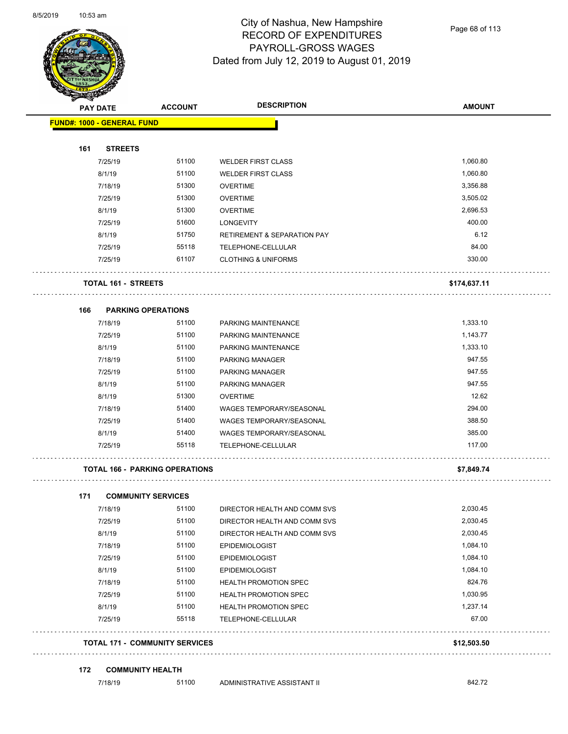

Page 68 of 113

| <b>SANGAL</b> | <b>PAY DATE</b>            | <b>ACCOUNT</b>                        | <b>DESCRIPTION</b>                     | <b>AMOUNT</b> |
|---------------|----------------------------|---------------------------------------|----------------------------------------|---------------|
|               | FUND#: 1000 - GENERAL FUND |                                       |                                        |               |
|               |                            |                                       |                                        |               |
| 161           | <b>STREETS</b>             |                                       |                                        |               |
|               | 7/25/19                    | 51100                                 | <b>WELDER FIRST CLASS</b>              | 1,060.80      |
|               | 8/1/19                     | 51100                                 | <b>WELDER FIRST CLASS</b>              | 1,060.80      |
|               | 7/18/19                    | 51300                                 | <b>OVERTIME</b>                        | 3,356.88      |
|               | 7/25/19                    | 51300                                 | <b>OVERTIME</b>                        | 3,505.02      |
|               | 8/1/19                     | 51300                                 | <b>OVERTIME</b>                        | 2,696.53      |
|               | 7/25/19                    | 51600                                 | <b>LONGEVITY</b>                       | 400.00        |
|               | 8/1/19                     | 51750                                 | <b>RETIREMENT &amp; SEPARATION PAY</b> | 6.12          |
|               | 7/25/19                    | 55118                                 | TELEPHONE-CELLULAR                     | 84.00         |
|               | 7/25/19                    | 61107                                 | <b>CLOTHING &amp; UNIFORMS</b>         | 330.00        |
|               | <b>TOTAL 161 - STREETS</b> |                                       |                                        | \$174,637.11  |
| 166           |                            | <b>PARKING OPERATIONS</b>             |                                        |               |
|               | 7/18/19                    | 51100                                 | PARKING MAINTENANCE                    | 1,333.10      |
|               | 7/25/19                    | 51100                                 | PARKING MAINTENANCE                    | 1,143.77      |
|               | 8/1/19                     | 51100                                 | PARKING MAINTENANCE                    | 1,333.10      |
|               | 7/18/19                    | 51100                                 | PARKING MANAGER                        | 947.55        |
|               | 7/25/19                    | 51100                                 | PARKING MANAGER                        | 947.55        |
|               | 8/1/19                     | 51100                                 | PARKING MANAGER                        | 947.55        |
|               | 8/1/19                     | 51300                                 | <b>OVERTIME</b>                        | 12.62         |
|               | 7/18/19                    | 51400                                 | WAGES TEMPORARY/SEASONAL               | 294.00        |
|               | 7/25/19                    | 51400                                 | WAGES TEMPORARY/SEASONAL               | 388.50        |
|               | 8/1/19                     | 51400                                 | <b>WAGES TEMPORARY/SEASONAL</b>        | 385.00        |
|               | 7/25/19                    | 55118                                 | TELEPHONE-CELLULAR                     | 117.00        |
|               |                            | <b>TOTAL 166 - PARKING OPERATIONS</b> |                                        | \$7,849.74    |
| 171           |                            | <b>COMMUNITY SERVICES</b>             |                                        |               |
|               | 7/18/19                    | 51100                                 | DIRECTOR HEALTH AND COMM SVS           | 2,030.45      |
|               | 7/25/19                    | 51100                                 | DIRECTOR HEALTH AND COMM SVS           | 2,030.45      |
|               | 8/1/19                     | 51100                                 | DIRECTOR HEALTH AND COMM SVS           | 2,030.45      |
|               | 7/18/19                    | 51100                                 | <b>EPIDEMIOLOGIST</b>                  | 1,084.10      |
|               | 7/25/19                    | 51100                                 | <b>EPIDEMIOLOGIST</b>                  | 1,084.10      |
|               | 8/1/19                     | 51100                                 | <b>EPIDEMIOLOGIST</b>                  | 1,084.10      |
|               | 7/18/19                    | 51100                                 | <b>HEALTH PROMOTION SPEC</b>           | 824.76        |
|               | 7/25/19                    | 51100                                 | <b>HEALTH PROMOTION SPEC</b>           | 1,030.95      |
|               | 8/1/19                     | 51100                                 | <b>HEALTH PROMOTION SPEC</b>           | 1,237.14      |
|               | 7/25/19                    | 55118                                 | TELEPHONE-CELLULAR                     | 67.00         |
|               |                            | <b>TOTAL 171 - COMMUNITY SERVICES</b> |                                        | \$12,503.50   |
| 172           |                            | <b>COMMUNITY HEALTH</b>               |                                        |               |
|               | 7/18/19                    | 51100                                 | ADMINISTRATIVE ASSISTANT II            | 842.72        |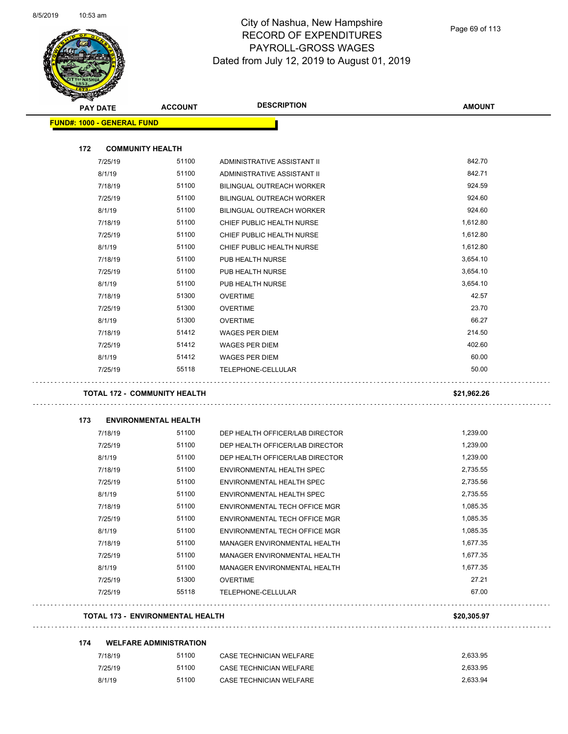

| <b>PAY DATE</b>                   | <b>ACCOUNT</b>                          | <b>DESCRIPTION</b>               | <b>AMOUNT</b> |
|-----------------------------------|-----------------------------------------|----------------------------------|---------------|
| <b>FUND#: 1000 - GENERAL FUND</b> |                                         |                                  |               |
| 172                               | <b>COMMUNITY HEALTH</b>                 |                                  |               |
| 7/25/19                           | 51100                                   | ADMINISTRATIVE ASSISTANT II      | 842.70        |
| 8/1/19                            | 51100                                   | ADMINISTRATIVE ASSISTANT II      | 842.71        |
| 7/18/19                           | 51100                                   | <b>BILINGUAL OUTREACH WORKER</b> | 924.59        |
| 7/25/19                           | 51100                                   | <b>BILINGUAL OUTREACH WORKER</b> | 924.60        |
| 8/1/19                            | 51100                                   | <b>BILINGUAL OUTREACH WORKER</b> | 924.60        |
| 7/18/19                           | 51100                                   | CHIEF PUBLIC HEALTH NURSE        | 1,612.80      |
| 7/25/19                           | 51100                                   | CHIEF PUBLIC HEALTH NURSE        | 1,612.80      |
| 8/1/19                            | 51100                                   | CHIEF PUBLIC HEALTH NURSE        | 1,612.80      |
| 7/18/19                           | 51100                                   | PUB HEALTH NURSE                 | 3,654.10      |
| 7/25/19                           | 51100                                   | PUB HEALTH NURSE                 | 3,654.10      |
| 8/1/19                            | 51100                                   | PUB HEALTH NURSE                 | 3,654.10      |
| 7/18/19                           | 51300                                   | <b>OVERTIME</b>                  | 42.57         |
| 7/25/19                           | 51300                                   | <b>OVERTIME</b>                  | 23.70         |
| 8/1/19                            | 51300                                   | <b>OVERTIME</b>                  | 66.27         |
| 7/18/19                           | 51412                                   | <b>WAGES PER DIEM</b>            | 214.50        |
| 7/25/19                           | 51412                                   | <b>WAGES PER DIEM</b>            | 402.60        |
| 8/1/19                            | 51412                                   | <b>WAGES PER DIEM</b>            | 60.00         |
| 7/25/19                           | 55118                                   | TELEPHONE-CELLULAR               | 50.00         |
|                                   | <b>TOTAL 172 - COMMUNITY HEALTH</b>     |                                  | \$21,962.26   |
| 173                               | <b>ENVIRONMENTAL HEALTH</b>             |                                  |               |
| 7/18/19                           | 51100                                   | DEP HEALTH OFFICER/LAB DIRECTOR  |               |
| 7/25/19                           |                                         |                                  | 1,239.00      |
|                                   | 51100                                   | DEP HEALTH OFFICER/LAB DIRECTOR  | 1,239.00      |
| 8/1/19                            | 51100                                   | DEP HEALTH OFFICER/LAB DIRECTOR  | 1,239.00      |
| 7/18/19                           | 51100                                   | ENVIRONMENTAL HEALTH SPEC        | 2,735.55      |
| 7/25/19                           | 51100                                   | ENVIRONMENTAL HEALTH SPEC        | 2,735.56      |
| 8/1/19                            | 51100                                   | ENVIRONMENTAL HEALTH SPEC        | 2,735.55      |
| 7/18/19                           | 51100                                   | ENVIRONMENTAL TECH OFFICE MGR    | 1,085.35      |
| 7/25/19                           | 51100                                   | ENVIRONMENTAL TECH OFFICE MGR    | 1,085.35      |
| 8/1/19                            | 51100                                   | ENVIRONMENTAL TECH OFFICE MGR    | 1,085.35      |
| 7/18/19                           | 51100                                   | MANAGER ENVIRONMENTAL HEALTH     | 1,677.35      |
| 7/25/19                           | 51100                                   | MANAGER ENVIRONMENTAL HEALTH     | 1,677.35      |
| 8/1/19                            | 51100                                   | MANAGER ENVIRONMENTAL HEALTH     | 1,677.35      |
| 7/25/19                           | 51300                                   | <b>OVERTIME</b>                  | 27.21         |
| 7/25/19                           | 55118                                   | TELEPHONE-CELLULAR               | 67.00         |
|                                   | <b>TOTAL 173 - ENVIRONMENTAL HEALTH</b> |                                  | \$20,305.97   |
| 174                               | <b>WELFARE ADMINISTRATION</b>           |                                  |               |
| 7/18/19                           | 51100                                   | CASE TECHNICIAN WELFARE          | 2,633.95      |

8/1/19 51100 CASE TECHNICIAN WELFARE 30 2,633.94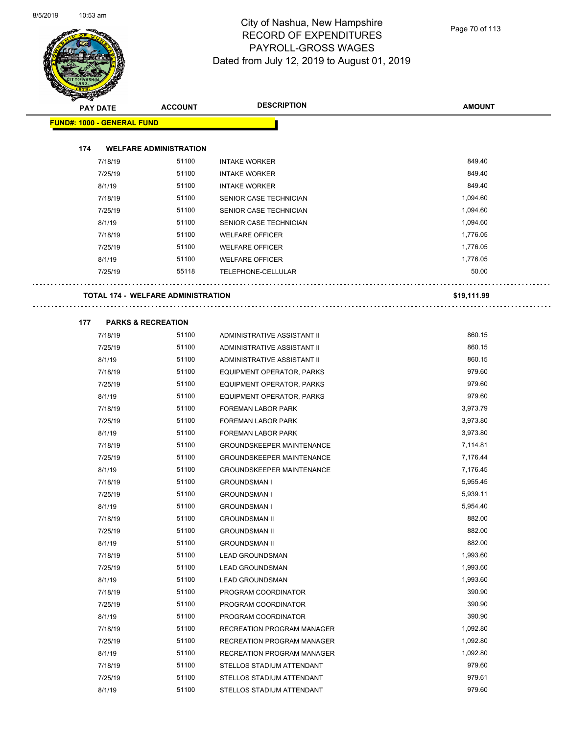

| <b>STATERS</b>                    |                 |                                    |                                  |               |
|-----------------------------------|-----------------|------------------------------------|----------------------------------|---------------|
|                                   | <b>PAY DATE</b> | <b>ACCOUNT</b>                     | <b>DESCRIPTION</b>               | <b>AMOUNT</b> |
| <b>FUND#: 1000 - GENERAL FUND</b> |                 |                                    |                                  |               |
|                                   |                 |                                    |                                  |               |
| 174                               |                 | <b>WELFARE ADMINISTRATION</b>      |                                  |               |
|                                   | 7/18/19         | 51100                              | <b>INTAKE WORKER</b>             | 849.40        |
|                                   | 7/25/19         | 51100                              | <b>INTAKE WORKER</b>             | 849.40        |
|                                   | 8/1/19          | 51100                              | <b>INTAKE WORKER</b>             | 849.40        |
|                                   | 7/18/19         | 51100                              | SENIOR CASE TECHNICIAN           | 1,094.60      |
|                                   | 7/25/19         | 51100                              | SENIOR CASE TECHNICIAN           | 1,094.60      |
|                                   | 8/1/19          | 51100                              | SENIOR CASE TECHNICIAN           | 1,094.60      |
|                                   | 7/18/19         | 51100                              | <b>WELFARE OFFICER</b>           | 1,776.05      |
|                                   | 7/25/19         | 51100                              | <b>WELFARE OFFICER</b>           | 1,776.05      |
|                                   | 8/1/19          | 51100                              | <b>WELFARE OFFICER</b>           | 1,776.05      |
|                                   | 7/25/19         | 55118                              | TELEPHONE-CELLULAR               | 50.00         |
|                                   |                 | TOTAL 174 - WELFARE ADMINISTRATION |                                  |               |
|                                   |                 |                                    |                                  | \$19,111.99   |
| 177                               |                 | <b>PARKS &amp; RECREATION</b>      |                                  |               |
|                                   | 7/18/19         | 51100                              | ADMINISTRATIVE ASSISTANT II      | 860.15        |
|                                   | 7/25/19         | 51100                              | ADMINISTRATIVE ASSISTANT II      | 860.15        |
|                                   | 8/1/19          | 51100                              | ADMINISTRATIVE ASSISTANT II      | 860.15        |
|                                   | 7/18/19         | 51100                              | EQUIPMENT OPERATOR, PARKS        | 979.60        |
|                                   | 7/25/19         | 51100                              | EQUIPMENT OPERATOR, PARKS        | 979.60        |
|                                   | 8/1/19          | 51100                              | EQUIPMENT OPERATOR, PARKS        | 979.60        |
|                                   | 7/18/19         | 51100                              | <b>FOREMAN LABOR PARK</b>        | 3,973.79      |
|                                   | 7/25/19         | 51100                              | FOREMAN LABOR PARK               | 3,973.80      |
|                                   | 8/1/19          | 51100                              | FOREMAN LABOR PARK               | 3,973.80      |
|                                   | 7/18/19         | 51100                              | <b>GROUNDSKEEPER MAINTENANCE</b> | 7,114.81      |
|                                   | 7/25/19         | 51100                              | <b>GROUNDSKEEPER MAINTENANCE</b> | 7,176.44      |
|                                   | 8/1/19          | 51100                              | <b>GROUNDSKEEPER MAINTENANCE</b> | 7,176.45      |
|                                   | 7/18/19         | 51100                              | <b>GROUNDSMAN I</b>              | 5,955.45      |
|                                   | 7/25/19         | 51100                              | <b>GROUNDSMAN I</b>              | 5,939.11      |
|                                   | 8/1/19          | 51100                              | <b>GROUNDSMAN I</b>              | 5,954.40      |
|                                   | 7/18/19         | 51100                              | <b>GROUNDSMAN II</b>             | 882.00        |
|                                   | 7/25/19         | 51100                              | <b>GROUNDSMAN II</b>             | 882.00        |
|                                   | 8/1/19          | 51100                              | <b>GROUNDSMAN II</b>             | 882.00        |
|                                   | 7/18/19         | 51100                              | <b>LEAD GROUNDSMAN</b>           | 1,993.60      |
|                                   | 7/25/19         | 51100                              | <b>LEAD GROUNDSMAN</b>           | 1,993.60      |
|                                   | 8/1/19          | 51100                              | <b>LEAD GROUNDSMAN</b>           | 1,993.60      |
|                                   | 7/18/19         | 51100                              | PROGRAM COORDINATOR              | 390.90        |
|                                   | 7/25/19         | 51100                              | PROGRAM COORDINATOR              | 390.90        |
|                                   | 8/1/19          | 51100                              | PROGRAM COORDINATOR              | 390.90        |
|                                   | 7/18/19         | 51100                              | RECREATION PROGRAM MANAGER       | 1,092.80      |
|                                   | 7/25/19         | 51100                              | RECREATION PROGRAM MANAGER       | 1,092.80      |
|                                   | 8/1/19          | 51100                              | RECREATION PROGRAM MANAGER       | 1,092.80      |
|                                   | 7/18/19         | 51100                              | STELLOS STADIUM ATTENDANT        | 979.60        |
|                                   | 7/25/19         | 51100                              | STELLOS STADIUM ATTENDANT        | 979.61        |
|                                   | 8/1/19          | 51100                              | STELLOS STADIUM ATTENDANT        | 979.60        |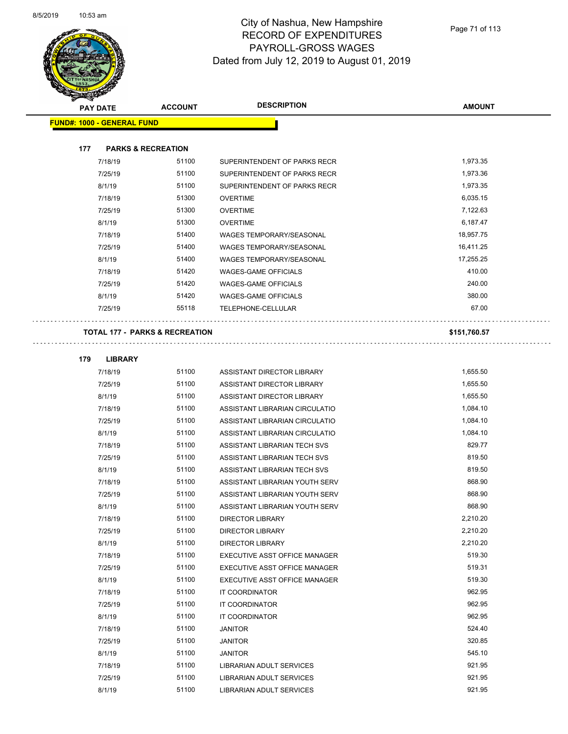

| <b>PAY DATE</b>                   | <b>ACCOUNT</b>                | <b>DESCRIPTION</b>              | <b>AMOUNT</b> |
|-----------------------------------|-------------------------------|---------------------------------|---------------|
| <b>FUND#: 1000 - GENERAL FUND</b> |                               |                                 |               |
| 177                               | <b>PARKS &amp; RECREATION</b> |                                 |               |
| 7/18/19                           | 51100                         | SUPERINTENDENT OF PARKS RECR    | 1,973.35      |
| 7/25/19                           | 51100                         | SUPERINTENDENT OF PARKS RECR    | 1,973.36      |
| 8/1/19                            | 51100                         | SUPERINTENDENT OF PARKS RECR    | 1,973.35      |
| 7/18/19                           | 51300                         | <b>OVERTIME</b>                 | 6,035.15      |
| 7/25/19                           | 51300                         | <b>OVERTIME</b>                 | 7,122.63      |
| 8/1/19                            | 51300                         | <b>OVERTIME</b>                 | 6,187.47      |
| 7/18/19                           | 51400                         | WAGES TEMPORARY/SEASONAL        | 18,957.75     |
| 7/25/19                           | 51400                         | <b>WAGES TEMPORARY/SEASONAL</b> | 16,411.25     |
| 8/1/19                            | 51400                         | <b>WAGES TEMPORARY/SEASONAL</b> | 17,255.25     |
| 7/18/19                           | 51420                         | <b>WAGES-GAME OFFICIALS</b>     | 410.00        |
| 7/25/19                           | 51420                         | <b>WAGES-GAME OFFICIALS</b>     | 240.00        |
| 8/1/19                            | 51420                         | <b>WAGES-GAME OFFICIALS</b>     | 380.00        |
| 7/25/19                           | 55118                         | <b>TELEPHONE-CELLULAR</b>       | 67.00         |

#### **TOTAL 177 - PARKS & RECREATION \$151,760.57**

| 179 | <b>LIBRARY</b> |       |                                      |          |
|-----|----------------|-------|--------------------------------------|----------|
|     | 7/18/19        | 51100 | ASSISTANT DIRECTOR LIBRARY           | 1,655.50 |
|     | 7/25/19        | 51100 | ASSISTANT DIRECTOR LIBRARY           | 1,655.50 |
|     | 8/1/19         | 51100 | ASSISTANT DIRECTOR LIBRARY           | 1,655.50 |
|     | 7/18/19        | 51100 | ASSISTANT LIBRARIAN CIRCULATIO       | 1,084.10 |
|     | 7/25/19        | 51100 | ASSISTANT LIBRARIAN CIRCULATIO       | 1,084.10 |
|     | 8/1/19         | 51100 | ASSISTANT LIBRARIAN CIRCULATIO       | 1,084.10 |
|     | 7/18/19        | 51100 | ASSISTANT LIBRARIAN TECH SVS         | 829.77   |
|     | 7/25/19        | 51100 | ASSISTANT LIBRARIAN TECH SVS         | 819.50   |
|     | 8/1/19         | 51100 | ASSISTANT LIBRARIAN TECH SVS         | 819.50   |
|     | 7/18/19        | 51100 | ASSISTANT LIBRARIAN YOUTH SERV       | 868.90   |
|     | 7/25/19        | 51100 | ASSISTANT LIBRARIAN YOUTH SERV       | 868.90   |
|     | 8/1/19         | 51100 | ASSISTANT LIBRARIAN YOUTH SERV       | 868.90   |
|     | 7/18/19        | 51100 | <b>DIRECTOR LIBRARY</b>              | 2,210.20 |
|     | 7/25/19        | 51100 | <b>DIRECTOR LIBRARY</b>              | 2,210.20 |
|     | 8/1/19         | 51100 | <b>DIRECTOR LIBRARY</b>              | 2,210.20 |
|     | 7/18/19        | 51100 | <b>EXECUTIVE ASST OFFICE MANAGER</b> | 519.30   |
|     | 7/25/19        | 51100 | EXECUTIVE ASST OFFICE MANAGER        | 519.31   |
|     | 8/1/19         | 51100 | <b>EXECUTIVE ASST OFFICE MANAGER</b> | 519.30   |
|     | 7/18/19        | 51100 | <b>IT COORDINATOR</b>                | 962.95   |
|     | 7/25/19        | 51100 | IT COORDINATOR                       | 962.95   |
|     | 8/1/19         | 51100 | <b>IT COORDINATOR</b>                | 962.95   |
|     | 7/18/19        | 51100 | <b>JANITOR</b>                       | 524.40   |
|     | 7/25/19        | 51100 | <b>JANITOR</b>                       | 320.85   |
|     | 8/1/19         | 51100 | <b>JANITOR</b>                       | 545.10   |
|     | 7/18/19        | 51100 | <b>LIBRARIAN ADULT SERVICES</b>      | 921.95   |
|     | 7/25/19        | 51100 | LIBRARIAN ADULT SERVICES             | 921.95   |
|     | 8/1/19         | 51100 | <b>LIBRARIAN ADULT SERVICES</b>      | 921.95   |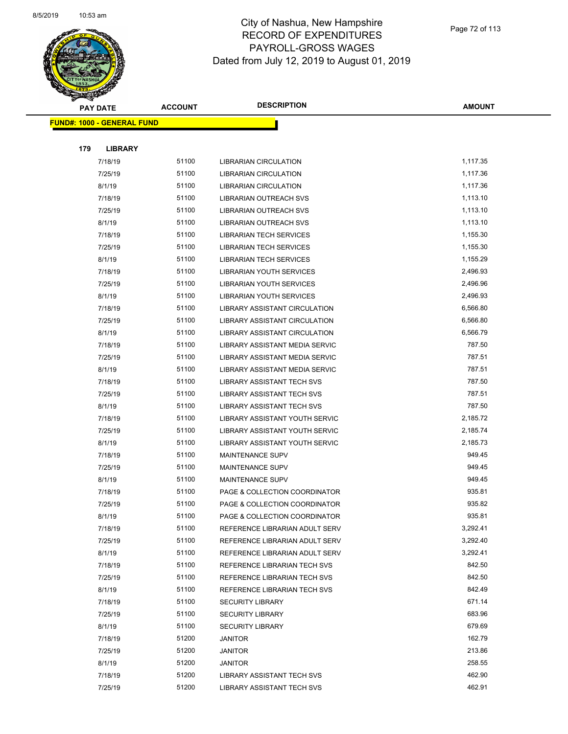

| ❤   |                                   |                |                                       |               |
|-----|-----------------------------------|----------------|---------------------------------------|---------------|
|     | <b>PAY DATE</b>                   | <b>ACCOUNT</b> | <b>DESCRIPTION</b>                    | <b>AMOUNT</b> |
|     | <b>FUND#: 1000 - GENERAL FUND</b> |                |                                       |               |
|     |                                   |                |                                       |               |
| 179 | <b>LIBRARY</b>                    |                |                                       |               |
|     | 7/18/19                           | 51100          | <b>LIBRARIAN CIRCULATION</b>          | 1,117.35      |
|     | 7/25/19                           | 51100          | <b>LIBRARIAN CIRCULATION</b>          | 1,117.36      |
|     | 8/1/19                            | 51100          | <b>LIBRARIAN CIRCULATION</b>          | 1,117.36      |
|     | 7/18/19                           | 51100          | <b>LIBRARIAN OUTREACH SVS</b>         | 1,113.10      |
|     | 7/25/19                           | 51100          | <b>LIBRARIAN OUTREACH SVS</b>         | 1,113.10      |
|     | 8/1/19                            | 51100          | LIBRARIAN OUTREACH SVS                | 1,113.10      |
|     | 7/18/19                           | 51100          | <b>LIBRARIAN TECH SERVICES</b>        | 1,155.30      |
|     | 7/25/19                           | 51100          | <b>LIBRARIAN TECH SERVICES</b>        | 1,155.30      |
|     | 8/1/19                            | 51100          | <b>LIBRARIAN TECH SERVICES</b>        | 1,155.29      |
|     | 7/18/19                           | 51100          | <b>LIBRARIAN YOUTH SERVICES</b>       | 2,496.93      |
|     | 7/25/19                           | 51100          | LIBRARIAN YOUTH SERVICES              | 2,496.96      |
|     | 8/1/19                            | 51100          | <b>LIBRARIAN YOUTH SERVICES</b>       | 2,496.93      |
|     | 7/18/19                           | 51100          | LIBRARY ASSISTANT CIRCULATION         | 6,566.80      |
|     | 7/25/19                           | 51100          | <b>LIBRARY ASSISTANT CIRCULATION</b>  | 6,566.80      |
|     | 8/1/19                            | 51100          | LIBRARY ASSISTANT CIRCULATION         | 6,566.79      |
|     | 7/18/19                           | 51100          | <b>LIBRARY ASSISTANT MEDIA SERVIC</b> | 787.50        |
|     | 7/25/19                           | 51100          | LIBRARY ASSISTANT MEDIA SERVIC        | 787.51        |
|     | 8/1/19                            | 51100          | LIBRARY ASSISTANT MEDIA SERVIC        | 787.51        |
|     | 7/18/19                           | 51100          | <b>LIBRARY ASSISTANT TECH SVS</b>     | 787.50        |
|     | 7/25/19                           | 51100          | <b>LIBRARY ASSISTANT TECH SVS</b>     | 787.51        |
|     | 8/1/19                            | 51100          | <b>LIBRARY ASSISTANT TECH SVS</b>     | 787.50        |
|     | 7/18/19                           | 51100          | LIBRARY ASSISTANT YOUTH SERVIC        | 2,185.72      |
|     | 7/25/19                           | 51100          | LIBRARY ASSISTANT YOUTH SERVIC        | 2,185.74      |
|     | 8/1/19                            | 51100          | LIBRARY ASSISTANT YOUTH SERVIC        | 2,185.73      |
|     | 7/18/19                           | 51100          | <b>MAINTENANCE SUPV</b>               | 949.45        |
|     | 7/25/19                           | 51100          | <b>MAINTENANCE SUPV</b>               | 949.45        |
|     | 8/1/19                            | 51100          | <b>MAINTENANCE SUPV</b>               | 949.45        |
|     | 7/18/19                           | 51100          | PAGE & COLLECTION COORDINATOR         | 935.81        |
|     | 7/25/19                           | 51100          | PAGE & COLLECTION COORDINATOR         | 935.82        |
|     | 8/1/19                            | 51100          | PAGE & COLLECTION COORDINATOR         | 935.81        |
|     | 7/18/19                           | 51100          | REFERENCE LIBRARIAN ADULT SERV        | 3,292.41      |
|     | 7/25/19                           | 51100          | REFERENCE LIBRARIAN ADULT SERV        | 3,292.40      |
|     | 8/1/19                            | 51100          | REFERENCE LIBRARIAN ADULT SERV        | 3,292.41      |
|     | 7/18/19                           | 51100          | REFERENCE LIBRARIAN TECH SVS          | 842.50        |
|     | 7/25/19                           | 51100          | REFERENCE LIBRARIAN TECH SVS          | 842.50        |
|     | 8/1/19                            | 51100          | REFERENCE LIBRARIAN TECH SVS          | 842.49        |
|     | 7/18/19                           | 51100          | <b>SECURITY LIBRARY</b>               | 671.14        |
|     | 7/25/19                           | 51100          | <b>SECURITY LIBRARY</b>               | 683.96        |
|     | 8/1/19                            | 51100          | <b>SECURITY LIBRARY</b>               | 679.69        |
|     | 7/18/19                           | 51200          | <b>JANITOR</b>                        | 162.79        |
|     | 7/25/19                           | 51200          | <b>JANITOR</b>                        | 213.86        |
|     | 8/1/19                            | 51200          | <b>JANITOR</b>                        | 258.55        |
|     | 7/18/19                           | 51200          | <b>LIBRARY ASSISTANT TECH SVS</b>     | 462.90        |
|     | 7/25/19                           | 51200          | LIBRARY ASSISTANT TECH SVS            | 462.91        |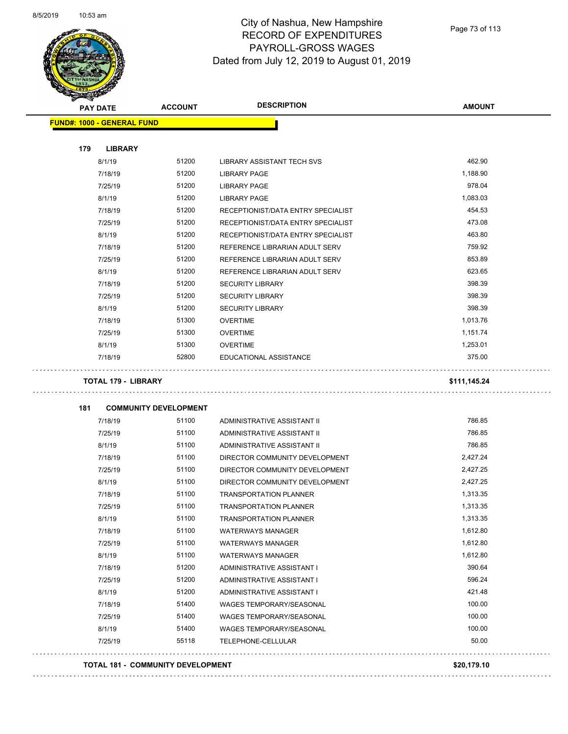

| <b>PAY DATE</b>                   | <b>ACCOUNT</b>               | <b>DESCRIPTION</b>                                   | <b>AMOUNT</b>    |
|-----------------------------------|------------------------------|------------------------------------------------------|------------------|
| <b>FUND#: 1000 - GENERAL FUND</b> |                              |                                                      |                  |
| 179<br><b>LIBRARY</b>             |                              |                                                      |                  |
| 8/1/19                            | 51200                        | LIBRARY ASSISTANT TECH SVS                           | 462.90           |
| 7/18/19                           | 51200                        | <b>LIBRARY PAGE</b>                                  | 1,188.90         |
| 7/25/19                           | 51200                        | <b>LIBRARY PAGE</b>                                  | 978.04           |
| 8/1/19                            | 51200                        | <b>LIBRARY PAGE</b>                                  | 1,083.03         |
| 7/18/19                           | 51200                        | RECEPTIONIST/DATA ENTRY SPECIALIST                   | 454.53           |
| 7/25/19                           | 51200                        | RECEPTIONIST/DATA ENTRY SPECIALIST                   | 473.08           |
| 8/1/19                            | 51200                        | RECEPTIONIST/DATA ENTRY SPECIALIST                   | 463.80           |
| 7/18/19                           | 51200                        | REFERENCE LIBRARIAN ADULT SERV                       | 759.92           |
| 7/25/19                           | 51200                        | REFERENCE LIBRARIAN ADULT SERV                       | 853.89           |
| 8/1/19                            | 51200                        | REFERENCE LIBRARIAN ADULT SERV                       | 623.65           |
| 7/18/19                           | 51200                        | <b>SECURITY LIBRARY</b>                              | 398.39           |
| 7/25/19                           | 51200                        | <b>SECURITY LIBRARY</b>                              | 398.39           |
| 8/1/19                            | 51200                        | <b>SECURITY LIBRARY</b>                              | 398.39           |
| 7/18/19                           | 51300                        | <b>OVERTIME</b>                                      | 1,013.76         |
| 7/25/19                           | 51300                        | <b>OVERTIME</b>                                      | 1,151.74         |
| 8/1/19                            | 51300                        | <b>OVERTIME</b>                                      | 1,253.01         |
| 7/18/19                           | 52800                        | EDUCATIONAL ASSISTANCE                               | 375.00           |
| <b>TOTAL 179 - LIBRARY</b>        |                              |                                                      | \$111,145.24     |
| 181                               | <b>COMMUNITY DEVELOPMENT</b> |                                                      |                  |
|                                   | 51100                        | ADMINISTRATIVE ASSISTANT II                          | 786.85           |
|                                   |                              | ADMINISTRATIVE ASSISTANT II                          | 786.85           |
| 7/18/19                           |                              |                                                      |                  |
| 7/25/19                           | 51100                        |                                                      |                  |
| 8/1/19                            | 51100                        | ADMINISTRATIVE ASSISTANT II                          | 786.85           |
| 7/18/19                           | 51100                        | DIRECTOR COMMUNITY DEVELOPMENT                       | 2,427.24         |
| 7/25/19                           | 51100                        | DIRECTOR COMMUNITY DEVELOPMENT                       | 2,427.25         |
| 8/1/19                            | 51100                        | DIRECTOR COMMUNITY DEVELOPMENT                       | 2,427.25         |
| 7/18/19                           | 51100                        | <b>TRANSPORTATION PLANNER</b>                        | 1,313.35         |
| 7/25/19                           | 51100                        | TRANSPORTATION PLANNER                               | 1,313.35         |
| 8/1/19                            | 51100                        | <b>TRANSPORTATION PLANNER</b>                        | 1,313.35         |
| 7/18/19                           | 51100                        | <b>WATERWAYS MANAGER</b>                             | 1,612.80         |
| 7/25/19                           | 51100                        | <b>WATERWAYS MANAGER</b>                             | 1,612.80         |
| 8/1/19                            | 51100                        | <b>WATERWAYS MANAGER</b>                             | 1,612.80         |
| 7/18/19                           | 51200                        | ADMINISTRATIVE ASSISTANT I                           | 390.64           |
| 7/25/19                           | 51200                        | ADMINISTRATIVE ASSISTANT I                           | 596.24           |
| 8/1/19                            | 51200                        | ADMINISTRATIVE ASSISTANT I                           | 421.48           |
| 7/18/19                           | 51400                        | WAGES TEMPORARY/SEASONAL                             | 100.00           |
| 7/25/19<br>8/1/19                 | 51400<br>51400               | WAGES TEMPORARY/SEASONAL<br>WAGES TEMPORARY/SEASONAL | 100.00<br>100.00 |

**TOTAL 181 - COMMUNITY DEVELOPMENT \$20,179.10**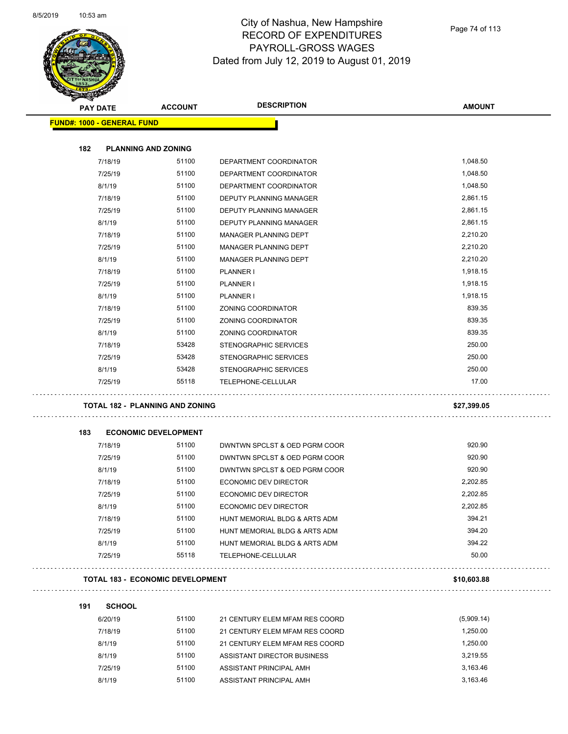

| <b>MERRE</b> |                                         |                |                                |               |
|--------------|-----------------------------------------|----------------|--------------------------------|---------------|
|              | <b>PAY DATE</b>                         | <b>ACCOUNT</b> | <b>DESCRIPTION</b>             | <b>AMOUNT</b> |
|              | <b>FUND#: 1000 - GENERAL FUND</b>       |                |                                |               |
|              |                                         |                |                                |               |
| 182          | <b>PLANNING AND ZONING</b>              |                |                                |               |
|              | 7/18/19                                 | 51100          | DEPARTMENT COORDINATOR         | 1,048.50      |
|              | 7/25/19                                 | 51100          | DEPARTMENT COORDINATOR         | 1,048.50      |
|              | 8/1/19                                  | 51100          | DEPARTMENT COORDINATOR         | 1,048.50      |
|              | 7/18/19                                 | 51100          | DEPUTY PLANNING MANAGER        | 2,861.15      |
|              | 7/25/19                                 | 51100          | DEPUTY PLANNING MANAGER        | 2,861.15      |
|              | 8/1/19                                  | 51100          | DEPUTY PLANNING MANAGER        | 2,861.15      |
|              | 7/18/19                                 | 51100          | MANAGER PLANNING DEPT          | 2,210.20      |
|              | 7/25/19                                 | 51100          | MANAGER PLANNING DEPT          | 2,210.20      |
|              | 8/1/19                                  | 51100          | MANAGER PLANNING DEPT          | 2,210.20      |
|              | 7/18/19                                 | 51100          | PLANNER I                      | 1,918.15      |
|              | 7/25/19                                 | 51100          | PLANNER I                      | 1,918.15      |
|              | 8/1/19                                  | 51100          | PLANNER I                      | 1,918.15      |
|              | 7/18/19                                 | 51100          | ZONING COORDINATOR             | 839.35        |
|              | 7/25/19                                 | 51100          | ZONING COORDINATOR             | 839.35        |
|              | 8/1/19                                  | 51100          | ZONING COORDINATOR             | 839.35        |
|              | 7/18/19                                 | 53428          | <b>STENOGRAPHIC SERVICES</b>   | 250.00        |
|              | 7/25/19                                 | 53428          | <b>STENOGRAPHIC SERVICES</b>   | 250.00        |
|              | 8/1/19                                  | 53428          | STENOGRAPHIC SERVICES          | 250.00        |
|              | 7/25/19                                 | 55118          | TELEPHONE-CELLULAR             | 17.00         |
|              | <b>TOTAL 182 - PLANNING AND ZONING</b>  |                |                                | \$27,399.05   |
| 183          | <b>ECONOMIC DEVELOPMENT</b>             |                |                                |               |
|              | 7/18/19                                 | 51100          | DWNTWN SPCLST & OED PGRM COOR  | 920.90        |
|              | 7/25/19                                 | 51100          | DWNTWN SPCLST & OED PGRM COOR  | 920.90        |
|              | 8/1/19                                  | 51100          | DWNTWN SPCLST & OED PGRM COOR  | 920.90        |
|              | 7/18/19                                 | 51100          | ECONOMIC DEV DIRECTOR          | 2,202.85      |
|              | 7/25/19                                 | 51100          | <b>ECONOMIC DEV DIRECTOR</b>   | 2,202.85      |
|              | 8/1/19                                  | 51100          | ECONOMIC DEV DIRECTOR          | 2,202.85      |
|              | 7/18/19                                 | 51100          | HUNT MEMORIAL BLDG & ARTS ADM  | 394.21        |
|              | 7/25/19                                 | 51100          | HUNT MEMORIAL BLDG & ARTS ADM  | 394.20        |
|              | 8/1/19                                  | 51100          | HUNT MEMORIAL BLDG & ARTS ADM  | 394.22        |
|              | 7/25/19                                 | 55118          | TELEPHONE-CELLULAR             | 50.00         |
|              |                                         |                |                                |               |
|              | <b>TOTAL 183 - ECONOMIC DEVELOPMENT</b> |                |                                | \$10,603.88   |
| 191          | <b>SCHOOL</b>                           |                |                                |               |
|              | 6/20/19                                 | 51100          | 21 CENTURY ELEM MFAM RES COORD | (5,909.14)    |
|              | 7/18/19                                 | 51100          | 21 CENTURY ELEM MFAM RES COORD | 1,250.00      |
|              | 8/1/19                                  | 51100          | 21 CENTURY ELEM MFAM RES COORD | 1,250.00      |
|              | 8/1/19                                  | 51100          | ASSISTANT DIRECTOR BUSINESS    | 3,219.55      |
|              | 7/25/19                                 | 51100          | ASSISTANT PRINCIPAL AMH        | 3,163.46      |

8/1/19 51100 ASSISTANT PRINCIPAL AMH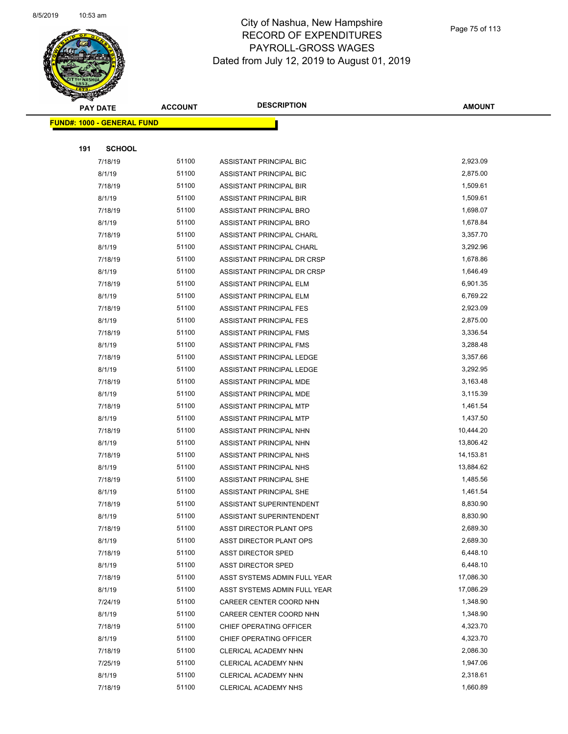

|     | <b>PAY DATE</b>                   | <b>ACCOUNT</b> | <b>DESCRIPTION</b>                           | <b>AMOUNT</b>        |
|-----|-----------------------------------|----------------|----------------------------------------------|----------------------|
|     | <b>FUND#: 1000 - GENERAL FUND</b> |                |                                              |                      |
|     |                                   |                |                                              |                      |
| 191 | <b>SCHOOL</b>                     |                |                                              |                      |
|     | 7/18/19                           | 51100          | ASSISTANT PRINCIPAL BIC                      | 2,923.09             |
|     | 8/1/19                            | 51100          | ASSISTANT PRINCIPAL BIC                      | 2,875.00             |
|     | 7/18/19                           | 51100          | ASSISTANT PRINCIPAL BIR                      | 1,509.61             |
|     | 8/1/19                            | 51100          | ASSISTANT PRINCIPAL BIR                      | 1,509.61             |
|     | 7/18/19                           | 51100          | ASSISTANT PRINCIPAL BRO                      | 1,698.07             |
|     | 8/1/19                            | 51100          | ASSISTANT PRINCIPAL BRO                      | 1,678.84             |
|     | 7/18/19                           | 51100          | ASSISTANT PRINCIPAL CHARL                    | 3,357.70             |
|     | 8/1/19                            | 51100          | ASSISTANT PRINCIPAL CHARL                    | 3,292.96             |
|     | 7/18/19                           | 51100          | ASSISTANT PRINCIPAL DR CRSP                  | 1,678.86             |
|     | 8/1/19                            | 51100          | ASSISTANT PRINCIPAL DR CRSP                  | 1,646.49             |
|     | 7/18/19                           | 51100          | ASSISTANT PRINCIPAL ELM                      | 6,901.35             |
|     | 8/1/19                            | 51100          | ASSISTANT PRINCIPAL ELM                      | 6,769.22             |
|     | 7/18/19                           | 51100          | ASSISTANT PRINCIPAL FES                      | 2,923.09             |
|     | 8/1/19                            | 51100          | ASSISTANT PRINCIPAL FES                      | 2,875.00             |
|     | 7/18/19                           | 51100          | ASSISTANT PRINCIPAL FMS                      | 3,336.54             |
|     | 8/1/19                            | 51100          | ASSISTANT PRINCIPAL FMS                      | 3,288.48             |
|     | 7/18/19                           | 51100          | ASSISTANT PRINCIPAL LEDGE                    | 3,357.66             |
|     | 8/1/19                            | 51100          | ASSISTANT PRINCIPAL LEDGE                    | 3,292.95             |
|     | 7/18/19                           | 51100          | ASSISTANT PRINCIPAL MDE                      | 3,163.48             |
|     | 8/1/19                            | 51100          | ASSISTANT PRINCIPAL MDE                      | 3,115.39             |
|     | 7/18/19                           | 51100          | ASSISTANT PRINCIPAL MTP                      | 1,461.54             |
|     | 8/1/19                            | 51100          | ASSISTANT PRINCIPAL MTP                      | 1,437.50             |
|     | 7/18/19                           | 51100          | ASSISTANT PRINCIPAL NHN                      | 10,444.20            |
|     | 8/1/19                            | 51100          | ASSISTANT PRINCIPAL NHN                      | 13,806.42            |
|     | 7/18/19                           | 51100          | ASSISTANT PRINCIPAL NHS                      | 14,153.81            |
|     | 8/1/19                            | 51100          | ASSISTANT PRINCIPAL NHS                      | 13,884.62            |
|     | 7/18/19                           | 51100          | ASSISTANT PRINCIPAL SHE                      | 1,485.56             |
|     | 8/1/19                            | 51100          | ASSISTANT PRINCIPAL SHE                      | 1,461.54             |
|     | 7/18/19                           | 51100          | ASSISTANT SUPERINTENDENT                     | 8,830.90             |
|     | 8/1/19                            | 51100          | ASSISTANT SUPERINTENDENT                     | 8,830.90             |
|     | 7/18/19                           | 51100          | ASST DIRECTOR PLANT OPS                      | 2,689.30             |
|     | 8/1/19                            | 51100          | ASST DIRECTOR PLANT OPS                      | 2,689.30             |
|     | 7/18/19                           | 51100          | <b>ASST DIRECTOR SPED</b>                    | 6,448.10             |
|     | 8/1/19                            | 51100          | <b>ASST DIRECTOR SPED</b>                    | 6,448.10             |
|     | 7/18/19                           | 51100          | ASST SYSTEMS ADMIN FULL YEAR                 | 17,086.30            |
|     | 8/1/19                            | 51100          | ASST SYSTEMS ADMIN FULL YEAR                 | 17,086.29            |
|     | 7/24/19                           | 51100<br>51100 | CAREER CENTER COORD NHN                      | 1,348.90             |
|     | 8/1/19                            |                | CAREER CENTER COORD NHN                      | 1,348.90             |
|     | 7/18/19                           | 51100          | CHIEF OPERATING OFFICER                      | 4,323.70             |
|     | 8/1/19                            | 51100<br>51100 | CHIEF OPERATING OFFICER                      | 4,323.70<br>2,086.30 |
|     | 7/18/19                           | 51100          | CLERICAL ACADEMY NHN                         | 1,947.06             |
|     | 7/25/19<br>8/1/19                 | 51100          | CLERICAL ACADEMY NHN<br>CLERICAL ACADEMY NHN | 2,318.61             |
|     | 7/18/19                           | 51100          | CLERICAL ACADEMY NHS                         | 1,660.89             |
|     |                                   |                |                                              |                      |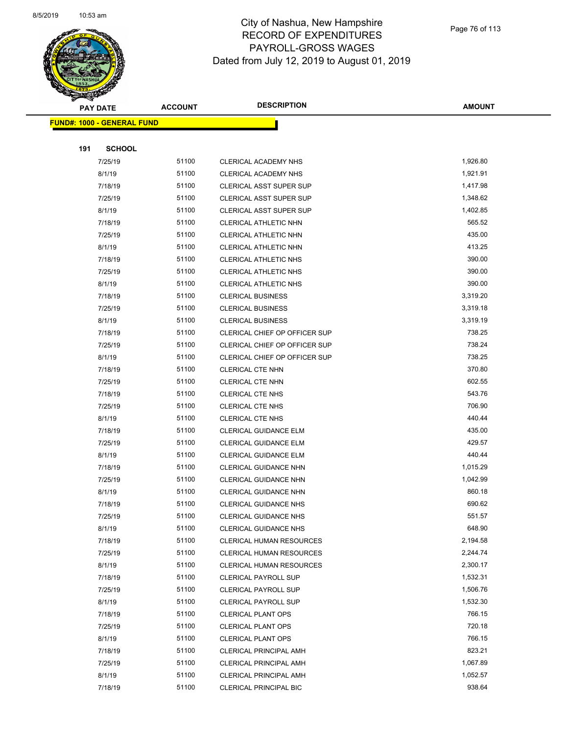

|     | <b>PAY DATE</b>                    | <b>ACCOUNT</b> | <b>DESCRIPTION</b>              | <b>AMOUNT</b> |
|-----|------------------------------------|----------------|---------------------------------|---------------|
|     | <u> FUND#: 1000 - GENERAL FUND</u> |                |                                 |               |
|     |                                    |                |                                 |               |
| 191 | <b>SCHOOL</b>                      |                |                                 |               |
|     | 7/25/19                            | 51100          | CLERICAL ACADEMY NHS            | 1,926.80      |
|     | 8/1/19                             | 51100          | CLERICAL ACADEMY NHS            | 1,921.91      |
|     | 7/18/19                            | 51100          | CLERICAL ASST SUPER SUP         | 1,417.98      |
|     | 7/25/19                            | 51100          | CLERICAL ASST SUPER SUP         | 1,348.62      |
|     | 8/1/19                             | 51100          | <b>CLERICAL ASST SUPER SUP</b>  | 1,402.85      |
|     | 7/18/19                            | 51100          | CLERICAL ATHLETIC NHN           | 565.52        |
|     | 7/25/19                            | 51100          | CLERICAL ATHLETIC NHN           | 435.00        |
|     | 8/1/19                             | 51100          | CLERICAL ATHLETIC NHN           | 413.25        |
|     | 7/18/19                            | 51100          | <b>CLERICAL ATHLETIC NHS</b>    | 390.00        |
|     | 7/25/19                            | 51100          | CLERICAL ATHLETIC NHS           | 390.00        |
|     | 8/1/19                             | 51100          | <b>CLERICAL ATHLETIC NHS</b>    | 390.00        |
|     | 7/18/19                            | 51100          | <b>CLERICAL BUSINESS</b>        | 3,319.20      |
|     | 7/25/19                            | 51100          | <b>CLERICAL BUSINESS</b>        | 3,319.18      |
|     | 8/1/19                             | 51100          | <b>CLERICAL BUSINESS</b>        | 3,319.19      |
|     | 7/18/19                            | 51100          | CLERICAL CHIEF OP OFFICER SUP   | 738.25        |
|     | 7/25/19                            | 51100          | CLERICAL CHIEF OP OFFICER SUP   | 738.24        |
|     | 8/1/19                             | 51100          | CLERICAL CHIEF OP OFFICER SUP   | 738.25        |
|     | 7/18/19                            | 51100          | <b>CLERICAL CTE NHN</b>         | 370.80        |
|     | 7/25/19                            | 51100          | <b>CLERICAL CTE NHN</b>         | 602.55        |
|     | 7/18/19                            | 51100          | <b>CLERICAL CTE NHS</b>         | 543.76        |
|     | 7/25/19                            | 51100          | <b>CLERICAL CTE NHS</b>         | 706.90        |
|     | 8/1/19                             | 51100          | <b>CLERICAL CTE NHS</b>         | 440.44        |
|     | 7/18/19                            | 51100          | <b>CLERICAL GUIDANCE ELM</b>    | 435.00        |
|     | 7/25/19                            | 51100          | <b>CLERICAL GUIDANCE ELM</b>    | 429.57        |
|     | 8/1/19                             | 51100          | <b>CLERICAL GUIDANCE ELM</b>    | 440.44        |
|     | 7/18/19                            | 51100          | CLERICAL GUIDANCE NHN           | 1,015.29      |
|     | 7/25/19                            | 51100          | CLERICAL GUIDANCE NHN           | 1,042.99      |
|     | 8/1/19                             | 51100          | CLERICAL GUIDANCE NHN           | 860.18        |
|     | 7/18/19                            | 51100          | <b>CLERICAL GUIDANCE NHS</b>    | 690.62        |
|     | 7/25/19                            | 51100          | <b>CLERICAL GUIDANCE NHS</b>    | 551.57        |
|     | 8/1/19                             | 51100          | <b>CLERICAL GUIDANCE NHS</b>    | 648.90        |
|     | 7/18/19                            | 51100          | <b>CLERICAL HUMAN RESOURCES</b> | 2,194.58      |
|     | 7/25/19                            | 51100          | CLERICAL HUMAN RESOURCES        | 2,244.74      |
|     | 8/1/19                             | 51100          | CLERICAL HUMAN RESOURCES        | 2,300.17      |
|     | 7/18/19                            | 51100          | <b>CLERICAL PAYROLL SUP</b>     | 1,532.31      |
|     | 7/25/19                            | 51100          | <b>CLERICAL PAYROLL SUP</b>     | 1,506.76      |
|     | 8/1/19                             | 51100          | <b>CLERICAL PAYROLL SUP</b>     | 1,532.30      |
|     | 7/18/19                            | 51100          | <b>CLERICAL PLANT OPS</b>       | 766.15        |
|     | 7/25/19                            | 51100          | <b>CLERICAL PLANT OPS</b>       | 720.18        |
|     | 8/1/19                             | 51100          | <b>CLERICAL PLANT OPS</b>       | 766.15        |
|     | 7/18/19                            | 51100          | <b>CLERICAL PRINCIPAL AMH</b>   | 823.21        |
|     | 7/25/19                            | 51100          | CLERICAL PRINCIPAL AMH          | 1,067.89      |
|     | 8/1/19                             | 51100          | <b>CLERICAL PRINCIPAL AMH</b>   | 1,052.57      |
|     | 7/18/19                            | 51100          | CLERICAL PRINCIPAL BIC          | 938.64        |
|     |                                    |                |                                 |               |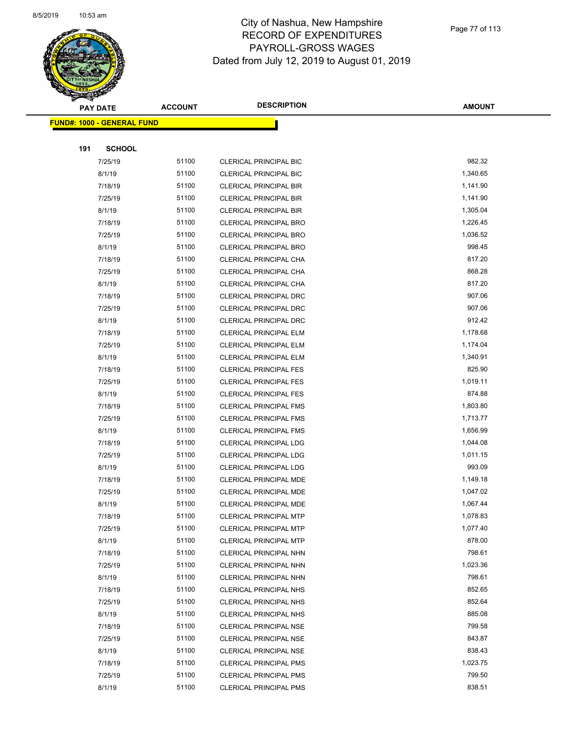

| <b>PAY DATE</b> |                                    | <b>ACCOUNT</b> | <b>DESCRIPTION</b>                                             | <b>AMOUNT</b>      |
|-----------------|------------------------------------|----------------|----------------------------------------------------------------|--------------------|
|                 | <u> FUND#: 1000 - GENERAL FUND</u> |                |                                                                |                    |
|                 |                                    |                |                                                                |                    |
| 191             | <b>SCHOOL</b>                      |                |                                                                |                    |
|                 | 7/25/19                            | 51100          | CLERICAL PRINCIPAL BIC                                         | 982.32             |
|                 | 8/1/19                             | 51100          | <b>CLERICAL PRINCIPAL BIC</b>                                  | 1,340.65           |
|                 | 7/18/19                            | 51100          | <b>CLERICAL PRINCIPAL BIR</b>                                  | 1,141.90           |
|                 | 7/25/19                            | 51100          | <b>CLERICAL PRINCIPAL BIR</b>                                  | 1,141.90           |
|                 | 8/1/19                             | 51100          | CLERICAL PRINCIPAL BIR                                         | 1,305.04           |
|                 | 7/18/19                            | 51100          | CLERICAL PRINCIPAL BRO                                         | 1,226.45           |
|                 | 7/25/19                            | 51100          | CLERICAL PRINCIPAL BRO                                         | 1,036.52           |
|                 | 8/1/19                             | 51100          | CLERICAL PRINCIPAL BRO                                         | 998.45             |
|                 | 7/18/19                            | 51100          | CLERICAL PRINCIPAL CHA                                         | 817.20             |
|                 | 7/25/19                            | 51100          | CLERICAL PRINCIPAL CHA                                         | 868.28             |
|                 | 8/1/19                             | 51100          | CLERICAL PRINCIPAL CHA                                         | 817.20             |
|                 | 7/18/19                            | 51100          | <b>CLERICAL PRINCIPAL DRC</b>                                  | 907.06             |
|                 | 7/25/19                            | 51100          | <b>CLERICAL PRINCIPAL DRC</b>                                  | 907.06             |
|                 | 8/1/19                             | 51100          | CLERICAL PRINCIPAL DRC                                         | 912.42             |
|                 | 7/18/19                            | 51100          | CLERICAL PRINCIPAL ELM                                         | 1,178.68           |
|                 | 7/25/19                            | 51100          | CLERICAL PRINCIPAL ELM                                         | 1,174.04           |
|                 | 8/1/19                             | 51100          | CLERICAL PRINCIPAL ELM                                         | 1,340.91           |
|                 | 7/18/19                            | 51100          | <b>CLERICAL PRINCIPAL FES</b>                                  | 825.90             |
|                 | 7/25/19                            | 51100          | <b>CLERICAL PRINCIPAL FES</b>                                  | 1,019.11           |
|                 | 8/1/19                             | 51100          | <b>CLERICAL PRINCIPAL FES</b>                                  | 874.88             |
|                 | 7/18/19                            | 51100          | <b>CLERICAL PRINCIPAL FMS</b>                                  | 1,803.80           |
|                 | 7/25/19                            | 51100          | <b>CLERICAL PRINCIPAL FMS</b>                                  | 1,713.77           |
|                 | 8/1/19                             | 51100          | <b>CLERICAL PRINCIPAL FMS</b>                                  | 1,656.99           |
|                 | 7/18/19                            | 51100          | <b>CLERICAL PRINCIPAL LDG</b>                                  | 1,044.08           |
|                 | 7/25/19                            | 51100          | CLERICAL PRINCIPAL LDG                                         | 1,011.15           |
|                 | 8/1/19                             | 51100          | <b>CLERICAL PRINCIPAL LDG</b>                                  | 993.09             |
|                 | 7/18/19                            | 51100          | CLERICAL PRINCIPAL MDE                                         | 1,149.18           |
|                 | 7/25/19                            | 51100          | CLERICAL PRINCIPAL MDE                                         | 1,047.02           |
|                 | 8/1/19                             | 51100          | CLERICAL PRINCIPAL MDE                                         | 1,067.44           |
|                 | 7/18/19                            | 51100          | CLERICAL PRINCIPAL MTP                                         | 1,078.83           |
|                 | 7/25/19                            | 51100          | <b>CLERICAL PRINCIPAL MTP</b>                                  | 1,077.40           |
|                 | 8/1/19                             | 51100          | <b>CLERICAL PRINCIPAL MTP</b>                                  | 878.00             |
|                 | 7/18/19                            | 51100          | CLERICAL PRINCIPAL NHN                                         | 798.61             |
|                 | 7/25/19                            | 51100          | CLERICAL PRINCIPAL NHN                                         | 1,023.36           |
|                 | 8/1/19                             | 51100          | CLERICAL PRINCIPAL NHN                                         | 798.61             |
|                 | 7/18/19                            | 51100          | <b>CLERICAL PRINCIPAL NHS</b>                                  | 852.65             |
|                 | 7/25/19                            | 51100          | CLERICAL PRINCIPAL NHS                                         | 852.64             |
|                 | 8/1/19                             | 51100          | <b>CLERICAL PRINCIPAL NHS</b>                                  | 885.08             |
|                 | 7/18/19                            | 51100          | <b>CLERICAL PRINCIPAL NSE</b>                                  | 799.58             |
|                 | 7/25/19                            | 51100          | <b>CLERICAL PRINCIPAL NSE</b>                                  | 843.87             |
|                 | 8/1/19                             | 51100<br>51100 | <b>CLERICAL PRINCIPAL NSE</b>                                  | 838.43<br>1,023.75 |
|                 | 7/18/19<br>7/25/19                 | 51100          | <b>CLERICAL PRINCIPAL PMS</b><br><b>CLERICAL PRINCIPAL PMS</b> | 799.50             |
|                 | 8/1/19                             | 51100          | <b>CLERICAL PRINCIPAL PMS</b>                                  | 838.51             |
|                 |                                    |                |                                                                |                    |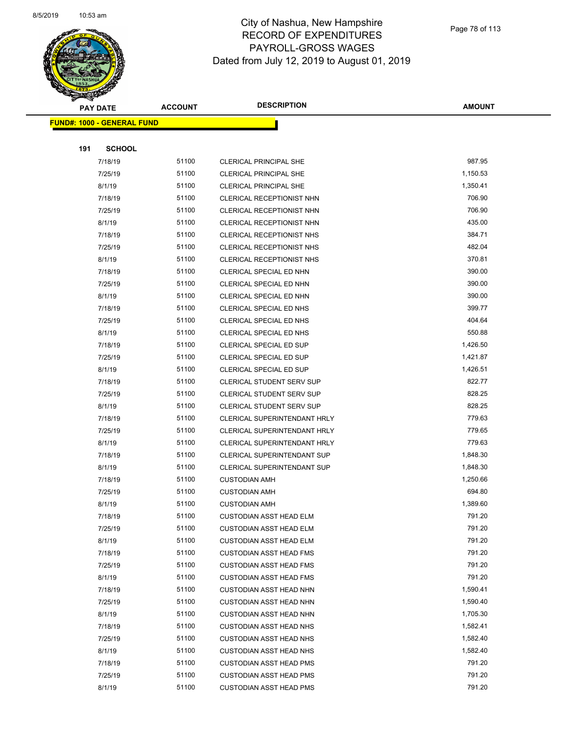

| <b>PAY DATE</b>                    | <b>ACCOUNT</b> | <b>DESCRIPTION</b>               | <b>AMOUNT</b> |
|------------------------------------|----------------|----------------------------------|---------------|
| <u> FUND#: 1000 - GENERAL FUND</u> |                |                                  |               |
|                                    |                |                                  |               |
| 191<br><b>SCHOOL</b>               |                |                                  |               |
| 7/18/19                            | 51100          | <b>CLERICAL PRINCIPAL SHE</b>    | 987.95        |
| 7/25/19                            | 51100          | <b>CLERICAL PRINCIPAL SHE</b>    | 1,150.53      |
| 8/1/19                             | 51100          | <b>CLERICAL PRINCIPAL SHE</b>    | 1,350.41      |
| 7/18/19                            | 51100          | CLERICAL RECEPTIONIST NHN        | 706.90        |
| 7/25/19                            | 51100          | CLERICAL RECEPTIONIST NHN        | 706.90        |
| 8/1/19                             | 51100          | CLERICAL RECEPTIONIST NHN        | 435.00        |
| 7/18/19                            | 51100          | <b>CLERICAL RECEPTIONIST NHS</b> | 384.71        |
| 7/25/19                            | 51100          | CLERICAL RECEPTIONIST NHS        | 482.04        |
| 8/1/19                             | 51100          | CLERICAL RECEPTIONIST NHS        | 370.81        |
| 7/18/19                            | 51100          | CLERICAL SPECIAL ED NHN          | 390.00        |
| 7/25/19                            | 51100          | CLERICAL SPECIAL ED NHN          | 390.00        |
| 8/1/19                             | 51100          | CLERICAL SPECIAL ED NHN          | 390.00        |
| 7/18/19                            | 51100          | CLERICAL SPECIAL ED NHS          | 399.77        |
| 7/25/19                            | 51100          | CLERICAL SPECIAL ED NHS          | 404.64        |
| 8/1/19                             | 51100          | CLERICAL SPECIAL ED NHS          | 550.88        |
| 7/18/19                            | 51100          | CLERICAL SPECIAL ED SUP          | 1,426.50      |
| 7/25/19                            | 51100          | CLERICAL SPECIAL ED SUP          | 1,421.87      |
| 8/1/19                             | 51100          | CLERICAL SPECIAL ED SUP          | 1,426.51      |
| 7/18/19                            | 51100          | <b>CLERICAL STUDENT SERV SUP</b> | 822.77        |
| 7/25/19                            | 51100          | CLERICAL STUDENT SERV SUP        | 828.25        |
| 8/1/19                             | 51100          | <b>CLERICAL STUDENT SERV SUP</b> | 828.25        |
| 7/18/19                            | 51100          | CLERICAL SUPERINTENDANT HRLY     | 779.63        |
| 7/25/19                            | 51100          | CLERICAL SUPERINTENDANT HRLY     | 779.65        |
| 8/1/19                             | 51100          | CLERICAL SUPERINTENDANT HRLY     | 779.63        |
| 7/18/19                            | 51100          | CLERICAL SUPERINTENDANT SUP      | 1,848.30      |
| 8/1/19                             | 51100          | CLERICAL SUPERINTENDANT SUP      | 1,848.30      |
| 7/18/19                            | 51100          | <b>CUSTODIAN AMH</b>             | 1,250.66      |
| 7/25/19                            | 51100          | <b>CUSTODIAN AMH</b>             | 694.80        |
| 8/1/19                             | 51100          | <b>CUSTODIAN AMH</b>             | 1,389.60      |
| 7/18/19                            | 51100          | <b>CUSTODIAN ASST HEAD ELM</b>   | 791.20        |
| 7/25/19                            | 51100          | <b>CUSTODIAN ASST HEAD ELM</b>   | 791.20        |
| 8/1/19                             | 51100          | <b>CUSTODIAN ASST HEAD ELM</b>   | 791.20        |
| 7/18/19                            | 51100          | <b>CUSTODIAN ASST HEAD FMS</b>   | 791.20        |
| 7/25/19                            | 51100          | <b>CUSTODIAN ASST HEAD FMS</b>   | 791.20        |
| 8/1/19                             | 51100          | <b>CUSTODIAN ASST HEAD FMS</b>   | 791.20        |
| 7/18/19                            | 51100          | <b>CUSTODIAN ASST HEAD NHN</b>   | 1,590.41      |
| 7/25/19                            | 51100          | <b>CUSTODIAN ASST HEAD NHN</b>   | 1,590.40      |
| 8/1/19                             | 51100          | <b>CUSTODIAN ASST HEAD NHN</b>   | 1,705.30      |
| 7/18/19                            | 51100          | <b>CUSTODIAN ASST HEAD NHS</b>   | 1,582.41      |
| 7/25/19                            | 51100          | <b>CUSTODIAN ASST HEAD NHS</b>   | 1,582.40      |
| 8/1/19                             | 51100          | <b>CUSTODIAN ASST HEAD NHS</b>   | 1,582.40      |
| 7/18/19                            | 51100          | <b>CUSTODIAN ASST HEAD PMS</b>   | 791.20        |
| 7/25/19                            | 51100          | <b>CUSTODIAN ASST HEAD PMS</b>   | 791.20        |
| 8/1/19                             | 51100          | <b>CUSTODIAN ASST HEAD PMS</b>   | 791.20        |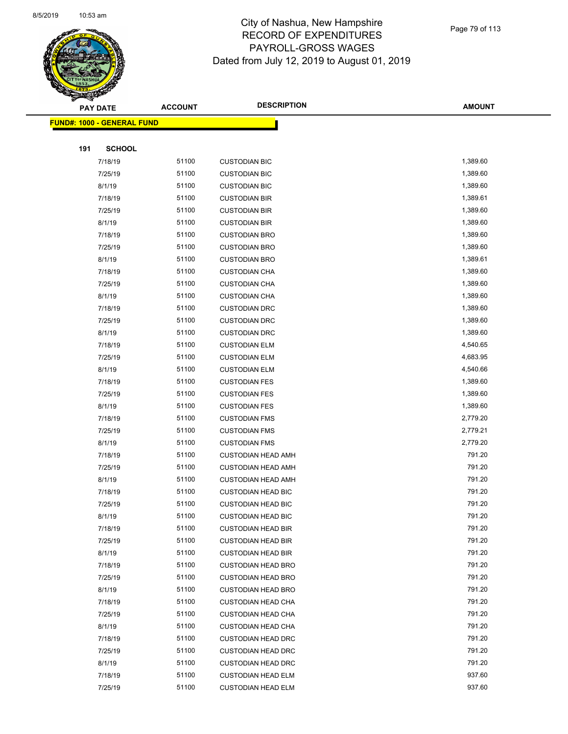

|     | <b>PAY DATE</b>                   | <b>ACCOUNT</b> | <b>DESCRIPTION</b>        | <b>AMOUNT</b> |
|-----|-----------------------------------|----------------|---------------------------|---------------|
|     | <b>FUND#: 1000 - GENERAL FUND</b> |                |                           |               |
|     |                                   |                |                           |               |
| 191 | <b>SCHOOL</b>                     |                |                           |               |
|     | 7/18/19                           | 51100          | <b>CUSTODIAN BIC</b>      | 1,389.60      |
|     | 7/25/19                           | 51100          | <b>CUSTODIAN BIC</b>      | 1,389.60      |
|     | 8/1/19                            | 51100          | <b>CUSTODIAN BIC</b>      | 1,389.60      |
|     | 7/18/19                           | 51100          | <b>CUSTODIAN BIR</b>      | 1,389.61      |
|     | 7/25/19                           | 51100          | <b>CUSTODIAN BIR</b>      | 1,389.60      |
|     | 8/1/19                            | 51100          | <b>CUSTODIAN BIR</b>      | 1,389.60      |
|     | 7/18/19                           | 51100          | <b>CUSTODIAN BRO</b>      | 1,389.60      |
|     | 7/25/19                           | 51100          | <b>CUSTODIAN BRO</b>      | 1,389.60      |
|     | 8/1/19                            | 51100          | <b>CUSTODIAN BRO</b>      | 1,389.61      |
|     | 7/18/19                           | 51100          | <b>CUSTODIAN CHA</b>      | 1,389.60      |
|     | 7/25/19                           | 51100          | <b>CUSTODIAN CHA</b>      | 1,389.60      |
|     | 8/1/19                            | 51100          | <b>CUSTODIAN CHA</b>      | 1,389.60      |
|     | 7/18/19                           | 51100          | <b>CUSTODIAN DRC</b>      | 1,389.60      |
|     | 7/25/19                           | 51100          | <b>CUSTODIAN DRC</b>      | 1,389.60      |
|     | 8/1/19                            | 51100          | <b>CUSTODIAN DRC</b>      | 1,389.60      |
|     | 7/18/19                           | 51100          | <b>CUSTODIAN ELM</b>      | 4,540.65      |
|     | 7/25/19                           | 51100          | <b>CUSTODIAN ELM</b>      | 4,683.95      |
|     | 8/1/19                            | 51100          | <b>CUSTODIAN ELM</b>      | 4,540.66      |
|     | 7/18/19                           | 51100          | <b>CUSTODIAN FES</b>      | 1,389.60      |
|     | 7/25/19                           | 51100          | <b>CUSTODIAN FES</b>      | 1,389.60      |
|     | 8/1/19                            | 51100          | <b>CUSTODIAN FES</b>      | 1,389.60      |
|     | 7/18/19                           | 51100          | <b>CUSTODIAN FMS</b>      | 2,779.20      |
|     | 7/25/19                           | 51100          | <b>CUSTODIAN FMS</b>      | 2,779.21      |
|     | 8/1/19                            | 51100          | <b>CUSTODIAN FMS</b>      | 2,779.20      |
|     | 7/18/19                           | 51100          | <b>CUSTODIAN HEAD AMH</b> | 791.20        |
|     | 7/25/19                           | 51100          | <b>CUSTODIAN HEAD AMH</b> | 791.20        |
|     | 8/1/19                            | 51100          | <b>CUSTODIAN HEAD AMH</b> | 791.20        |
|     | 7/18/19                           | 51100          | <b>CUSTODIAN HEAD BIC</b> | 791.20        |
|     | 7/25/19                           | 51100          | <b>CUSTODIAN HEAD BIC</b> | 791.20        |
|     | 8/1/19                            | 51100          | <b>CUSTODIAN HEAD BIC</b> | 791.20        |
|     | 7/18/19                           | 51100          | <b>CUSTODIAN HEAD BIR</b> | 791.20        |
|     | 7/25/19                           | 51100          | <b>CUSTODIAN HEAD BIR</b> | 791.20        |
|     | 8/1/19                            | 51100          | <b>CUSTODIAN HEAD BIR</b> | 791.20        |
|     | 7/18/19                           | 51100          | <b>CUSTODIAN HEAD BRO</b> | 791.20        |
|     | 7/25/19                           | 51100          | <b>CUSTODIAN HEAD BRO</b> | 791.20        |
|     | 8/1/19                            | 51100          | <b>CUSTODIAN HEAD BRO</b> | 791.20        |
|     | 7/18/19                           | 51100          | <b>CUSTODIAN HEAD CHA</b> | 791.20        |
|     | 7/25/19                           | 51100          | <b>CUSTODIAN HEAD CHA</b> | 791.20        |
|     | 8/1/19                            | 51100          | <b>CUSTODIAN HEAD CHA</b> | 791.20        |
|     | 7/18/19                           | 51100          | <b>CUSTODIAN HEAD DRC</b> | 791.20        |
|     | 7/25/19                           | 51100          | <b>CUSTODIAN HEAD DRC</b> | 791.20        |
|     | 8/1/19                            | 51100          | <b>CUSTODIAN HEAD DRC</b> | 791.20        |
|     | 7/18/19                           | 51100          | <b>CUSTODIAN HEAD ELM</b> | 937.60        |
|     | 7/25/19                           | 51100          | <b>CUSTODIAN HEAD ELM</b> | 937.60        |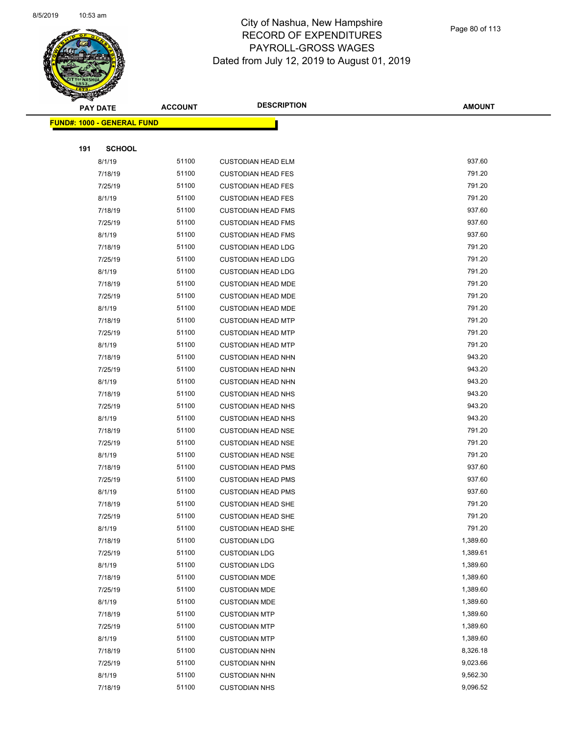

|     | <b>PAY DATE</b>                    | <b>ACCOUNT</b> | <b>DESCRIPTION</b>        | <b>AMOUNT</b> |  |
|-----|------------------------------------|----------------|---------------------------|---------------|--|
|     | <u> FUND#: 1000 - GENERAL FUND</u> |                |                           |               |  |
|     |                                    |                |                           |               |  |
| 191 | <b>SCHOOL</b>                      |                |                           |               |  |
|     | 8/1/19                             | 51100          | <b>CUSTODIAN HEAD ELM</b> | 937.60        |  |
|     | 7/18/19                            | 51100          | <b>CUSTODIAN HEAD FES</b> | 791.20        |  |
|     | 7/25/19                            | 51100          | <b>CUSTODIAN HEAD FES</b> | 791.20        |  |
|     | 8/1/19                             | 51100          | <b>CUSTODIAN HEAD FES</b> | 791.20        |  |
|     | 7/18/19                            | 51100          | <b>CUSTODIAN HEAD FMS</b> | 937.60        |  |
|     | 7/25/19                            | 51100          | <b>CUSTODIAN HEAD FMS</b> | 937.60        |  |
|     | 8/1/19                             | 51100          | <b>CUSTODIAN HEAD FMS</b> | 937.60        |  |
|     | 7/18/19                            | 51100          | <b>CUSTODIAN HEAD LDG</b> | 791.20        |  |
|     | 7/25/19                            | 51100          | <b>CUSTODIAN HEAD LDG</b> | 791.20        |  |
|     | 8/1/19                             | 51100          | <b>CUSTODIAN HEAD LDG</b> | 791.20        |  |
|     | 7/18/19                            | 51100          | <b>CUSTODIAN HEAD MDE</b> | 791.20        |  |
|     | 7/25/19                            | 51100          | <b>CUSTODIAN HEAD MDE</b> | 791.20        |  |
|     | 8/1/19                             | 51100          | <b>CUSTODIAN HEAD MDE</b> | 791.20        |  |
|     | 7/18/19                            | 51100          | <b>CUSTODIAN HEAD MTP</b> | 791.20        |  |
|     | 7/25/19                            | 51100          | <b>CUSTODIAN HEAD MTP</b> | 791.20        |  |
|     | 8/1/19                             | 51100          | <b>CUSTODIAN HEAD MTP</b> | 791.20        |  |
|     | 7/18/19                            | 51100          | <b>CUSTODIAN HEAD NHN</b> | 943.20        |  |
|     | 7/25/19                            | 51100          | <b>CUSTODIAN HEAD NHN</b> | 943.20        |  |
|     | 8/1/19                             | 51100          | <b>CUSTODIAN HEAD NHN</b> | 943.20        |  |
|     | 7/18/19                            | 51100          | <b>CUSTODIAN HEAD NHS</b> | 943.20        |  |
|     | 7/25/19                            | 51100          | <b>CUSTODIAN HEAD NHS</b> | 943.20        |  |
|     | 8/1/19                             | 51100          | <b>CUSTODIAN HEAD NHS</b> | 943.20        |  |
|     | 7/18/19                            | 51100          | <b>CUSTODIAN HEAD NSE</b> | 791.20        |  |
|     | 7/25/19                            | 51100          | <b>CUSTODIAN HEAD NSE</b> | 791.20        |  |
|     | 8/1/19                             | 51100          | <b>CUSTODIAN HEAD NSE</b> | 791.20        |  |
|     | 7/18/19                            | 51100          | <b>CUSTODIAN HEAD PMS</b> | 937.60        |  |
|     | 7/25/19                            | 51100          | <b>CUSTODIAN HEAD PMS</b> | 937.60        |  |
|     | 8/1/19                             | 51100          | <b>CUSTODIAN HEAD PMS</b> | 937.60        |  |
|     | 7/18/19                            | 51100          | <b>CUSTODIAN HEAD SHE</b> | 791.20        |  |
|     | 7/25/19                            | 51100          | <b>CUSTODIAN HEAD SHE</b> | 791.20        |  |
|     | 8/1/19                             | 51100          | <b>CUSTODIAN HEAD SHE</b> | 791.20        |  |
|     | 7/18/19                            | 51100          | <b>CUSTODIAN LDG</b>      | 1,389.60      |  |
|     | 7/25/19                            | 51100          | <b>CUSTODIAN LDG</b>      | 1,389.61      |  |
|     | 8/1/19                             | 51100          | <b>CUSTODIAN LDG</b>      | 1,389.60      |  |
|     | 7/18/19                            | 51100          | <b>CUSTODIAN MDE</b>      | 1,389.60      |  |
|     | 7/25/19                            | 51100          | <b>CUSTODIAN MDE</b>      | 1,389.60      |  |
|     | 8/1/19                             | 51100          | <b>CUSTODIAN MDE</b>      | 1,389.60      |  |
|     | 7/18/19                            | 51100          | <b>CUSTODIAN MTP</b>      | 1,389.60      |  |
|     | 7/25/19                            | 51100          | <b>CUSTODIAN MTP</b>      | 1,389.60      |  |
|     | 8/1/19                             | 51100          | <b>CUSTODIAN MTP</b>      | 1,389.60      |  |
|     | 7/18/19                            | 51100          | <b>CUSTODIAN NHN</b>      | 8,326.18      |  |
|     | 7/25/19                            | 51100          | <b>CUSTODIAN NHN</b>      | 9,023.66      |  |
|     | 8/1/19                             | 51100          | <b>CUSTODIAN NHN</b>      | 9,562.30      |  |
|     | 7/18/19                            | 51100          | <b>CUSTODIAN NHS</b>      | 9,096.52      |  |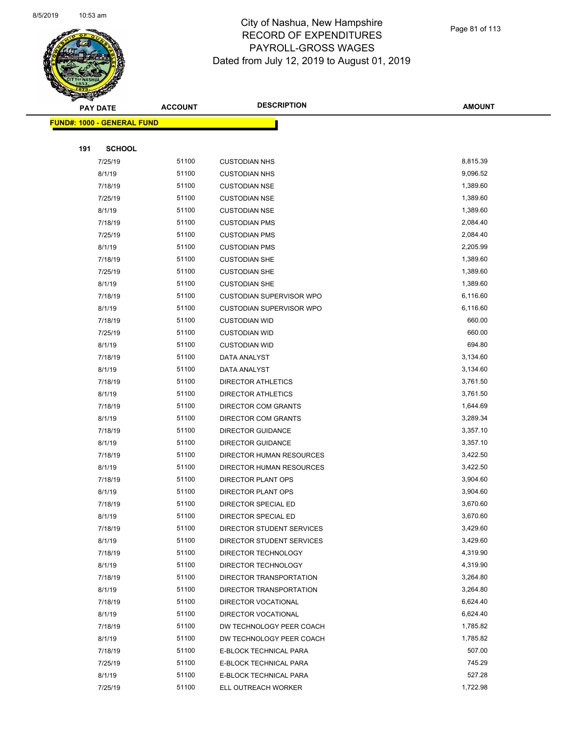

|     | <b>PAY DATE</b>                   | <b>ACCOUNT</b> | <b>DESCRIPTION</b>              | <b>AMOUNT</b> |
|-----|-----------------------------------|----------------|---------------------------------|---------------|
|     | <b>FUND#: 1000 - GENERAL FUND</b> |                |                                 |               |
|     |                                   |                |                                 |               |
| 191 | <b>SCHOOL</b>                     |                |                                 |               |
|     | 7/25/19                           | 51100          | <b>CUSTODIAN NHS</b>            | 8,815.39      |
|     | 8/1/19                            | 51100          | <b>CUSTODIAN NHS</b>            | 9,096.52      |
|     | 7/18/19                           | 51100          | <b>CUSTODIAN NSE</b>            | 1,389.60      |
|     | 7/25/19                           | 51100          | <b>CUSTODIAN NSE</b>            | 1,389.60      |
|     | 8/1/19                            | 51100          | <b>CUSTODIAN NSE</b>            | 1,389.60      |
|     | 7/18/19                           | 51100          | <b>CUSTODIAN PMS</b>            | 2,084.40      |
|     | 7/25/19                           | 51100          | <b>CUSTODIAN PMS</b>            | 2,084.40      |
|     | 8/1/19                            | 51100          | <b>CUSTODIAN PMS</b>            | 2,205.99      |
|     | 7/18/19                           | 51100          | <b>CUSTODIAN SHE</b>            | 1,389.60      |
|     | 7/25/19                           | 51100          | <b>CUSTODIAN SHE</b>            | 1,389.60      |
|     | 8/1/19                            | 51100          | <b>CUSTODIAN SHE</b>            | 1,389.60      |
|     | 7/18/19                           | 51100          | <b>CUSTODIAN SUPERVISOR WPO</b> | 6,116.60      |
|     | 8/1/19                            | 51100          | <b>CUSTODIAN SUPERVISOR WPO</b> | 6,116.60      |
|     | 7/18/19                           | 51100          | <b>CUSTODIAN WID</b>            | 660.00        |
|     | 7/25/19                           | 51100          | <b>CUSTODIAN WID</b>            | 660.00        |
|     | 8/1/19                            | 51100          | <b>CUSTODIAN WID</b>            | 694.80        |
|     | 7/18/19                           | 51100          | <b>DATA ANALYST</b>             | 3,134.60      |
|     | 8/1/19                            | 51100          | DATA ANALYST                    | 3,134.60      |
|     | 7/18/19                           | 51100          | <b>DIRECTOR ATHLETICS</b>       | 3,761.50      |
|     | 8/1/19                            | 51100          | <b>DIRECTOR ATHLETICS</b>       | 3,761.50      |
|     | 7/18/19                           | 51100          | <b>DIRECTOR COM GRANTS</b>      | 1,644.69      |
|     | 8/1/19                            | 51100          | DIRECTOR COM GRANTS             | 3,289.34      |
|     | 7/18/19                           | 51100          | <b>DIRECTOR GUIDANCE</b>        | 3,357.10      |
|     | 8/1/19                            | 51100          | <b>DIRECTOR GUIDANCE</b>        | 3,357.10      |
|     | 7/18/19                           | 51100          | <b>DIRECTOR HUMAN RESOURCES</b> | 3,422.50      |
|     | 8/1/19                            | 51100          | DIRECTOR HUMAN RESOURCES        | 3,422.50      |
|     | 7/18/19                           | 51100          | DIRECTOR PLANT OPS              | 3,904.60      |
|     | 8/1/19                            | 51100          | DIRECTOR PLANT OPS              | 3,904.60      |
|     | 7/18/19                           | 51100          | DIRECTOR SPECIAL ED             | 3,670.60      |
|     | 8/1/19                            | 51100          | DIRECTOR SPECIAL ED             | 3,670.60      |
|     | 7/18/19                           | 51100          | DIRECTOR STUDENT SERVICES       | 3,429.60      |
|     | 8/1/19                            | 51100          | DIRECTOR STUDENT SERVICES       | 3,429.60      |
|     | 7/18/19                           | 51100          | DIRECTOR TECHNOLOGY             | 4,319.90      |
|     | 8/1/19                            | 51100          | DIRECTOR TECHNOLOGY             | 4,319.90      |
|     | 7/18/19                           | 51100          | DIRECTOR TRANSPORTATION         | 3,264.80      |
|     | 8/1/19                            | 51100          | DIRECTOR TRANSPORTATION         | 3,264.80      |
|     | 7/18/19                           | 51100          | DIRECTOR VOCATIONAL             | 6,624.40      |
|     | 8/1/19                            | 51100          | DIRECTOR VOCATIONAL             | 6,624.40      |
|     | 7/18/19                           | 51100          | DW TECHNOLOGY PEER COACH        | 1,785.82      |
|     | 8/1/19                            | 51100          | DW TECHNOLOGY PEER COACH        | 1,785.82      |
|     | 7/18/19                           | 51100          | E-BLOCK TECHNICAL PARA          | 507.00        |
|     | 7/25/19                           | 51100          | E-BLOCK TECHNICAL PARA          | 745.29        |
|     | 8/1/19                            | 51100          | E-BLOCK TECHNICAL PARA          | 527.28        |
|     | 7/25/19                           | 51100          | ELL OUTREACH WORKER             | 1,722.98      |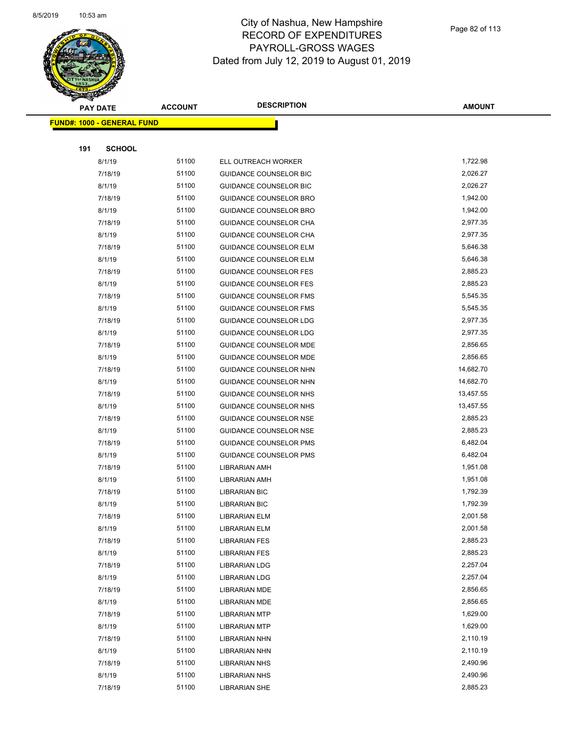

|     | ॼ<br><b>PAY DATE</b>              | <b>ACCOUNT</b> | <b>DESCRIPTION</b>            | <b>AMOUNT</b> |
|-----|-----------------------------------|----------------|-------------------------------|---------------|
|     | <b>FUND#: 1000 - GENERAL FUND</b> |                |                               |               |
|     |                                   |                |                               |               |
| 191 | <b>SCHOOL</b>                     |                |                               |               |
|     | 8/1/19                            | 51100          | ELL OUTREACH WORKER           | 1,722.98      |
|     | 7/18/19                           | 51100          | <b>GUIDANCE COUNSELOR BIC</b> | 2,026.27      |
|     | 8/1/19                            | 51100          | GUIDANCE COUNSELOR BIC        | 2,026.27      |
|     | 7/18/19                           | 51100          | GUIDANCE COUNSELOR BRO        | 1,942.00      |
|     | 8/1/19                            | 51100          | GUIDANCE COUNSELOR BRO        | 1,942.00      |
|     | 7/18/19                           | 51100          | GUIDANCE COUNSELOR CHA        | 2,977.35      |
|     | 8/1/19                            | 51100          | GUIDANCE COUNSELOR CHA        | 2,977.35      |
|     | 7/18/19                           | 51100          | <b>GUIDANCE COUNSELOR ELM</b> | 5,646.38      |
|     | 8/1/19                            | 51100          | <b>GUIDANCE COUNSELOR ELM</b> | 5,646.38      |
|     | 7/18/19                           | 51100          | <b>GUIDANCE COUNSELOR FES</b> | 2,885.23      |
|     | 8/1/19                            | 51100          | <b>GUIDANCE COUNSELOR FES</b> | 2,885.23      |
|     | 7/18/19                           | 51100          | <b>GUIDANCE COUNSELOR FMS</b> | 5,545.35      |
|     | 8/1/19                            | 51100          | <b>GUIDANCE COUNSELOR FMS</b> | 5,545.35      |
|     | 7/18/19                           | 51100          | <b>GUIDANCE COUNSELOR LDG</b> | 2,977.35      |
|     | 8/1/19                            | 51100          | GUIDANCE COUNSELOR LDG        | 2,977.35      |
|     | 7/18/19                           | 51100          | GUIDANCE COUNSELOR MDE        | 2,856.65      |
|     | 8/1/19                            | 51100          | GUIDANCE COUNSELOR MDE        | 2,856.65      |
|     | 7/18/19                           | 51100          | GUIDANCE COUNSELOR NHN        | 14,682.70     |
|     | 8/1/19                            | 51100          | GUIDANCE COUNSELOR NHN        | 14,682.70     |
|     | 7/18/19                           | 51100          | GUIDANCE COUNSELOR NHS        | 13,457.55     |
|     | 8/1/19                            | 51100          | GUIDANCE COUNSELOR NHS        | 13,457.55     |
|     | 7/18/19                           | 51100          | <b>GUIDANCE COUNSELOR NSE</b> | 2,885.23      |
|     | 8/1/19                            | 51100          | <b>GUIDANCE COUNSELOR NSE</b> | 2,885.23      |
|     | 7/18/19                           | 51100          | <b>GUIDANCE COUNSELOR PMS</b> | 6,482.04      |
|     | 8/1/19                            | 51100          | <b>GUIDANCE COUNSELOR PMS</b> | 6,482.04      |
|     | 7/18/19                           | 51100          | <b>LIBRARIAN AMH</b>          | 1,951.08      |
|     | 8/1/19                            | 51100          | LIBRARIAN AMH                 | 1,951.08      |
|     | 7/18/19                           | 51100          | <b>LIBRARIAN BIC</b>          | 1,792.39      |
|     | 8/1/19                            | 51100          | <b>LIBRARIAN BIC</b>          | 1,792.39      |
|     | 7/18/19                           | 51100          | <b>LIBRARIAN ELM</b>          | 2,001.58      |
|     | 8/1/19                            | 51100          | <b>LIBRARIAN ELM</b>          | 2,001.58      |
|     | 7/18/19                           | 51100          | <b>LIBRARIAN FES</b>          | 2,885.23      |
|     | 8/1/19                            | 51100          | <b>LIBRARIAN FES</b>          | 2,885.23      |
|     | 7/18/19                           | 51100          | <b>LIBRARIAN LDG</b>          | 2,257.04      |
|     | 8/1/19                            | 51100          | <b>LIBRARIAN LDG</b>          | 2,257.04      |
|     | 7/18/19                           | 51100          | <b>LIBRARIAN MDE</b>          | 2,856.65      |
|     | 8/1/19                            | 51100          | <b>LIBRARIAN MDE</b>          | 2,856.65      |
|     | 7/18/19                           | 51100          | <b>LIBRARIAN MTP</b>          | 1,629.00      |
|     | 8/1/19                            | 51100          | <b>LIBRARIAN MTP</b>          | 1,629.00      |
|     | 7/18/19                           | 51100          | <b>LIBRARIAN NHN</b>          | 2,110.19      |
|     | 8/1/19                            | 51100          | <b>LIBRARIAN NHN</b>          | 2,110.19      |
|     | 7/18/19                           | 51100          | <b>LIBRARIAN NHS</b>          | 2,490.96      |
|     | 8/1/19                            | 51100          | <b>LIBRARIAN NHS</b>          | 2,490.96      |
|     | 7/18/19                           | 51100          | <b>LIBRARIAN SHE</b>          | 2,885.23      |
|     |                                   |                |                               |               |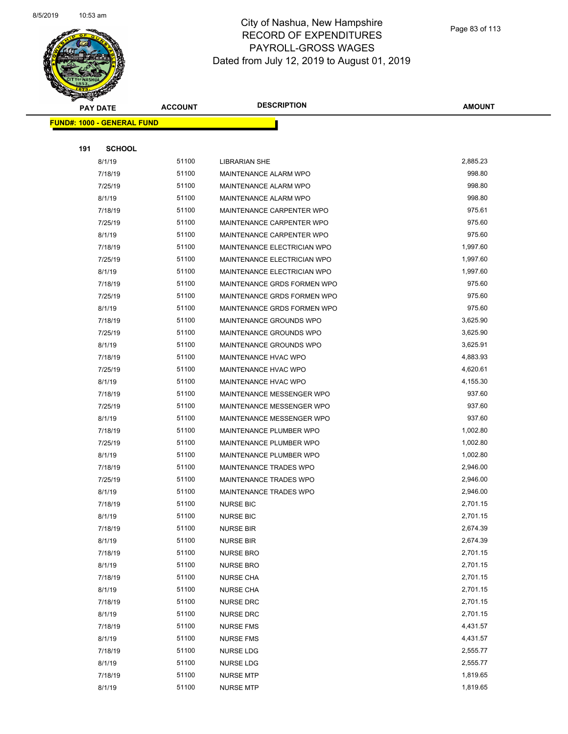

| <b>Andri</b> | <b>PAY DATE</b>                   | <b>ACCOUNT</b> | <b>DESCRIPTION</b>           | <b>AMOUNT</b> |
|--------------|-----------------------------------|----------------|------------------------------|---------------|
|              | <b>FUND#: 1000 - GENERAL FUND</b> |                |                              |               |
|              |                                   |                |                              |               |
| 191          | <b>SCHOOL</b>                     |                |                              |               |
|              | 8/1/19                            | 51100          | <b>LIBRARIAN SHE</b>         | 2,885.23      |
|              | 7/18/19                           | 51100          | MAINTENANCE ALARM WPO        | 998.80        |
|              | 7/25/19                           | 51100          | MAINTENANCE ALARM WPO        | 998.80        |
|              | 8/1/19                            | 51100          | <b>MAINTENANCE ALARM WPO</b> | 998.80        |
|              | 7/18/19                           | 51100          | MAINTENANCE CARPENTER WPO    | 975.61        |
|              | 7/25/19                           | 51100          | MAINTENANCE CARPENTER WPO    | 975.60        |
|              | 8/1/19                            | 51100          | MAINTENANCE CARPENTER WPO    | 975.60        |
|              | 7/18/19                           | 51100          | MAINTENANCE ELECTRICIAN WPO  | 1,997.60      |
|              | 7/25/19                           | 51100          | MAINTENANCE ELECTRICIAN WPO  | 1,997.60      |
|              | 8/1/19                            | 51100          | MAINTENANCE ELECTRICIAN WPO  | 1,997.60      |
|              | 7/18/19                           | 51100          | MAINTENANCE GRDS FORMEN WPO  | 975.60        |
|              | 7/25/19                           | 51100          | MAINTENANCE GRDS FORMEN WPO  | 975.60        |
|              | 8/1/19                            | 51100          | MAINTENANCE GRDS FORMEN WPO  | 975.60        |
|              | 7/18/19                           | 51100          | MAINTENANCE GROUNDS WPO      | 3,625.90      |
|              | 7/25/19                           | 51100          | MAINTENANCE GROUNDS WPO      | 3,625.90      |
|              | 8/1/19                            | 51100          | MAINTENANCE GROUNDS WPO      | 3,625.91      |
|              | 7/18/19                           | 51100          | MAINTENANCE HVAC WPO         | 4,883.93      |
|              | 7/25/19                           | 51100          | MAINTENANCE HVAC WPO         | 4,620.61      |
|              | 8/1/19                            | 51100          | MAINTENANCE HVAC WPO         | 4,155.30      |
|              | 7/18/19                           | 51100          | MAINTENANCE MESSENGER WPO    | 937.60        |
|              | 7/25/19                           | 51100          | MAINTENANCE MESSENGER WPO    | 937.60        |
|              | 8/1/19                            | 51100          | MAINTENANCE MESSENGER WPO    | 937.60        |
|              | 7/18/19                           | 51100          | MAINTENANCE PLUMBER WPO      | 1,002.80      |
|              | 7/25/19                           | 51100          | MAINTENANCE PLUMBER WPO      | 1,002.80      |
|              | 8/1/19                            | 51100          | MAINTENANCE PLUMBER WPO      | 1,002.80      |
|              | 7/18/19                           | 51100          | MAINTENANCE TRADES WPO       | 2,946.00      |
|              | 7/25/19                           | 51100          | MAINTENANCE TRADES WPO       | 2,946.00      |
|              | 8/1/19                            | 51100          | MAINTENANCE TRADES WPO       | 2,946.00      |
|              | 7/18/19                           | 51100          | <b>NURSE BIC</b>             | 2,701.15      |
|              | 8/1/19                            | 51100          | <b>NURSE BIC</b>             | 2,701.15      |
|              | 7/18/19                           | 51100          | <b>NURSE BIR</b>             | 2,674.39      |
|              | 8/1/19                            | 51100          | <b>NURSE BIR</b>             | 2,674.39      |
|              | 7/18/19                           | 51100          | <b>NURSE BRO</b>             | 2,701.15      |
|              | 8/1/19                            | 51100          | NURSE BRO                    | 2,701.15      |
|              | 7/18/19                           | 51100          | <b>NURSE CHA</b>             | 2,701.15      |
|              | 8/1/19                            | 51100          | NURSE CHA                    | 2,701.15      |
|              | 7/18/19                           | 51100          | <b>NURSE DRC</b>             | 2,701.15      |
|              | 8/1/19                            | 51100          | <b>NURSE DRC</b>             | 2,701.15      |
|              | 7/18/19                           | 51100          | <b>NURSE FMS</b>             | 4,431.57      |
|              | 8/1/19                            | 51100          | <b>NURSE FMS</b>             | 4,431.57      |
|              | 7/18/19                           | 51100          | <b>NURSE LDG</b>             | 2,555.77      |
|              | 8/1/19                            | 51100          | NURSE LDG                    | 2,555.77      |
|              | 7/18/19                           | 51100          | <b>NURSE MTP</b>             | 1,819.65      |
|              | 8/1/19                            | 51100          | <b>NURSE MTP</b>             | 1,819.65      |
|              |                                   |                |                              |               |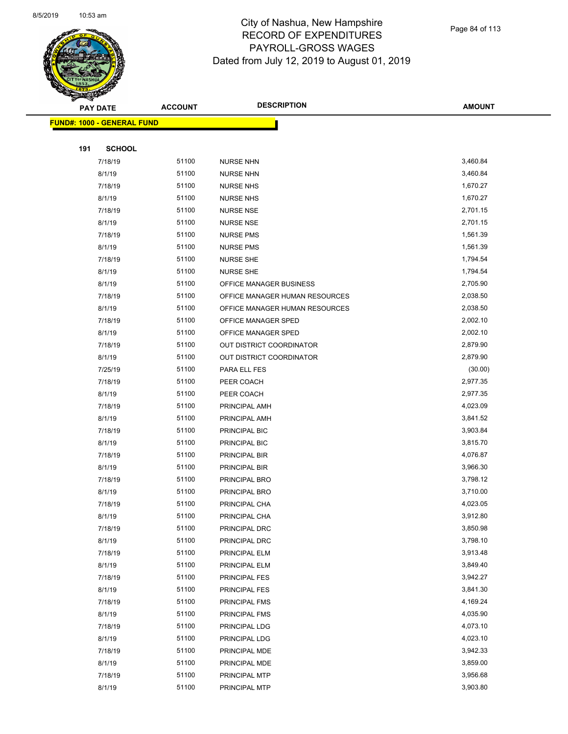

|     | <b>PAY DATE</b>                    | <b>ACCOUNT</b> | <b>DESCRIPTION</b>              | <b>AMOUNT</b> |
|-----|------------------------------------|----------------|---------------------------------|---------------|
|     | <u> FUND#: 1000 - GENERAL FUND</u> |                |                                 |               |
|     |                                    |                |                                 |               |
| 191 | <b>SCHOOL</b>                      |                |                                 |               |
|     | 7/18/19                            | 51100          | <b>NURSE NHN</b>                | 3,460.84      |
|     | 8/1/19                             | 51100          | <b>NURSE NHN</b>                | 3,460.84      |
|     | 7/18/19                            | 51100          | <b>NURSE NHS</b>                | 1,670.27      |
|     | 8/1/19                             | 51100          | <b>NURSE NHS</b>                | 1,670.27      |
|     | 7/18/19                            | 51100          | <b>NURSE NSE</b>                | 2,701.15      |
|     | 8/1/19                             | 51100          | <b>NURSE NSE</b>                | 2,701.15      |
|     | 7/18/19                            | 51100          | <b>NURSE PMS</b>                | 1,561.39      |
|     | 8/1/19                             | 51100          | <b>NURSE PMS</b>                | 1,561.39      |
|     | 7/18/19                            | 51100          | <b>NURSE SHE</b>                | 1,794.54      |
|     | 8/1/19                             | 51100          | <b>NURSE SHE</b>                | 1,794.54      |
|     | 8/1/19                             | 51100          | OFFICE MANAGER BUSINESS         | 2,705.90      |
|     | 7/18/19                            | 51100          | OFFICE MANAGER HUMAN RESOURCES  | 2,038.50      |
|     | 8/1/19                             | 51100          | OFFICE MANAGER HUMAN RESOURCES  | 2,038.50      |
|     | 7/18/19                            | 51100          | OFFICE MANAGER SPED             | 2,002.10      |
|     | 8/1/19                             | 51100          | OFFICE MANAGER SPED             | 2,002.10      |
|     | 7/18/19                            | 51100          | OUT DISTRICT COORDINATOR        | 2,879.90      |
|     | 8/1/19                             | 51100          | <b>OUT DISTRICT COORDINATOR</b> | 2,879.90      |
|     | 7/25/19                            | 51100          | PARA ELL FES                    | (30.00)       |
|     | 7/18/19                            | 51100          | PEER COACH                      | 2,977.35      |
|     | 8/1/19                             | 51100          | PEER COACH                      | 2,977.35      |
|     | 7/18/19                            | 51100          | PRINCIPAL AMH                   | 4,023.09      |
|     | 8/1/19                             | 51100          | PRINCIPAL AMH                   | 3,841.52      |
|     | 7/18/19                            | 51100          | PRINCIPAL BIC                   | 3,903.84      |
|     | 8/1/19                             | 51100          | PRINCIPAL BIC                   | 3,815.70      |
|     | 7/18/19                            | 51100          | PRINCIPAL BIR                   | 4,076.87      |
|     | 8/1/19                             | 51100          | PRINCIPAL BIR                   | 3,966.30      |
|     | 7/18/19                            | 51100          | PRINCIPAL BRO                   | 3,798.12      |
|     | 8/1/19                             | 51100          | PRINCIPAL BRO                   | 3,710.00      |
|     | 7/18/19                            | 51100          | PRINCIPAL CHA                   | 4,023.05      |
|     | 8/1/19                             | 51100          | PRINCIPAL CHA                   | 3,912.80      |
|     | 7/18/19                            | 51100          | PRINCIPAL DRC                   | 3,850.98      |
|     | 8/1/19                             | 51100          | PRINCIPAL DRC                   | 3,798.10      |
|     | 7/18/19                            | 51100          | PRINCIPAL ELM                   | 3,913.48      |
|     | 8/1/19                             | 51100          | PRINCIPAL ELM                   | 3,849.40      |
|     | 7/18/19                            | 51100          | PRINCIPAL FES                   | 3,942.27      |
|     | 8/1/19                             | 51100          | <b>PRINCIPAL FES</b>            | 3,841.30      |
|     | 7/18/19                            | 51100          | PRINCIPAL FMS                   | 4,169.24      |
|     | 8/1/19                             | 51100          | PRINCIPAL FMS                   | 4,035.90      |
|     | 7/18/19                            | 51100          | PRINCIPAL LDG                   | 4,073.10      |
|     | 8/1/19                             | 51100          | PRINCIPAL LDG                   | 4,023.10      |
|     | 7/18/19                            | 51100          | PRINCIPAL MDE                   | 3,942.33      |
|     | 8/1/19                             | 51100          | PRINCIPAL MDE                   | 3,859.00      |
|     | 7/18/19                            | 51100          | PRINCIPAL MTP                   | 3,956.68      |
|     | 8/1/19                             | 51100          | PRINCIPAL MTP                   | 3,903.80      |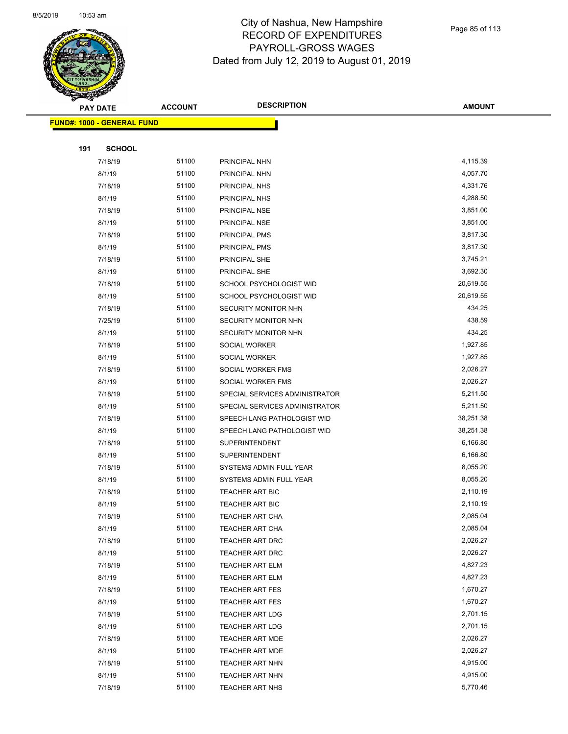

| <b>PAY DATE</b>            |               | <b>ACCOUNT</b> | <b>DESCRIPTION</b>             | <b>AMOUNT</b> |
|----------------------------|---------------|----------------|--------------------------------|---------------|
| FUND#: 1000 - GENERAL FUND |               |                |                                |               |
|                            |               |                |                                |               |
| 191                        | <b>SCHOOL</b> |                |                                |               |
|                            | 7/18/19       | 51100          | PRINCIPAL NHN                  | 4,115.39      |
|                            | 8/1/19        | 51100          | PRINCIPAL NHN                  | 4,057.70      |
|                            | 7/18/19       | 51100          | PRINCIPAL NHS                  | 4,331.76      |
| 8/1/19                     |               | 51100          | PRINCIPAL NHS                  | 4,288.50      |
|                            | 7/18/19       | 51100          | PRINCIPAL NSE                  | 3,851.00      |
| 8/1/19                     |               | 51100          | PRINCIPAL NSE                  | 3,851.00      |
|                            | 7/18/19       | 51100          | PRINCIPAL PMS                  | 3,817.30      |
|                            | 8/1/19        | 51100          | PRINCIPAL PMS                  | 3,817.30      |
|                            | 7/18/19       | 51100          | PRINCIPAL SHE                  | 3,745.21      |
| 8/1/19                     |               | 51100          | PRINCIPAL SHE                  | 3,692.30      |
|                            | 7/18/19       | 51100          | SCHOOL PSYCHOLOGIST WID        | 20,619.55     |
|                            | 8/1/19        | 51100          | SCHOOL PSYCHOLOGIST WID        | 20,619.55     |
|                            | 7/18/19       | 51100          | <b>SECURITY MONITOR NHN</b>    | 434.25        |
|                            | 7/25/19       | 51100          | SECURITY MONITOR NHN           | 438.59        |
|                            | 8/1/19        | 51100          | SECURITY MONITOR NHN           | 434.25        |
|                            | 7/18/19       | 51100          | SOCIAL WORKER                  | 1,927.85      |
|                            | 8/1/19        | 51100          | SOCIAL WORKER                  | 1,927.85      |
|                            | 7/18/19       | 51100          | SOCIAL WORKER FMS              | 2,026.27      |
| 8/1/19                     |               | 51100          | SOCIAL WORKER FMS              | 2,026.27      |
|                            | 7/18/19       | 51100          | SPECIAL SERVICES ADMINISTRATOR | 5,211.50      |
| 8/1/19                     |               | 51100          | SPECIAL SERVICES ADMINISTRATOR | 5,211.50      |
|                            | 7/18/19       | 51100          | SPEECH LANG PATHOLOGIST WID    | 38,251.38     |
| 8/1/19                     |               | 51100          | SPEECH LANG PATHOLOGIST WID    | 38,251.38     |
|                            | 7/18/19       | 51100          | <b>SUPERINTENDENT</b>          | 6,166.80      |
| 8/1/19                     |               | 51100          | <b>SUPERINTENDENT</b>          | 6,166.80      |
|                            | 7/18/19       | 51100          | SYSTEMS ADMIN FULL YEAR        | 8,055.20      |
|                            | 8/1/19        | 51100          | SYSTEMS ADMIN FULL YEAR        | 8,055.20      |
|                            | 7/18/19       | 51100          | <b>TEACHER ART BIC</b>         | 2,110.19      |
| 8/1/19                     |               | 51100          | <b>TEACHER ART BIC</b>         | 2,110.19      |
|                            | 7/18/19       | 51100          | TEACHER ART CHA                | 2,085.04      |
| 8/1/19                     |               | 51100          | <b>TEACHER ART CHA</b>         | 2,085.04      |
|                            | 7/18/19       | 51100          | <b>TEACHER ART DRC</b>         | 2,026.27      |
| 8/1/19                     |               | 51100          | TEACHER ART DRC                | 2,026.27      |
|                            | 7/18/19       | 51100          | <b>TEACHER ART ELM</b>         | 4,827.23      |
| 8/1/19                     |               | 51100          | <b>TEACHER ART ELM</b>         | 4,827.23      |
|                            | 7/18/19       | 51100          | <b>TEACHER ART FES</b>         | 1,670.27      |
| 8/1/19                     |               | 51100          | <b>TEACHER ART FES</b>         | 1,670.27      |
|                            | 7/18/19       | 51100          | <b>TEACHER ART LDG</b>         | 2,701.15      |
| 8/1/19                     |               | 51100          | <b>TEACHER ART LDG</b>         | 2,701.15      |
|                            | 7/18/19       | 51100          | <b>TEACHER ART MDE</b>         | 2,026.27      |
| 8/1/19                     |               | 51100          | TEACHER ART MDE                | 2,026.27      |
|                            | 7/18/19       | 51100          | <b>TEACHER ART NHN</b>         | 4,915.00      |
| 8/1/19                     |               | 51100          | <b>TEACHER ART NHN</b>         | 4,915.00      |
|                            | 7/18/19       | 51100          | <b>TEACHER ART NHS</b>         | 5,770.46      |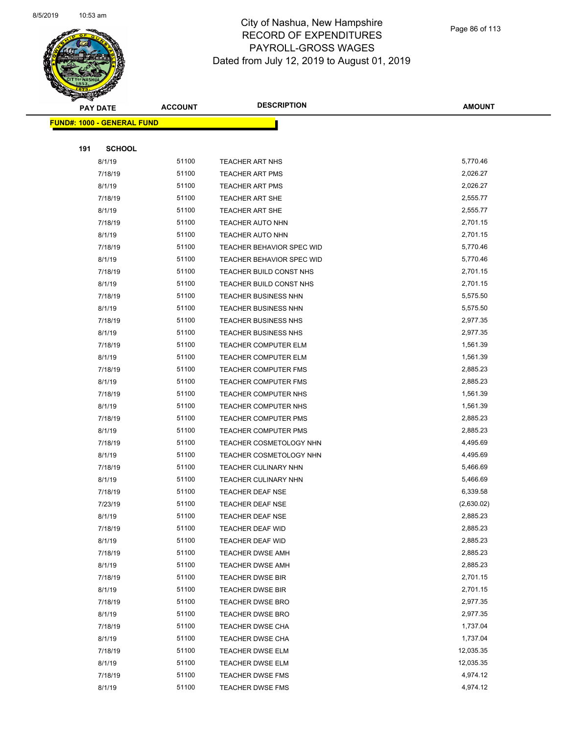

|     | <b>PAY DATE</b>                   | <b>ACCOUNT</b> | <b>DESCRIPTION</b>               | <b>AMOUNT</b> |
|-----|-----------------------------------|----------------|----------------------------------|---------------|
|     | <b>FUND#: 1000 - GENERAL FUND</b> |                |                                  |               |
|     |                                   |                |                                  |               |
| 191 | <b>SCHOOL</b>                     |                |                                  |               |
|     | 8/1/19                            | 51100          | <b>TEACHER ART NHS</b>           | 5,770.46      |
|     | 7/18/19                           | 51100          | <b>TEACHER ART PMS</b>           | 2,026.27      |
|     | 8/1/19                            | 51100          | <b>TEACHER ART PMS</b>           | 2,026.27      |
|     | 7/18/19                           | 51100          | <b>TEACHER ART SHE</b>           | 2,555.77      |
|     | 8/1/19                            | 51100          | <b>TEACHER ART SHE</b>           | 2,555.77      |
|     | 7/18/19                           | 51100          | <b>TEACHER AUTO NHN</b>          | 2,701.15      |
|     | 8/1/19                            | 51100          | <b>TEACHER AUTO NHN</b>          | 2,701.15      |
|     | 7/18/19                           | 51100          | TEACHER BEHAVIOR SPEC WID        | 5,770.46      |
|     | 8/1/19                            | 51100          | <b>TEACHER BEHAVIOR SPEC WID</b> | 5,770.46      |
|     | 7/18/19                           | 51100          | TEACHER BUILD CONST NHS          | 2,701.15      |
|     | 8/1/19                            | 51100          | TEACHER BUILD CONST NHS          | 2,701.15      |
|     | 7/18/19                           | 51100          | <b>TEACHER BUSINESS NHN</b>      | 5,575.50      |
|     | 8/1/19                            | 51100          | TEACHER BUSINESS NHN             | 5,575.50      |
|     | 7/18/19                           | 51100          | TEACHER BUSINESS NHS             | 2,977.35      |
|     | 8/1/19                            | 51100          | TEACHER BUSINESS NHS             | 2,977.35      |
|     | 7/18/19                           | 51100          | TEACHER COMPUTER ELM             | 1,561.39      |
|     | 8/1/19                            | 51100          | <b>TEACHER COMPUTER ELM</b>      | 1,561.39      |
|     | 7/18/19                           | 51100          | <b>TEACHER COMPUTER FMS</b>      | 2,885.23      |
|     | 8/1/19                            | 51100          | <b>TEACHER COMPUTER FMS</b>      | 2,885.23      |
|     | 7/18/19                           | 51100          | <b>TEACHER COMPUTER NHS</b>      | 1,561.39      |
|     | 8/1/19                            | 51100          | TEACHER COMPUTER NHS             | 1,561.39      |
|     | 7/18/19                           | 51100          | <b>TEACHER COMPUTER PMS</b>      | 2,885.23      |
|     | 8/1/19                            | 51100          | <b>TEACHER COMPUTER PMS</b>      | 2,885.23      |
|     | 7/18/19                           | 51100          | TEACHER COSMETOLOGY NHN          | 4,495.69      |
|     | 8/1/19                            | 51100          | TEACHER COSMETOLOGY NHN          | 4,495.69      |
|     | 7/18/19                           | 51100          | TEACHER CULINARY NHN             | 5,466.69      |
|     | 8/1/19                            | 51100          | TEACHER CULINARY NHN             | 5,466.69      |
|     | 7/18/19                           | 51100          | <b>TEACHER DEAF NSE</b>          | 6,339.58      |
|     | 7/23/19                           | 51100          | <b>TEACHER DEAF NSE</b>          | (2,630.02)    |
|     | 8/1/19                            | 51100          | TEACHER DEAF NSE                 | 2,885.23      |
|     | 7/18/19                           | 51100          | <b>TEACHER DEAF WID</b>          | 2,885.23      |
|     | 8/1/19                            | 51100          | TEACHER DEAF WID                 | 2,885.23      |
|     | 7/18/19                           | 51100          | <b>TEACHER DWSE AMH</b>          | 2,885.23      |
|     | 8/1/19                            | 51100          | <b>TEACHER DWSE AMH</b>          | 2,885.23      |
|     | 7/18/19                           | 51100          | <b>TEACHER DWSE BIR</b>          | 2,701.15      |
|     | 8/1/19                            | 51100          | <b>TEACHER DWSE BIR</b>          | 2,701.15      |
|     | 7/18/19                           | 51100          | TEACHER DWSE BRO                 | 2,977.35      |
|     | 8/1/19                            | 51100          | <b>TEACHER DWSE BRO</b>          | 2,977.35      |
|     | 7/18/19                           | 51100          | <b>TEACHER DWSE CHA</b>          | 1,737.04      |
|     | 8/1/19                            | 51100          | <b>TEACHER DWSE CHA</b>          | 1,737.04      |
|     | 7/18/19                           | 51100          | <b>TEACHER DWSE ELM</b>          | 12,035.35     |
|     | 8/1/19                            | 51100          | <b>TEACHER DWSE ELM</b>          | 12,035.35     |
|     | 7/18/19                           | 51100          | <b>TEACHER DWSE FMS</b>          | 4,974.12      |
|     | 8/1/19                            | 51100          | <b>TEACHER DWSE FMS</b>          | 4,974.12      |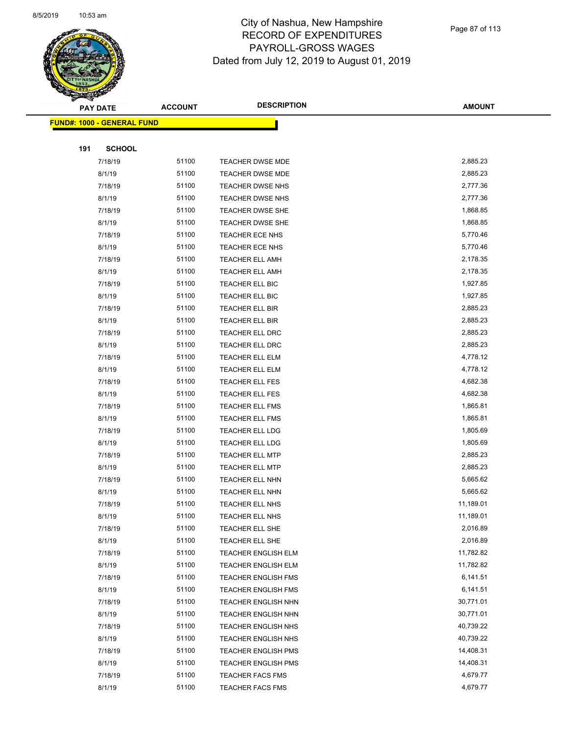

|     | <b>PAY DATE</b>                    | <b>ACCOUNT</b> | <b>DESCRIPTION</b>         | <b>AMOUNT</b> |
|-----|------------------------------------|----------------|----------------------------|---------------|
|     | <u> FUND#: 1000 - GENERAL FUND</u> |                |                            |               |
|     |                                    |                |                            |               |
| 191 | <b>SCHOOL</b>                      |                |                            |               |
|     | 7/18/19                            | 51100          | TEACHER DWSE MDE           | 2,885.23      |
|     | 8/1/19                             | 51100          | <b>TEACHER DWSE MDE</b>    | 2,885.23      |
|     | 7/18/19                            | 51100          | TEACHER DWSE NHS           | 2,777.36      |
|     | 8/1/19                             | 51100          | TEACHER DWSE NHS           | 2,777.36      |
|     | 7/18/19                            | 51100          | TEACHER DWSE SHE           | 1,868.85      |
|     | 8/1/19                             | 51100          | TEACHER DWSE SHE           | 1,868.85      |
|     | 7/18/19                            | 51100          | TEACHER ECE NHS            | 5,770.46      |
|     | 8/1/19                             | 51100          | TEACHER ECE NHS            | 5,770.46      |
|     | 7/18/19                            | 51100          | TEACHER ELL AMH            | 2,178.35      |
|     | 8/1/19                             | 51100          | TEACHER ELL AMH            | 2,178.35      |
|     | 7/18/19                            | 51100          | TEACHER ELL BIC            | 1,927.85      |
|     | 8/1/19                             | 51100          | TEACHER ELL BIC            | 1,927.85      |
|     | 7/18/19                            | 51100          | TEACHER ELL BIR            | 2,885.23      |
|     | 8/1/19                             | 51100          | TEACHER ELL BIR            | 2,885.23      |
|     | 7/18/19                            | 51100          | TEACHER ELL DRC            | 2,885.23      |
|     | 8/1/19                             | 51100          | TEACHER ELL DRC            | 2,885.23      |
|     | 7/18/19                            | 51100          | TEACHER ELL ELM            | 4,778.12      |
|     | 8/1/19                             | 51100          | TEACHER ELL ELM            | 4,778.12      |
|     | 7/18/19                            | 51100          | TEACHER ELL FES            | 4,682.38      |
|     | 8/1/19                             | 51100          | TEACHER ELL FES            | 4,682.38      |
|     | 7/18/19                            | 51100          | TEACHER ELL FMS            | 1,865.81      |
|     | 8/1/19                             | 51100          | TEACHER ELL FMS            | 1,865.81      |
|     | 7/18/19                            | 51100          | TEACHER ELL LDG            | 1,805.69      |
|     | 8/1/19                             | 51100          | TEACHER ELL LDG            | 1,805.69      |
|     | 7/18/19                            | 51100          | TEACHER ELL MTP            | 2,885.23      |
|     | 8/1/19                             | 51100          | TEACHER ELL MTP            | 2,885.23      |
|     | 7/18/19                            | 51100          | TEACHER ELL NHN            | 5,665.62      |
|     | 8/1/19                             | 51100          | TEACHER ELL NHN            | 5,665.62      |
|     | 7/18/19                            | 51100          | TEACHER ELL NHS            | 11,189.01     |
|     | 8/1/19                             | 51100          | TEACHER ELL NHS            | 11,189.01     |
|     | 7/18/19                            | 51100          | TEACHER ELL SHE            | 2,016.89      |
|     | 8/1/19                             | 51100          | TEACHER ELL SHE            | 2,016.89      |
|     | 7/18/19                            | 51100          | TEACHER ENGLISH ELM        | 11,782.82     |
|     | 8/1/19                             | 51100          | TEACHER ENGLISH ELM        | 11,782.82     |
|     | 7/18/19                            | 51100          | TEACHER ENGLISH FMS        | 6,141.51      |
|     | 8/1/19                             | 51100          | <b>TEACHER ENGLISH FMS</b> | 6,141.51      |
|     | 7/18/19                            | 51100          | TEACHER ENGLISH NHN        | 30,771.01     |
|     | 8/1/19                             | 51100          | TEACHER ENGLISH NHN        | 30,771.01     |
|     | 7/18/19                            | 51100          | <b>TEACHER ENGLISH NHS</b> | 40,739.22     |
|     | 8/1/19                             | 51100          | <b>TEACHER ENGLISH NHS</b> | 40,739.22     |
|     | 7/18/19                            | 51100          | TEACHER ENGLISH PMS        | 14,408.31     |
|     | 8/1/19                             | 51100          | <b>TEACHER ENGLISH PMS</b> | 14,408.31     |
|     | 7/18/19                            | 51100          | <b>TEACHER FACS FMS</b>    | 4,679.77      |
|     | 8/1/19                             | 51100          | TEACHER FACS FMS           | 4,679.77      |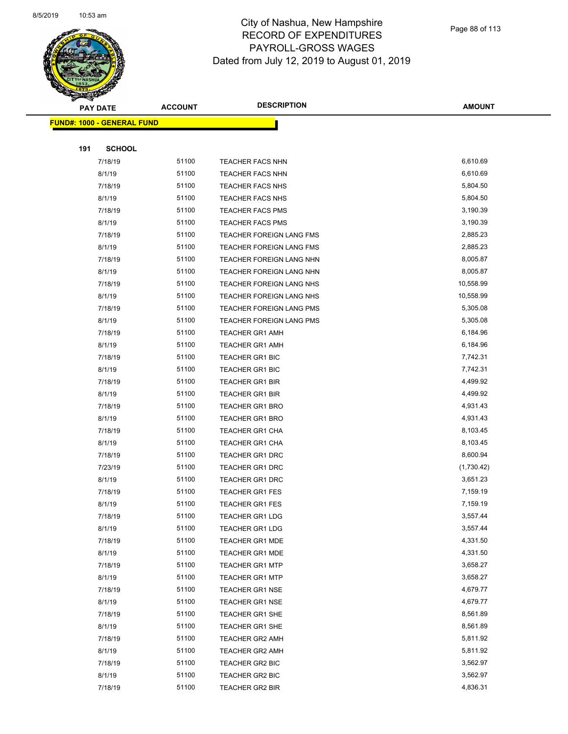

|     | <b>PAY DATE</b>                    | <b>ACCOUNT</b> | <b>DESCRIPTION</b>              | <b>AMOUNT</b> |
|-----|------------------------------------|----------------|---------------------------------|---------------|
|     | <u> FUND#: 1000 - GENERAL FUND</u> |                |                                 |               |
|     |                                    |                |                                 |               |
| 191 | <b>SCHOOL</b>                      |                |                                 |               |
|     | 7/18/19                            | 51100          | <b>TEACHER FACS NHN</b>         | 6,610.69      |
|     | 8/1/19                             | 51100          | <b>TEACHER FACS NHN</b>         | 6,610.69      |
|     | 7/18/19                            | 51100          | <b>TEACHER FACS NHS</b>         | 5,804.50      |
|     | 8/1/19                             | 51100          | <b>TEACHER FACS NHS</b>         | 5,804.50      |
|     | 7/18/19                            | 51100          | TEACHER FACS PMS                | 3,190.39      |
|     | 8/1/19                             | 51100          | TEACHER FACS PMS                | 3,190.39      |
|     | 7/18/19                            | 51100          | TEACHER FOREIGN LANG FMS        | 2,885.23      |
|     | 8/1/19                             | 51100          | <b>TEACHER FOREIGN LANG FMS</b> | 2,885.23      |
|     | 7/18/19                            | 51100          | TEACHER FOREIGN LANG NHN        | 8,005.87      |
|     | 8/1/19                             | 51100          | TEACHER FOREIGN LANG NHN        | 8,005.87      |
|     | 7/18/19                            | 51100          | TEACHER FOREIGN LANG NHS        | 10,558.99     |
|     | 8/1/19                             | 51100          | TEACHER FOREIGN LANG NHS        | 10,558.99     |
|     | 7/18/19                            | 51100          | TEACHER FOREIGN LANG PMS        | 5,305.08      |
|     | 8/1/19                             | 51100          | TEACHER FOREIGN LANG PMS        | 5,305.08      |
|     | 7/18/19                            | 51100          | <b>TEACHER GR1 AMH</b>          | 6,184.96      |
|     | 8/1/19                             | 51100          | <b>TEACHER GR1 AMH</b>          | 6,184.96      |
|     | 7/18/19                            | 51100          | <b>TEACHER GR1 BIC</b>          | 7,742.31      |
|     | 8/1/19                             | 51100          | <b>TEACHER GR1 BIC</b>          | 7,742.31      |
|     | 7/18/19                            | 51100          | <b>TEACHER GR1 BIR</b>          | 4,499.92      |
|     | 8/1/19                             | 51100          | <b>TEACHER GR1 BIR</b>          | 4,499.92      |
|     | 7/18/19                            | 51100          | TEACHER GR1 BRO                 | 4,931.43      |
|     | 8/1/19                             | 51100          | <b>TEACHER GR1 BRO</b>          | 4,931.43      |
|     | 7/18/19                            | 51100          | <b>TEACHER GR1 CHA</b>          | 8,103.45      |
|     | 8/1/19                             | 51100          | <b>TEACHER GR1 CHA</b>          | 8,103.45      |
|     | 7/18/19                            | 51100          | <b>TEACHER GR1 DRC</b>          | 8,600.94      |
|     | 7/23/19                            | 51100          | <b>TEACHER GR1 DRC</b>          | (1,730.42)    |
|     | 8/1/19                             | 51100          | <b>TEACHER GR1 DRC</b>          | 3,651.23      |
|     | 7/18/19                            | 51100          | <b>TEACHER GR1 FES</b>          | 7,159.19      |
|     | 8/1/19                             | 51100          | <b>TEACHER GR1 FES</b>          | 7,159.19      |
|     | 7/18/19                            | 51100          | TEACHER GR1 LDG                 | 3,557.44      |
|     | 8/1/19                             | 51100          | <b>TEACHER GR1 LDG</b>          | 3,557.44      |
|     | 7/18/19                            | 51100          | <b>TEACHER GR1 MDE</b>          | 4,331.50      |
|     | 8/1/19                             | 51100          | TEACHER GR1 MDE                 | 4,331.50      |
|     | 7/18/19                            | 51100          | <b>TEACHER GR1 MTP</b>          | 3,658.27      |
|     | 8/1/19                             | 51100          | <b>TEACHER GR1 MTP</b>          | 3,658.27      |
|     | 7/18/19                            | 51100          | <b>TEACHER GR1 NSE</b>          | 4,679.77      |
|     | 8/1/19                             | 51100          | <b>TEACHER GR1 NSE</b>          | 4,679.77      |
|     | 7/18/19                            | 51100          | TEACHER GR1 SHE                 | 8,561.89      |
|     | 8/1/19                             | 51100          | TEACHER GR1 SHE                 | 8,561.89      |
|     | 7/18/19                            | 51100          | <b>TEACHER GR2 AMH</b>          | 5,811.92      |
|     | 8/1/19                             | 51100          | <b>TEACHER GR2 AMH</b>          | 5,811.92      |
|     | 7/18/19                            | 51100          | TEACHER GR2 BIC                 | 3,562.97      |
|     | 8/1/19                             | 51100          | TEACHER GR2 BIC                 | 3,562.97      |
|     | 7/18/19                            | 51100          | <b>TEACHER GR2 BIR</b>          | 4,836.31      |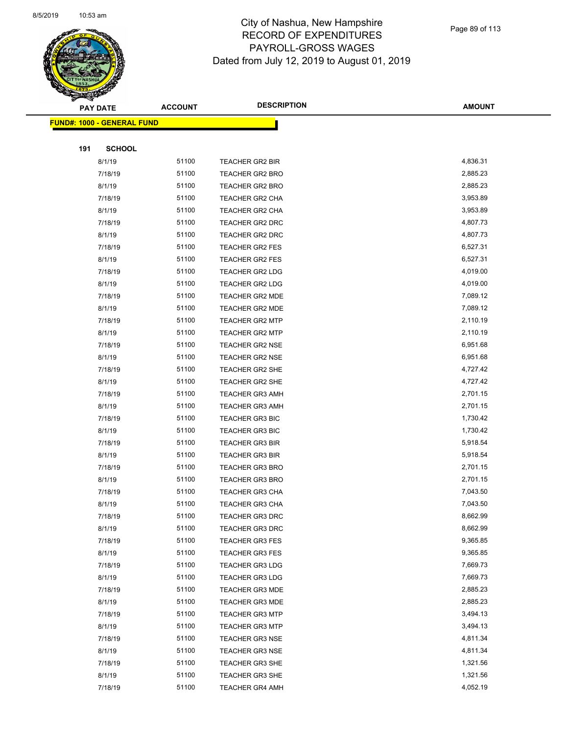

|     | <b>PAY DATE</b>                   | <b>ACCOUNT</b> | <b>DESCRIPTION</b>                               | <b>AMOUNT</b>        |
|-----|-----------------------------------|----------------|--------------------------------------------------|----------------------|
|     | <b>FUND#: 1000 - GENERAL FUND</b> |                |                                                  |                      |
|     |                                   |                |                                                  |                      |
| 191 | <b>SCHOOL</b>                     |                |                                                  |                      |
|     | 8/1/19                            | 51100          | <b>TEACHER GR2 BIR</b>                           | 4,836.31             |
|     | 7/18/19                           | 51100          | <b>TEACHER GR2 BRO</b>                           | 2,885.23             |
|     | 8/1/19                            | 51100          | TEACHER GR2 BRO                                  | 2,885.23             |
|     | 7/18/19                           | 51100          | <b>TEACHER GR2 CHA</b>                           | 3,953.89             |
|     | 8/1/19                            | 51100          | TEACHER GR2 CHA                                  | 3,953.89             |
|     | 7/18/19                           | 51100          | TEACHER GR2 DRC                                  | 4,807.73             |
|     | 8/1/19                            | 51100          | <b>TEACHER GR2 DRC</b>                           | 4,807.73             |
|     | 7/18/19                           | 51100          | <b>TEACHER GR2 FES</b>                           | 6,527.31             |
|     | 8/1/19                            | 51100          | <b>TEACHER GR2 FES</b>                           | 6,527.31             |
|     | 7/18/19                           | 51100          | TEACHER GR2 LDG                                  | 4,019.00             |
|     | 8/1/19                            | 51100          | <b>TEACHER GR2 LDG</b>                           | 4,019.00             |
|     | 7/18/19                           | 51100          | <b>TEACHER GR2 MDE</b>                           | 7,089.12             |
|     | 8/1/19                            | 51100          | TEACHER GR2 MDE                                  | 7,089.12             |
|     | 7/18/19                           | 51100          | <b>TEACHER GR2 MTP</b>                           | 2,110.19             |
|     | 8/1/19                            | 51100          | <b>TEACHER GR2 MTP</b>                           | 2,110.19             |
|     | 7/18/19                           | 51100          | <b>TEACHER GR2 NSE</b>                           | 6,951.68             |
|     | 8/1/19                            | 51100          | <b>TEACHER GR2 NSE</b>                           | 6,951.68             |
|     | 7/18/19                           | 51100          | TEACHER GR2 SHE                                  | 4,727.42             |
|     | 8/1/19                            | 51100          | <b>TEACHER GR2 SHE</b>                           | 4,727.42             |
|     | 7/18/19                           | 51100          | <b>TEACHER GR3 AMH</b>                           | 2,701.15             |
|     | 8/1/19                            | 51100          | <b>TEACHER GR3 AMH</b>                           | 2,701.15             |
|     | 7/18/19                           | 51100          | <b>TEACHER GR3 BIC</b>                           | 1,730.42             |
|     | 8/1/19                            | 51100          | <b>TEACHER GR3 BIC</b>                           | 1,730.42             |
|     | 7/18/19                           | 51100          | <b>TEACHER GR3 BIR</b>                           | 5,918.54             |
|     | 8/1/19                            | 51100          | <b>TEACHER GR3 BIR</b>                           | 5,918.54             |
|     | 7/18/19                           | 51100          | <b>TEACHER GR3 BRO</b>                           | 2,701.15             |
|     | 8/1/19                            | 51100          | <b>TEACHER GR3 BRO</b>                           | 2,701.15             |
|     | 7/18/19                           | 51100          | <b>TEACHER GR3 CHA</b>                           | 7,043.50             |
|     | 8/1/19                            | 51100          | <b>TEACHER GR3 CHA</b>                           | 7,043.50             |
|     | 7/18/19                           | 51100          | TEACHER GR3 DRC                                  | 8,662.99             |
|     | 8/1/19                            | 51100          | <b>TEACHER GR3 DRC</b>                           | 8,662.99<br>9,365.85 |
|     | 7/18/19<br>8/1/19                 | 51100<br>51100 | <b>TEACHER GR3 FES</b><br><b>TEACHER GR3 FES</b> | 9,365.85             |
|     | 7/18/19                           | 51100          | <b>TEACHER GR3 LDG</b>                           | 7,669.73             |
|     | 8/1/19                            | 51100          | <b>TEACHER GR3 LDG</b>                           | 7,669.73             |
|     | 7/18/19                           | 51100          | <b>TEACHER GR3 MDE</b>                           | 2,885.23             |
|     | 8/1/19                            | 51100          | <b>TEACHER GR3 MDE</b>                           | 2,885.23             |
|     | 7/18/19                           | 51100          | <b>TEACHER GR3 MTP</b>                           | 3,494.13             |
|     | 8/1/19                            | 51100          | <b>TEACHER GR3 MTP</b>                           | 3,494.13             |
|     | 7/18/19                           | 51100          | <b>TEACHER GR3 NSE</b>                           | 4,811.34             |
|     | 8/1/19                            | 51100          | <b>TEACHER GR3 NSE</b>                           | 4,811.34             |
|     | 7/18/19                           | 51100          | <b>TEACHER GR3 SHE</b>                           | 1,321.56             |
|     | 8/1/19                            | 51100          | TEACHER GR3 SHE                                  | 1,321.56             |
|     | 7/18/19                           | 51100          | <b>TEACHER GR4 AMH</b>                           | 4,052.19             |
|     |                                   |                |                                                  |                      |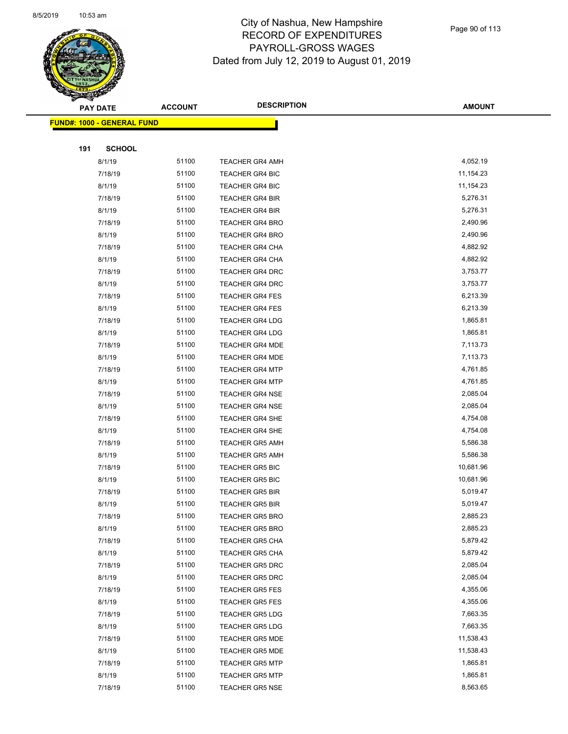

|     | <b>PAY DATE</b>                    | <b>ACCOUNT</b> | <b>DESCRIPTION</b>     | <b>AMOUNT</b> |
|-----|------------------------------------|----------------|------------------------|---------------|
|     | <u> FUND#: 1000 - GENERAL FUND</u> |                |                        |               |
|     |                                    |                |                        |               |
| 191 | <b>SCHOOL</b>                      |                |                        |               |
|     | 8/1/19                             | 51100          | <b>TEACHER GR4 AMH</b> | 4,052.19      |
|     | 7/18/19                            | 51100          | <b>TEACHER GR4 BIC</b> | 11,154.23     |
|     | 8/1/19                             | 51100          | <b>TEACHER GR4 BIC</b> | 11,154.23     |
|     | 7/18/19                            | 51100          | <b>TEACHER GR4 BIR</b> | 5,276.31      |
|     | 8/1/19                             | 51100          | <b>TEACHER GR4 BIR</b> | 5,276.31      |
|     | 7/18/19                            | 51100          | <b>TEACHER GR4 BRO</b> | 2,490.96      |
|     | 8/1/19                             | 51100          | <b>TEACHER GR4 BRO</b> | 2,490.96      |
|     | 7/18/19                            | 51100          | <b>TEACHER GR4 CHA</b> | 4,882.92      |
|     | 8/1/19                             | 51100          | <b>TEACHER GR4 CHA</b> | 4,882.92      |
|     | 7/18/19                            | 51100          | TEACHER GR4 DRC        | 3,753.77      |
|     | 8/1/19                             | 51100          | <b>TEACHER GR4 DRC</b> | 3,753.77      |
|     | 7/18/19                            | 51100          | <b>TEACHER GR4 FES</b> | 6,213.39      |
|     | 8/1/19                             | 51100          | <b>TEACHER GR4 FES</b> | 6,213.39      |
|     | 7/18/19                            | 51100          | <b>TEACHER GR4 LDG</b> | 1,865.81      |
|     | 8/1/19                             | 51100          | <b>TEACHER GR4 LDG</b> | 1,865.81      |
|     | 7/18/19                            | 51100          | <b>TEACHER GR4 MDE</b> | 7,113.73      |
|     | 8/1/19                             | 51100          | <b>TEACHER GR4 MDE</b> | 7,113.73      |
|     | 7/18/19                            | 51100          | <b>TEACHER GR4 MTP</b> | 4,761.85      |
|     | 8/1/19                             | 51100          | <b>TEACHER GR4 MTP</b> | 4,761.85      |
|     | 7/18/19                            | 51100          | <b>TEACHER GR4 NSE</b> | 2,085.04      |
|     | 8/1/19                             | 51100          | <b>TEACHER GR4 NSE</b> | 2,085.04      |
|     | 7/18/19                            | 51100          | <b>TEACHER GR4 SHE</b> | 4,754.08      |
|     | 8/1/19                             | 51100          | <b>TEACHER GR4 SHE</b> | 4,754.08      |
|     | 7/18/19                            | 51100          | <b>TEACHER GR5 AMH</b> | 5,586.38      |
|     | 8/1/19                             | 51100          | <b>TEACHER GR5 AMH</b> | 5,586.38      |
|     | 7/18/19                            | 51100          | TEACHER GR5 BIC        | 10,681.96     |
|     | 8/1/19                             | 51100          | <b>TEACHER GR5 BIC</b> | 10,681.96     |
|     | 7/18/19                            | 51100          | <b>TEACHER GR5 BIR</b> | 5,019.47      |
|     | 8/1/19                             | 51100          | <b>TEACHER GR5 BIR</b> | 5,019.47      |
|     | 7/18/19                            | 51100          | TEACHER GR5 BRO        | 2,885.23      |
|     | 8/1/19                             | 51100          | <b>TEACHER GR5 BRO</b> | 2,885.23      |
|     | 7/18/19                            | 51100          | TEACHER GR5 CHA        | 5,879.42      |
|     | 8/1/19                             | 51100          | TEACHER GR5 CHA        | 5,879.42      |
|     | 7/18/19                            | 51100          | <b>TEACHER GR5 DRC</b> | 2,085.04      |
|     | 8/1/19                             | 51100          | <b>TEACHER GR5 DRC</b> | 2,085.04      |
|     | 7/18/19                            | 51100          | <b>TEACHER GR5 FES</b> | 4,355.06      |
|     | 8/1/19                             | 51100          | <b>TEACHER GR5 FES</b> | 4,355.06      |
|     | 7/18/19                            | 51100          | <b>TEACHER GR5 LDG</b> | 7,663.35      |
|     | 8/1/19                             | 51100          | <b>TEACHER GR5 LDG</b> | 7,663.35      |
|     | 7/18/19                            | 51100          | <b>TEACHER GR5 MDE</b> | 11,538.43     |
|     | 8/1/19                             | 51100          | <b>TEACHER GR5 MDE</b> | 11,538.43     |
|     | 7/18/19                            | 51100          | <b>TEACHER GR5 MTP</b> | 1,865.81      |
|     | 8/1/19                             | 51100          | <b>TEACHER GR5 MTP</b> | 1,865.81      |
|     | 7/18/19                            | 51100          | <b>TEACHER GR5 NSE</b> | 8,563.65      |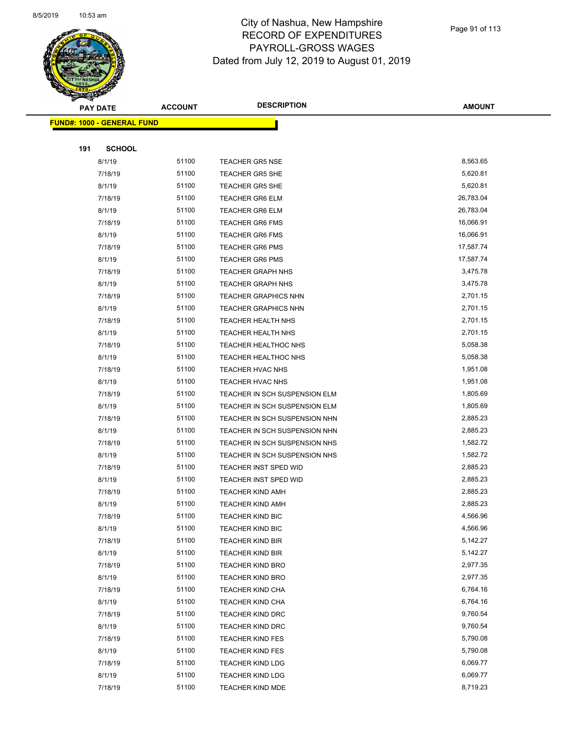

|     | <b>PAY DATE</b>                    | <b>ACCOUNT</b> | <b>DESCRIPTION</b>                                 | <b>AMOUNT</b>        |
|-----|------------------------------------|----------------|----------------------------------------------------|----------------------|
|     | <u> FUND#: 1000 - GENERAL FUND</u> |                |                                                    |                      |
|     |                                    |                |                                                    |                      |
| 191 | <b>SCHOOL</b>                      |                |                                                    |                      |
|     | 8/1/19                             | 51100          | <b>TEACHER GR5 NSE</b>                             | 8,563.65             |
|     | 7/18/19                            | 51100          | <b>TEACHER GR5 SHE</b>                             | 5,620.81             |
|     | 8/1/19                             | 51100          | <b>TEACHER GR5 SHE</b>                             | 5,620.81             |
|     | 7/18/19                            | 51100          | <b>TEACHER GR6 ELM</b>                             | 26,783.04            |
|     | 8/1/19                             | 51100          | <b>TEACHER GR6 ELM</b>                             | 26,783.04            |
|     | 7/18/19                            | 51100          | <b>TEACHER GR6 FMS</b>                             | 16,066.91            |
|     | 8/1/19                             | 51100          | <b>TEACHER GR6 FMS</b>                             | 16,066.91            |
|     | 7/18/19                            | 51100          | <b>TEACHER GR6 PMS</b>                             | 17,587.74            |
|     | 8/1/19                             | 51100          | <b>TEACHER GR6 PMS</b>                             | 17,587.74            |
|     | 7/18/19                            | 51100          | <b>TEACHER GRAPH NHS</b>                           | 3,475.78             |
|     | 8/1/19                             | 51100          | <b>TEACHER GRAPH NHS</b>                           | 3,475.78             |
|     | 7/18/19                            | 51100          | <b>TEACHER GRAPHICS NHN</b>                        | 2,701.15             |
|     | 8/1/19                             | 51100          | <b>TEACHER GRAPHICS NHN</b>                        | 2,701.15             |
|     | 7/18/19                            | 51100          | TEACHER HEALTH NHS                                 | 2,701.15             |
|     | 8/1/19                             | 51100          | TEACHER HEALTH NHS                                 | 2,701.15             |
|     | 7/18/19                            | 51100          | TEACHER HEALTHOC NHS                               | 5,058.38             |
|     | 8/1/19                             | 51100          | TEACHER HEALTHOC NHS                               | 5,058.38             |
|     | 7/18/19                            | 51100          | TEACHER HVAC NHS                                   | 1,951.08             |
|     | 8/1/19                             | 51100          | TEACHER HVAC NHS                                   | 1,951.08             |
|     | 7/18/19                            | 51100          | TEACHER IN SCH SUSPENSION ELM                      | 1,805.69             |
|     | 8/1/19                             | 51100          | TEACHER IN SCH SUSPENSION ELM                      | 1,805.69             |
|     | 7/18/19                            | 51100          | TEACHER IN SCH SUSPENSION NHN                      | 2,885.23             |
|     | 8/1/19                             | 51100          | TEACHER IN SCH SUSPENSION NHN                      | 2,885.23             |
|     | 7/18/19                            | 51100          | TEACHER IN SCH SUSPENSION NHS                      | 1,582.72             |
|     | 8/1/19                             | 51100          | TEACHER IN SCH SUSPENSION NHS                      | 1,582.72             |
|     | 7/18/19                            | 51100          | TEACHER INST SPED WID                              | 2,885.23             |
|     | 8/1/19                             | 51100          | TEACHER INST SPED WID                              | 2,885.23             |
|     | 7/18/19                            | 51100          | TEACHER KIND AMH                                   | 2,885.23             |
|     | 8/1/19                             | 51100          | <b>TEACHER KIND AMH</b>                            | 2,885.23             |
|     | 7/18/19                            | 51100          | TEACHER KIND BIC                                   | 4,566.96             |
|     | 8/1/19                             | 51100          | <b>TEACHER KIND BIC</b>                            | 4,566.96             |
|     | 7/18/19                            | 51100          | <b>TEACHER KIND BIR</b>                            | 5,142.27             |
|     | 8/1/19                             | 51100          | <b>TEACHER KIND BIR</b>                            | 5,142.27             |
|     | 7/18/19                            | 51100          | <b>TEACHER KIND BRO</b>                            | 2,977.35             |
|     | 8/1/19                             | 51100          | <b>TEACHER KIND BRO</b>                            | 2,977.35             |
|     | 7/18/19                            | 51100          | <b>TEACHER KIND CHA</b>                            | 6,764.16             |
|     | 8/1/19                             | 51100          | <b>TEACHER KIND CHA</b>                            | 6,764.16             |
|     | 7/18/19                            | 51100          | <b>TEACHER KIND DRC</b>                            | 9,760.54             |
|     | 8/1/19                             | 51100          | <b>TEACHER KIND DRC</b>                            | 9,760.54             |
|     | 7/18/19                            | 51100<br>51100 | <b>TEACHER KIND FES</b>                            | 5,790.08             |
|     | 8/1/19                             | 51100          | <b>TEACHER KIND FES</b>                            | 5,790.08<br>6,069.77 |
|     | 7/18/19<br>8/1/19                  | 51100          | <b>TEACHER KIND LDG</b><br><b>TEACHER KIND LDG</b> | 6,069.77             |
|     |                                    |                |                                                    | 8,719.23             |
|     | 7/18/19                            | 51100          | TEACHER KIND MDE                                   |                      |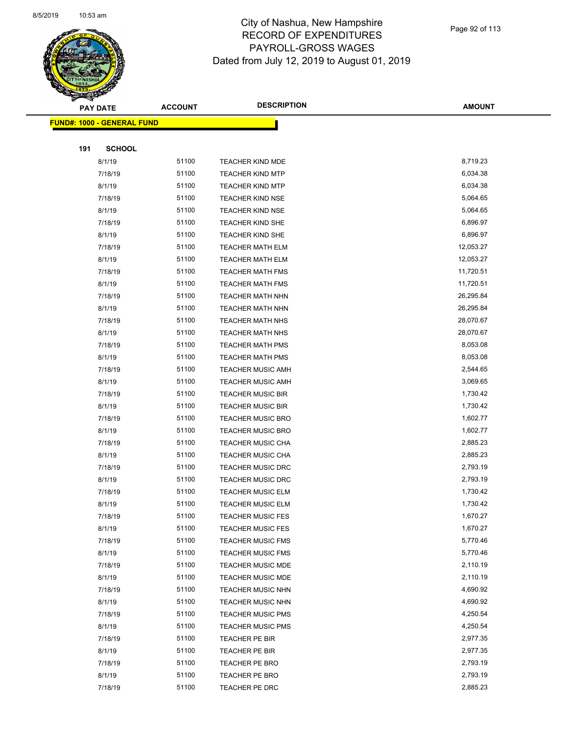

|     | <b>PAY DATE</b>                    | <b>ACCOUNT</b> | <b>DESCRIPTION</b>               | <b>AMOUNT</b>        |
|-----|------------------------------------|----------------|----------------------------------|----------------------|
|     | <u> FUND#: 1000 - GENERAL FUND</u> |                |                                  |                      |
|     |                                    |                |                                  |                      |
| 191 | <b>SCHOOL</b>                      |                |                                  |                      |
|     | 8/1/19                             | 51100          | TEACHER KIND MDE                 | 8,719.23             |
|     | 7/18/19                            | 51100          | <b>TEACHER KIND MTP</b>          | 6,034.38             |
|     | 8/1/19                             | 51100          | <b>TEACHER KIND MTP</b>          | 6,034.38             |
|     | 7/18/19                            | 51100          | <b>TEACHER KIND NSE</b>          | 5,064.65             |
|     | 8/1/19                             | 51100          | <b>TEACHER KIND NSE</b>          | 5,064.65             |
|     | 7/18/19                            | 51100          | TEACHER KIND SHE                 | 6,896.97             |
|     | 8/1/19                             | 51100          | TEACHER KIND SHE                 | 6,896.97             |
|     | 7/18/19                            | 51100          | <b>TEACHER MATH ELM</b>          | 12,053.27            |
|     | 8/1/19                             | 51100          | <b>TEACHER MATH ELM</b>          | 12,053.27            |
|     | 7/18/19                            | 51100          | <b>TEACHER MATH FMS</b>          | 11,720.51            |
|     | 8/1/19                             | 51100          | <b>TEACHER MATH FMS</b>          | 11,720.51            |
|     | 7/18/19                            | 51100          | <b>TEACHER MATH NHN</b>          | 26,295.84            |
|     | 8/1/19                             | 51100          | <b>TEACHER MATH NHN</b>          | 26,295.84            |
|     | 7/18/19                            | 51100          | <b>TEACHER MATH NHS</b>          | 28,070.67            |
|     | 8/1/19                             | 51100          | <b>TEACHER MATH NHS</b>          | 28,070.67            |
|     | 7/18/19                            | 51100          | <b>TEACHER MATH PMS</b>          | 8,053.08             |
|     | 8/1/19                             | 51100          | <b>TEACHER MATH PMS</b>          | 8,053.08             |
|     | 7/18/19                            | 51100          | <b>TEACHER MUSIC AMH</b>         | 2,544.65             |
|     | 8/1/19                             | 51100          | <b>TEACHER MUSIC AMH</b>         | 3,069.65             |
|     | 7/18/19                            | 51100          | <b>TEACHER MUSIC BIR</b>         | 1,730.42             |
|     | 8/1/19                             | 51100          | <b>TEACHER MUSIC BIR</b>         | 1,730.42             |
|     | 7/18/19                            | 51100          | <b>TEACHER MUSIC BRO</b>         | 1,602.77             |
|     | 8/1/19                             | 51100          | <b>TEACHER MUSIC BRO</b>         | 1,602.77             |
|     | 7/18/19                            | 51100          | <b>TEACHER MUSIC CHA</b>         | 2,885.23             |
|     | 8/1/19                             | 51100          | TEACHER MUSIC CHA                | 2,885.23             |
|     | 7/18/19                            | 51100          | <b>TEACHER MUSIC DRC</b>         | 2,793.19             |
|     | 8/1/19                             | 51100          | <b>TEACHER MUSIC DRC</b>         | 2,793.19             |
|     | 7/18/19                            | 51100          | TEACHER MUSIC ELM                | 1,730.42             |
|     | 8/1/19                             | 51100          | <b>TEACHER MUSIC ELM</b>         | 1,730.42             |
|     | 7/18/19                            | 51100          | TEACHER MUSIC FES                | 1,670.27             |
|     | 8/1/19                             | 51100          | <b>TEACHER MUSIC FES</b>         | 1,670.27             |
|     | 7/18/19                            | 51100          | <b>TEACHER MUSIC FMS</b>         | 5,770.46             |
|     | 8/1/19                             | 51100          | <b>TEACHER MUSIC FMS</b>         | 5,770.46             |
|     | 7/18/19                            | 51100          | <b>TEACHER MUSIC MDE</b>         | 2,110.19             |
|     | 8/1/19                             | 51100          | <b>TEACHER MUSIC MDE</b>         | 2,110.19             |
|     | 7/18/19                            | 51100<br>51100 | <b>TEACHER MUSIC NHN</b>         | 4,690.92<br>4,690.92 |
|     | 8/1/19                             | 51100          | <b>TEACHER MUSIC NHN</b>         | 4,250.54             |
|     | 7/18/19                            |                | <b>TEACHER MUSIC PMS</b>         |                      |
|     | 8/1/19                             | 51100<br>51100 | <b>TEACHER MUSIC PMS</b>         | 4,250.54<br>2,977.35 |
|     | 7/18/19                            | 51100          | TEACHER PE BIR                   | 2,977.35             |
|     | 8/1/19<br>7/18/19                  | 51100          | TEACHER PE BIR<br>TEACHER PE BRO | 2,793.19             |
|     | 8/1/19                             | 51100          | <b>TEACHER PE BRO</b>            | 2,793.19             |
|     | 7/18/19                            | 51100          | TEACHER PE DRC                   | 2,885.23             |
|     |                                    |                |                                  |                      |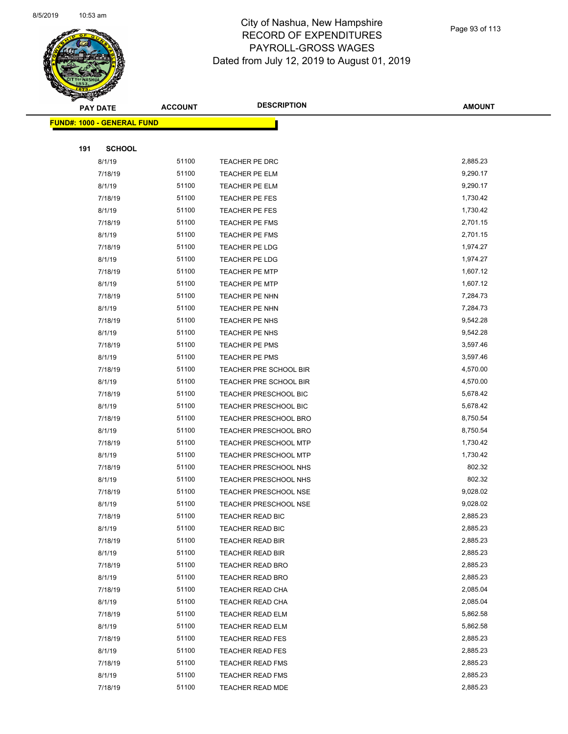

|     | <b>PAY DATE</b>                    | <b>ACCOUNT</b> | <b>DESCRIPTION</b>                   | <b>AMOUNT</b>        |
|-----|------------------------------------|----------------|--------------------------------------|----------------------|
|     | <u> FUND#: 1000 - GENERAL FUND</u> |                |                                      |                      |
|     |                                    |                |                                      |                      |
| 191 | <b>SCHOOL</b>                      |                |                                      |                      |
|     | 8/1/19                             | 51100          | TEACHER PE DRC                       | 2,885.23             |
|     | 7/18/19                            | 51100          | TEACHER PE ELM                       | 9,290.17             |
|     | 8/1/19                             | 51100          | TEACHER PE ELM                       | 9,290.17             |
|     | 7/18/19                            | 51100          | TEACHER PE FES                       | 1,730.42             |
|     | 8/1/19                             | 51100          | TEACHER PE FES                       | 1,730.42             |
|     | 7/18/19                            | 51100          | TEACHER PE FMS                       | 2,701.15             |
|     | 8/1/19                             | 51100          | TEACHER PE FMS                       | 2,701.15             |
|     | 7/18/19                            | 51100          | TEACHER PE LDG                       | 1,974.27             |
|     | 8/1/19                             | 51100          | TEACHER PE LDG                       | 1,974.27             |
|     | 7/18/19                            | 51100          | TEACHER PE MTP                       | 1,607.12             |
|     | 8/1/19                             | 51100          | <b>TEACHER PE MTP</b>                | 1,607.12             |
|     | 7/18/19                            | 51100          | TEACHER PE NHN                       | 7,284.73             |
|     | 8/1/19                             | 51100          | TEACHER PE NHN                       | 7,284.73             |
|     | 7/18/19                            | 51100          | TEACHER PE NHS                       | 9,542.28             |
|     | 8/1/19                             | 51100          | TEACHER PE NHS                       | 9,542.28             |
|     | 7/18/19                            | 51100          | TEACHER PE PMS                       | 3,597.46             |
|     | 8/1/19                             | 51100          | TEACHER PE PMS                       | 3,597.46             |
|     | 7/18/19                            | 51100          | TEACHER PRE SCHOOL BIR               | 4,570.00             |
|     | 8/1/19                             | 51100          | TEACHER PRE SCHOOL BIR               | 4,570.00             |
|     | 7/18/19                            | 51100          | TEACHER PRESCHOOL BIC                | 5,678.42             |
|     | 8/1/19                             | 51100          | <b>TEACHER PRESCHOOL BIC</b>         | 5,678.42             |
|     | 7/18/19                            | 51100          | TEACHER PRESCHOOL BRO                | 8,750.54             |
|     | 8/1/19                             | 51100          | TEACHER PRESCHOOL BRO                | 8,750.54             |
|     | 7/18/19                            | 51100          | <b>TEACHER PRESCHOOL MTP</b>         | 1,730.42             |
|     | 8/1/19                             | 51100          | <b>TEACHER PRESCHOOL MTP</b>         | 1,730.42             |
|     | 7/18/19                            | 51100          | TEACHER PRESCHOOL NHS                | 802.32               |
|     | 8/1/19                             | 51100          | TEACHER PRESCHOOL NHS                | 802.32               |
|     | 7/18/19                            | 51100          | TEACHER PRESCHOOL NSE                | 9,028.02             |
|     | 8/1/19                             | 51100          | <b>TEACHER PRESCHOOL NSE</b>         | 9,028.02             |
|     | 7/18/19                            | 51100          | TEACHER READ BIC                     | 2,885.23             |
|     | 8/1/19                             | 51100          | <b>TEACHER READ BIC</b>              | 2,885.23             |
|     | 7/18/19                            | 51100          | <b>TEACHER READ BIR</b>              | 2,885.23             |
|     | 8/1/19                             | 51100          | TEACHER READ BIR                     | 2,885.23<br>2,885.23 |
|     | 7/18/19                            | 51100<br>51100 | <b>TEACHER READ BRO</b>              | 2,885.23             |
|     | 8/1/19<br>7/18/19                  | 51100          | TEACHER READ BRO<br>TEACHER READ CHA | 2,085.04             |
|     | 8/1/19                             | 51100          | TEACHER READ CHA                     | 2,085.04             |
|     | 7/18/19                            | 51100          | TEACHER READ ELM                     | 5,862.58             |
|     | 8/1/19                             | 51100          | TEACHER READ ELM                     | 5,862.58             |
|     | 7/18/19                            | 51100          | <b>TEACHER READ FES</b>              | 2,885.23             |
|     | 8/1/19                             | 51100          | <b>TEACHER READ FES</b>              | 2,885.23             |
|     | 7/18/19                            | 51100          | TEACHER READ FMS                     | 2,885.23             |
|     | 8/1/19                             | 51100          | TEACHER READ FMS                     | 2,885.23             |
|     | 7/18/19                            | 51100          | TEACHER READ MDE                     | 2,885.23             |
|     |                                    |                |                                      |                      |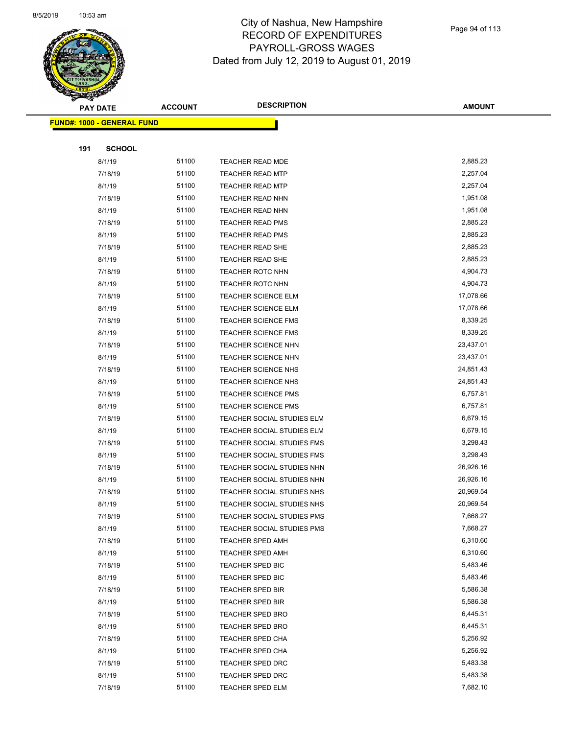

|     | <b>PAY DATE</b>                    | <b>ACCOUNT</b> | <b>DESCRIPTION</b>         | AMOUNT    |
|-----|------------------------------------|----------------|----------------------------|-----------|
|     | <u> FUND#: 1000 - GENERAL FUND</u> |                |                            |           |
|     |                                    |                |                            |           |
| 191 | <b>SCHOOL</b>                      |                |                            |           |
|     | 8/1/19                             | 51100          | <b>TEACHER READ MDE</b>    | 2,885.23  |
|     | 7/18/19                            | 51100          | <b>TEACHER READ MTP</b>    | 2,257.04  |
|     | 8/1/19                             | 51100          | <b>TEACHER READ MTP</b>    | 2,257.04  |
|     | 7/18/19                            | 51100          | TEACHER READ NHN           | 1,951.08  |
|     | 8/1/19                             | 51100          | TEACHER READ NHN           | 1,951.08  |
|     | 7/18/19                            | 51100          | <b>TEACHER READ PMS</b>    | 2,885.23  |
|     | 8/1/19                             | 51100          | <b>TEACHER READ PMS</b>    | 2,885.23  |
|     | 7/18/19                            | 51100          | TEACHER READ SHE           | 2,885.23  |
|     | 8/1/19                             | 51100          | <b>TEACHER READ SHE</b>    | 2,885.23  |
|     | 7/18/19                            | 51100          | <b>TEACHER ROTC NHN</b>    | 4,904.73  |
|     | 8/1/19                             | 51100          | <b>TEACHER ROTC NHN</b>    | 4,904.73  |
|     | 7/18/19                            | 51100          | <b>TEACHER SCIENCE ELM</b> | 17,078.66 |
|     | 8/1/19                             | 51100          | <b>TEACHER SCIENCE ELM</b> | 17,078.66 |
|     | 7/18/19                            | 51100          | <b>TEACHER SCIENCE FMS</b> | 8,339.25  |
|     | 8/1/19                             | 51100          | <b>TEACHER SCIENCE FMS</b> | 8,339.25  |
|     | 7/18/19                            | 51100          | <b>TEACHER SCIENCE NHN</b> | 23,437.01 |
|     | 8/1/19                             | 51100          | <b>TEACHER SCIENCE NHN</b> | 23,437.01 |
|     | 7/18/19                            | 51100          | TEACHER SCIENCE NHS        | 24,851.43 |
|     | 8/1/19                             | 51100          | <b>TEACHER SCIENCE NHS</b> | 24,851.43 |
|     | 7/18/19                            | 51100          | <b>TEACHER SCIENCE PMS</b> | 6,757.81  |
|     | 8/1/19                             | 51100          | <b>TEACHER SCIENCE PMS</b> | 6,757.81  |
|     | 7/18/19                            | 51100          | TEACHER SOCIAL STUDIES ELM | 6,679.15  |
|     | 8/1/19                             | 51100          | TEACHER SOCIAL STUDIES ELM | 6,679.15  |
|     | 7/18/19                            | 51100          | TEACHER SOCIAL STUDIES FMS | 3,298.43  |
|     | 8/1/19                             | 51100          | TEACHER SOCIAL STUDIES FMS | 3,298.43  |
|     | 7/18/19                            | 51100          | TEACHER SOCIAL STUDIES NHN | 26,926.16 |
|     | 8/1/19                             | 51100          | TEACHER SOCIAL STUDIES NHN | 26,926.16 |
|     | 7/18/19                            | 51100          | TEACHER SOCIAL STUDIES NHS | 20,969.54 |
|     | 8/1/19                             | 51100          | TEACHER SOCIAL STUDIES NHS | 20,969.54 |
|     | 7/18/19                            | 51100          | TEACHER SOCIAL STUDIES PMS | 7,668.27  |
|     | 8/1/19                             | 51100          | TEACHER SOCIAL STUDIES PMS | 7,668.27  |
|     | 7/18/19                            | 51100          | <b>TEACHER SPED AMH</b>    | 6,310.60  |
|     | 8/1/19                             | 51100          | <b>TEACHER SPED AMH</b>    | 6,310.60  |
|     | 7/18/19                            | 51100          | TEACHER SPED BIC           | 5,483.46  |
|     | 8/1/19                             | 51100          | TEACHER SPED BIC           | 5,483.46  |
|     | 7/18/19                            | 51100          | <b>TEACHER SPED BIR</b>    | 5,586.38  |
|     | 8/1/19                             | 51100          | <b>TEACHER SPED BIR</b>    | 5,586.38  |
|     | 7/18/19                            | 51100          | <b>TEACHER SPED BRO</b>    | 6,445.31  |
|     | 8/1/19                             | 51100          | <b>TEACHER SPED BRO</b>    | 6,445.31  |
|     | 7/18/19                            | 51100          | TEACHER SPED CHA           | 5,256.92  |
|     | 8/1/19                             | 51100          | TEACHER SPED CHA           | 5,256.92  |
|     | 7/18/19                            | 51100          | TEACHER SPED DRC           | 5,483.38  |
|     | 8/1/19                             | 51100          | <b>TEACHER SPED DRC</b>    | 5,483.38  |
|     | 7/18/19                            | 51100          | <b>TEACHER SPED ELM</b>    | 7,682.10  |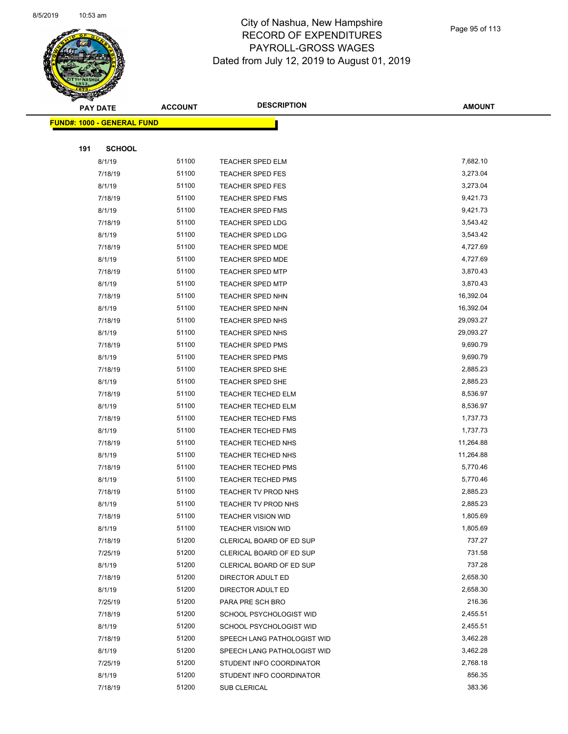

|     | <b>PAY DATE</b>                    | <b>ACCOUNT</b> | <b>DESCRIPTION</b>          | <b>AMOUNT</b> |  |
|-----|------------------------------------|----------------|-----------------------------|---------------|--|
|     | <u> FUND#: 1000 - GENERAL FUND</u> |                |                             |               |  |
|     |                                    |                |                             |               |  |
| 191 | <b>SCHOOL</b>                      |                |                             |               |  |
|     | 8/1/19                             | 51100          | TEACHER SPED ELM            | 7,682.10      |  |
|     | 7/18/19                            | 51100          | <b>TEACHER SPED FES</b>     | 3,273.04      |  |
|     | 8/1/19                             | 51100          | <b>TEACHER SPED FES</b>     | 3,273.04      |  |
|     | 7/18/19                            | 51100          | TEACHER SPED FMS            | 9,421.73      |  |
|     | 8/1/19                             | 51100          | TEACHER SPED FMS            | 9,421.73      |  |
|     | 7/18/19                            | 51100          | <b>TEACHER SPED LDG</b>     | 3,543.42      |  |
|     | 8/1/19                             | 51100          | <b>TEACHER SPED LDG</b>     | 3,543.42      |  |
|     | 7/18/19                            | 51100          | TEACHER SPED MDE            | 4,727.69      |  |
|     | 8/1/19                             | 51100          | <b>TEACHER SPED MDE</b>     | 4,727.69      |  |
|     | 7/18/19                            | 51100          | <b>TEACHER SPED MTP</b>     | 3,870.43      |  |
|     | 8/1/19                             | 51100          | <b>TEACHER SPED MTP</b>     | 3,870.43      |  |
|     | 7/18/19                            | 51100          | TEACHER SPED NHN            | 16,392.04     |  |
|     | 8/1/19                             | 51100          | TEACHER SPED NHN            | 16,392.04     |  |
|     | 7/18/19                            | 51100          | TEACHER SPED NHS            | 29,093.27     |  |
|     | 8/1/19                             | 51100          | TEACHER SPED NHS            | 29,093.27     |  |
|     | 7/18/19                            | 51100          | <b>TEACHER SPED PMS</b>     | 9,690.79      |  |
|     | 8/1/19                             | 51100          | <b>TEACHER SPED PMS</b>     | 9,690.79      |  |
|     | 7/18/19                            | 51100          | TEACHER SPED SHE            | 2,885.23      |  |
|     | 8/1/19                             | 51100          | TEACHER SPED SHE            | 2,885.23      |  |
|     | 7/18/19                            | 51100          | <b>TEACHER TECHED ELM</b>   | 8,536.97      |  |
|     | 8/1/19                             | 51100          | <b>TEACHER TECHED ELM</b>   | 8,536.97      |  |
|     | 7/18/19                            | 51100          | TEACHER TECHED FMS          | 1,737.73      |  |
|     | 8/1/19                             | 51100          | <b>TEACHER TECHED FMS</b>   | 1,737.73      |  |
|     | 7/18/19                            | 51100          | TEACHER TECHED NHS          | 11,264.88     |  |
|     | 8/1/19                             | 51100          | TEACHER TECHED NHS          | 11,264.88     |  |
|     | 7/18/19                            | 51100          | <b>TEACHER TECHED PMS</b>   | 5,770.46      |  |
|     | 8/1/19                             | 51100          | TEACHER TECHED PMS          | 5,770.46      |  |
|     | 7/18/19                            | 51100          | TEACHER TV PROD NHS         | 2,885.23      |  |
|     | 8/1/19                             | 51100          | TEACHER TV PROD NHS         | 2,885.23      |  |
|     | 7/18/19                            | 51100          | TEACHER VISION WID          | 1,805.69      |  |
|     | 8/1/19                             | 51100          | <b>TEACHER VISION WID</b>   | 1,805.69      |  |
|     | 7/18/19                            | 51200          | CLERICAL BOARD OF ED SUP    | 737.27        |  |
|     | 7/25/19                            | 51200          | CLERICAL BOARD OF ED SUP    | 731.58        |  |
|     | 8/1/19                             | 51200          | CLERICAL BOARD OF ED SUP    | 737.28        |  |
|     | 7/18/19                            | 51200          | DIRECTOR ADULT ED           | 2,658.30      |  |
|     | 8/1/19                             | 51200          | DIRECTOR ADULT ED           | 2,658.30      |  |
|     | 7/25/19                            | 51200          | PARA PRE SCH BRO            | 216.36        |  |
|     | 7/18/19                            | 51200          | SCHOOL PSYCHOLOGIST WID     | 2,455.51      |  |
|     | 8/1/19                             | 51200          | SCHOOL PSYCHOLOGIST WID     | 2,455.51      |  |
|     | 7/18/19                            | 51200          | SPEECH LANG PATHOLOGIST WID | 3,462.28      |  |
|     | 8/1/19                             | 51200          | SPEECH LANG PATHOLOGIST WID | 3,462.28      |  |
|     | 7/25/19                            | 51200          | STUDENT INFO COORDINATOR    | 2,768.18      |  |
|     | 8/1/19                             | 51200          | STUDENT INFO COORDINATOR    | 856.35        |  |
|     | 7/18/19                            | 51200          | SUB CLERICAL                | 383.36        |  |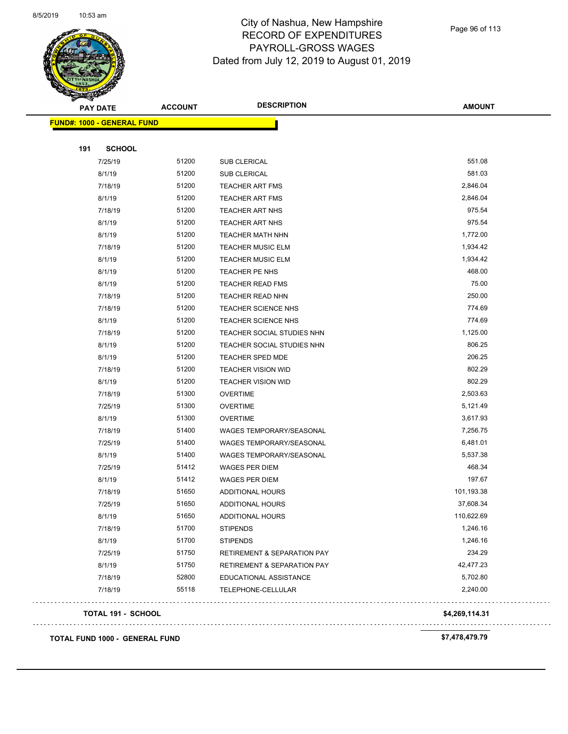

| <b>PAY DATE</b>                   | <b>ACCOUNT</b> | <b>DESCRIPTION</b>                     | <b>AMOUNT</b>  |
|-----------------------------------|----------------|----------------------------------------|----------------|
| <b>FUND#: 1000 - GENERAL FUND</b> |                |                                        |                |
| 191<br><b>SCHOOL</b>              |                |                                        |                |
| 7/25/19                           | 51200          | <b>SUB CLERICAL</b>                    | 551.08         |
| 8/1/19                            | 51200          | <b>SUB CLERICAL</b>                    | 581.03         |
| 7/18/19                           | 51200          | <b>TEACHER ART FMS</b>                 | 2,846.04       |
| 8/1/19                            | 51200          | <b>TEACHER ART FMS</b>                 | 2,846.04       |
| 7/18/19                           | 51200          | <b>TEACHER ART NHS</b>                 | 975.54         |
| 8/1/19                            | 51200          | <b>TEACHER ART NHS</b>                 | 975.54         |
| 8/1/19                            | 51200          | <b>TEACHER MATH NHN</b>                | 1,772.00       |
| 7/18/19                           | 51200          | <b>TEACHER MUSIC ELM</b>               | 1,934.42       |
| 8/1/19                            | 51200          | <b>TEACHER MUSIC ELM</b>               | 1,934.42       |
| 8/1/19                            | 51200          | <b>TEACHER PE NHS</b>                  | 468.00         |
| 8/1/19                            | 51200          | <b>TEACHER READ FMS</b>                | 75.00          |
| 7/18/19                           | 51200          | TEACHER READ NHN                       | 250.00         |
| 7/18/19                           | 51200          | <b>TEACHER SCIENCE NHS</b>             | 774.69         |
| 8/1/19                            | 51200          | <b>TEACHER SCIENCE NHS</b>             | 774.69         |
| 7/18/19                           | 51200          | TEACHER SOCIAL STUDIES NHN             | 1,125.00       |
| 8/1/19                            | 51200          | TEACHER SOCIAL STUDIES NHN             | 806.25         |
| 8/1/19                            | 51200          | <b>TEACHER SPED MDE</b>                | 206.25         |
| 7/18/19                           | 51200          | <b>TEACHER VISION WID</b>              | 802.29         |
| 8/1/19                            | 51200          | <b>TEACHER VISION WID</b>              | 802.29         |
| 7/18/19                           | 51300          | <b>OVERTIME</b>                        | 2,503.63       |
| 7/25/19                           | 51300          | <b>OVERTIME</b>                        | 5,121.49       |
| 8/1/19                            | 51300          | <b>OVERTIME</b>                        | 3,617.93       |
| 7/18/19                           | 51400          | WAGES TEMPORARY/SEASONAL               | 7,256.75       |
| 7/25/19                           | 51400          | <b>WAGES TEMPORARY/SEASONAL</b>        | 6,481.01       |
| 8/1/19                            | 51400          | <b>WAGES TEMPORARY/SEASONAL</b>        | 5,537.38       |
| 7/25/19                           | 51412          | <b>WAGES PER DIEM</b>                  | 468.34         |
| 8/1/19                            | 51412          | <b>WAGES PER DIEM</b>                  | 197.67         |
| 7/18/19                           | 51650          | <b>ADDITIONAL HOURS</b>                | 101,193.38     |
| 7/25/19                           | 51650          | ADDITIONAL HOURS                       | 37,608.34      |
| 8/1/19                            | 51650          | ADDITIONAL HOURS                       | 110,622.69     |
| 7/18/19                           | 51700          | <b>STIPENDS</b>                        | 1,246.16       |
| 8/1/19                            | 51700          | <b>STIPENDS</b>                        | 1,246.16       |
| 7/25/19                           | 51750          | <b>RETIREMENT &amp; SEPARATION PAY</b> | 234.29         |
| 8/1/19                            | 51750          | <b>RETIREMENT &amp; SEPARATION PAY</b> | 42,477.23      |
| 7/18/19                           | 52800          | EDUCATIONAL ASSISTANCE                 | 5,702.80       |
| 7/18/19                           | 55118          | TELEPHONE-CELLULAR                     | 2,240.00       |
| <b>TOTAL 191 - SCHOOL</b>         |                |                                        | \$4,269,114.31 |
|                                   |                |                                        | \$7,478,479.79 |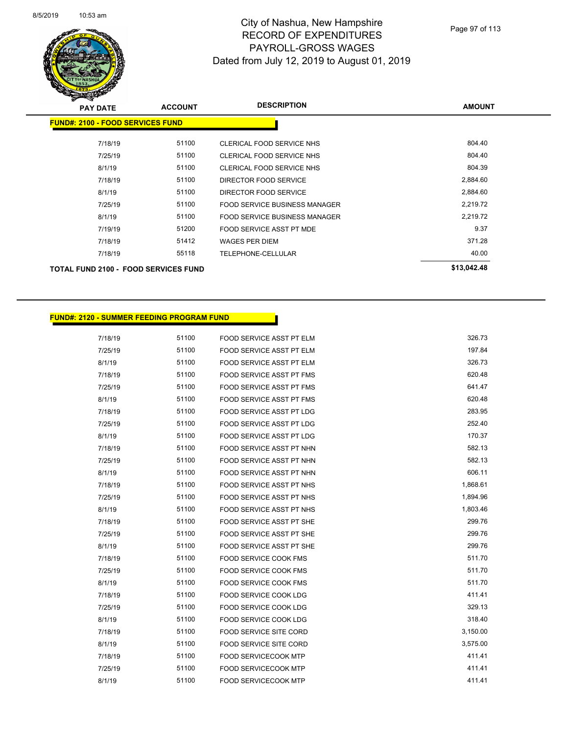

| <b>PAY DATE</b>                             | <b>ACCOUNT</b> | <b>DESCRIPTION</b>                   | <b>AMOUNT</b> |
|---------------------------------------------|----------------|--------------------------------------|---------------|
| <b>FUND#: 2100 - FOOD SERVICES FUND</b>     |                |                                      |               |
| 7/18/19                                     | 51100          | CLERICAL FOOD SERVICE NHS            | 804.40        |
| 7/25/19                                     | 51100          | CLERICAL FOOD SERVICE NHS            | 804.40        |
| 8/1/19                                      | 51100          | CLERICAL FOOD SERVICE NHS            | 804.39        |
| 7/18/19                                     | 51100          | DIRECTOR FOOD SERVICE                | 2,884.60      |
| 8/1/19                                      | 51100          | DIRECTOR FOOD SERVICE                | 2,884.60      |
| 7/25/19                                     | 51100          | <b>FOOD SERVICE BUSINESS MANAGER</b> | 2,219.72      |
| 8/1/19                                      | 51100          | <b>FOOD SERVICE BUSINESS MANAGER</b> | 2,219.72      |
| 7/19/19                                     | 51200          | FOOD SERVICE ASST PT MDE             | 9.37          |
| 7/18/19                                     | 51412          | <b>WAGES PER DIEM</b>                | 371.28        |
| 7/18/19                                     | 55118          | <b>TELEPHONE-CELLULAR</b>            | 40.00         |
| <b>TOTAL FUND 2100 - FOOD SERVICES FUND</b> |                |                                      | \$13,042.48   |

## **FUND#: 2120 - SUMMER FEEDING PROGRAM FUND**

| 7/18/19 | 51100 | FOOD SERVICE ASST PT ELM        | 326.73   |
|---------|-------|---------------------------------|----------|
| 7/25/19 | 51100 | <b>FOOD SERVICE ASST PT ELM</b> | 197.84   |
| 8/1/19  | 51100 | <b>FOOD SERVICE ASST PT ELM</b> | 326.73   |
| 7/18/19 | 51100 | <b>FOOD SERVICE ASST PT FMS</b> | 620.48   |
| 7/25/19 | 51100 | <b>FOOD SERVICE ASST PT FMS</b> | 641.47   |
| 8/1/19  | 51100 | <b>FOOD SERVICE ASST PT FMS</b> | 620.48   |
| 7/18/19 | 51100 | <b>FOOD SERVICE ASST PT LDG</b> | 283.95   |
| 7/25/19 | 51100 | <b>FOOD SERVICE ASST PT LDG</b> | 252.40   |
| 8/1/19  | 51100 | <b>FOOD SERVICE ASST PT LDG</b> | 170.37   |
| 7/18/19 | 51100 | FOOD SERVICE ASST PT NHN        | 582.13   |
| 7/25/19 | 51100 | FOOD SERVICE ASST PT NHN        | 582.13   |
| 8/1/19  | 51100 | FOOD SERVICE ASST PT NHN        | 606.11   |
| 7/18/19 | 51100 | <b>FOOD SERVICE ASST PT NHS</b> | 1,868.61 |
| 7/25/19 | 51100 | <b>FOOD SERVICE ASST PT NHS</b> | 1,894.96 |
| 8/1/19  | 51100 | FOOD SERVICE ASST PT NHS        | 1,803.46 |
| 7/18/19 | 51100 | FOOD SERVICE ASST PT SHE        | 299.76   |
| 7/25/19 | 51100 | FOOD SERVICE ASST PT SHE        | 299.76   |
| 8/1/19  | 51100 | FOOD SERVICE ASST PT SHE        | 299.76   |
| 7/18/19 | 51100 | FOOD SERVICE COOK FMS           | 511.70   |
| 7/25/19 | 51100 | <b>FOOD SERVICE COOK FMS</b>    | 511.70   |
| 8/1/19  | 51100 | FOOD SERVICE COOK FMS           | 511.70   |
| 7/18/19 | 51100 | FOOD SERVICE COOK LDG           | 411.41   |
| 7/25/19 | 51100 | <b>FOOD SERVICE COOK LDG</b>    | 329.13   |
| 8/1/19  | 51100 | FOOD SERVICE COOK LDG           | 318.40   |
| 7/18/19 | 51100 | <b>FOOD SERVICE SITE CORD</b>   | 3,150.00 |
| 8/1/19  | 51100 | <b>FOOD SERVICE SITE CORD</b>   | 3,575.00 |
| 7/18/19 | 51100 | <b>FOOD SERVICECOOK MTP</b>     | 411.41   |
| 7/25/19 | 51100 | <b>FOOD SERVICECOOK MTP</b>     | 411.41   |
| 8/1/19  | 51100 | <b>FOOD SERVICECOOK MTP</b>     | 411.41   |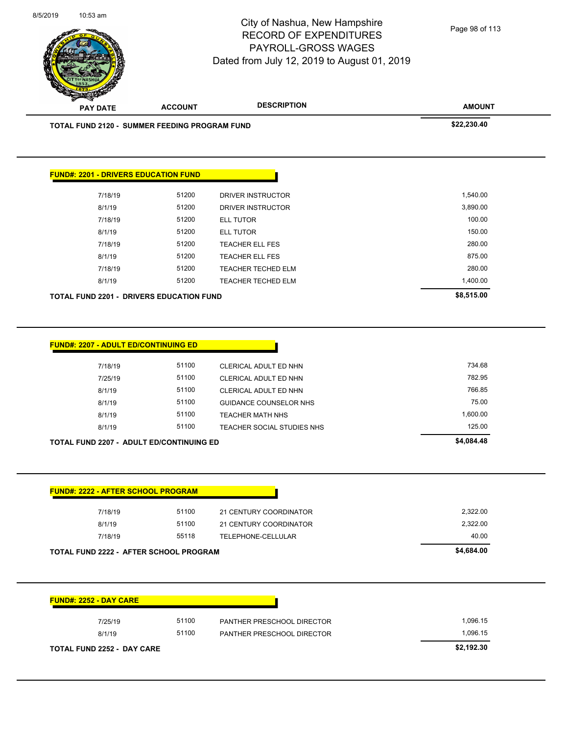

Page 98 of 113

| <b>FUND#: 2201 - DRIVERS EDUCATION FUND</b>     |            |
|-------------------------------------------------|------------|
|                                                 |            |
|                                                 |            |
| 51200<br>7/18/19<br><b>DRIVER INSTRUCTOR</b>    | 1,540.00   |
| 51200<br>8/1/19<br><b>DRIVER INSTRUCTOR</b>     | 3,890.00   |
| 51200<br>7/18/19<br><b>ELL TUTOR</b>            | 100.00     |
| 51200<br>8/1/19<br><b>ELL TUTOR</b>             | 150.00     |
| 51200<br><b>TEACHER ELL FES</b><br>7/18/19      | 280.00     |
| 51200<br><b>TEACHER ELL FES</b><br>8/1/19       | 875.00     |
| 51200<br><b>TEACHER TECHED ELM</b><br>7/18/19   | 280.00     |
| 51200<br>8/1/19<br><b>TEACHER TECHED ELM</b>    | 1,400.00   |
| <b>TOTAL FUND 2201 - DRIVERS EDUCATION FUND</b> | \$8,515.00 |
|                                                 |            |

| TOTAL FUND 2207 - ADULT ED/CONTINUING ED | \$4.084.48 |                            |          |
|------------------------------------------|------------|----------------------------|----------|
| 8/1/19                                   | 51100      | TEACHER SOCIAL STUDIES NHS | 125.00   |
| 8/1/19                                   | 51100      | TEACHER MATH NHS           | 1,600.00 |
| 8/1/19                                   | 51100      | GUIDANCE COUNSELOR NHS     | 75.00    |
| 8/1/19                                   | 51100      | CLERICAL ADULT ED NHN      | 766.85   |
| 7/25/19                                  | 51100      | CLERICAL ADULT ED NHN      | 782.95   |
| 7/18/19                                  | 51100      | CLERICAL ADULT ED NHN      | 734.68   |
|                                          |            |                            |          |

| 7/18/19                                | 51100 | 21 CENTURY COORDINATOR | 2,322.00   |
|----------------------------------------|-------|------------------------|------------|
| 8/1/19                                 | 51100 | 21 CENTURY COORDINATOR | 2,322.00   |
| 7/18/19                                | 55118 | TELEPHONE-CELLULAR     | 40.00      |
| TOTAL FUND 2222 - AFTER SCHOOL PROGRAM |       |                        | \$4,684.00 |

| <b>TOTAL FUND 2252 - DAY CARE</b> |       |                            | \$2,192.30 |
|-----------------------------------|-------|----------------------------|------------|
| 8/1/19                            | 51100 | PANTHER PRESCHOOL DIRECTOR | 1,096.15   |
| 7/25/19                           | 51100 | PANTHER PRESCHOOL DIRECTOR | 1.096.15   |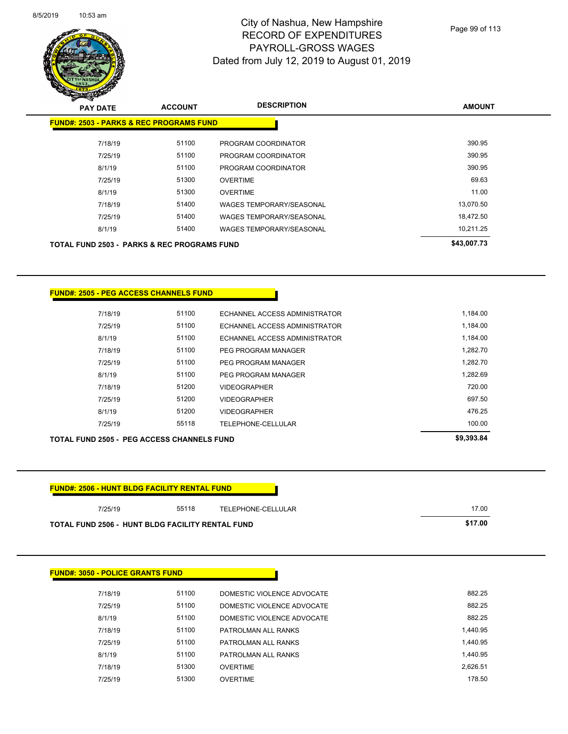

Page 99 of 113

| <b>Committee</b>                                       |                |                                 |               |
|--------------------------------------------------------|----------------|---------------------------------|---------------|
| <b>PAY DATE</b>                                        | <b>ACCOUNT</b> | <b>DESCRIPTION</b>              | <b>AMOUNT</b> |
| <b>FUND#: 2503 - PARKS &amp; REC PROGRAMS FUND</b>     |                |                                 |               |
| 7/18/19                                                | 51100          | PROGRAM COORDINATOR             | 390.95        |
| 7/25/19                                                | 51100          | PROGRAM COORDINATOR             | 390.95        |
| 8/1/19                                                 | 51100          | PROGRAM COORDINATOR             | 390.95        |
| 7/25/19                                                | 51300          | <b>OVERTIME</b>                 | 69.63         |
| 8/1/19                                                 | 51300          | <b>OVERTIME</b>                 | 11.00         |
| 7/18/19                                                | 51400          | <b>WAGES TEMPORARY/SEASONAL</b> | 13,070.50     |
| 7/25/19                                                | 51400          | <b>WAGES TEMPORARY/SEASONAL</b> | 18,472.50     |
| 8/1/19                                                 | 51400          | <b>WAGES TEMPORARY/SEASONAL</b> | 10,211.25     |
| <b>TOTAL FUND 2503 - PARKS &amp; REC PROGRAMS FUND</b> |                |                                 | \$43,007.73   |

| 7/18/19 | 51100 | FCHANNEL ACCESS ADMINISTRATOR | 1.184.00 |
|---------|-------|-------------------------------|----------|
| 7/25/19 | 51100 | ECHANNEL ACCESS ADMINISTRATOR | 1.184.00 |
| 8/1/19  | 51100 | ECHANNEL ACCESS ADMINISTRATOR | 1.184.00 |
| 7/18/19 | 51100 | PEG PROGRAM MANAGER           | 1.282.70 |
| 7/25/19 | 51100 | PEG PROGRAM MANAGER           | 1.282.70 |
| 8/1/19  | 51100 | PEG PROGRAM MANAGER           | 1.282.69 |
| 7/18/19 | 51200 | <b>VIDEOGRAPHER</b>           | 720.00   |
| 7/25/19 | 51200 | <b>VIDEOGRAPHER</b>           | 697.50   |
| 8/1/19  | 51200 | <b>VIDEOGRAPHER</b>           | 476.25   |
| 7/25/19 | 55118 | TELEPHONE-CELLULAR            | 100.00   |
|         |       |                               |          |

## **TOTAL FUND 2505 - PEG ACCESS CHANNELS FUND \$9,393.84**

| <b>FUND#: 2506 - HUNT BLDG FACILITY RENTAL FUND</b>     |       |                    |         |
|---------------------------------------------------------|-------|--------------------|---------|
| 7/25/19                                                 | 55118 | TELEPHONE-CELLULAR | 17.00   |
| <b>TOTAL FUND 2506 - HUNT BLDG FACILITY RENTAL FUND</b> |       |                    | \$17.00 |

|  |  | <b>FUND#: 3050 - POLICE GRANTS FUND</b> |
|--|--|-----------------------------------------|
|--|--|-----------------------------------------|

| 7/18/19 | 51100 | DOMESTIC VIOLENCE ADVOCATE | 882.25   |
|---------|-------|----------------------------|----------|
| 7/25/19 | 51100 | DOMESTIC VIOLENCE ADVOCATE | 882.25   |
| 8/1/19  | 51100 | DOMESTIC VIOLENCE ADVOCATE | 882.25   |
| 7/18/19 | 51100 | PATROLMAN ALL RANKS        | 1.440.95 |
| 7/25/19 | 51100 | PATROLMAN ALL RANKS        | 1.440.95 |
| 8/1/19  | 51100 | PATROLMAN ALL RANKS        | 1.440.95 |
| 7/18/19 | 51300 | <b>OVERTIME</b>            | 2.626.51 |
| 7/25/19 | 51300 | <b>OVERTIME</b>            | 178.50   |
|         |       |                            |          |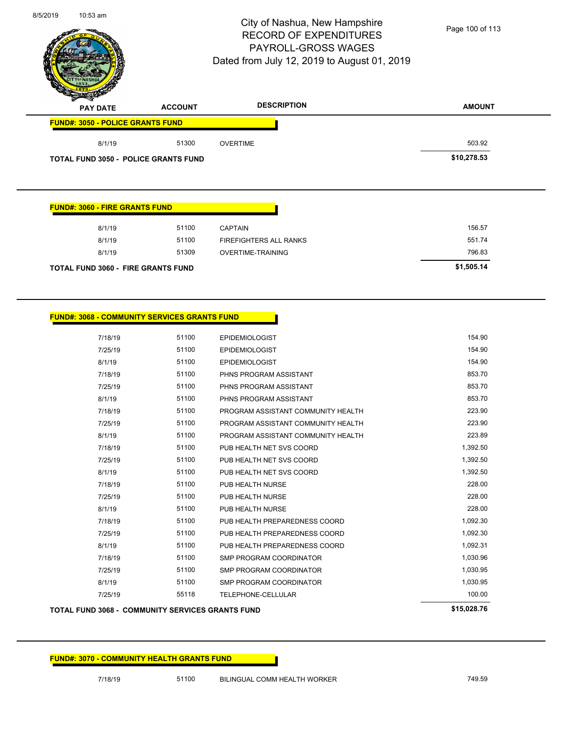

| <b>TELEVISION</b><br><b>PAY DATE</b>        | <b>ACCOUNT</b> | <b>DESCRIPTION</b> | <b>AMOUNT</b> |
|---------------------------------------------|----------------|--------------------|---------------|
| <b>FUND#: 3050 - POLICE GRANTS FUND</b>     |                |                    |               |
| 8/1/19                                      | 51300          | <b>OVERTIME</b>    | 503.92        |
| <b>TOTAL FUND 3050 - POLICE GRANTS FUND</b> |                |                    | \$10,278.53   |

### **FUND#: 3060 - FIRE GRANTS FUND**

| 8/1/19           | 51100<br>51100                            | <b>CAPTAIN</b>                                     | 156.57<br>551.74 |
|------------------|-------------------------------------------|----------------------------------------------------|------------------|
| 8/1/19<br>8/1/19 | 51309                                     | <b>FIREFIGHTERS ALL RANKS</b><br>OVERTIME-TRAINING | 796.83           |
|                  | <b>TOTAL FUND 3060 - FIRE GRANTS FUND</b> |                                                    | \$1,505.14       |

| 7/18/19 | 51100 | <b>EPIDEMIOLOGIST</b>              | 154.90   |
|---------|-------|------------------------------------|----------|
| 7/25/19 | 51100 | <b>EPIDEMIOLOGIST</b>              | 154.90   |
| 8/1/19  | 51100 | <b>EPIDEMIOLOGIST</b>              | 154.90   |
| 7/18/19 | 51100 | PHNS PROGRAM ASSISTANT             | 853.70   |
| 7/25/19 | 51100 | PHNS PROGRAM ASSISTANT             | 853.70   |
| 8/1/19  | 51100 | PHNS PROGRAM ASSISTANT             | 853.70   |
| 7/18/19 | 51100 | PROGRAM ASSISTANT COMMUNITY HEALTH | 223.90   |
| 7/25/19 | 51100 | PROGRAM ASSISTANT COMMUNITY HEALTH | 223.90   |
| 8/1/19  | 51100 | PROGRAM ASSISTANT COMMUNITY HEALTH | 223.89   |
| 7/18/19 | 51100 | PUB HEALTH NET SVS COORD           | 1,392.50 |
| 7/25/19 | 51100 | PUB HEALTH NET SVS COORD           | 1,392.50 |
| 8/1/19  | 51100 | PUB HEALTH NET SVS COORD           | 1,392.50 |
| 7/18/19 | 51100 | PUB HEALTH NURSE                   | 228.00   |
| 7/25/19 | 51100 | PUB HEALTH NURSE                   | 228.00   |
| 8/1/19  | 51100 | PUB HEALTH NURSE                   | 228.00   |
| 7/18/19 | 51100 | PUB HEALTH PREPAREDNESS COORD      | 1,092.30 |
| 7/25/19 | 51100 | PUB HEALTH PREPAREDNESS COORD      | 1,092.30 |
| 8/1/19  | 51100 | PUB HEALTH PREPAREDNESS COORD      | 1,092.31 |
| 7/18/19 | 51100 | <b>SMP PROGRAM COORDINATOR</b>     | 1,030.96 |
| 7/25/19 | 51100 | <b>SMP PROGRAM COORDINATOR</b>     | 1,030.95 |
| 8/1/19  | 51100 | SMP PROGRAM COORDINATOR            | 1,030.95 |
| 7/25/19 | 55118 | <b>TELEPHONE-CELLULAR</b>          | 100.00   |
|         |       |                                    |          |

# **TOTAL FUND 3068 - COMMUNITY SERVICES GRANTS FUND \$15,028.76**

# **FUND#: 3070 - COMMUNITY HEALTH GRANTS FUND**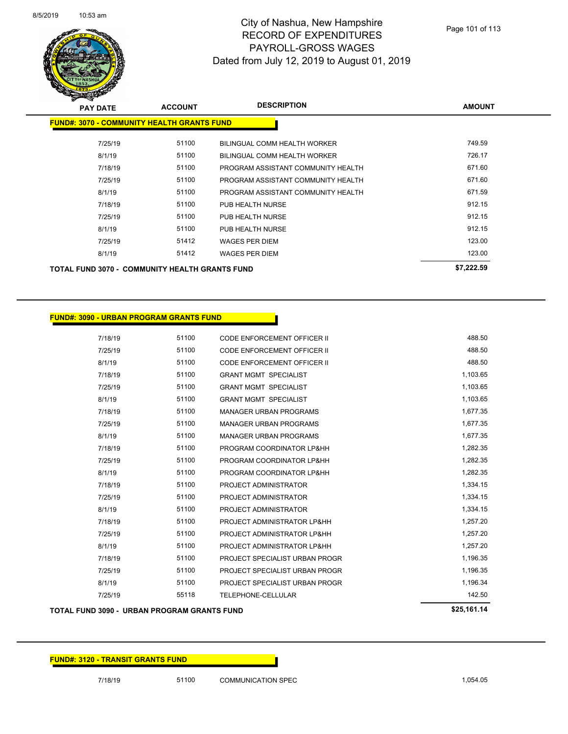

| $\mathscr{D} \curvearrowright$<br><b>PAY DATE</b> | <b>ACCOUNT</b> | <b>DESCRIPTION</b>                 | <b>AMOUNT</b> |  |  |  |
|---------------------------------------------------|----------------|------------------------------------|---------------|--|--|--|
| <b>FUND#: 3070 - COMMUNITY HEALTH GRANTS FUND</b> |                |                                    |               |  |  |  |
| 7/25/19                                           | 51100          | BILINGUAL COMM HEALTH WORKER       | 749.59        |  |  |  |
| 8/1/19                                            | 51100          | BILINGUAL COMM HEALTH WORKER       | 726.17        |  |  |  |
| 7/18/19                                           | 51100          | PROGRAM ASSISTANT COMMUNITY HEALTH | 671.60        |  |  |  |
| 7/25/19                                           | 51100          | PROGRAM ASSISTANT COMMUNITY HEALTH | 671.60        |  |  |  |
| 8/1/19                                            | 51100          | PROGRAM ASSISTANT COMMUNITY HEALTH | 671.59        |  |  |  |
| 7/18/19                                           | 51100          | PUB HEALTH NURSE                   | 912.15        |  |  |  |
| 7/25/19                                           | 51100          | PUB HEALTH NURSE                   | 912.15        |  |  |  |
| 8/1/19                                            | 51100          | PUB HEALTH NURSE                   | 912.15        |  |  |  |
| 7/25/19                                           | 51412          | <b>WAGES PER DIEM</b>              | 123.00        |  |  |  |
| 8/1/19                                            | 51412          | <b>WAGES PER DIEM</b>              | 123.00        |  |  |  |
| TOTAL FUND 3070 - COMMUNITY HEALTH GRANTS FUND    |                |                                    | \$7,222.59    |  |  |  |

### **FUND#: 3090 - URBAN PROGRAM GRANTS FUND**

| 7/18/19 | 51100 | <b>CODE ENFORCEMENT OFFICER II</b> | 488.50   |
|---------|-------|------------------------------------|----------|
| 7/25/19 | 51100 | <b>CODE ENFORCEMENT OFFICER II</b> | 488.50   |
| 8/1/19  | 51100 | <b>CODE ENFORCEMENT OFFICER II</b> | 488.50   |
| 7/18/19 | 51100 | <b>GRANT MGMT SPECIALIST</b>       | 1,103.65 |
| 7/25/19 | 51100 | <b>GRANT MGMT SPECIALIST</b>       | 1,103.65 |
| 8/1/19  | 51100 | <b>GRANT MGMT SPECIALIST</b>       | 1,103.65 |
| 7/18/19 | 51100 | <b>MANAGER URBAN PROGRAMS</b>      | 1,677.35 |
| 7/25/19 | 51100 | <b>MANAGER URBAN PROGRAMS</b>      | 1,677.35 |
| 8/1/19  | 51100 | <b>MANAGER URBAN PROGRAMS</b>      | 1,677.35 |
| 7/18/19 | 51100 | PROGRAM COORDINATOR LP&HH          | 1,282.35 |
| 7/25/19 | 51100 | PROGRAM COORDINATOR LP&HH          | 1,282.35 |
| 8/1/19  | 51100 | PROGRAM COORDINATOR LP&HH          | 1,282.35 |
| 7/18/19 | 51100 | PROJECT ADMINISTRATOR              | 1,334.15 |
| 7/25/19 | 51100 | PROJECT ADMINISTRATOR              | 1,334.15 |
| 8/1/19  | 51100 | PROJECT ADMINISTRATOR              | 1,334.15 |
| 7/18/19 | 51100 | PROJECT ADMINISTRATOR LP&HH        | 1,257.20 |
| 7/25/19 | 51100 | PROJECT ADMINISTRATOR LP&HH        | 1,257.20 |
| 8/1/19  | 51100 | PROJECT ADMINISTRATOR LP&HH        | 1,257.20 |
| 7/18/19 | 51100 | PROJECT SPECIALIST URBAN PROGR     | 1,196.35 |
| 7/25/19 | 51100 | PROJECT SPECIALIST URBAN PROGR     | 1,196.35 |
| 8/1/19  | 51100 | PROJECT SPECIALIST URBAN PROGR     | 1,196.34 |
| 7/25/19 | 55118 | <b>TELEPHONE-CELLULAR</b>          | 142.50   |

## **TOTAL FUND 3090 - URBAN PROGRAM GRANTS FUND \$25,161.14**

## **FUND#: 3120 - TRANSIT GRANTS FUND**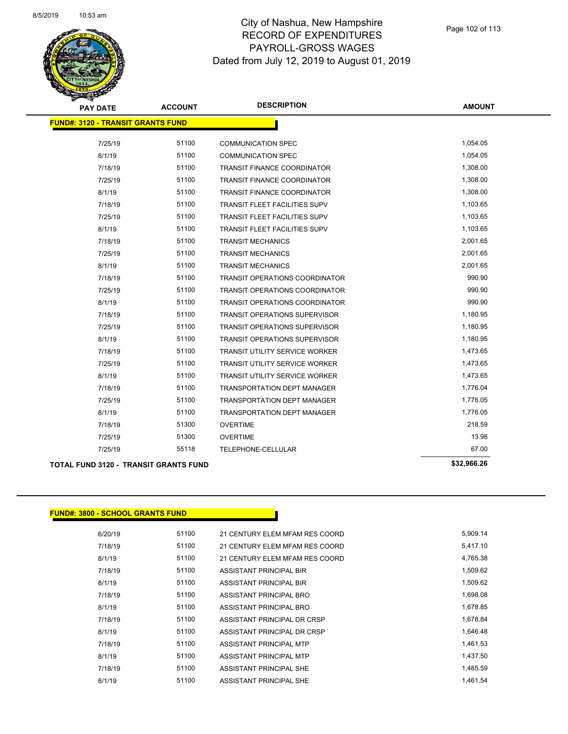

| <b>PAY DATE</b>                          | <b>ACCOUNT</b> | <b>DESCRIPTION</b>                    | <b>AMOUNT</b> |
|------------------------------------------|----------------|---------------------------------------|---------------|
| <b>FUND#: 3120 - TRANSIT GRANTS FUND</b> |                |                                       |               |
| 7/25/19                                  | 51100          | <b>COMMUNICATION SPEC</b>             | 1,054.05      |
| 8/1/19                                   | 51100          | <b>COMMUNICATION SPEC</b>             | 1,054.05      |
| 7/18/19                                  | 51100          | <b>TRANSIT FINANCE COORDINATOR</b>    | 1,308.00      |
| 7/25/19                                  | 51100          | <b>TRANSIT FINANCE COORDINATOR</b>    | 1,308.00      |
| 8/1/19                                   | 51100          | <b>TRANSIT FINANCE COORDINATOR</b>    | 1,308.00      |
| 7/18/19                                  | 51100          | TRANSIT FLEET FACILITIES SUPV         | 1,103.65      |
| 7/25/19                                  | 51100          | <b>TRANSIT FLEET FACILITIES SUPV</b>  | 1,103.65      |
| 8/1/19                                   | 51100          | TRANSIT FLEET FACILITIES SUPV         | 1,103.65      |
| 7/18/19                                  | 51100          | <b>TRANSIT MECHANICS</b>              | 2,001.65      |
| 7/25/19                                  | 51100          | <b>TRANSIT MECHANICS</b>              | 2,001.65      |
| 8/1/19                                   | 51100          | <b>TRANSIT MECHANICS</b>              | 2,001.65      |
| 7/18/19                                  | 51100          | <b>TRANSIT OPERATIONS COORDINATOR</b> | 990.90        |
| 7/25/19                                  | 51100          | <b>TRANSIT OPERATIONS COORDINATOR</b> | 990.90        |
| 8/1/19                                   | 51100          | TRANSIT OPERATIONS COORDINATOR        | 990.90        |
| 7/18/19                                  | 51100          | <b>TRANSIT OPERATIONS SUPERVISOR</b>  | 1,180.95      |
| 7/25/19                                  | 51100          | <b>TRANSIT OPERATIONS SUPERVISOR</b>  | 1,180.95      |
| 8/1/19                                   | 51100          | TRANSIT OPERATIONS SUPERVISOR         | 1,180.95      |
| 7/18/19                                  | 51100          | <b>TRANSIT UTILITY SERVICE WORKER</b> | 1,473.65      |
| 7/25/19                                  | 51100          | <b>TRANSIT UTILITY SERVICE WORKER</b> | 1,473.65      |
| 8/1/19                                   | 51100          | <b>TRANSIT UTILITY SERVICE WORKER</b> | 1,473.65      |
| 7/18/19                                  | 51100          | <b>TRANSPORTATION DEPT MANAGER</b>    | 1,776.04      |
| 7/25/19                                  | 51100          | TRANSPORTATION DEPT MANAGER           | 1,776.05      |
| 8/1/19                                   | 51100          | <b>TRANSPORTATION DEPT MANAGER</b>    | 1,776.05      |
| 7/18/19                                  | 51300          | <b>OVERTIME</b>                       | 218.59        |
| 7/25/19                                  | 51300          | <b>OVERTIME</b>                       | 13.98         |
| 7/25/19                                  | 55118          | TELEPHONE-CELLULAR                    | 67.00         |
| TOTAL FUND 3120 - TRANSIT GRANTS FUND    |                |                                       | \$32,966.26   |

### **FUND#: 3800 - SCHOOL GRANTS FUND**

| 6/20/19 | 51100 | 21 CENTURY ELEM MFAM RES COORD | 5,909.14 |
|---------|-------|--------------------------------|----------|
| 7/18/19 | 51100 | 21 CENTURY ELEM MFAM RES COORD | 5,417.10 |
| 8/1/19  | 51100 | 21 CENTURY ELEM MFAM RES COORD | 4,765.38 |
| 7/18/19 | 51100 | ASSISTANT PRINCIPAL BIR        | 1,509.62 |
| 8/1/19  | 51100 | ASSISTANT PRINCIPAL BIR        | 1,509.62 |
| 7/18/19 | 51100 | ASSISTANT PRINCIPAL BRO        | 1,698.08 |
| 8/1/19  | 51100 | ASSISTANT PRINCIPAL BRO        | 1,678.85 |
| 7/18/19 | 51100 | ASSISTANT PRINCIPAL DR CRSP    | 1,678.84 |
| 8/1/19  | 51100 | ASSISTANT PRINCIPAL DR CRSP    | 1.646.48 |
| 7/18/19 | 51100 | ASSISTANT PRINCIPAL MTP        | 1,461.53 |
| 8/1/19  | 51100 | ASSISTANT PRINCIPAL MTP        | 1,437.50 |
| 7/18/19 | 51100 | ASSISTANT PRINCIPAL SHE        | 1,485.59 |
| 8/1/19  | 51100 | ASSISTANT PRINCIPAL SHE        | 1.461.54 |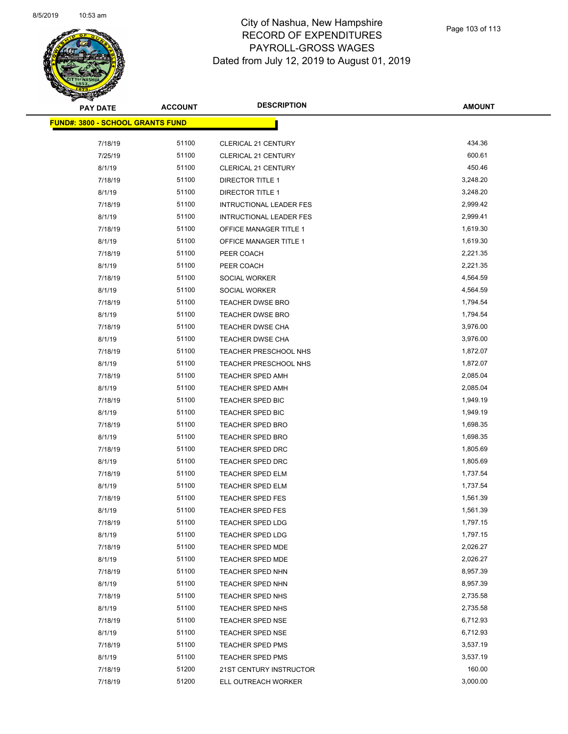

| <b>PAY DATE</b>                          | <b>ACCOUNT</b> | <b>DESCRIPTION</b>                                 | AMOUNT   |
|------------------------------------------|----------------|----------------------------------------------------|----------|
| <u> FUND#: 3800 - SCHOOL GRANTS FUND</u> |                |                                                    |          |
| 7/18/19                                  | 51100          | <b>CLERICAL 21 CENTURY</b>                         | 434.36   |
| 7/25/19                                  | 51100          | CLERICAL 21 CENTURY                                | 600.61   |
| 8/1/19                                   | 51100          |                                                    | 450.46   |
|                                          | 51100          | <b>CLERICAL 21 CENTURY</b>                         | 3,248.20 |
| 7/18/19                                  | 51100          | DIRECTOR TITLE 1                                   | 3,248.20 |
| 8/1/19                                   |                | DIRECTOR TITLE 1<br><b>INTRUCTIONAL LEADER FES</b> |          |
| 7/18/19                                  | 51100          |                                                    | 2,999.42 |
| 8/1/19                                   | 51100          | <b>INTRUCTIONAL LEADER FES</b>                     | 2,999.41 |
| 7/18/19                                  | 51100          | OFFICE MANAGER TITLE 1                             | 1,619.30 |
| 8/1/19                                   | 51100          | OFFICE MANAGER TITLE 1                             | 1,619.30 |
| 7/18/19                                  | 51100          | PEER COACH                                         | 2,221.35 |
| 8/1/19                                   | 51100          | PEER COACH                                         | 2,221.35 |
| 7/18/19                                  | 51100          | SOCIAL WORKER                                      | 4,564.59 |
| 8/1/19                                   | 51100          | SOCIAL WORKER                                      | 4,564.59 |
| 7/18/19                                  | 51100          | <b>TEACHER DWSE BRO</b>                            | 1,794.54 |
| 8/1/19                                   | 51100          | <b>TEACHER DWSE BRO</b>                            | 1,794.54 |
| 7/18/19                                  | 51100          | TEACHER DWSE CHA                                   | 3,976.00 |
| 8/1/19                                   | 51100          | <b>TEACHER DWSE CHA</b>                            | 3,976.00 |
| 7/18/19                                  | 51100          | TEACHER PRESCHOOL NHS                              | 1,872.07 |
| 8/1/19                                   | 51100          | <b>TEACHER PRESCHOOL NHS</b>                       | 1,872.07 |
| 7/18/19                                  | 51100          | TEACHER SPED AMH                                   | 2,085.04 |
| 8/1/19                                   | 51100          | TEACHER SPED AMH                                   | 2,085.04 |
| 7/18/19                                  | 51100          | TEACHER SPED BIC                                   | 1,949.19 |
| 8/1/19                                   | 51100          | TEACHER SPED BIC                                   | 1,949.19 |
| 7/18/19                                  | 51100          | TEACHER SPED BRO                                   | 1,698.35 |
| 8/1/19                                   | 51100          | TEACHER SPED BRO                                   | 1,698.35 |
| 7/18/19                                  | 51100          | <b>TEACHER SPED DRC</b>                            | 1,805.69 |
| 8/1/19                                   | 51100          | TEACHER SPED DRC                                   | 1,805.69 |
| 7/18/19                                  | 51100          | TEACHER SPED ELM                                   | 1,737.54 |
| 8/1/19                                   | 51100          | TEACHER SPED ELM                                   | 1,737.54 |
| 7/18/19                                  | 51100          | <b>TEACHER SPED FES</b>                            | 1,561.39 |
| 8/1/19                                   | 51100          | <b>TEACHER SPED FES</b>                            | 1,561.39 |
| 7/18/19                                  | 51100          | <b>TEACHER SPED LDG</b>                            | 1,797.15 |
| 8/1/19                                   | 51100          | <b>TEACHER SPED LDG</b>                            | 1,797.15 |
| 7/18/19                                  | 51100          | TEACHER SPED MDE                                   | 2,026.27 |
| 8/1/19                                   | 51100          | TEACHER SPED MDE                                   | 2,026.27 |
| 7/18/19                                  | 51100          | <b>TEACHER SPED NHN</b>                            | 8,957.39 |
| 8/1/19                                   | 51100          | <b>TEACHER SPED NHN</b>                            | 8,957.39 |
| 7/18/19                                  | 51100          | <b>TEACHER SPED NHS</b>                            | 2,735.58 |
| 8/1/19                                   | 51100          | TEACHER SPED NHS                                   | 2,735.58 |
| 7/18/19                                  | 51100          | <b>TEACHER SPED NSE</b>                            | 6,712.93 |
| 8/1/19                                   | 51100          | <b>TEACHER SPED NSE</b>                            | 6,712.93 |
| 7/18/19                                  | 51100          | TEACHER SPED PMS                                   | 3,537.19 |
| 8/1/19                                   | 51100          | TEACHER SPED PMS                                   | 3,537.19 |
| 7/18/19                                  | 51200          | 21ST CENTURY INSTRUCTOR                            | 160.00   |
| 7/18/19                                  | 51200          | ELL OUTREACH WORKER                                | 3,000.00 |
|                                          |                |                                                    |          |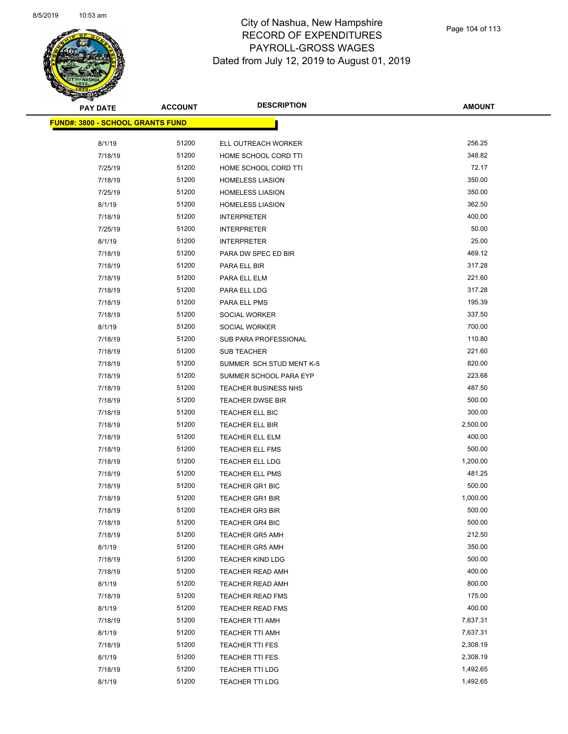

| <b>PAY DATE</b>                          | <b>ACCOUNT</b> | <b>DESCRIPTION</b>          | AMOUNT   |
|------------------------------------------|----------------|-----------------------------|----------|
| <u> FUND#: 3800 - SCHOOL GRANTS FUND</u> |                |                             |          |
| 8/1/19                                   | 51200          | ELL OUTREACH WORKER         | 256.25   |
| 7/18/19                                  | 51200          | HOME SCHOOL CORD TTI        | 348.82   |
| 7/25/19                                  | 51200          | HOME SCHOOL CORD TTI        | 72.17    |
| 7/18/19                                  | 51200          | <b>HOMELESS LIASION</b>     | 350.00   |
| 7/25/19                                  | 51200          | <b>HOMELESS LIASION</b>     | 350.00   |
| 8/1/19                                   | 51200          | <b>HOMELESS LIASION</b>     | 362.50   |
|                                          | 51200          | <b>INTERPRETER</b>          | 400.00   |
| 7/18/19                                  | 51200          |                             | 50.00    |
| 7/25/19                                  |                | <b>INTERPRETER</b>          | 25.00    |
| 8/1/19                                   | 51200          | <b>INTERPRETER</b>          |          |
| 7/18/19                                  | 51200          | PARA DW SPEC ED BIR         | 469.12   |
| 7/18/19                                  | 51200          | PARA ELL BIR                | 317.28   |
| 7/18/19                                  | 51200          | PARA ELL ELM                | 221.60   |
| 7/18/19                                  | 51200          | PARA ELL LDG                | 317.28   |
| 7/18/19                                  | 51200          | PARA ELL PMS                | 195.39   |
| 7/18/19                                  | 51200          | SOCIAL WORKER               | 337.50   |
| 8/1/19                                   | 51200          | SOCIAL WORKER               | 700.00   |
| 7/18/19                                  | 51200          | SUB PARA PROFESSIONAL       | 110.80   |
| 7/18/19                                  | 51200          | <b>SUB TEACHER</b>          | 221.60   |
| 7/18/19                                  | 51200          | SUMMER SCH STUD MENT K-5    | 820.00   |
| 7/18/19                                  | 51200          | SUMMER SCHOOL PARA EYP      | 223.68   |
| 7/18/19                                  | 51200          | <b>TEACHER BUSINESS NHS</b> | 487.50   |
| 7/18/19                                  | 51200          | <b>TEACHER DWSE BIR</b>     | 500.00   |
| 7/18/19                                  | 51200          | TEACHER ELL BIC             | 300.00   |
| 7/18/19                                  | 51200          | TEACHER ELL BIR             | 2,500.00 |
| 7/18/19                                  | 51200          | TEACHER ELL ELM             | 400.00   |
| 7/18/19                                  | 51200          | <b>TEACHER ELL FMS</b>      | 500.00   |
| 7/18/19                                  | 51200          | <b>TEACHER ELL LDG</b>      | 1,200.00 |
| 7/18/19                                  | 51200          | <b>TEACHER ELL PMS</b>      | 481.25   |
| 7/18/19                                  | 51200          | TEACHER GR1 BIC             | 500.00   |
| 7/18/19                                  | 51200          | <b>TEACHER GR1 BIR</b>      | 1,000.00 |
| 7/18/19                                  | 51200          | <b>TEACHER GR3 BIR</b>      | 500.00   |
| 7/18/19                                  | 51200          | <b>TEACHER GR4 BIC</b>      | 500.00   |
| 7/18/19                                  | 51200          | <b>TEACHER GR5 AMH</b>      | 212.50   |
| 8/1/19                                   | 51200          | <b>TEACHER GR5 AMH</b>      | 350.00   |
| 7/18/19                                  | 51200          | <b>TEACHER KIND LDG</b>     | 500.00   |
| 7/18/19                                  | 51200          | <b>TEACHER READ AMH</b>     | 400.00   |
| 8/1/19                                   | 51200          | TEACHER READ AMH            | 800.00   |
| 7/18/19                                  | 51200          | TEACHER READ FMS            | 175.00   |
| 8/1/19                                   | 51200          | <b>TEACHER READ FMS</b>     | 400.00   |
| 7/18/19                                  | 51200          | <b>TEACHER TTI AMH</b>      | 7,637.31 |
| 8/1/19                                   | 51200          | <b>TEACHER TTI AMH</b>      | 7,637.31 |
| 7/18/19                                  | 51200          | <b>TEACHER TTI FES</b>      | 2,308.19 |
| 8/1/19                                   | 51200          | <b>TEACHER TTI FES</b>      | 2,308.19 |
| 7/18/19                                  | 51200          | <b>TEACHER TTI LDG</b>      | 1,492.65 |
| 8/1/19                                   | 51200          | <b>TEACHER TTI LDG</b>      | 1,492.65 |
|                                          |                |                             |          |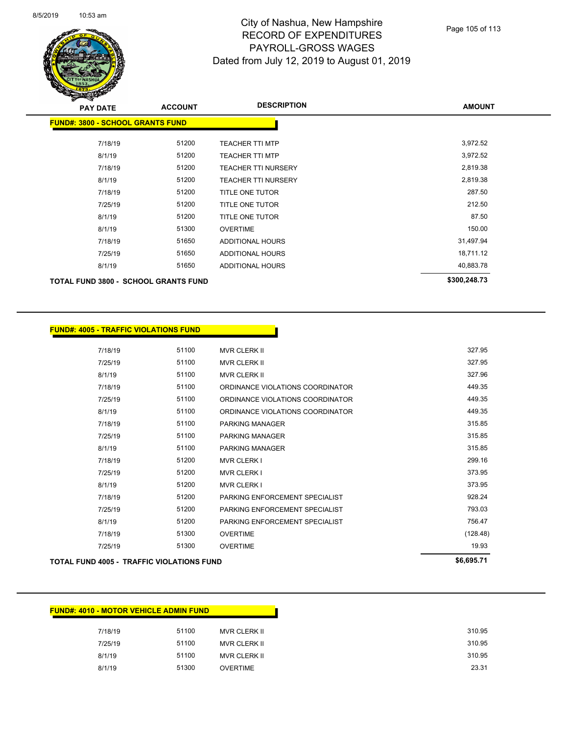

| <b>PAY DATE</b>                         | <b>ACCOUNT</b> | <b>DESCRIPTION</b>         | <b>AMOUNT</b> |
|-----------------------------------------|----------------|----------------------------|---------------|
| <b>FUND#: 3800 - SCHOOL GRANTS FUND</b> |                |                            |               |
|                                         |                |                            |               |
| 7/18/19                                 | 51200          | <b>TEACHER TTI MTP</b>     | 3,972.52      |
| 8/1/19                                  | 51200          | <b>TEACHER TTI MTP</b>     | 3,972.52      |
| 7/18/19                                 | 51200          | <b>TEACHER TTI NURSERY</b> | 2,819.38      |
| 8/1/19                                  | 51200          | <b>TEACHER TTI NURSERY</b> | 2,819.38      |
| 7/18/19                                 | 51200          | TITLE ONE TUTOR            | 287.50        |
| 7/25/19                                 | 51200          | <b>TITLE ONE TUTOR</b>     | 212.50        |
| 8/1/19                                  | 51200          | <b>TITLE ONE TUTOR</b>     | 87.50         |
| 8/1/19                                  | 51300          | <b>OVERTIME</b>            | 150.00        |
| 7/18/19                                 | 51650          | <b>ADDITIONAL HOURS</b>    | 31,497.94     |
| 7/25/19                                 | 51650          | <b>ADDITIONAL HOURS</b>    | 18,711.12     |
| 8/1/19                                  | 51650          | ADDITIONAL HOURS           | 40,883.78     |
| TOTAL FUND 3800 - SCHOOL GRANTS FUND    |                |                            | \$300,248.73  |

| <b>FUND#: 4005 - TRAFFIC VIOLATIONS FUND</b> |       |                                  |            |
|----------------------------------------------|-------|----------------------------------|------------|
|                                              |       |                                  |            |
|                                              | 51100 | <b>MVR CLERK II</b>              | 327.95     |
|                                              | 51100 | <b>MVR CLERK II</b>              | 327.95     |
|                                              | 51100 | <b>MVR CLERK II</b>              | 327.96     |
|                                              | 51100 | ORDINANCE VIOLATIONS COORDINATOR | 449.35     |
|                                              | 51100 | ORDINANCE VIOLATIONS COORDINATOR | 449.35     |
|                                              | 51100 | ORDINANCE VIOLATIONS COORDINATOR | 449.35     |
|                                              | 51100 | PARKING MANAGER                  | 315.85     |
|                                              | 51100 | PARKING MANAGER                  | 315.85     |
|                                              | 51100 | PARKING MANAGER                  | 315.85     |
|                                              | 51200 | <b>MVR CLERK I</b>               | 299.16     |
|                                              | 51200 | <b>MVR CLERK I</b>               | 373.95     |
|                                              | 51200 | <b>MVR CLERK I</b>               | 373.95     |
|                                              | 51200 | PARKING ENFORCEMENT SPECIALIST   | 928.24     |
|                                              | 51200 | PARKING ENFORCEMENT SPECIALIST   | 793.03     |
|                                              | 51200 | PARKING ENFORCEMENT SPECIALIST   | 756.47     |
|                                              | 51300 | <b>OVERTIME</b>                  | (128.48)   |
|                                              | 51300 | <b>OVERTIME</b>                  | 19.93      |
| TOTAL FUND 4005 - TRAFFIC VIOLATIONS FUND    |       |                                  | \$6,695.71 |

# **FUND#: 4010 - MOTOR VEHICLE ADMIN FUND** 7/18/19 51100 MVR CLERK II 310.95 7/25/19 51100 MVR CLERK II 310.95 8/1/19 51100 MVR CLERK II 310.95

8/1/19 51300 OVERTIME 23.31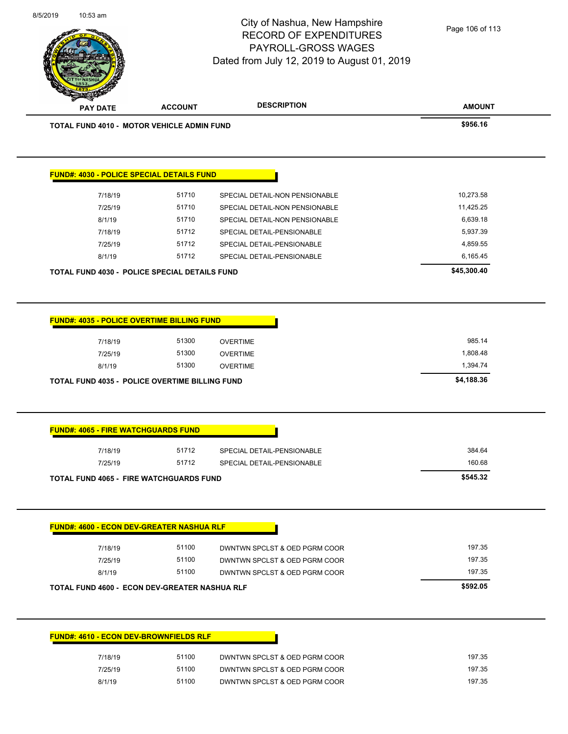|                                                                                                                                                                                                                                                                                                             |                         | City of Nashua, New Hampshire<br><b>RECORD OF EXPENDITURES</b>     | Page 106 of 113                              |
|-------------------------------------------------------------------------------------------------------------------------------------------------------------------------------------------------------------------------------------------------------------------------------------------------------------|-------------------------|--------------------------------------------------------------------|----------------------------------------------|
|                                                                                                                                                                                                                                                                                                             |                         | PAYROLL-GROSS WAGES<br>Dated from July 12, 2019 to August 01, 2019 |                                              |
| <b>PAY DATE</b>                                                                                                                                                                                                                                                                                             | <b>ACCOUNT</b>          | <b>DESCRIPTION</b>                                                 | <b>AMOUNT</b>                                |
| TOTAL FUND 4010 - MOTOR VEHICLE ADMIN FUND                                                                                                                                                                                                                                                                  |                         |                                                                    | \$956.16                                     |
| <b>FUND#: 4030 - POLICE SPECIAL DETAILS FUND</b>                                                                                                                                                                                                                                                            |                         |                                                                    |                                              |
| 7/18/19                                                                                                                                                                                                                                                                                                     | 51710                   | SPECIAL DETAIL-NON PENSIONABLE                                     | 10,273.58                                    |
| 7/25/19                                                                                                                                                                                                                                                                                                     | 51710                   | SPECIAL DETAIL-NON PENSIONABLE                                     | 11,425.25                                    |
| 8/1/19                                                                                                                                                                                                                                                                                                      | 51710                   | SPECIAL DETAIL-NON PENSIONABLE                                     | 6,639.18                                     |
| 7/18/19                                                                                                                                                                                                                                                                                                     | 51712                   | SPECIAL DETAIL-PENSIONABLE                                         | 5,937.39                                     |
| 7/25/19                                                                                                                                                                                                                                                                                                     | 51712                   | SPECIAL DETAIL-PENSIONABLE                                         | 4,859.55                                     |
| 8/1/19                                                                                                                                                                                                                                                                                                      | 51712                   | SPECIAL DETAIL-PENSIONABLE                                         | 6,165.45                                     |
| <b>TOTAL FUND 4030 - POLICE SPECIAL DETAILS FUND</b>                                                                                                                                                                                                                                                        |                         |                                                                    | \$45,300.40                                  |
|                                                                                                                                                                                                                                                                                                             |                         |                                                                    |                                              |
| 7/18/19<br>7/25/19<br>8/1/19                                                                                                                                                                                                                                                                                | 51300<br>51300<br>51300 | <b>OVERTIME</b><br><b>OVERTIME</b><br><b>OVERTIME</b>              | 985.14<br>1,808.48<br>1,394.74<br>\$4,188.36 |
|                                                                                                                                                                                                                                                                                                             |                         |                                                                    |                                              |
| 7/18/19                                                                                                                                                                                                                                                                                                     | 51712                   | SPECIAL DETAIL-PENSIONABLE                                         | 384.64                                       |
| 7/25/19                                                                                                                                                                                                                                                                                                     | 51712                   | SPECIAL DETAIL-PENSIONABLE                                         | 160.68                                       |
|                                                                                                                                                                                                                                                                                                             |                         |                                                                    | \$545.32                                     |
|                                                                                                                                                                                                                                                                                                             |                         |                                                                    |                                              |
| 7/18/19                                                                                                                                                                                                                                                                                                     | 51100                   | DWNTWN SPCLST & OED PGRM COOR                                      | 197.35                                       |
| 7/25/19                                                                                                                                                                                                                                                                                                     | 51100                   | DWNTWN SPCLST & OED PGRM COOR                                      | 197.35                                       |
| 8/1/19                                                                                                                                                                                                                                                                                                      | 51100                   | DWNTWN SPCLST & OED PGRM COOR                                      | 197.35                                       |
|                                                                                                                                                                                                                                                                                                             |                         |                                                                    | \$592.05                                     |
|                                                                                                                                                                                                                                                                                                             |                         |                                                                    |                                              |
| <b>TOTAL FUND 4035 - POLICE OVERTIME BILLING FUND</b><br><b>FUND#: 4065 - FIRE WATCHGUARDS FUND</b><br><b>TOTAL FUND 4065 - FIRE WATCHGUARDS FUND</b><br><b>FUND#: 4600 - ECON DEV-GREATER NASHUA RLF</b><br>TOTAL FUND 4600 - ECON DEV-GREATER NASHUA RLF<br><b>FUND#: 4610 - ECON DEV-BROWNFIELDS RLF</b> |                         |                                                                    |                                              |
| 7/18/19                                                                                                                                                                                                                                                                                                     | 51100                   | DWNTWN SPCLST & OED PGRM COOR                                      | 197.35                                       |
| 7/25/19                                                                                                                                                                                                                                                                                                     | 51100                   | DWNTWN SPCLST & OED PGRM COOR                                      | 197.35                                       |

8/5/2019 10:53 am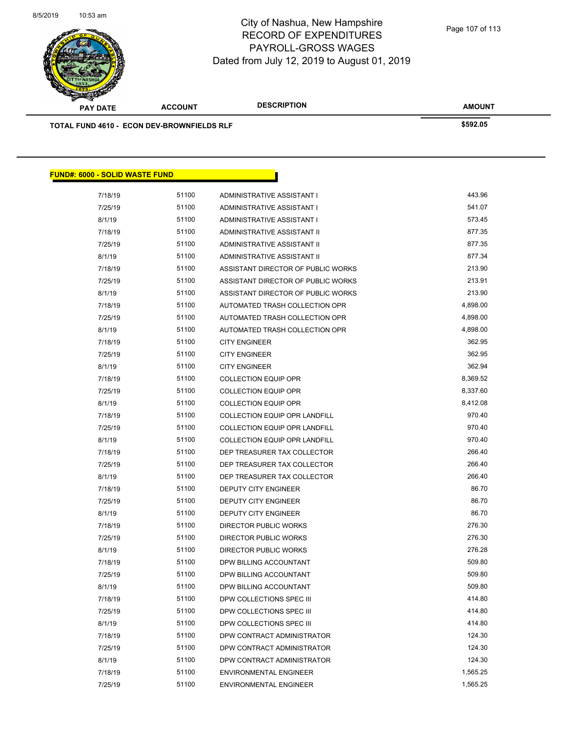

| <b>PAY DATE</b>                                   | <b>ACCOUNT</b> | <b>DESCRIPTION</b>                   | <b>AMOUNT</b> |  |
|---------------------------------------------------|----------------|--------------------------------------|---------------|--|
| <b>TOTAL FUND 4610 - ECON DEV-BROWNFIELDS RLF</b> |                |                                      | \$592.05      |  |
|                                                   |                |                                      |               |  |
|                                                   |                |                                      |               |  |
| <b>FUND#: 6000 - SOLID WASTE FUND</b>             |                |                                      |               |  |
|                                                   |                |                                      |               |  |
| 7/18/19                                           | 51100          | ADMINISTRATIVE ASSISTANT I           | 443.96        |  |
| 7/25/19                                           | 51100          | ADMINISTRATIVE ASSISTANT I           | 541.07        |  |
| 8/1/19                                            | 51100          | ADMINISTRATIVE ASSISTANT I           | 573.45        |  |
| 7/18/19                                           | 51100          | ADMINISTRATIVE ASSISTANT II          | 877.35        |  |
| 7/25/19                                           | 51100          | ADMINISTRATIVE ASSISTANT II          | 877.35        |  |
| 8/1/19                                            | 51100          | ADMINISTRATIVE ASSISTANT II          | 877.34        |  |
| 7/18/19                                           | 51100          | ASSISTANT DIRECTOR OF PUBLIC WORKS   | 213.90        |  |
| 7/25/19                                           | 51100          | ASSISTANT DIRECTOR OF PUBLIC WORKS   | 213.91        |  |
| 8/1/19                                            | 51100          | ASSISTANT DIRECTOR OF PUBLIC WORKS   | 213.90        |  |
| 7/18/19                                           | 51100          | AUTOMATED TRASH COLLECTION OPR       | 4,898.00      |  |
| 7/25/19                                           | 51100          | AUTOMATED TRASH COLLECTION OPR       | 4,898.00      |  |
| 8/1/19                                            | 51100          | AUTOMATED TRASH COLLECTION OPR       | 4,898.00      |  |
| 7/18/19                                           | 51100          | <b>CITY ENGINEER</b>                 | 362.95        |  |
| 7/25/19                                           | 51100          | <b>CITY ENGINEER</b>                 | 362.95        |  |
| 8/1/19                                            | 51100          | <b>CITY ENGINEER</b>                 | 362.94        |  |
| 7/18/19                                           | 51100          | <b>COLLECTION EQUIP OPR</b>          | 8,369.52      |  |
| 7/25/19                                           | 51100          | <b>COLLECTION EQUIP OPR</b>          | 8,337.60      |  |
| 8/1/19                                            | 51100          | <b>COLLECTION EQUIP OPR</b>          | 8,412.08      |  |
| 7/18/19                                           | 51100          | COLLECTION EQUIP OPR LANDFILL        | 970.40        |  |
| 7/25/19                                           | 51100          | <b>COLLECTION EQUIP OPR LANDFILL</b> | 970.40        |  |
| 8/1/19                                            | 51100          | <b>COLLECTION EQUIP OPR LANDFILL</b> | 970.40        |  |
| 7/18/19                                           | 51100          | DEP TREASURER TAX COLLECTOR          | 266.40        |  |
| 7/25/19                                           | 51100          | DEP TREASURER TAX COLLECTOR          | 266.40        |  |
| 8/1/19                                            | 51100          | DEP TREASURER TAX COLLECTOR          | 266.40        |  |
| 7/18/19                                           | 51100          | DEPUTY CITY ENGINEER                 | 86.70         |  |
| 7/25/19                                           | 51100          | DEPUTY CITY ENGINEER                 | 86.70         |  |
| 8/1/19                                            | 51100          | <b>DEPUTY CITY ENGINEER</b>          | 86.70         |  |
| 7/18/19                                           | 51100          | DIRECTOR PUBLIC WORKS                | 276.30        |  |
| 7/25/19                                           | 51100          | <b>DIRECTOR PUBLIC WORKS</b>         | 276.30        |  |
| 8/1/19                                            | 51100          | DIRECTOR PUBLIC WORKS                | 276.28        |  |
| 7/18/19                                           | 51100          | DPW BILLING ACCOUNTANT               | 509.80        |  |
| 7/25/19                                           | 51100          | DPW BILLING ACCOUNTANT               | 509.80        |  |
| 8/1/19                                            | 51100          | DPW BILLING ACCOUNTANT               | 509.80        |  |
| 7/18/19                                           | 51100          | DPW COLLECTIONS SPEC III             | 414.80        |  |
| 7/25/19                                           | 51100          | DPW COLLECTIONS SPEC III             | 414.80        |  |
| 8/1/19                                            | 51100          | DPW COLLECTIONS SPEC III             | 414.80        |  |
| 7/18/19                                           | 51100          | DPW CONTRACT ADMINISTRATOR           | 124.30        |  |
| 7/25/19                                           | 51100          | DPW CONTRACT ADMINISTRATOR           | 124.30        |  |
| 8/1/19                                            | 51100          | DPW CONTRACT ADMINISTRATOR           | 124.30        |  |
| 7/18/19                                           | 51100          | ENVIRONMENTAL ENGINEER               | 1,565.25      |  |

7/25/19 51100 ENVIRONMENTAL ENGINEER 1,565.25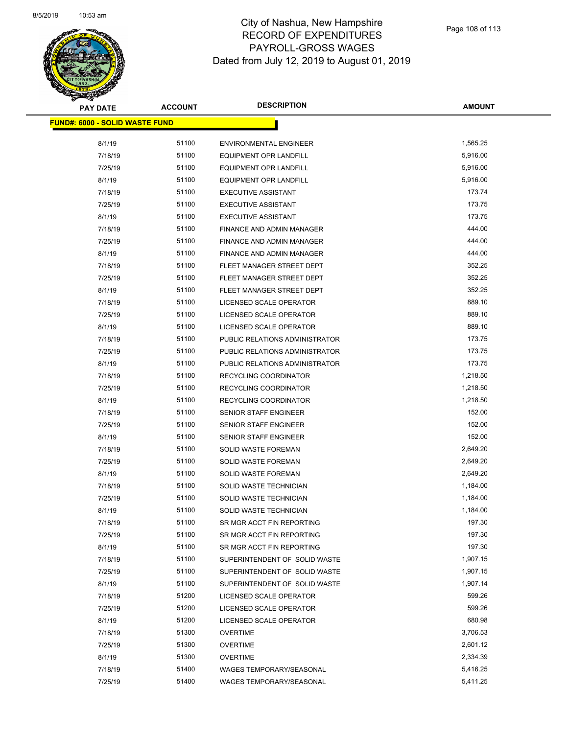

| <b>PAY DATE</b>                        | <b>ACCOUNT</b> | <b>DESCRIPTION</b>             | AMOUNT   |
|----------------------------------------|----------------|--------------------------------|----------|
| <u> FUND#: 6000 - SOLID WASTE FUND</u> |                |                                |          |
|                                        |                |                                |          |
| 8/1/19                                 | 51100          | <b>ENVIRONMENTAL ENGINEER</b>  | 1,565.25 |
| 7/18/19                                | 51100          | <b>EQUIPMENT OPR LANDFILL</b>  | 5,916.00 |
| 7/25/19                                | 51100          | <b>EQUIPMENT OPR LANDFILL</b>  | 5,916.00 |
| 8/1/19                                 | 51100          | <b>EQUIPMENT OPR LANDFILL</b>  | 5,916.00 |
| 7/18/19                                | 51100          | <b>EXECUTIVE ASSISTANT</b>     | 173.74   |
| 7/25/19                                | 51100          | <b>EXECUTIVE ASSISTANT</b>     | 173.75   |
| 8/1/19                                 | 51100          | <b>EXECUTIVE ASSISTANT</b>     | 173.75   |
| 7/18/19                                | 51100          | FINANCE AND ADMIN MANAGER      | 444.00   |
| 7/25/19                                | 51100          | FINANCE AND ADMIN MANAGER      | 444.00   |
| 8/1/19                                 | 51100          | FINANCE AND ADMIN MANAGER      | 444.00   |
| 7/18/19                                | 51100          | FLEET MANAGER STREET DEPT      | 352.25   |
| 7/25/19                                | 51100          | FLEET MANAGER STREET DEPT      | 352.25   |
| 8/1/19                                 | 51100          | FLEET MANAGER STREET DEPT      | 352.25   |
| 7/18/19                                | 51100          | LICENSED SCALE OPERATOR        | 889.10   |
| 7/25/19                                | 51100          | LICENSED SCALE OPERATOR        | 889.10   |
| 8/1/19                                 | 51100          | LICENSED SCALE OPERATOR        | 889.10   |
| 7/18/19                                | 51100          | PUBLIC RELATIONS ADMINISTRATOR | 173.75   |
| 7/25/19                                | 51100          | PUBLIC RELATIONS ADMINISTRATOR | 173.75   |
| 8/1/19                                 | 51100          | PUBLIC RELATIONS ADMINISTRATOR | 173.75   |
| 7/18/19                                | 51100          | RECYCLING COORDINATOR          | 1,218.50 |
| 7/25/19                                | 51100          | RECYCLING COORDINATOR          | 1,218.50 |
| 8/1/19                                 | 51100          | RECYCLING COORDINATOR          | 1,218.50 |
| 7/18/19                                | 51100          | SENIOR STAFF ENGINEER          | 152.00   |
| 7/25/19                                | 51100          | <b>SENIOR STAFF ENGINEER</b>   | 152.00   |
| 8/1/19                                 | 51100          | <b>SENIOR STAFF ENGINEER</b>   | 152.00   |
| 7/18/19                                | 51100          | <b>SOLID WASTE FOREMAN</b>     | 2,649.20 |
| 7/25/19                                | 51100          | SOLID WASTE FOREMAN            | 2,649.20 |
| 8/1/19                                 | 51100          | <b>SOLID WASTE FOREMAN</b>     | 2,649.20 |
| 7/18/19                                | 51100          | SOLID WASTE TECHNICIAN         | 1,184.00 |
| 7/25/19                                | 51100          | SOLID WASTE TECHNICIAN         | 1,184.00 |
| 8/1/19                                 | 51100          | SOLID WASTE TECHNICIAN         | 1,184.00 |
| 7/18/19                                | 51100          | SR MGR ACCT FIN REPORTING      | 197.30   |
| 7/25/19                                | 51100          | SR MGR ACCT FIN REPORTING      | 197.30   |
| 8/1/19                                 | 51100          | SR MGR ACCT FIN REPORTING      | 197.30   |
| 7/18/19                                | 51100          | SUPERINTENDENT OF SOLID WASTE  | 1,907.15 |
| 7/25/19                                | 51100          | SUPERINTENDENT OF SOLID WASTE  | 1,907.15 |
| 8/1/19                                 | 51100          | SUPERINTENDENT OF SOLID WASTE  | 1,907.14 |
| 7/18/19                                | 51200          | LICENSED SCALE OPERATOR        | 599.26   |
| 7/25/19                                | 51200          | LICENSED SCALE OPERATOR        | 599.26   |
| 8/1/19                                 | 51200          | LICENSED SCALE OPERATOR        | 680.98   |
| 7/18/19                                | 51300          | <b>OVERTIME</b>                | 3,706.53 |
| 7/25/19                                | 51300          | <b>OVERTIME</b>                | 2,601.12 |
| 8/1/19                                 | 51300          | <b>OVERTIME</b>                | 2,334.39 |
| 7/18/19                                | 51400          | WAGES TEMPORARY/SEASONAL       | 5,416.25 |
| 7/25/19                                | 51400          | WAGES TEMPORARY/SEASONAL       | 5,411.25 |
|                                        |                |                                |          |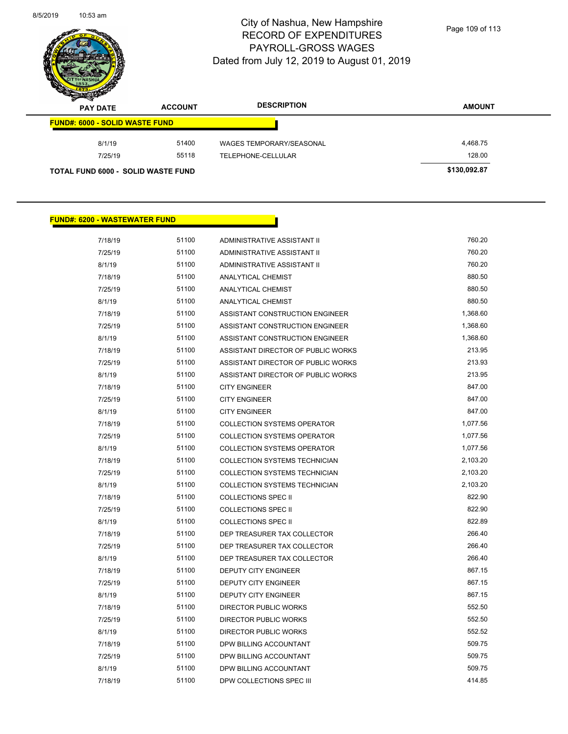

| $\rightarrow$<br><b>PAY DATE</b>          | <b>ACCOUNT</b> | <b>DESCRIPTION</b>       | <b>AMOUNT</b> |
|-------------------------------------------|----------------|--------------------------|---------------|
| <b>FUND#: 6000 - SOLID WASTE FUND</b>     |                |                          |               |
| 8/1/19                                    | 51400          | WAGES TEMPORARY/SEASONAL | 4,468.75      |
| 7/25/19                                   | 55118          | TELEPHONE-CELLULAR       | 128.00        |
| <b>TOTAL FUND 6000 - SOLID WASTE FUND</b> |                |                          | \$130,092.87  |

#### **FUND#: 6200 - WASTEWATER FUND**

| 7/18/19 | 51100 | ADMINISTRATIVE ASSISTANT II          | 760.20   |
|---------|-------|--------------------------------------|----------|
| 7/25/19 | 51100 | ADMINISTRATIVE ASSISTANT II          | 760.20   |
| 8/1/19  | 51100 | ADMINISTRATIVE ASSISTANT II          | 760.20   |
| 7/18/19 | 51100 | ANALYTICAL CHEMIST                   | 880.50   |
| 7/25/19 | 51100 | <b>ANALYTICAL CHEMIST</b>            | 880.50   |
| 8/1/19  | 51100 | <b>ANALYTICAL CHEMIST</b>            | 880.50   |
| 7/18/19 | 51100 | ASSISTANT CONSTRUCTION ENGINEER      | 1,368.60 |
| 7/25/19 | 51100 | ASSISTANT CONSTRUCTION ENGINEER      | 1,368.60 |
| 8/1/19  | 51100 | ASSISTANT CONSTRUCTION ENGINEER      | 1,368.60 |
| 7/18/19 | 51100 | ASSISTANT DIRECTOR OF PUBLIC WORKS   | 213.95   |
| 7/25/19 | 51100 | ASSISTANT DIRECTOR OF PUBLIC WORKS   | 213.93   |
| 8/1/19  | 51100 | ASSISTANT DIRECTOR OF PUBLIC WORKS   | 213.95   |
| 7/18/19 | 51100 | <b>CITY ENGINEER</b>                 | 847.00   |
| 7/25/19 | 51100 | <b>CITY ENGINEER</b>                 | 847.00   |
| 8/1/19  | 51100 | <b>CITY ENGINEER</b>                 | 847.00   |
| 7/18/19 | 51100 | <b>COLLECTION SYSTEMS OPERATOR</b>   | 1,077.56 |
| 7/25/19 | 51100 | <b>COLLECTION SYSTEMS OPERATOR</b>   | 1,077.56 |
| 8/1/19  | 51100 | <b>COLLECTION SYSTEMS OPERATOR</b>   | 1,077.56 |
| 7/18/19 | 51100 | <b>COLLECTION SYSTEMS TECHNICIAN</b> | 2,103.20 |
| 7/25/19 | 51100 | <b>COLLECTION SYSTEMS TECHNICIAN</b> | 2,103.20 |
| 8/1/19  | 51100 | <b>COLLECTION SYSTEMS TECHNICIAN</b> | 2,103.20 |
| 7/18/19 | 51100 | <b>COLLECTIONS SPEC II</b>           | 822.90   |
| 7/25/19 | 51100 | <b>COLLECTIONS SPEC II</b>           | 822.90   |
| 8/1/19  | 51100 | <b>COLLECTIONS SPEC II</b>           | 822.89   |
| 7/18/19 | 51100 | DEP TREASURER TAX COLLECTOR          | 266.40   |
| 7/25/19 | 51100 | DEP TREASURER TAX COLLECTOR          | 266.40   |
| 8/1/19  | 51100 | DEP TREASURER TAX COLLECTOR          | 266.40   |
| 7/18/19 | 51100 | <b>DEPUTY CITY ENGINEER</b>          | 867.15   |
| 7/25/19 | 51100 | <b>DEPUTY CITY ENGINEER</b>          | 867.15   |
| 8/1/19  | 51100 | <b>DEPUTY CITY ENGINEER</b>          | 867.15   |
| 7/18/19 | 51100 | <b>DIRECTOR PUBLIC WORKS</b>         | 552.50   |
| 7/25/19 | 51100 | <b>DIRECTOR PUBLIC WORKS</b>         | 552.50   |
| 8/1/19  | 51100 | DIRECTOR PUBLIC WORKS                | 552.52   |
| 7/18/19 | 51100 | DPW BILLING ACCOUNTANT               | 509.75   |
| 7/25/19 | 51100 | DPW BILLING ACCOUNTANT               | 509.75   |
| 8/1/19  | 51100 | DPW BILLING ACCOUNTANT               | 509.75   |
| 7/18/19 | 51100 | DPW COLLECTIONS SPEC III             | 414.85   |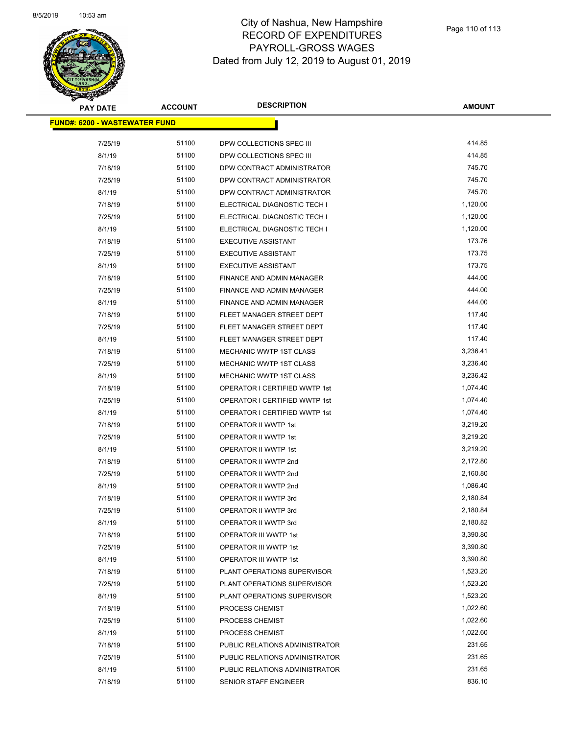

| <b>PAY DATE</b>                       | <b>ACCOUNT</b> | <b>DESCRIPTION</b>             | <b>AMOUNT</b> |
|---------------------------------------|----------------|--------------------------------|---------------|
| <u> FUND#: 6200 - WASTEWATER FUND</u> |                |                                |               |
|                                       |                |                                |               |
| 7/25/19                               | 51100          | DPW COLLECTIONS SPEC III       | 414.85        |
| 8/1/19                                | 51100          | DPW COLLECTIONS SPEC III       | 414.85        |
| 7/18/19                               | 51100          | DPW CONTRACT ADMINISTRATOR     | 745.70        |
| 7/25/19                               | 51100          | DPW CONTRACT ADMINISTRATOR     | 745.70        |
| 8/1/19                                | 51100          | DPW CONTRACT ADMINISTRATOR     | 745.70        |
| 7/18/19                               | 51100          | ELECTRICAL DIAGNOSTIC TECH I   | 1,120.00      |
| 7/25/19                               | 51100          | ELECTRICAL DIAGNOSTIC TECH I   | 1,120.00      |
| 8/1/19                                | 51100          | ELECTRICAL DIAGNOSTIC TECH I   | 1,120.00      |
| 7/18/19                               | 51100          | <b>EXECUTIVE ASSISTANT</b>     | 173.76        |
| 7/25/19                               | 51100          | <b>EXECUTIVE ASSISTANT</b>     | 173.75        |
| 8/1/19                                | 51100          | <b>EXECUTIVE ASSISTANT</b>     | 173.75        |
| 7/18/19                               | 51100          | FINANCE AND ADMIN MANAGER      | 444.00        |
| 7/25/19                               | 51100          | FINANCE AND ADMIN MANAGER      | 444.00        |
| 8/1/19                                | 51100          | FINANCE AND ADMIN MANAGER      | 444.00        |
| 7/18/19                               | 51100          | FLEET MANAGER STREET DEPT      | 117.40        |
| 7/25/19                               | 51100          | FLEET MANAGER STREET DEPT      | 117.40        |
| 8/1/19                                | 51100          | FLEET MANAGER STREET DEPT      | 117.40        |
| 7/18/19                               | 51100          | <b>MECHANIC WWTP 1ST CLASS</b> | 3,236.41      |
| 7/25/19                               | 51100          | MECHANIC WWTP 1ST CLASS        | 3,236.40      |
| 8/1/19                                | 51100          | <b>MECHANIC WWTP 1ST CLASS</b> | 3,236.42      |
| 7/18/19                               | 51100          | OPERATOR I CERTIFIED WWTP 1st  | 1,074.40      |
| 7/25/19                               | 51100          | OPERATOR I CERTIFIED WWTP 1st  | 1,074.40      |
| 8/1/19                                | 51100          | OPERATOR I CERTIFIED WWTP 1st  | 1,074.40      |
| 7/18/19                               | 51100          | OPERATOR II WWTP 1st           | 3,219.20      |
| 7/25/19                               | 51100          | OPERATOR II WWTP 1st           | 3,219.20      |
| 8/1/19                                | 51100          | OPERATOR II WWTP 1st           | 3,219.20      |
| 7/18/19                               | 51100          | OPERATOR II WWTP 2nd           | 2,172.80      |
| 7/25/19                               | 51100          | OPERATOR II WWTP 2nd           | 2,160.80      |
| 8/1/19                                | 51100          | OPERATOR II WWTP 2nd           | 1,086.40      |
| 7/18/19                               | 51100          | OPERATOR II WWTP 3rd           | 2,180.84      |
| 7/25/19                               | 51100          | OPERATOR II WWTP 3rd           | 2,180.84      |
| 8/1/19                                | 51100          | OPERATOR II WWTP 3rd           | 2,180.82      |
| 7/18/19                               | 51100          | OPERATOR III WWTP 1st          | 3,390.80      |
| 7/25/19                               | 51100          | OPERATOR III WWTP 1st          | 3,390.80      |
| 8/1/19                                | 51100          | OPERATOR III WWTP 1st          | 3,390.80      |
| 7/18/19                               | 51100          | PLANT OPERATIONS SUPERVISOR    | 1,523.20      |
| 7/25/19                               | 51100          | PLANT OPERATIONS SUPERVISOR    | 1,523.20      |
| 8/1/19                                | 51100          | PLANT OPERATIONS SUPERVISOR    | 1,523.20      |
| 7/18/19                               | 51100          | PROCESS CHEMIST                | 1,022.60      |
| 7/25/19                               | 51100          | PROCESS CHEMIST                | 1,022.60      |
| 8/1/19                                | 51100          | PROCESS CHEMIST                | 1,022.60      |
| 7/18/19                               | 51100          | PUBLIC RELATIONS ADMINISTRATOR | 231.65        |
| 7/25/19                               | 51100          | PUBLIC RELATIONS ADMINISTRATOR | 231.65        |
| 8/1/19                                | 51100          | PUBLIC RELATIONS ADMINISTRATOR | 231.65        |
| 7/18/19                               | 51100          | SENIOR STAFF ENGINEER          | 836.10        |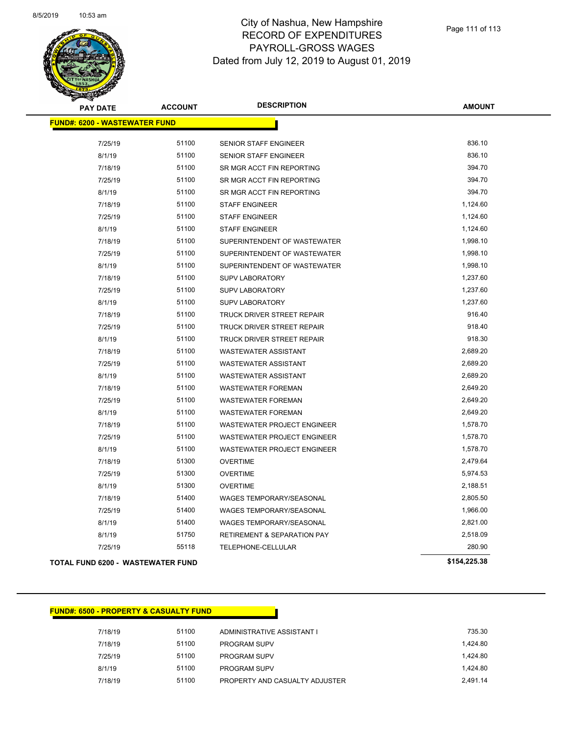

| <b>PAY DATE</b>                      | <b>ACCOUNT</b> | <b>DESCRIPTION</b>                     | <b>AMOUNT</b> |
|--------------------------------------|----------------|----------------------------------------|---------------|
| <b>FUND#: 6200 - WASTEWATER FUND</b> |                |                                        |               |
| 7/25/19                              | 51100          | SENIOR STAFF ENGINEER                  | 836.10        |
| 8/1/19                               | 51100          | SENIOR STAFF ENGINEER                  | 836.10        |
| 7/18/19                              | 51100          | SR MGR ACCT FIN REPORTING              | 394.70        |
| 7/25/19                              | 51100          | SR MGR ACCT FIN REPORTING              | 394.70        |
| 8/1/19                               | 51100          | SR MGR ACCT FIN REPORTING              | 394.70        |
| 7/18/19                              | 51100          | <b>STAFF ENGINEER</b>                  | 1,124.60      |
| 7/25/19                              | 51100          | <b>STAFF ENGINEER</b>                  | 1,124.60      |
| 8/1/19                               | 51100          | <b>STAFF ENGINEER</b>                  | 1,124.60      |
| 7/18/19                              | 51100          | SUPERINTENDENT OF WASTEWATER           | 1,998.10      |
| 7/25/19                              | 51100          | SUPERINTENDENT OF WASTEWATER           | 1,998.10      |
| 8/1/19                               | 51100          | SUPERINTENDENT OF WASTEWATER           | 1,998.10      |
| 7/18/19                              | 51100          | <b>SUPV LABORATORY</b>                 | 1,237.60      |
| 7/25/19                              | 51100          | <b>SUPV LABORATORY</b>                 | 1,237.60      |
| 8/1/19                               | 51100          | <b>SUPV LABORATORY</b>                 | 1,237.60      |
| 7/18/19                              | 51100          | TRUCK DRIVER STREET REPAIR             | 916.40        |
| 7/25/19                              | 51100          | <b>TRUCK DRIVER STREET REPAIR</b>      | 918.40        |
| 8/1/19                               | 51100          | <b>TRUCK DRIVER STREET REPAIR</b>      | 918.30        |
| 7/18/19                              | 51100          | <b>WASTEWATER ASSISTANT</b>            | 2,689.20      |
| 7/25/19                              | 51100          | <b>WASTEWATER ASSISTANT</b>            | 2,689.20      |
| 8/1/19                               | 51100          | <b>WASTEWATER ASSISTANT</b>            | 2,689.20      |
| 7/18/19                              | 51100          | <b>WASTEWATER FOREMAN</b>              | 2,649.20      |
| 7/25/19                              | 51100          | <b>WASTEWATER FOREMAN</b>              | 2,649.20      |
| 8/1/19                               | 51100          | <b>WASTEWATER FOREMAN</b>              | 2,649.20      |
| 7/18/19                              | 51100          | WASTEWATER PROJECT ENGINEER            | 1,578.70      |
| 7/25/19                              | 51100          | WASTEWATER PROJECT ENGINEER            | 1,578.70      |
| 8/1/19                               | 51100          | WASTEWATER PROJECT ENGINEER            | 1,578.70      |
| 7/18/19                              | 51300          | <b>OVERTIME</b>                        | 2,479.64      |
| 7/25/19                              | 51300          | <b>OVERTIME</b>                        | 5,974.53      |
| 8/1/19                               | 51300          | <b>OVERTIME</b>                        | 2,188.51      |
| 7/18/19                              | 51400          | WAGES TEMPORARY/SEASONAL               | 2,805.50      |
| 7/25/19                              | 51400          | WAGES TEMPORARY/SEASONAL               | 1,966.00      |
| 8/1/19                               | 51400          | WAGES TEMPORARY/SEASONAL               | 2,821.00      |
| 8/1/19                               | 51750          | <b>RETIREMENT &amp; SEPARATION PAY</b> | 2,518.09      |
| 7/25/19                              | 55118          | TELEPHONE-CELLULAR                     | 280.90        |
| TOTAL FUND 6200 - WASTEWATER FUND    |                |                                        | \$154,225.38  |

| <b>FUND#: 6500 - PROPERTY &amp; CASUALTY FUND</b> |  |
|---------------------------------------------------|--|

| 7/18/19 | 51100 | ADMINISTRATIVE ASSISTANT I     | 735.30   |
|---------|-------|--------------------------------|----------|
| 7/18/19 | 51100 | <b>PROGRAM SUPV</b>            | 1.424.80 |
| 7/25/19 | 51100 | <b>PROGRAM SUPV</b>            | 1.424.80 |
| 8/1/19  | 51100 | <b>PROGRAM SUPV</b>            | 1.424.80 |
| 7/18/19 | 51100 | PROPERTY AND CASUALTY ADJUSTER | 2.491.14 |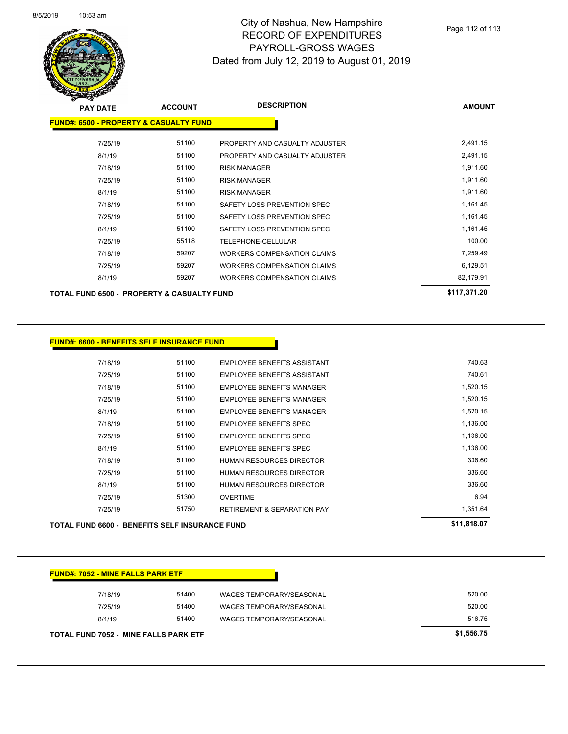

| <b>PAY DATE</b>                                       | <b>ACCOUNT</b> | <b>DESCRIPTION</b>                 | <b>AMOUNT</b> |
|-------------------------------------------------------|----------------|------------------------------------|---------------|
| <b>FUND#: 6500 - PROPERTY &amp; CASUALTY FUND</b>     |                |                                    |               |
| 7/25/19                                               | 51100          | PROPERTY AND CASUALTY ADJUSTER     | 2,491.15      |
| 8/1/19                                                | 51100          | PROPERTY AND CASUALTY ADJUSTER     | 2,491.15      |
| 7/18/19                                               | 51100          | <b>RISK MANAGER</b>                | 1,911.60      |
| 7/25/19                                               | 51100          | <b>RISK MANAGER</b>                | 1,911.60      |
| 8/1/19                                                | 51100          | <b>RISK MANAGER</b>                | 1,911.60      |
| 7/18/19                                               | 51100          | SAFETY LOSS PREVENTION SPEC        | 1,161.45      |
| 7/25/19                                               | 51100          | SAFETY LOSS PREVENTION SPEC        | 1,161.45      |
| 8/1/19                                                | 51100          | SAFETY LOSS PREVENTION SPEC        | 1,161.45      |
| 7/25/19                                               | 55118          | <b>TELEPHONE-CELLULAR</b>          | 100.00        |
| 7/18/19                                               | 59207          | <b>WORKERS COMPENSATION CLAIMS</b> | 7,259.49      |
| 7/25/19                                               | 59207          | <b>WORKERS COMPENSATION CLAIMS</b> | 6,129.51      |
| 8/1/19                                                | 59207          | <b>WORKERS COMPENSATION CLAIMS</b> | 82,179.91     |
| <b>TOTAL FUND 6500 - PROPERTY &amp; CASUALTY FUND</b> |                |                                    | \$117,371.20  |

#### **FUND#: 6600 - BENEFITS SELF INSURANCE FUND**

| 7/18/19 | 51100 | <b>FMPLOYEE BENEEITS ASSISTANT</b>     | 740.63   |
|---------|-------|----------------------------------------|----------|
| 7/25/19 | 51100 | EMPLOYEE BENEFITS ASSISTANT            | 740.61   |
| 7/18/19 | 51100 | EMPLOYEE BENEFITS MANAGER              | 1,520.15 |
| 7/25/19 | 51100 | EMPLOYEE BENEFITS MANAGER              | 1,520.15 |
| 8/1/19  | 51100 | EMPLOYEE BENEFITS MANAGER              | 1,520.15 |
| 7/18/19 | 51100 | <b>EMPLOYEE BENEFITS SPEC</b>          | 1.136.00 |
| 7/25/19 | 51100 | EMPLOYEE BENEFITS SPEC                 | 1,136.00 |
| 8/1/19  | 51100 | EMPLOYEE BENEFITS SPEC                 | 1,136.00 |
| 7/18/19 | 51100 | <b>HUMAN RESOURCES DIRECTOR</b>        | 336.60   |
| 7/25/19 | 51100 | <b>HUMAN RESOURCES DIRECTOR</b>        | 336.60   |
| 8/1/19  | 51100 | <b>HUMAN RESOURCES DIRECTOR</b>        | 336.60   |
| 7/25/19 | 51300 | <b>OVERTIME</b>                        | 6.94     |
| 7/25/19 | 51750 | <b>RETIREMENT &amp; SEPARATION PAY</b> | 1,351.64 |
|         |       |                                        |          |

**TOTAL FUND 6600 - BENEFITS SELF INSURANCE FUND \$11,818.07** 

| 7/18/19 | 51400 | WAGES TEMPORARY/SEASONAL | 520.00 |
|---------|-------|--------------------------|--------|
| 7/25/19 | 51400 | WAGES TEMPORARY/SEASONAL | 520.00 |
| 8/1/19  | 51400 | WAGES TEMPORARY/SEASONAL | 516.75 |